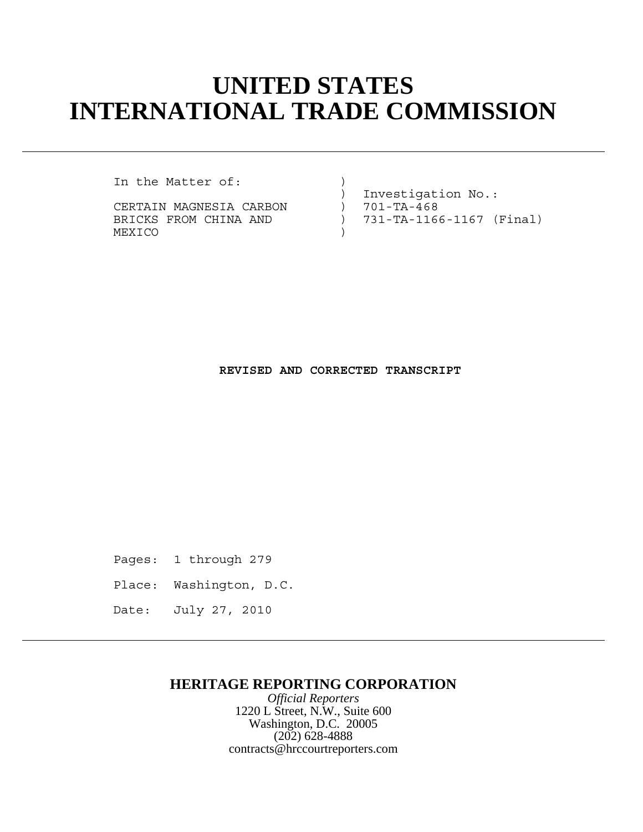# **UNITED STATES INTERNATIONAL TRADE COMMISSION**

In the Matter of:

CERTAIN MAGNESIA CARBON ) 701-TA-468 MEXICO )

 ) Investigation No.: BRICKS FROM CHINA AND ) 731-TA-1166-1167 (Final)

## **REVISED AND CORRECTED TRANSCRIPT**

Pages: 1 through 279

Place: Washington, D.C.

Date: July 27, 2010

## **HERITAGE REPORTING CORPORATION**

*Official Reporters* 1220 L Street, N.W., Suite 600 Washington, D.C. 20005 (202) 628-4888 contracts@hrccourtreporters.com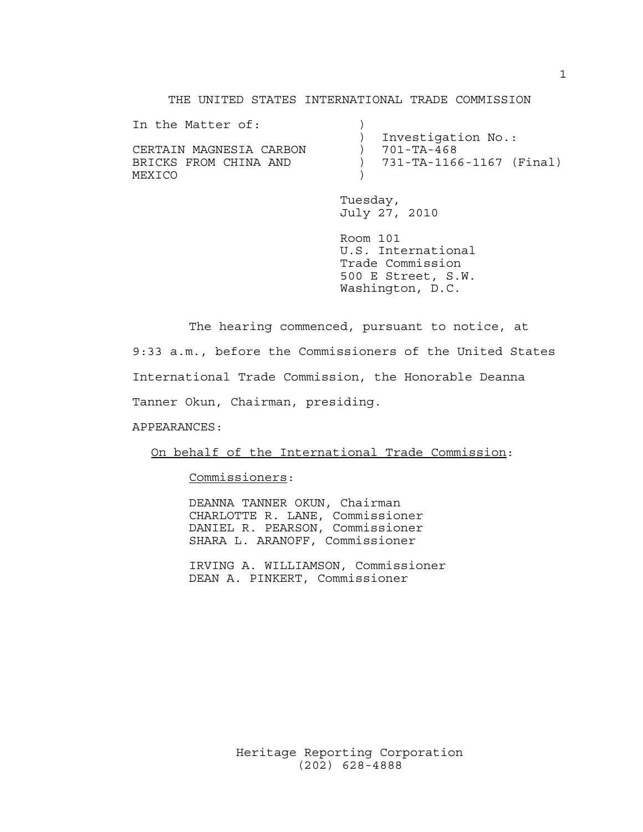#### THE UNITED STATES INTERNATIONAL TRADE COMMISSION

| In the Matter of:       |                            |
|-------------------------|----------------------------|
|                         | Investigation No.:         |
| CERTAIN MAGNESIA CARBON | 701-TA-468                 |
| BRICKS FROM CHINA AND   | ) 731-TA-1166-1167 (Final) |
| MEXICO                  |                            |
|                         |                            |

Tuesday, July 27, 2010

Room 101 U.S. International Trade Commission 500 E Street, S.W. Washington, D.C.

The hearing commenced, pursuant to notice, at 9:33 a.m., before the Commissioners of the United States International Trade Commission, the Honorable Deanna Tanner Okun, Chairman, presiding.

APPEARANCES:

On behalf of the International Trade Commission:

Commissioners:

DEANNA TANNER OKUN, Chairman CHARLOTTE R. LANE, Commissioner DANIEL R. PEARSON, Commissioner SHARA L. ARANOFF, Commissioner

IRVING A. WILLIAMSON, Commissioner DEAN A. PINKERT, Commissioner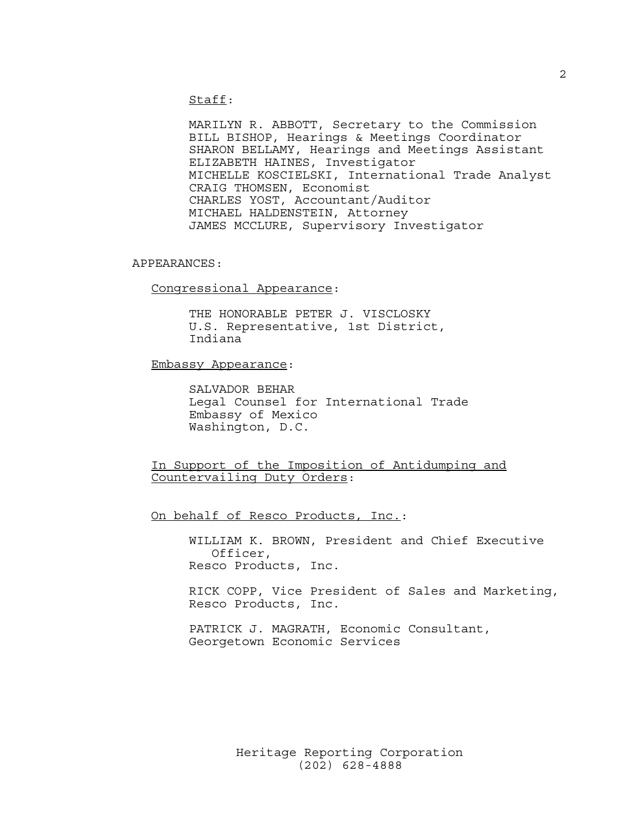Staff:

MARILYN R. ABBOTT, Secretary to the Commission BILL BISHOP, Hearings & Meetings Coordinator SHARON BELLAMY, Hearings and Meetings Assistant ELIZABETH HAINES, Investigator MICHELLE KOSCIELSKI, International Trade Analyst CRAIG THOMSEN, Economist CHARLES YOST, Accountant/Auditor MICHAEL HALDENSTEIN, Attorney JAMES MCCLURE, Supervisory Investigator

#### APPEARANCES:

Congressional Appearance:

THE HONORABLE PETER J. VISCLOSKY U.S. Representative, 1st District, Indiana

Embassy Appearance:

SALVADOR BEHAR Legal Counsel for International Trade Embassy of Mexico Washington, D.C.

In Support of the Imposition of Antidumping and Countervailing Duty Orders:

On behalf of Resco Products, Inc.:

WILLIAM K. BROWN, President and Chief Executive Officer, Resco Products, Inc.

RICK COPP, Vice President of Sales and Marketing, Resco Products, Inc.

PATRICK J. MAGRATH, Economic Consultant, Georgetown Economic Services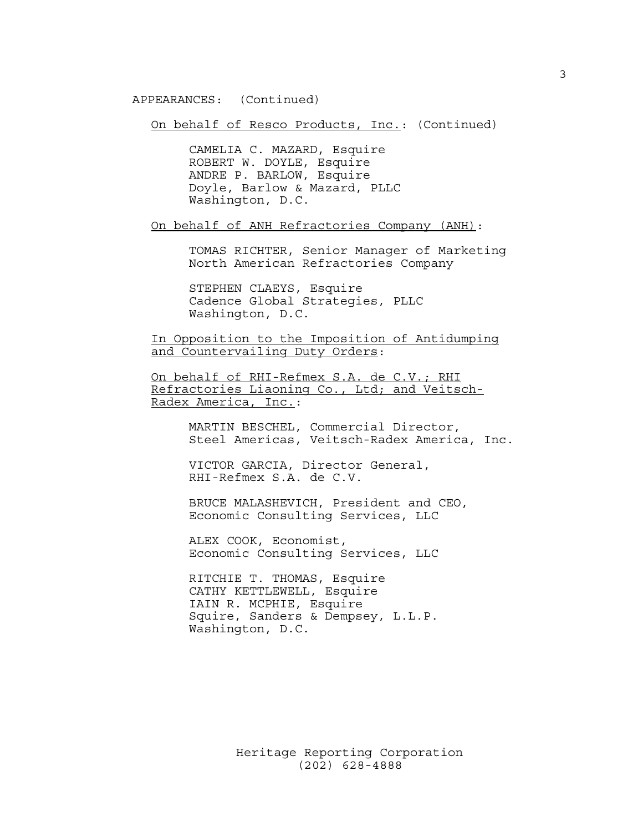APPEARANCES: (Continued)

On behalf of Resco Products, Inc.: (Continued)

CAMELIA C. MAZARD, Esquire ROBERT W. DOYLE, Esquire ANDRE P. BARLOW, Esquire Doyle, Barlow & Mazard, PLLC Washington, D.C.

On behalf of ANH Refractories Company (ANH):

TOMAS RICHTER, Senior Manager of Marketing North American Refractories Company

STEPHEN CLAEYS, Esquire Cadence Global Strategies, PLLC Washington, D.C.

In Opposition to the Imposition of Antidumping and Countervailing Duty Orders:

On behalf of RHI-Refmex S.A. de C.V.; RHI Refractories Liaoning Co., Ltd; and Veitsch-Radex America, Inc.:

> MARTIN BESCHEL, Commercial Director, Steel Americas, Veitsch-Radex America, Inc.

VICTOR GARCIA, Director General, RHI-Refmex S.A. de C.V.

BRUCE MALASHEVICH, President and CEO, Economic Consulting Services, LLC

ALEX COOK, Economist, Economic Consulting Services, LLC

RITCHIE T. THOMAS, Esquire CATHY KETTLEWELL, Esquire IAIN R. MCPHIE, Esquire Squire, Sanders & Dempsey, L.L.P. Washington, D.C.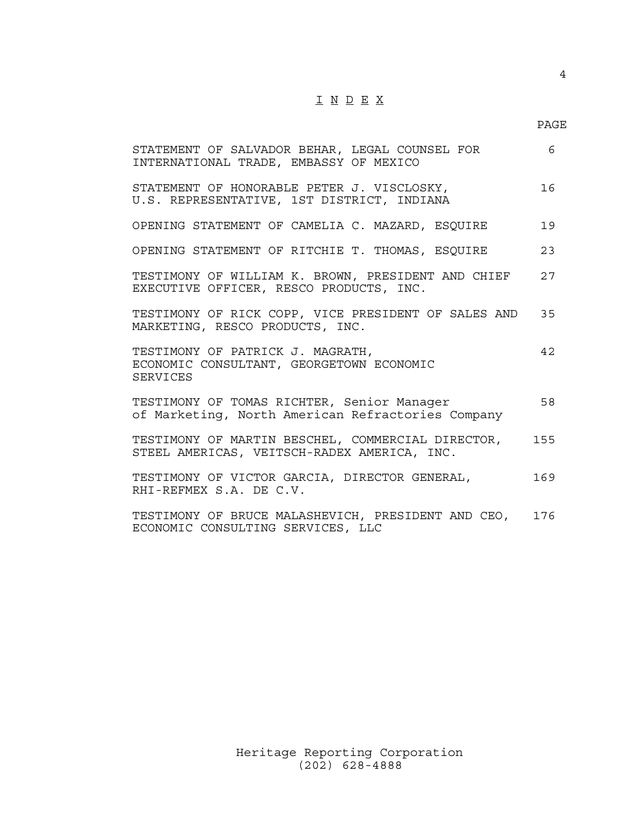# I N D E X

### PAGE

| STATEMENT OF SALVADOR BEHAR, LEGAL COUNSEL FOR<br>INTERNATIONAL TRADE, EMBASSY OF MEXICO         | 6   |
|--------------------------------------------------------------------------------------------------|-----|
| STATEMENT OF HONORABLE PETER J. VISCLOSKY,<br>U.S. REPRESENTATIVE, 1ST DISTRICT, INDIANA         | 16  |
| OPENING STATEMENT OF CAMELIA C. MAZARD, ESQUIRE                                                  | 19  |
| OPENING STATEMENT OF RITCHIE T. THOMAS, ESQUIRE                                                  | 23  |
| TESTIMONY OF WILLIAM K. BROWN, PRESIDENT AND CHIEF<br>EXECUTIVE OFFICER, RESCO PRODUCTS, INC.    | 27  |
| TESTIMONY OF RICK COPP, VICE PRESIDENT OF SALES AND<br>MARKETING, RESCO PRODUCTS, INC.           | 35  |
| TESTIMONY OF PATRICK J. MAGRATH,<br>ECONOMIC CONSULTANT, GEORGETOWN ECONOMIC<br><b>SERVICES</b>  | 42. |
| TESTIMONY OF TOMAS RICHTER, Senior Manager<br>of Marketing, North American Refractories Company  | 58  |
| TESTIMONY OF MARTIN BESCHEL, COMMERCIAL DIRECTOR,<br>STEEL AMERICAS, VEITSCH-RADEX AMERICA, INC. | 155 |
| TESTIMONY OF VICTOR GARCIA, DIRECTOR GENERAL,<br>RHI-REFMEX S.A. DE C.V.                         | 169 |
| TESTIMONY OF BRUCE MALASHEVICH, PRESIDENT AND CEO,<br>ECONOMIC CONSULTING SERVICES, LLC          | 176 |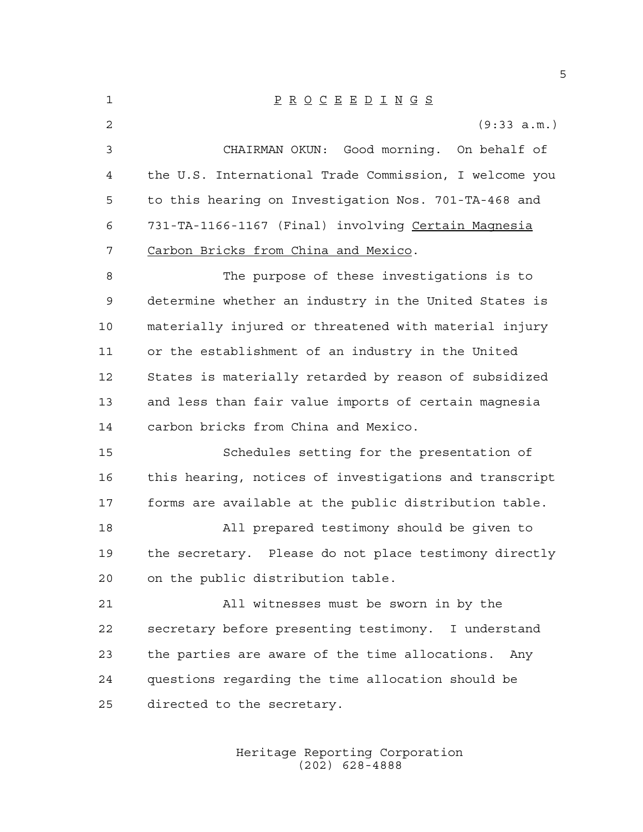P R O C E E D I N G S (9:33 a.m.) CHAIRMAN OKUN: Good morning. On behalf of the U.S. International Trade Commission, I welcome you to this hearing on Investigation Nos. 701-TA-468 and 731-TA-1166-1167 (Final) involving Certain Magnesia Carbon Bricks from China and Mexico. The purpose of these investigations is to determine whether an industry in the United States is materially injured or threatened with material injury or the establishment of an industry in the United States is materially retarded by reason of subsidized and less than fair value imports of certain magnesia carbon bricks from China and Mexico. Schedules setting for the presentation of this hearing, notices of investigations and transcript forms are available at the public distribution table. All prepared testimony should be given to the secretary. Please do not place testimony directly on the public distribution table. All witnesses must be sworn in by the secretary before presenting testimony. I understand the parties are aware of the time allocations. Any questions regarding the time allocation should be directed to the secretary.

> Heritage Reporting Corporation (202) 628-4888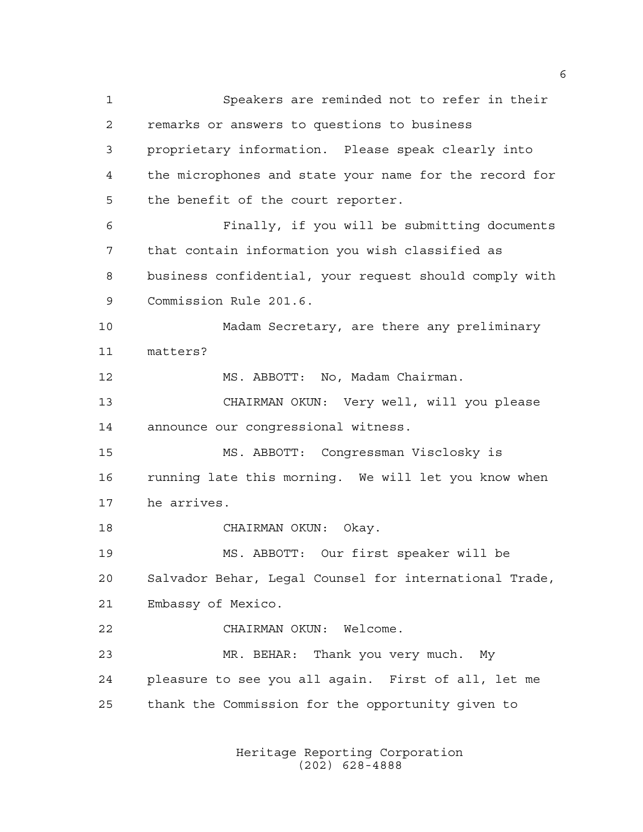Speakers are reminded not to refer in their remarks or answers to questions to business proprietary information. Please speak clearly into the microphones and state your name for the record for the benefit of the court reporter. Finally, if you will be submitting documents that contain information you wish classified as business confidential, your request should comply with Commission Rule 201.6. Madam Secretary, are there any preliminary matters? MS. ABBOTT: No, Madam Chairman. CHAIRMAN OKUN: Very well, will you please announce our congressional witness. MS. ABBOTT: Congressman Visclosky is 16 running late this morning. We will let you know when he arrives. CHAIRMAN OKUN: Okay. MS. ABBOTT: Our first speaker will be Salvador Behar, Legal Counsel for international Trade, Embassy of Mexico. CHAIRMAN OKUN: Welcome. MR. BEHAR: Thank you very much. My pleasure to see you all again. First of all, let me thank the Commission for the opportunity given to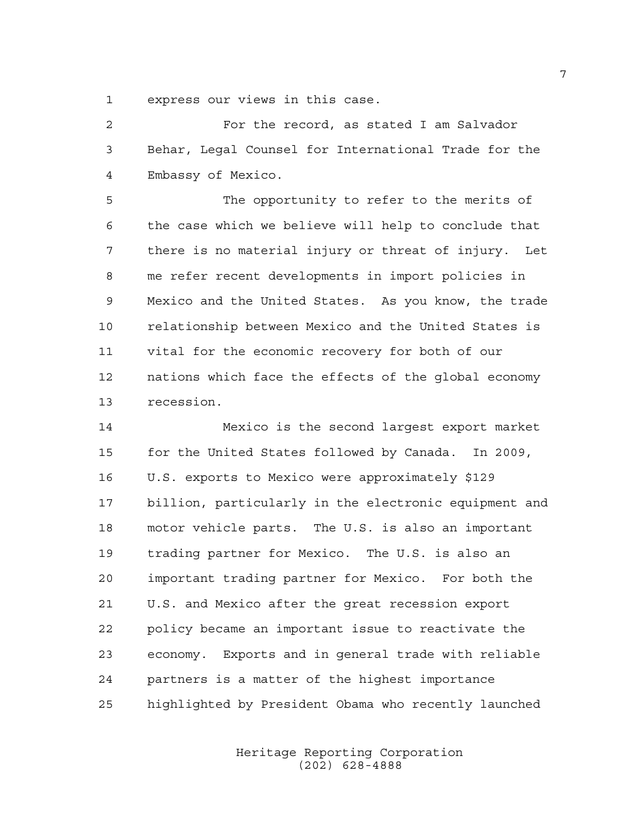express our views in this case.

 For the record, as stated I am Salvador Behar, Legal Counsel for International Trade for the Embassy of Mexico.

 The opportunity to refer to the merits of the case which we believe will help to conclude that there is no material injury or threat of injury. Let me refer recent developments in import policies in Mexico and the United States. As you know, the trade relationship between Mexico and the United States is vital for the economic recovery for both of our nations which face the effects of the global economy recession.

 Mexico is the second largest export market for the United States followed by Canada. In 2009, U.S. exports to Mexico were approximately \$129 billion, particularly in the electronic equipment and motor vehicle parts. The U.S. is also an important trading partner for Mexico. The U.S. is also an important trading partner for Mexico. For both the U.S. and Mexico after the great recession export policy became an important issue to reactivate the economy. Exports and in general trade with reliable partners is a matter of the highest importance highlighted by President Obama who recently launched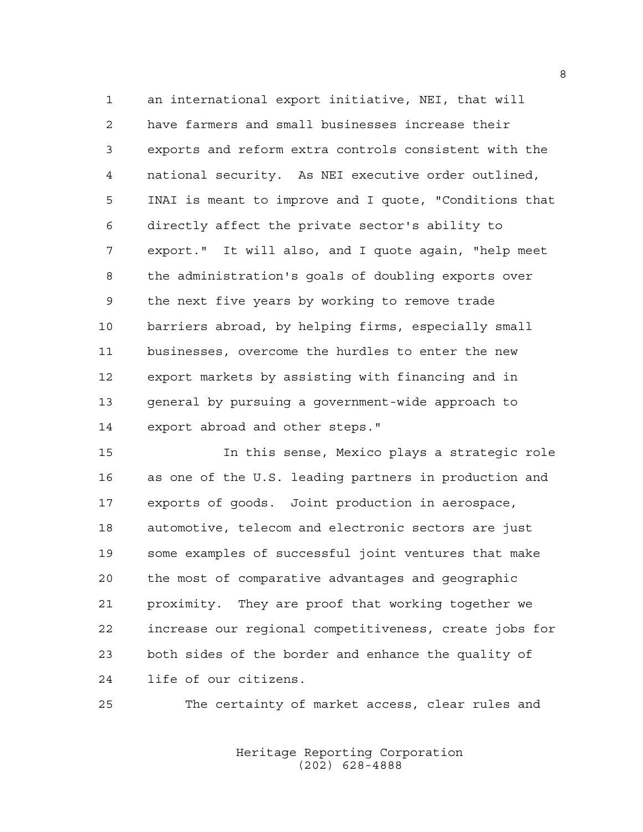an international export initiative, NEI, that will have farmers and small businesses increase their exports and reform extra controls consistent with the national security. As NEI executive order outlined, INAI is meant to improve and I quote, "Conditions that directly affect the private sector's ability to export." It will also, and I quote again, "help meet the administration's goals of doubling exports over the next five years by working to remove trade barriers abroad, by helping firms, especially small businesses, overcome the hurdles to enter the new export markets by assisting with financing and in general by pursuing a government-wide approach to export abroad and other steps."

 In this sense, Mexico plays a strategic role as one of the U.S. leading partners in production and exports of goods. Joint production in aerospace, automotive, telecom and electronic sectors are just some examples of successful joint ventures that make the most of comparative advantages and geographic proximity. They are proof that working together we increase our regional competitiveness, create jobs for both sides of the border and enhance the quality of life of our citizens.

The certainty of market access, clear rules and

Heritage Reporting Corporation (202) 628-4888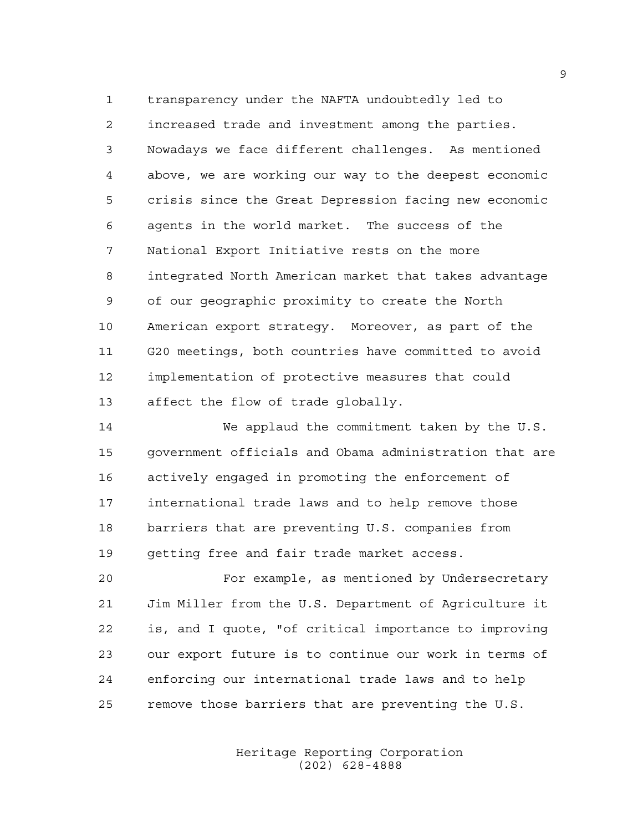transparency under the NAFTA undoubtedly led to increased trade and investment among the parties. Nowadays we face different challenges. As mentioned above, we are working our way to the deepest economic crisis since the Great Depression facing new economic agents in the world market. The success of the National Export Initiative rests on the more integrated North American market that takes advantage of our geographic proximity to create the North American export strategy. Moreover, as part of the G20 meetings, both countries have committed to avoid implementation of protective measures that could affect the flow of trade globally.

 We applaud the commitment taken by the U.S. government officials and Obama administration that are actively engaged in promoting the enforcement of international trade laws and to help remove those barriers that are preventing U.S. companies from getting free and fair trade market access.

 For example, as mentioned by Undersecretary Jim Miller from the U.S. Department of Agriculture it is, and I quote, "of critical importance to improving our export future is to continue our work in terms of enforcing our international trade laws and to help remove those barriers that are preventing the U.S.

> Heritage Reporting Corporation (202) 628-4888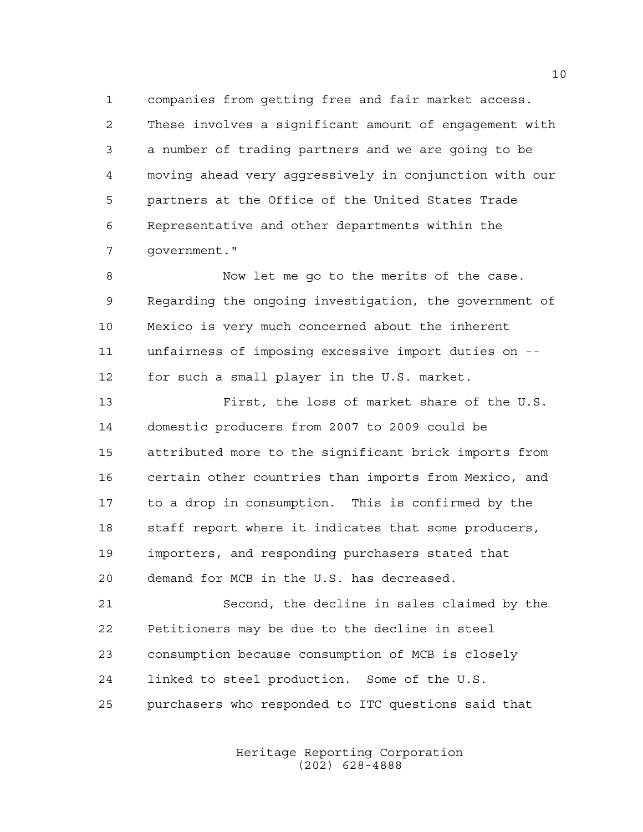companies from getting free and fair market access. These involves a significant amount of engagement with a number of trading partners and we are going to be moving ahead very aggressively in conjunction with our partners at the Office of the United States Trade Representative and other departments within the government."

 Now let me go to the merits of the case. Regarding the ongoing investigation, the government of Mexico is very much concerned about the inherent unfairness of imposing excessive import duties on -- for such a small player in the U.S. market.

 First, the loss of market share of the U.S. domestic producers from 2007 to 2009 could be attributed more to the significant brick imports from certain other countries than imports from Mexico, and to a drop in consumption. This is confirmed by the staff report where it indicates that some producers, importers, and responding purchasers stated that demand for MCB in the U.S. has decreased.

 Second, the decline in sales claimed by the Petitioners may be due to the decline in steel consumption because consumption of MCB is closely linked to steel production. Some of the U.S. purchasers who responded to ITC questions said that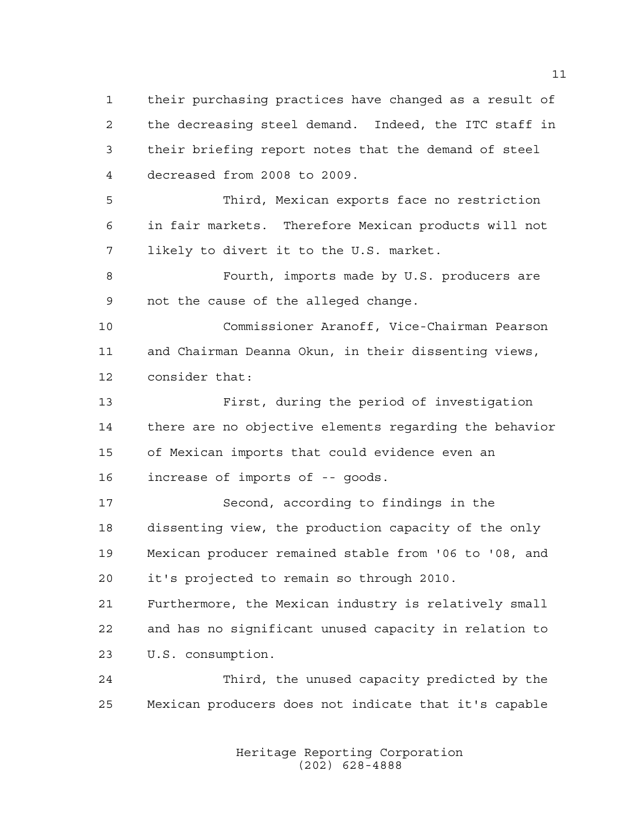their purchasing practices have changed as a result of the decreasing steel demand. Indeed, the ITC staff in their briefing report notes that the demand of steel decreased from 2008 to 2009. Third, Mexican exports face no restriction

 in fair markets. Therefore Mexican products will not likely to divert it to the U.S. market.

8 Fourth, imports made by U.S. producers are not the cause of the alleged change.

 Commissioner Aranoff, Vice-Chairman Pearson and Chairman Deanna Okun, in their dissenting views, consider that:

 First, during the period of investigation there are no objective elements regarding the behavior of Mexican imports that could evidence even an increase of imports of -- goods.

 Second, according to findings in the dissenting view, the production capacity of the only Mexican producer remained stable from '06 to '08, and it's projected to remain so through 2010.

 Furthermore, the Mexican industry is relatively small and has no significant unused capacity in relation to U.S. consumption.

 Third, the unused capacity predicted by the Mexican producers does not indicate that it's capable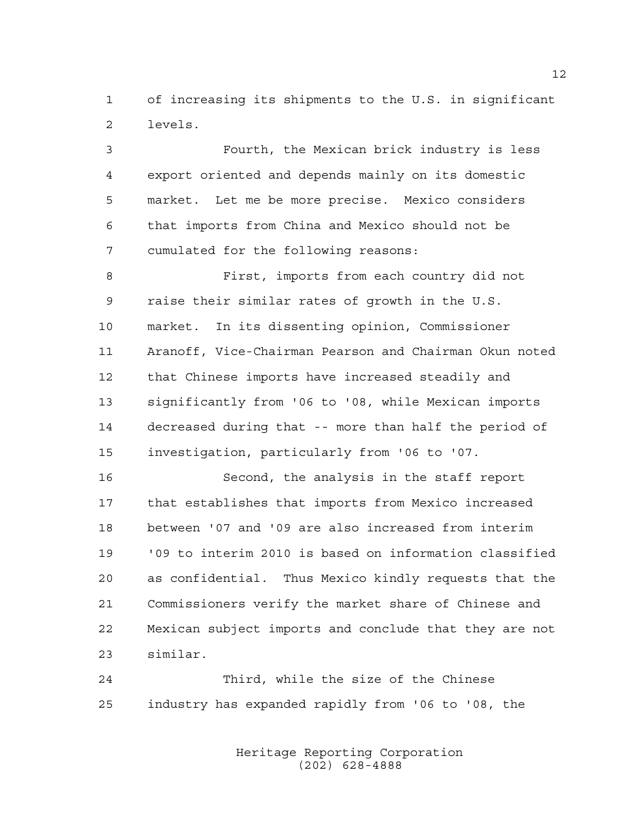of increasing its shipments to the U.S. in significant levels.

 Fourth, the Mexican brick industry is less export oriented and depends mainly on its domestic market. Let me be more precise. Mexico considers that imports from China and Mexico should not be cumulated for the following reasons:

 First, imports from each country did not raise their similar rates of growth in the U.S. market. In its dissenting opinion, Commissioner Aranoff, Vice-Chairman Pearson and Chairman Okun noted that Chinese imports have increased steadily and significantly from '06 to '08, while Mexican imports decreased during that -- more than half the period of investigation, particularly from '06 to '07.

 Second, the analysis in the staff report that establishes that imports from Mexico increased between '07 and '09 are also increased from interim '09 to interim 2010 is based on information classified as confidential. Thus Mexico kindly requests that the Commissioners verify the market share of Chinese and Mexican subject imports and conclude that they are not similar.

 Third, while the size of the Chinese industry has expanded rapidly from '06 to '08, the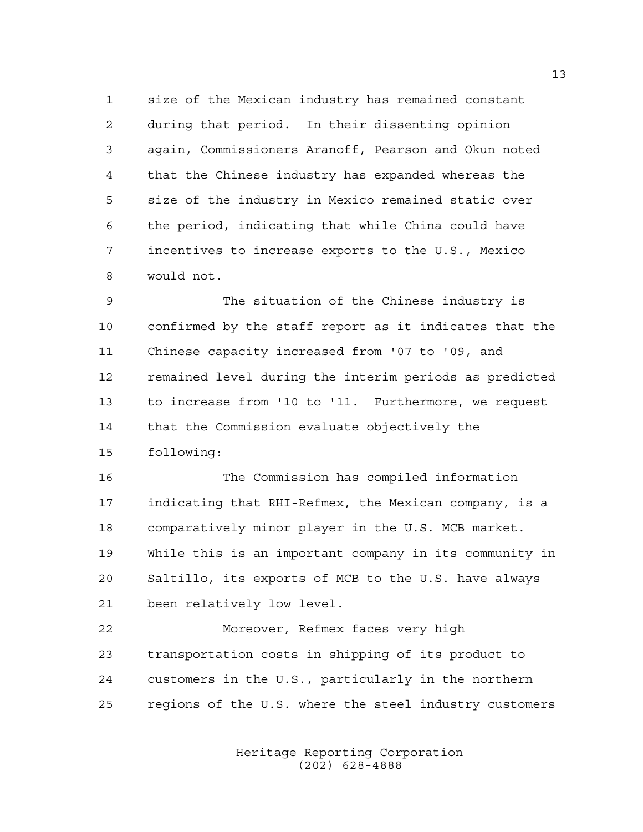size of the Mexican industry has remained constant during that period. In their dissenting opinion again, Commissioners Aranoff, Pearson and Okun noted that the Chinese industry has expanded whereas the size of the industry in Mexico remained static over the period, indicating that while China could have incentives to increase exports to the U.S., Mexico would not.

 The situation of the Chinese industry is confirmed by the staff report as it indicates that the Chinese capacity increased from '07 to '09, and remained level during the interim periods as predicted to increase from '10 to '11. Furthermore, we request that the Commission evaluate objectively the following:

 The Commission has compiled information indicating that RHI-Refmex, the Mexican company, is a comparatively minor player in the U.S. MCB market. While this is an important company in its community in Saltillo, its exports of MCB to the U.S. have always been relatively low level.

 Moreover, Refmex faces very high transportation costs in shipping of its product to customers in the U.S., particularly in the northern regions of the U.S. where the steel industry customers

> Heritage Reporting Corporation (202) 628-4888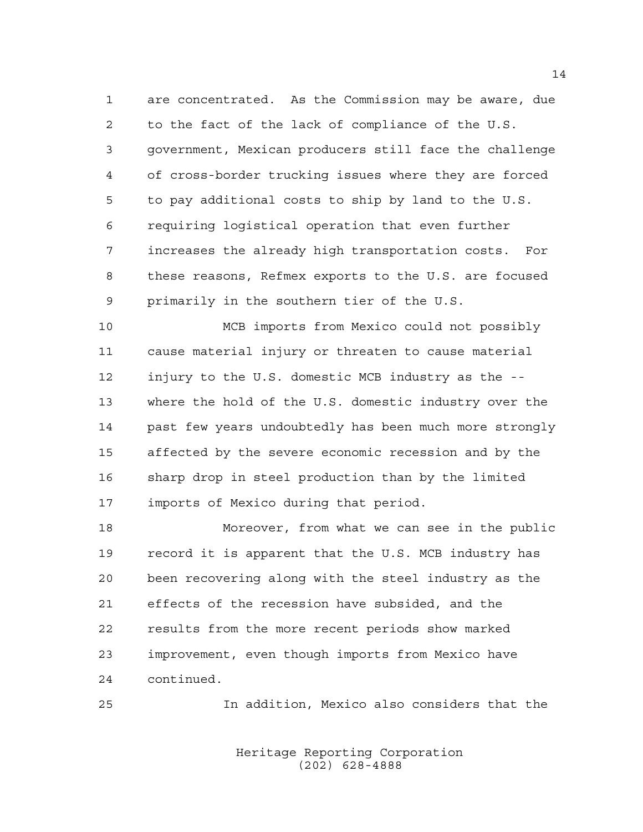are concentrated. As the Commission may be aware, due to the fact of the lack of compliance of the U.S. government, Mexican producers still face the challenge of cross-border trucking issues where they are forced to pay additional costs to ship by land to the U.S. requiring logistical operation that even further increases the already high transportation costs. For these reasons, Refmex exports to the U.S. are focused primarily in the southern tier of the U.S.

 MCB imports from Mexico could not possibly cause material injury or threaten to cause material injury to the U.S. domestic MCB industry as the -- where the hold of the U.S. domestic industry over the past few years undoubtedly has been much more strongly affected by the severe economic recession and by the sharp drop in steel production than by the limited imports of Mexico during that period.

 Moreover, from what we can see in the public record it is apparent that the U.S. MCB industry has been recovering along with the steel industry as the effects of the recession have subsided, and the results from the more recent periods show marked improvement, even though imports from Mexico have continued.

In addition, Mexico also considers that the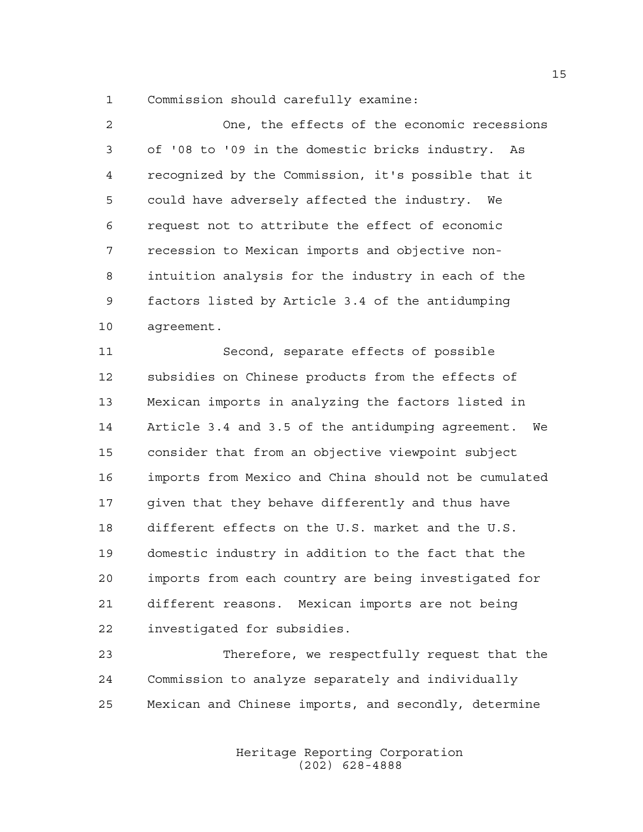Commission should carefully examine:

| $\mathfrak{D}$ | One, the effects of the economic recessions         |
|----------------|-----------------------------------------------------|
| 3              | of '08 to '09 in the domestic bricks industry. As   |
| 4              | recognized by the Commission, it's possible that it |
| 5              | could have adversely affected the industry.<br>We   |
| 6              | request not to attribute the effect of economic     |
| 7              | recession to Mexican imports and objective non-     |
| 8              | intuition analysis for the industry in each of the  |
| 9              | factors listed by Article 3.4 of the antidumping    |
| 10             | agreement.                                          |

 Second, separate effects of possible subsidies on Chinese products from the effects of Mexican imports in analyzing the factors listed in Article 3.4 and 3.5 of the antidumping agreement. We consider that from an objective viewpoint subject imports from Mexico and China should not be cumulated given that they behave differently and thus have different effects on the U.S. market and the U.S. domestic industry in addition to the fact that the imports from each country are being investigated for different reasons. Mexican imports are not being investigated for subsidies.

 Therefore, we respectfully request that the Commission to analyze separately and individually Mexican and Chinese imports, and secondly, determine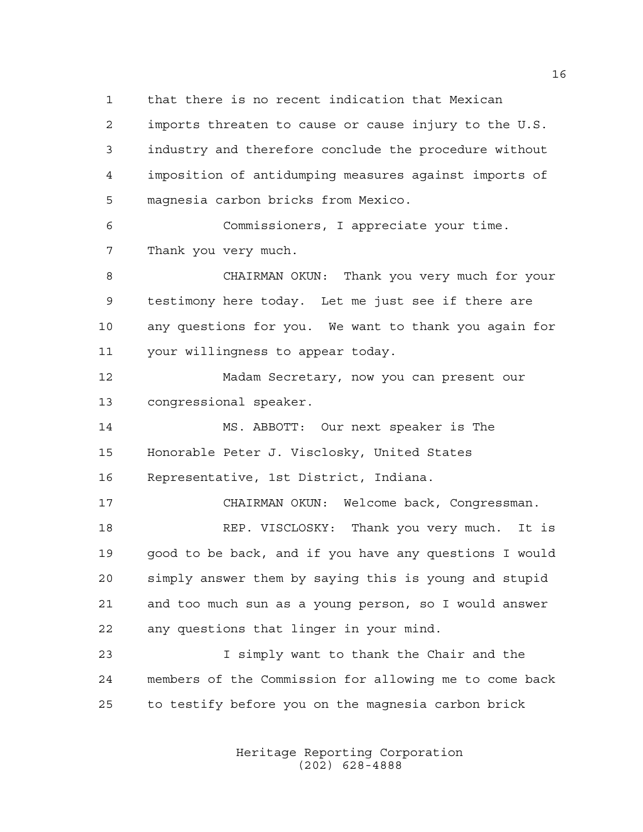that there is no recent indication that Mexican

 imports threaten to cause or cause injury to the U.S. industry and therefore conclude the procedure without imposition of antidumping measures against imports of magnesia carbon bricks from Mexico.

 Commissioners, I appreciate your time. Thank you very much.

 CHAIRMAN OKUN: Thank you very much for your testimony here today. Let me just see if there are any questions for you. We want to thank you again for your willingness to appear today.

 Madam Secretary, now you can present our congressional speaker.

 MS. ABBOTT: Our next speaker is The Honorable Peter J. Visclosky, United States Representative, 1st District, Indiana.

 CHAIRMAN OKUN: Welcome back, Congressman. REP. VISCLOSKY: Thank you very much. It is good to be back, and if you have any questions I would simply answer them by saying this is young and stupid and too much sun as a young person, so I would answer any questions that linger in your mind.

 I simply want to thank the Chair and the members of the Commission for allowing me to come back to testify before you on the magnesia carbon brick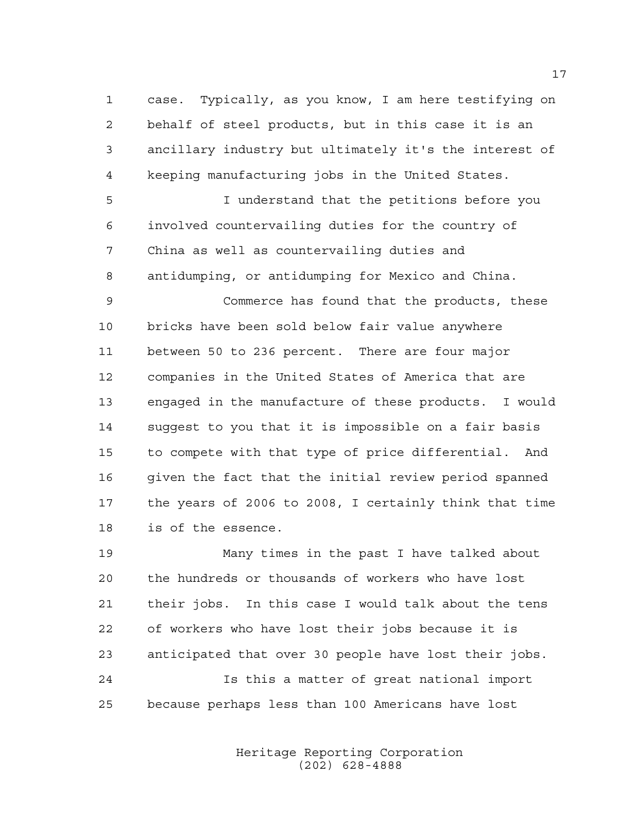case. Typically, as you know, I am here testifying on behalf of steel products, but in this case it is an ancillary industry but ultimately it's the interest of keeping manufacturing jobs in the United States.

 I understand that the petitions before you involved countervailing duties for the country of China as well as countervailing duties and antidumping, or antidumping for Mexico and China.

 Commerce has found that the products, these bricks have been sold below fair value anywhere between 50 to 236 percent. There are four major companies in the United States of America that are engaged in the manufacture of these products. I would suggest to you that it is impossible on a fair basis to compete with that type of price differential. And given the fact that the initial review period spanned the years of 2006 to 2008, I certainly think that time is of the essence.

 Many times in the past I have talked about the hundreds or thousands of workers who have lost their jobs. In this case I would talk about the tens of workers who have lost their jobs because it is anticipated that over 30 people have lost their jobs. Is this a matter of great national import because perhaps less than 100 Americans have lost

> Heritage Reporting Corporation (202) 628-4888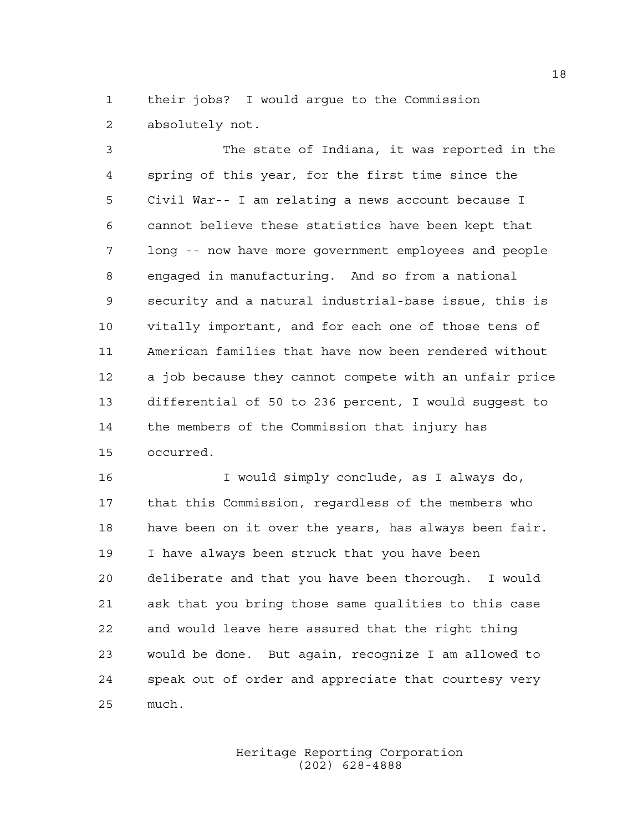their jobs? I would argue to the Commission absolutely not.

 The state of Indiana, it was reported in the spring of this year, for the first time since the Civil War-- I am relating a news account because I cannot believe these statistics have been kept that long -- now have more government employees and people engaged in manufacturing. And so from a national security and a natural industrial-base issue, this is vitally important, and for each one of those tens of American families that have now been rendered without a job because they cannot compete with an unfair price differential of 50 to 236 percent, I would suggest to the members of the Commission that injury has occurred.

 I would simply conclude, as I always do, that this Commission, regardless of the members who have been on it over the years, has always been fair. I have always been struck that you have been deliberate and that you have been thorough. I would ask that you bring those same qualities to this case and would leave here assured that the right thing would be done. But again, recognize I am allowed to speak out of order and appreciate that courtesy very much.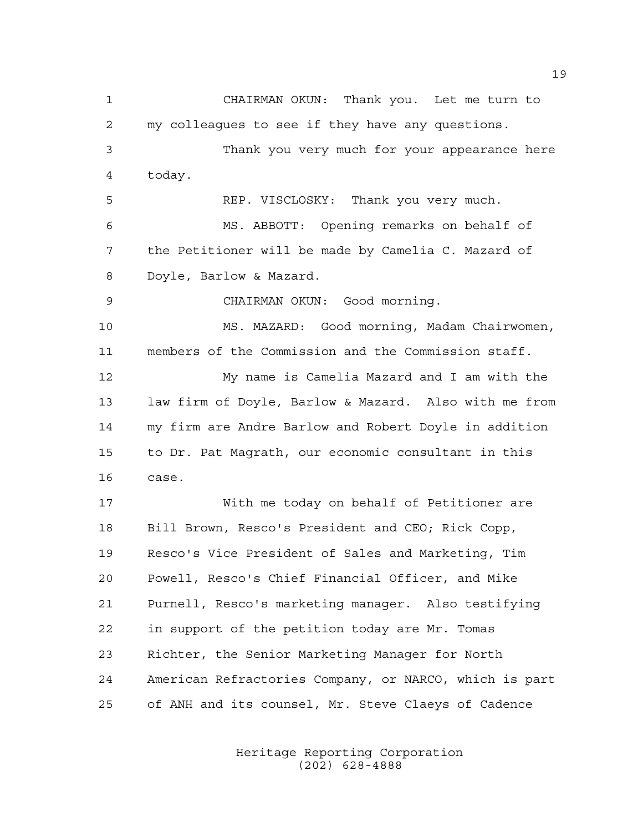CHAIRMAN OKUN: Thank you. Let me turn to my colleagues to see if they have any questions. Thank you very much for your appearance here today. REP. VISCLOSKY: Thank you very much. MS. ABBOTT: Opening remarks on behalf of the Petitioner will be made by Camelia C. Mazard of Doyle, Barlow & Mazard. CHAIRMAN OKUN: Good morning. MS. MAZARD: Good morning, Madam Chairwomen, members of the Commission and the Commission staff. My name is Camelia Mazard and I am with the law firm of Doyle, Barlow & Mazard. Also with me from my firm are Andre Barlow and Robert Doyle in addition to Dr. Pat Magrath, our economic consultant in this case. With me today on behalf of Petitioner are Bill Brown, Resco's President and CEO; Rick Copp, Resco's Vice President of Sales and Marketing, Tim Powell, Resco's Chief Financial Officer, and Mike Purnell, Resco's marketing manager. Also testifying in support of the petition today are Mr. Tomas Richter, the Senior Marketing Manager for North American Refractories Company, or NARCO, which is part of ANH and its counsel, Mr. Steve Claeys of Cadence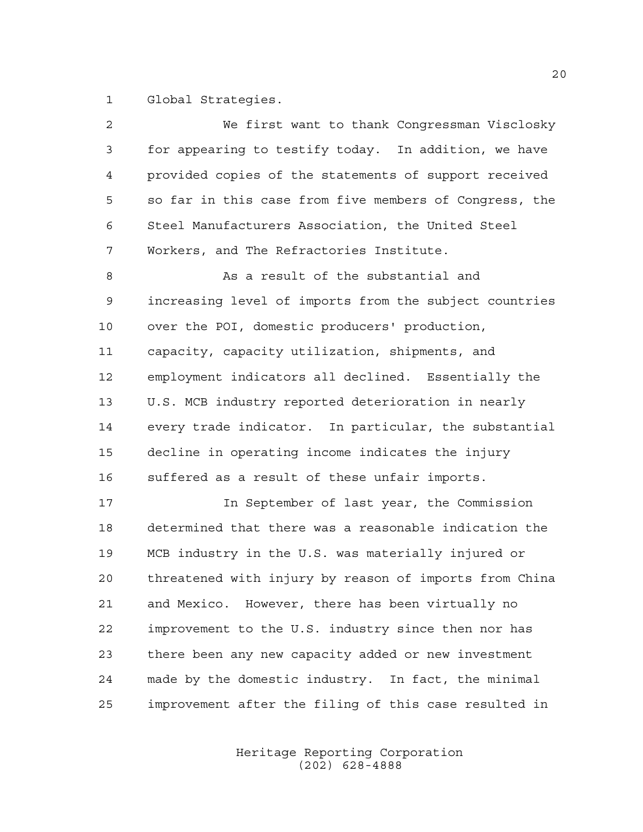Global Strategies.

| $\overline{a}$ | We first want to thank Congressman Visclosky           |
|----------------|--------------------------------------------------------|
| 3              | for appearing to testify today. In addition, we have   |
| 4              | provided copies of the statements of support received  |
| 5              | so far in this case from five members of Congress, the |
| 6              | Steel Manufacturers Association, the United Steel      |
| 7              | Workers, and The Refractories Institute.               |
| 8              | As a result of the substantial and                     |
| 9              | increasing level of imports from the subject countries |
| 10             | over the POI, domestic producers' production,          |
| 11             | capacity, capacity utilization, shipments, and         |
| 12             | employment indicators all declined. Essentially the    |
| 13             | U.S. MCB industry reported deterioration in nearly     |
| 14             | every trade indicator. In particular, the substantial  |
| 15             | decline in operating income indicates the injury       |
| 16             | suffered as a result of these unfair imports.          |
| 17             | In September of last year, the Commission              |
| 18             | determined that there was a reasonable indication the  |
| 19             | MCB industry in the U.S. was materially injured or     |
| 20             | threatened with injury by reason of imports from China |
| 21             | and Mexico. However, there has been virtually no       |
| 22             | improvement to the U.S. industry since then nor has    |
| 23             | there been any new capacity added or new investment    |
| 24             | made by the domestic industry. In fact, the minimal    |
| 25             | improvement after the filing of this case resulted in  |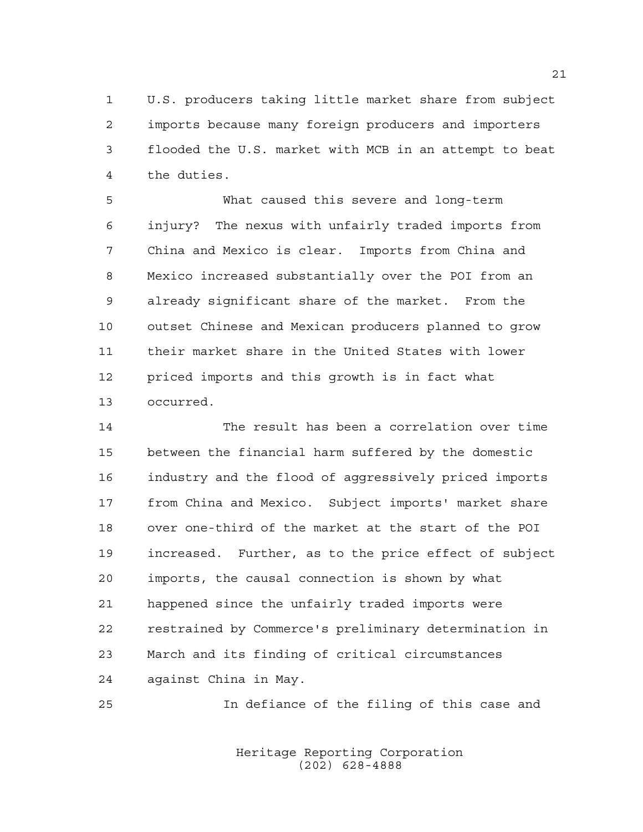U.S. producers taking little market share from subject imports because many foreign producers and importers flooded the U.S. market with MCB in an attempt to beat the duties.

 What caused this severe and long-term injury? The nexus with unfairly traded imports from China and Mexico is clear. Imports from China and Mexico increased substantially over the POI from an already significant share of the market. From the outset Chinese and Mexican producers planned to grow their market share in the United States with lower priced imports and this growth is in fact what occurred.

 The result has been a correlation over time between the financial harm suffered by the domestic industry and the flood of aggressively priced imports from China and Mexico. Subject imports' market share over one-third of the market at the start of the POI increased. Further, as to the price effect of subject imports, the causal connection is shown by what happened since the unfairly traded imports were restrained by Commerce's preliminary determination in March and its finding of critical circumstances against China in May.

In defiance of the filing of this case and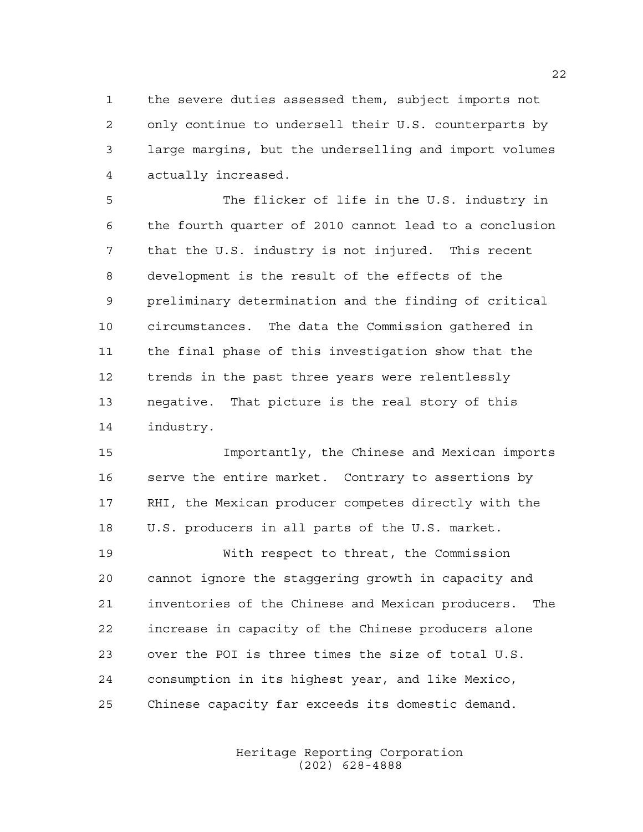the severe duties assessed them, subject imports not only continue to undersell their U.S. counterparts by large margins, but the underselling and import volumes actually increased.

 The flicker of life in the U.S. industry in the fourth quarter of 2010 cannot lead to a conclusion that the U.S. industry is not injured. This recent development is the result of the effects of the preliminary determination and the finding of critical circumstances. The data the Commission gathered in the final phase of this investigation show that the trends in the past three years were relentlessly negative. That picture is the real story of this industry.

 Importantly, the Chinese and Mexican imports serve the entire market. Contrary to assertions by RHI, the Mexican producer competes directly with the U.S. producers in all parts of the U.S. market.

 With respect to threat, the Commission cannot ignore the staggering growth in capacity and inventories of the Chinese and Mexican producers. The increase in capacity of the Chinese producers alone over the POI is three times the size of total U.S. consumption in its highest year, and like Mexico, Chinese capacity far exceeds its domestic demand.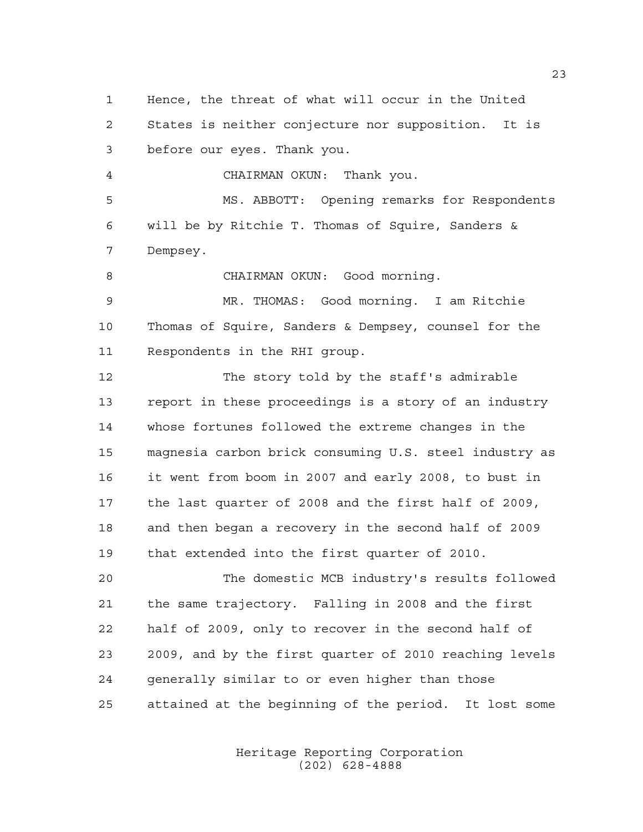Hence, the threat of what will occur in the United States is neither conjecture nor supposition. It is before our eyes. Thank you. CHAIRMAN OKUN: Thank you. MS. ABBOTT: Opening remarks for Respondents will be by Ritchie T. Thomas of Squire, Sanders &

Dempsey.

8 CHAIRMAN OKUN: Good morning.

 MR. THOMAS: Good morning. I am Ritchie Thomas of Squire, Sanders & Dempsey, counsel for the Respondents in the RHI group.

 The story told by the staff's admirable report in these proceedings is a story of an industry whose fortunes followed the extreme changes in the magnesia carbon brick consuming U.S. steel industry as it went from boom in 2007 and early 2008, to bust in the last quarter of 2008 and the first half of 2009, and then began a recovery in the second half of 2009 that extended into the first quarter of 2010.

 The domestic MCB industry's results followed the same trajectory. Falling in 2008 and the first half of 2009, only to recover in the second half of 2009, and by the first quarter of 2010 reaching levels generally similar to or even higher than those attained at the beginning of the period. It lost some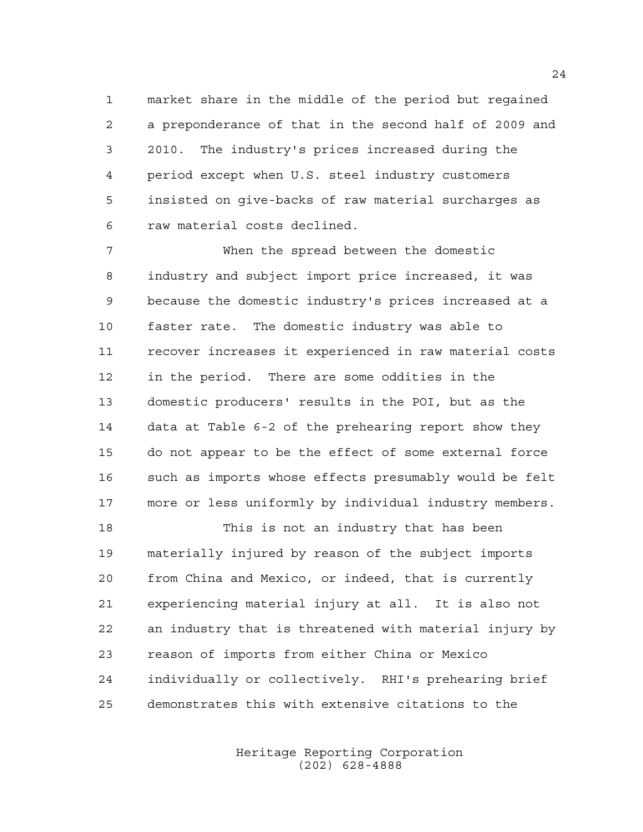market share in the middle of the period but regained a preponderance of that in the second half of 2009 and 2010. The industry's prices increased during the period except when U.S. steel industry customers insisted on give-backs of raw material surcharges as raw material costs declined.

 When the spread between the domestic industry and subject import price increased, it was because the domestic industry's prices increased at a faster rate. The domestic industry was able to recover increases it experienced in raw material costs in the period. There are some oddities in the domestic producers' results in the POI, but as the data at Table 6-2 of the prehearing report show they do not appear to be the effect of some external force such as imports whose effects presumably would be felt more or less uniformly by individual industry members.

 This is not an industry that has been materially injured by reason of the subject imports from China and Mexico, or indeed, that is currently experiencing material injury at all. It is also not an industry that is threatened with material injury by reason of imports from either China or Mexico individually or collectively. RHI's prehearing brief demonstrates this with extensive citations to the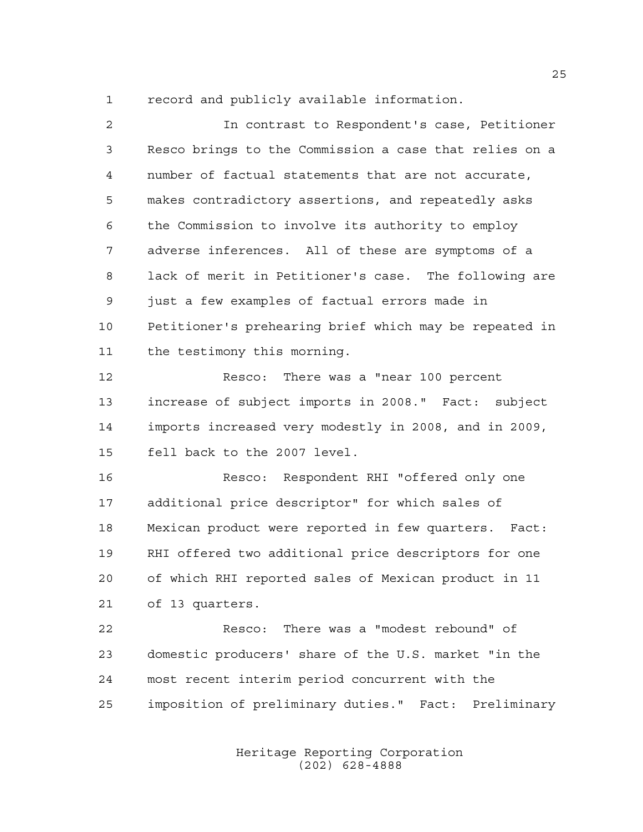record and publicly available information.

| $\overline{a}$ | In contrast to Respondent's case, Petitioner           |
|----------------|--------------------------------------------------------|
| 3              | Resco brings to the Commission a case that relies on a |
| $\overline{4}$ | number of factual statements that are not accurate,    |
| 5              | makes contradictory assertions, and repeatedly asks    |
| 6              | the Commission to involve its authority to employ      |
| 7              | adverse inferences. All of these are symptoms of a     |
| 8              | lack of merit in Petitioner's case. The following are  |
| 9              | just a few examples of factual errors made in          |
| 10             | Petitioner's prehearing brief which may be repeated in |
| 11             | the testimony this morning.                            |
| 12             | Resco: There was a "near 100 percent                   |
| 13             | increase of subject imports in 2008." Fact: subject    |
| 14             | imports increased very modestly in 2008, and in 2009,  |
| 15             | fell back to the 2007 level.                           |
| 16             | Resco: Respondent RHI "offered only one                |
| 17             | additional price descriptor" for which sales of        |
| 18             | Mexican product were reported in few quarters. Fact:   |
| 19             | RHI offered two additional price descriptors for one   |
| 20             | of which RHI reported sales of Mexican product in 11   |
| 21             | of 13 quarters.                                        |
| 22             | Resco: There was a "modest rebound" of                 |
| 23             | domestic producers' share of the U.S. market "in the   |
| 24             | most recent interim period concurrent with the         |

imposition of preliminary duties." Fact: Preliminary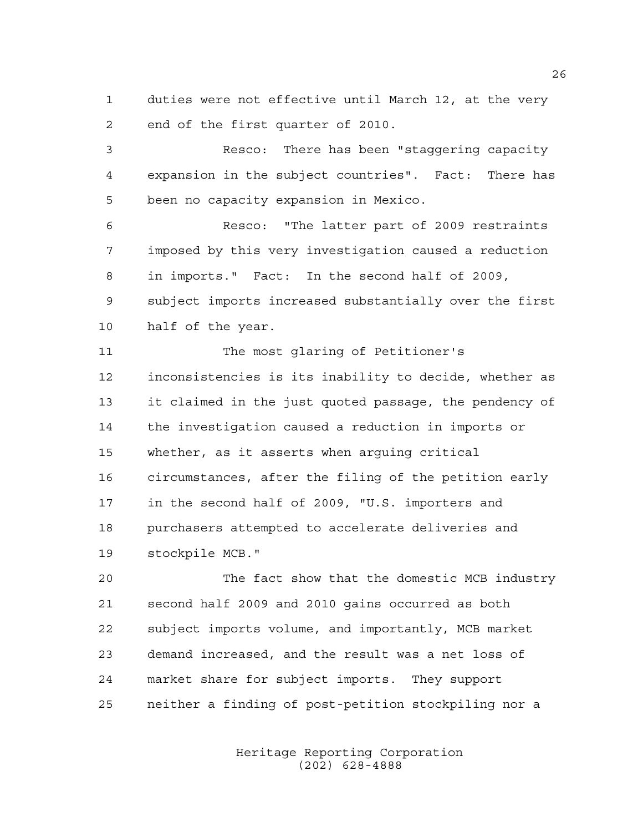duties were not effective until March 12, at the very end of the first quarter of 2010.

 Resco: There has been "staggering capacity expansion in the subject countries". Fact: There has been no capacity expansion in Mexico.

 Resco: "The latter part of 2009 restraints imposed by this very investigation caused a reduction in imports." Fact: In the second half of 2009, subject imports increased substantially over the first half of the year.

 The most glaring of Petitioner's inconsistencies is its inability to decide, whether as it claimed in the just quoted passage, the pendency of the investigation caused a reduction in imports or whether, as it asserts when arguing critical circumstances, after the filing of the petition early in the second half of 2009, "U.S. importers and purchasers attempted to accelerate deliveries and stockpile MCB."

 The fact show that the domestic MCB industry second half 2009 and 2010 gains occurred as both subject imports volume, and importantly, MCB market demand increased, and the result was a net loss of market share for subject imports. They support neither a finding of post-petition stockpiling nor a

> Heritage Reporting Corporation (202) 628-4888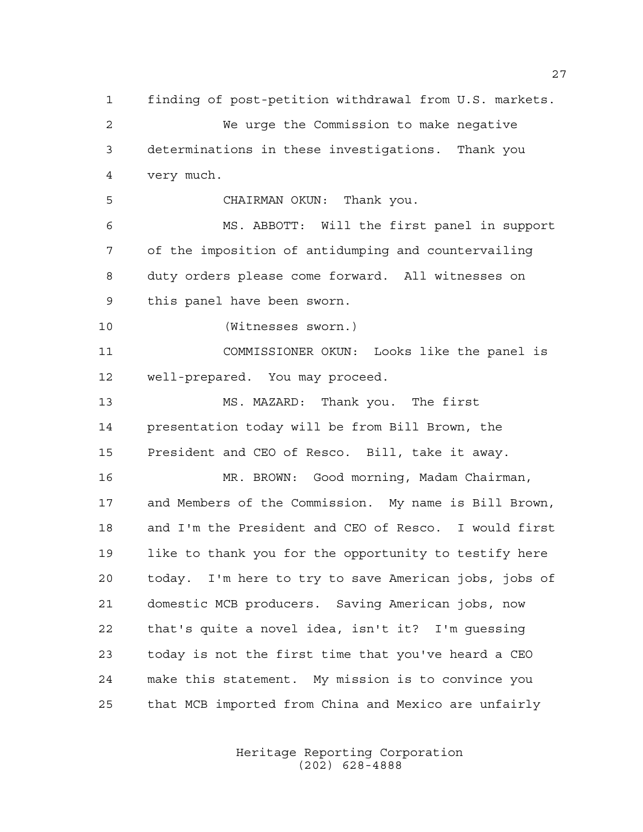finding of post-petition withdrawal from U.S. markets. We urge the Commission to make negative determinations in these investigations. Thank you very much. CHAIRMAN OKUN: Thank you. MS. ABBOTT: Will the first panel in support of the imposition of antidumping and countervailing duty orders please come forward. All witnesses on this panel have been sworn. (Witnesses sworn.) COMMISSIONER OKUN: Looks like the panel is well-prepared. You may proceed. MS. MAZARD: Thank you. The first presentation today will be from Bill Brown, the President and CEO of Resco. Bill, take it away. MR. BROWN: Good morning, Madam Chairman, and Members of the Commission. My name is Bill Brown, and I'm the President and CEO of Resco. I would first like to thank you for the opportunity to testify here today. I'm here to try to save American jobs, jobs of domestic MCB producers. Saving American jobs, now that's quite a novel idea, isn't it? I'm guessing today is not the first time that you've heard a CEO make this statement. My mission is to convince you that MCB imported from China and Mexico are unfairly

> Heritage Reporting Corporation (202) 628-4888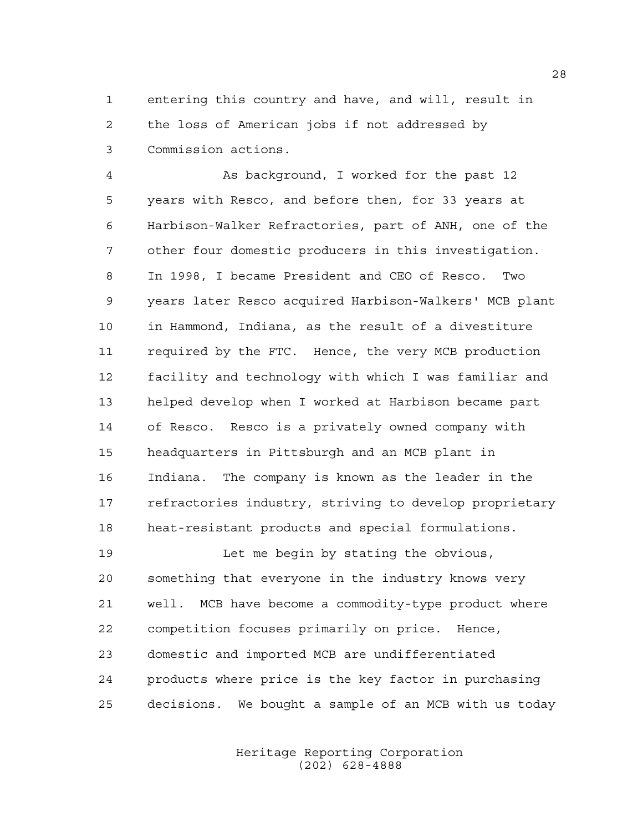entering this country and have, and will, result in the loss of American jobs if not addressed by Commission actions.

 As background, I worked for the past 12 years with Resco, and before then, for 33 years at Harbison-Walker Refractories, part of ANH, one of the other four domestic producers in this investigation. In 1998, I became President and CEO of Resco. Two years later Resco acquired Harbison-Walkers' MCB plant in Hammond, Indiana, as the result of a divestiture required by the FTC. Hence, the very MCB production facility and technology with which I was familiar and helped develop when I worked at Harbison became part of Resco. Resco is a privately owned company with headquarters in Pittsburgh and an MCB plant in Indiana. The company is known as the leader in the refractories industry, striving to develop proprietary heat-resistant products and special formulations.

 Let me begin by stating the obvious, something that everyone in the industry knows very well. MCB have become a commodity-type product where competition focuses primarily on price. Hence, domestic and imported MCB are undifferentiated products where price is the key factor in purchasing decisions. We bought a sample of an MCB with us today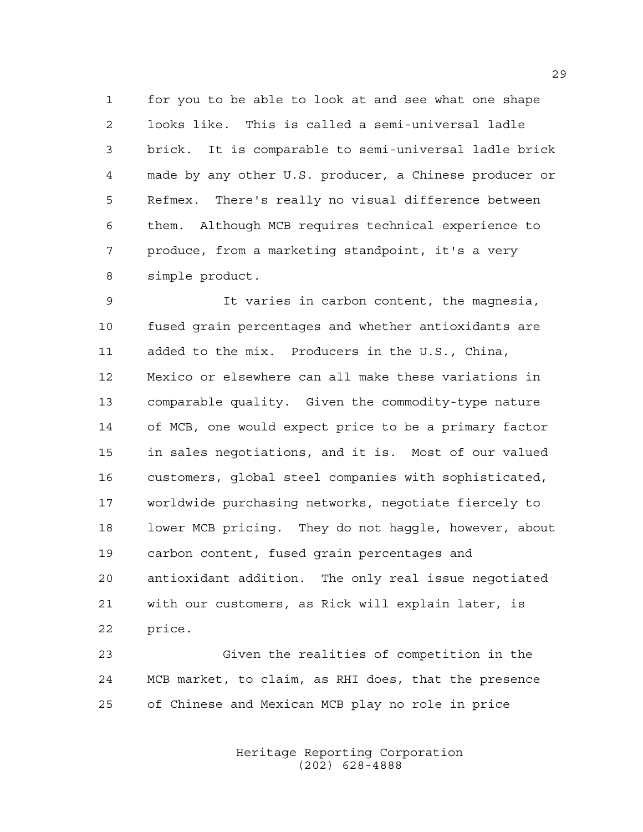for you to be able to look at and see what one shape looks like. This is called a semi-universal ladle brick. It is comparable to semi-universal ladle brick made by any other U.S. producer, a Chinese producer or Refmex. There's really no visual difference between them. Although MCB requires technical experience to produce, from a marketing standpoint, it's a very simple product.

 It varies in carbon content, the magnesia, fused grain percentages and whether antioxidants are added to the mix. Producers in the U.S., China, Mexico or elsewhere can all make these variations in comparable quality. Given the commodity-type nature of MCB, one would expect price to be a primary factor in sales negotiations, and it is. Most of our valued customers, global steel companies with sophisticated, worldwide purchasing networks, negotiate fiercely to lower MCB pricing. They do not haggle, however, about carbon content, fused grain percentages and antioxidant addition. The only real issue negotiated with our customers, as Rick will explain later, is price.

 Given the realities of competition in the MCB market, to claim, as RHI does, that the presence of Chinese and Mexican MCB play no role in price

> Heritage Reporting Corporation (202) 628-4888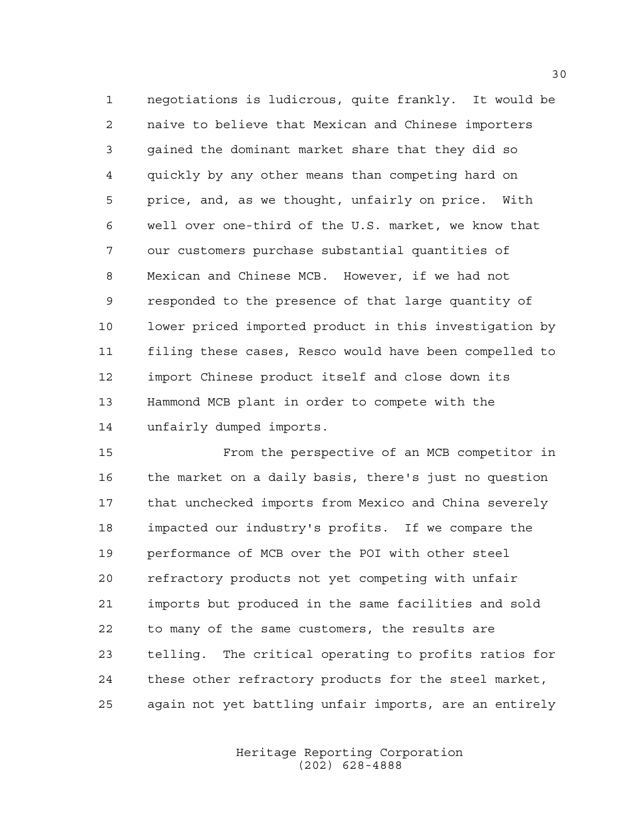negotiations is ludicrous, quite frankly. It would be naive to believe that Mexican and Chinese importers gained the dominant market share that they did so quickly by any other means than competing hard on price, and, as we thought, unfairly on price. With well over one-third of the U.S. market, we know that our customers purchase substantial quantities of Mexican and Chinese MCB. However, if we had not responded to the presence of that large quantity of lower priced imported product in this investigation by filing these cases, Resco would have been compelled to import Chinese product itself and close down its Hammond MCB plant in order to compete with the unfairly dumped imports.

 From the perspective of an MCB competitor in the market on a daily basis, there's just no question that unchecked imports from Mexico and China severely impacted our industry's profits. If we compare the performance of MCB over the POI with other steel refractory products not yet competing with unfair imports but produced in the same facilities and sold to many of the same customers, the results are telling. The critical operating to profits ratios for these other refractory products for the steel market, again not yet battling unfair imports, are an entirely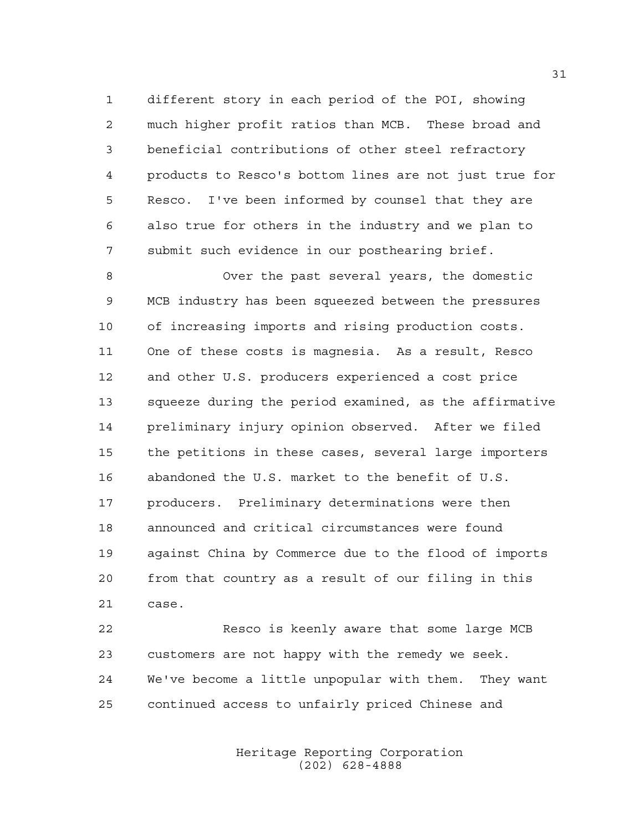different story in each period of the POI, showing much higher profit ratios than MCB. These broad and beneficial contributions of other steel refractory products to Resco's bottom lines are not just true for Resco. I've been informed by counsel that they are also true for others in the industry and we plan to submit such evidence in our posthearing brief.

 Over the past several years, the domestic MCB industry has been squeezed between the pressures of increasing imports and rising production costs. One of these costs is magnesia. As a result, Resco and other U.S. producers experienced a cost price squeeze during the period examined, as the affirmative preliminary injury opinion observed. After we filed the petitions in these cases, several large importers abandoned the U.S. market to the benefit of U.S. producers. Preliminary determinations were then announced and critical circumstances were found against China by Commerce due to the flood of imports from that country as a result of our filing in this case.

 Resco is keenly aware that some large MCB customers are not happy with the remedy we seek. We've become a little unpopular with them. They want continued access to unfairly priced Chinese and

> Heritage Reporting Corporation (202) 628-4888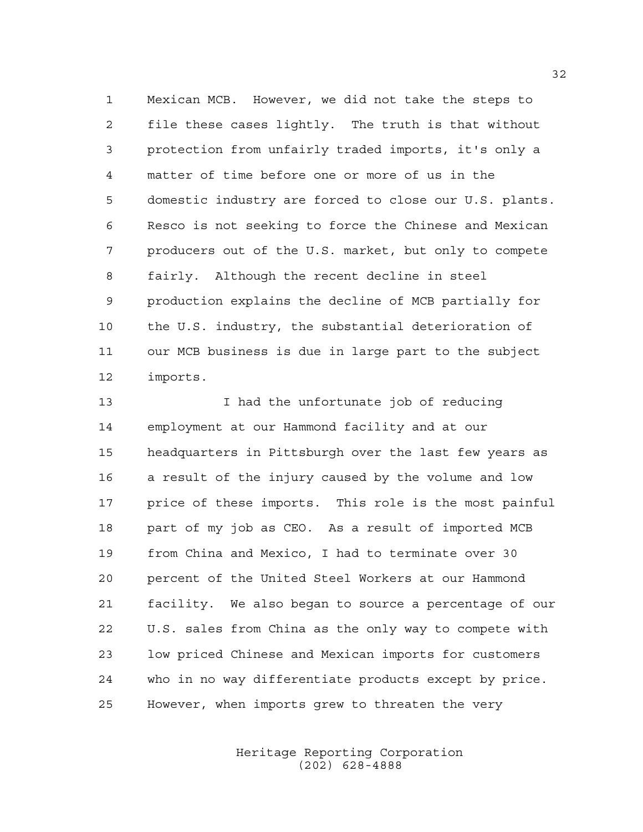Mexican MCB. However, we did not take the steps to file these cases lightly. The truth is that without protection from unfairly traded imports, it's only a matter of time before one or more of us in the domestic industry are forced to close our U.S. plants. Resco is not seeking to force the Chinese and Mexican producers out of the U.S. market, but only to compete fairly. Although the recent decline in steel production explains the decline of MCB partially for the U.S. industry, the substantial deterioration of our MCB business is due in large part to the subject imports.

 I had the unfortunate job of reducing employment at our Hammond facility and at our headquarters in Pittsburgh over the last few years as a result of the injury caused by the volume and low price of these imports. This role is the most painful part of my job as CEO. As a result of imported MCB from China and Mexico, I had to terminate over 30 percent of the United Steel Workers at our Hammond facility. We also began to source a percentage of our U.S. sales from China as the only way to compete with low priced Chinese and Mexican imports for customers who in no way differentiate products except by price. However, when imports grew to threaten the very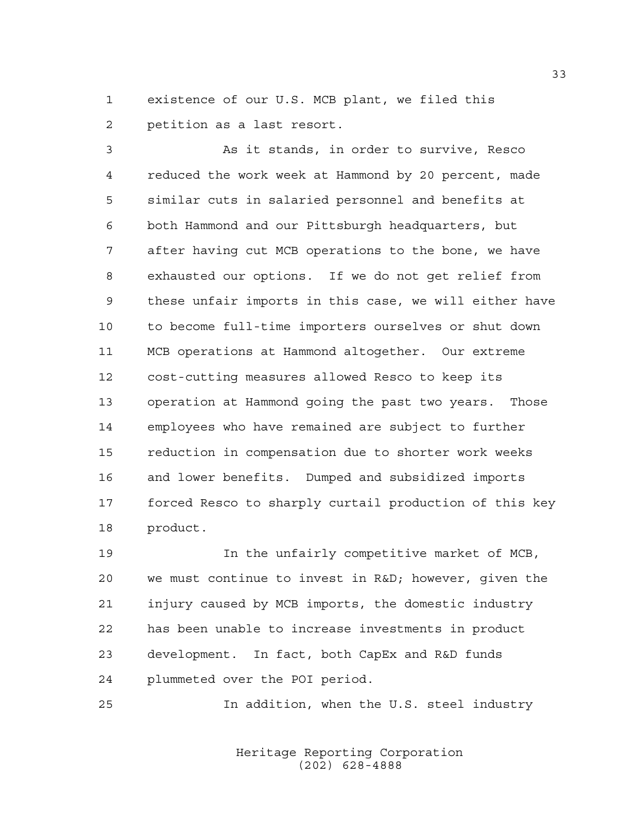existence of our U.S. MCB plant, we filed this petition as a last resort.

 As it stands, in order to survive, Resco reduced the work week at Hammond by 20 percent, made similar cuts in salaried personnel and benefits at both Hammond and our Pittsburgh headquarters, but after having cut MCB operations to the bone, we have exhausted our options. If we do not get relief from these unfair imports in this case, we will either have to become full-time importers ourselves or shut down MCB operations at Hammond altogether. Our extreme cost-cutting measures allowed Resco to keep its operation at Hammond going the past two years. Those employees who have remained are subject to further reduction in compensation due to shorter work weeks and lower benefits. Dumped and subsidized imports forced Resco to sharply curtail production of this key product.

 In the unfairly competitive market of MCB, we must continue to invest in R&D; however, given the injury caused by MCB imports, the domestic industry has been unable to increase investments in product development. In fact, both CapEx and R&D funds plummeted over the POI period.

In addition, when the U.S. steel industry

Heritage Reporting Corporation (202) 628-4888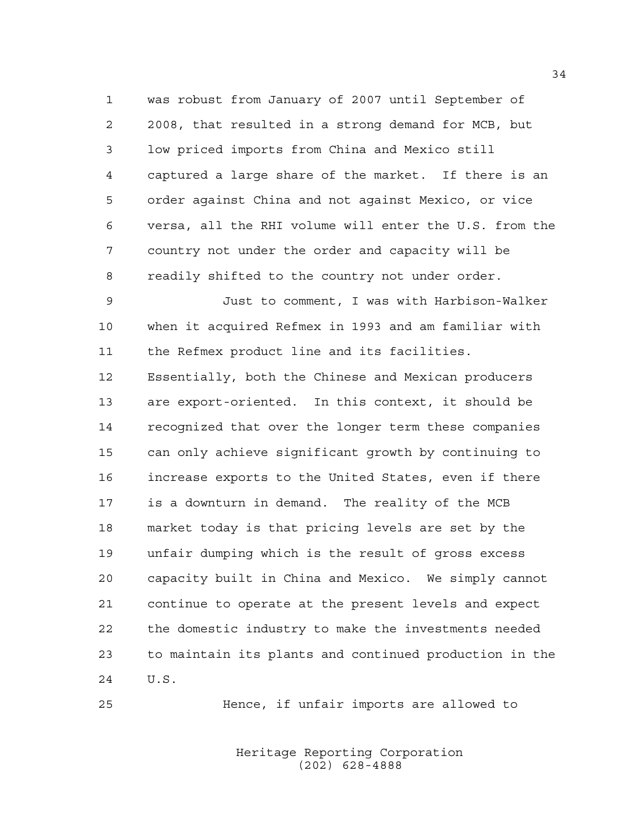was robust from January of 2007 until September of 2008, that resulted in a strong demand for MCB, but low priced imports from China and Mexico still captured a large share of the market. If there is an order against China and not against Mexico, or vice versa, all the RHI volume will enter the U.S. from the country not under the order and capacity will be readily shifted to the country not under order.

 Just to comment, I was with Harbison-Walker when it acquired Refmex in 1993 and am familiar with the Refmex product line and its facilities.

 Essentially, both the Chinese and Mexican producers are export-oriented. In this context, it should be recognized that over the longer term these companies can only achieve significant growth by continuing to increase exports to the United States, even if there is a downturn in demand. The reality of the MCB market today is that pricing levels are set by the unfair dumping which is the result of gross excess capacity built in China and Mexico. We simply cannot continue to operate at the present levels and expect the domestic industry to make the investments needed to maintain its plants and continued production in the U.S.

Hence, if unfair imports are allowed to

Heritage Reporting Corporation (202) 628-4888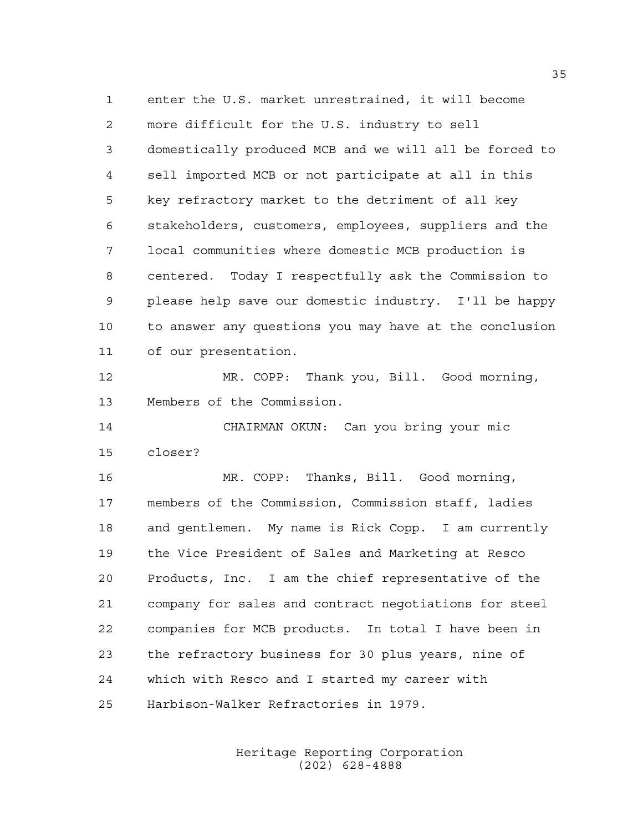enter the U.S. market unrestrained, it will become more difficult for the U.S. industry to sell domestically produced MCB and we will all be forced to sell imported MCB or not participate at all in this key refractory market to the detriment of all key stakeholders, customers, employees, suppliers and the local communities where domestic MCB production is centered. Today I respectfully ask the Commission to please help save our domestic industry. I'll be happy to answer any questions you may have at the conclusion of our presentation. MR. COPP: Thank you, Bill. Good morning, Members of the Commission. CHAIRMAN OKUN: Can you bring your mic closer? MR. COPP: Thanks, Bill. Good morning, members of the Commission, Commission staff, ladies and gentlemen. My name is Rick Copp. I am currently the Vice President of Sales and Marketing at Resco Products, Inc. I am the chief representative of the company for sales and contract negotiations for steel companies for MCB products. In total I have been in the refractory business for 30 plus years, nine of which with Resco and I started my career with Harbison-Walker Refractories in 1979.

> Heritage Reporting Corporation (202) 628-4888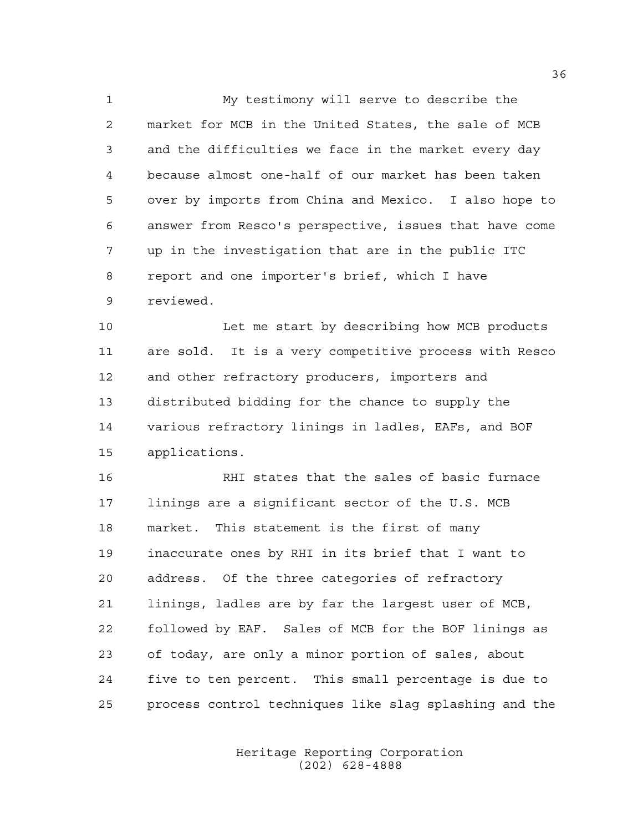My testimony will serve to describe the market for MCB in the United States, the sale of MCB and the difficulties we face in the market every day because almost one-half of our market has been taken over by imports from China and Mexico. I also hope to answer from Resco's perspective, issues that have come up in the investigation that are in the public ITC report and one importer's brief, which I have reviewed.

 Let me start by describing how MCB products are sold. It is a very competitive process with Resco 12 and other refractory producers, importers and distributed bidding for the chance to supply the various refractory linings in ladles, EAFs, and BOF applications.

 RHI states that the sales of basic furnace linings are a significant sector of the U.S. MCB market. This statement is the first of many inaccurate ones by RHI in its brief that I want to address. Of the three categories of refractory linings, ladles are by far the largest user of MCB, followed by EAF. Sales of MCB for the BOF linings as of today, are only a minor portion of sales, about five to ten percent. This small percentage is due to process control techniques like slag splashing and the

> Heritage Reporting Corporation (202) 628-4888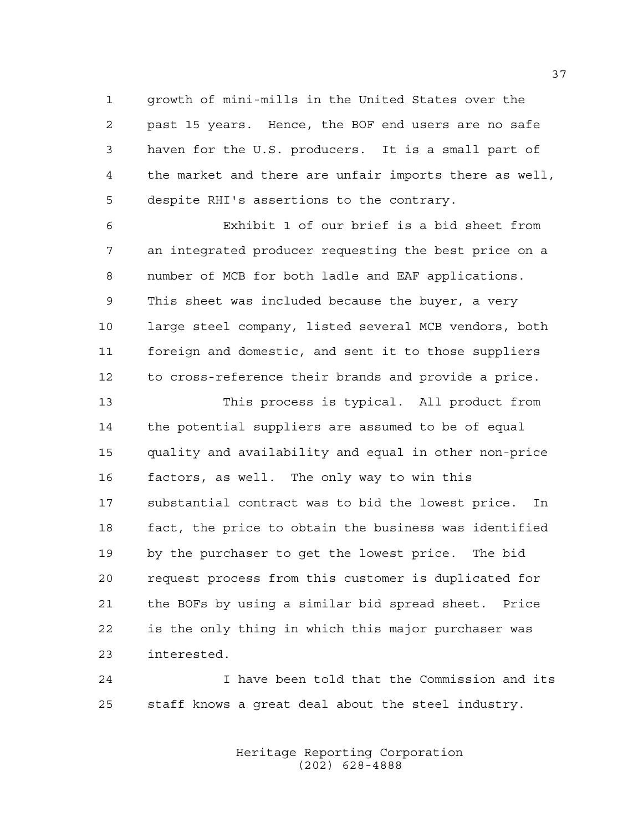growth of mini-mills in the United States over the past 15 years. Hence, the BOF end users are no safe haven for the U.S. producers. It is a small part of the market and there are unfair imports there as well, despite RHI's assertions to the contrary.

 Exhibit 1 of our brief is a bid sheet from an integrated producer requesting the best price on a number of MCB for both ladle and EAF applications. This sheet was included because the buyer, a very large steel company, listed several MCB vendors, both foreign and domestic, and sent it to those suppliers to cross-reference their brands and provide a price.

 This process is typical. All product from the potential suppliers are assumed to be of equal quality and availability and equal in other non-price factors, as well. The only way to win this substantial contract was to bid the lowest price. In fact, the price to obtain the business was identified by the purchaser to get the lowest price. The bid request process from this customer is duplicated for the BOFs by using a similar bid spread sheet. Price is the only thing in which this major purchaser was interested.

 I have been told that the Commission and its staff knows a great deal about the steel industry.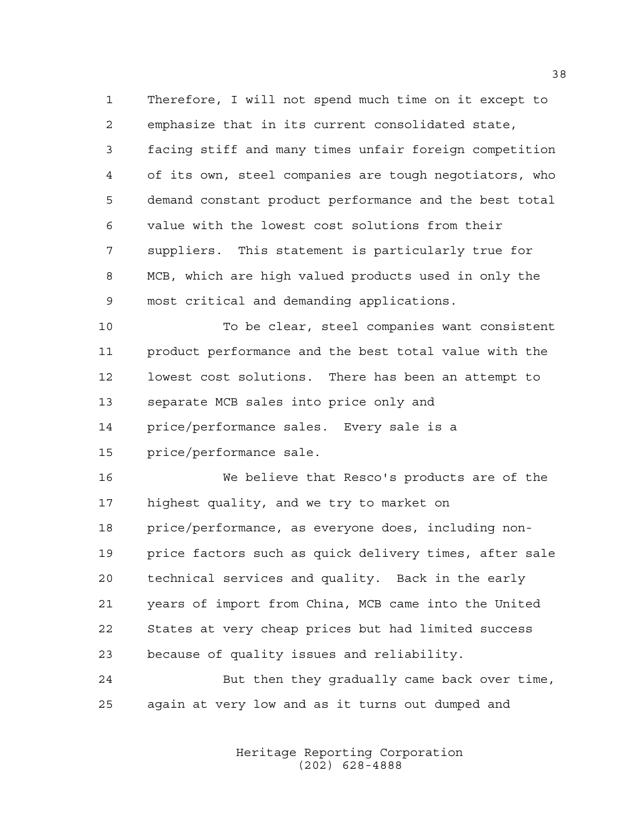Therefore, I will not spend much time on it except to emphasize that in its current consolidated state, facing stiff and many times unfair foreign competition of its own, steel companies are tough negotiators, who demand constant product performance and the best total value with the lowest cost solutions from their suppliers. This statement is particularly true for MCB, which are high valued products used in only the most critical and demanding applications.

 To be clear, steel companies want consistent product performance and the best total value with the lowest cost solutions. There has been an attempt to separate MCB sales into price only and price/performance sales. Every sale is a price/performance sale.

 We believe that Resco's products are of the highest quality, and we try to market on price/performance, as everyone does, including non- price factors such as quick delivery times, after sale technical services and quality. Back in the early years of import from China, MCB came into the United States at very cheap prices but had limited success because of quality issues and reliability.

 But then they gradually came back over time, again at very low and as it turns out dumped and

> Heritage Reporting Corporation (202) 628-4888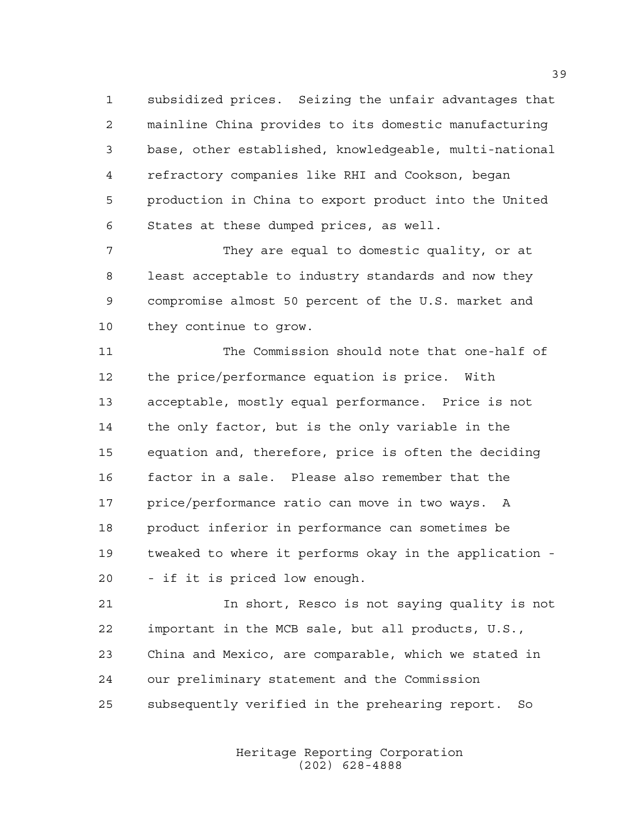subsidized prices. Seizing the unfair advantages that mainline China provides to its domestic manufacturing base, other established, knowledgeable, multi-national refractory companies like RHI and Cookson, began production in China to export product into the United States at these dumped prices, as well.

 They are equal to domestic quality, or at least acceptable to industry standards and now they compromise almost 50 percent of the U.S. market and they continue to grow.

 The Commission should note that one-half of the price/performance equation is price. With acceptable, mostly equal performance. Price is not the only factor, but is the only variable in the equation and, therefore, price is often the deciding factor in a sale. Please also remember that the price/performance ratio can move in two ways. A product inferior in performance can sometimes be tweaked to where it performs okay in the application - - if it is priced low enough.

 In short, Resco is not saying quality is not important in the MCB sale, but all products, U.S., China and Mexico, are comparable, which we stated in our preliminary statement and the Commission subsequently verified in the prehearing report. So

> Heritage Reporting Corporation (202) 628-4888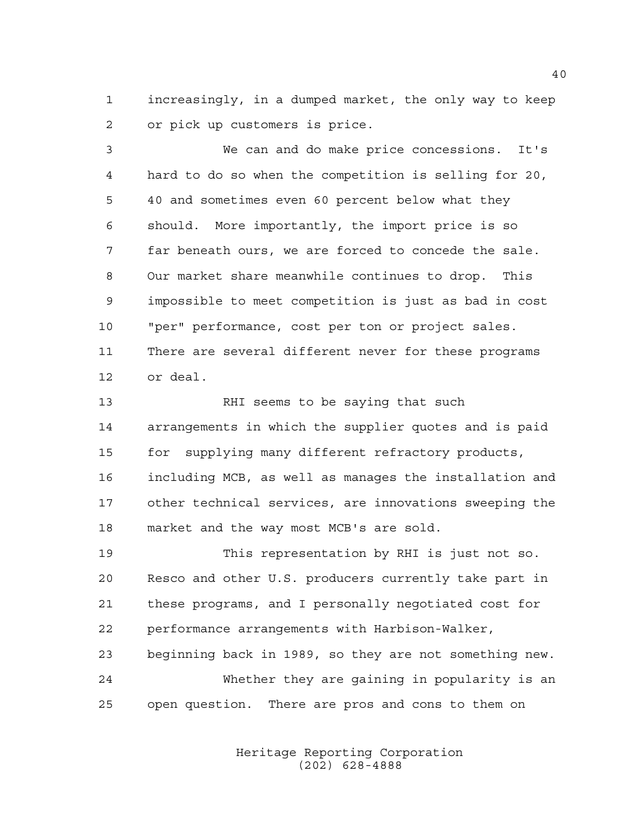increasingly, in a dumped market, the only way to keep or pick up customers is price.

 We can and do make price concessions. It's hard to do so when the competition is selling for 20, 40 and sometimes even 60 percent below what they should. More importantly, the import price is so far beneath ours, we are forced to concede the sale. Our market share meanwhile continues to drop. This impossible to meet competition is just as bad in cost "per" performance, cost per ton or project sales. There are several different never for these programs or deal.

 RHI seems to be saying that such arrangements in which the supplier quotes and is paid for supplying many different refractory products, including MCB, as well as manages the installation and other technical services, are innovations sweeping the market and the way most MCB's are sold.

 This representation by RHI is just not so. Resco and other U.S. producers currently take part in these programs, and I personally negotiated cost for performance arrangements with Harbison-Walker, beginning back in 1989, so they are not something new. Whether they are gaining in popularity is an open question. There are pros and cons to them on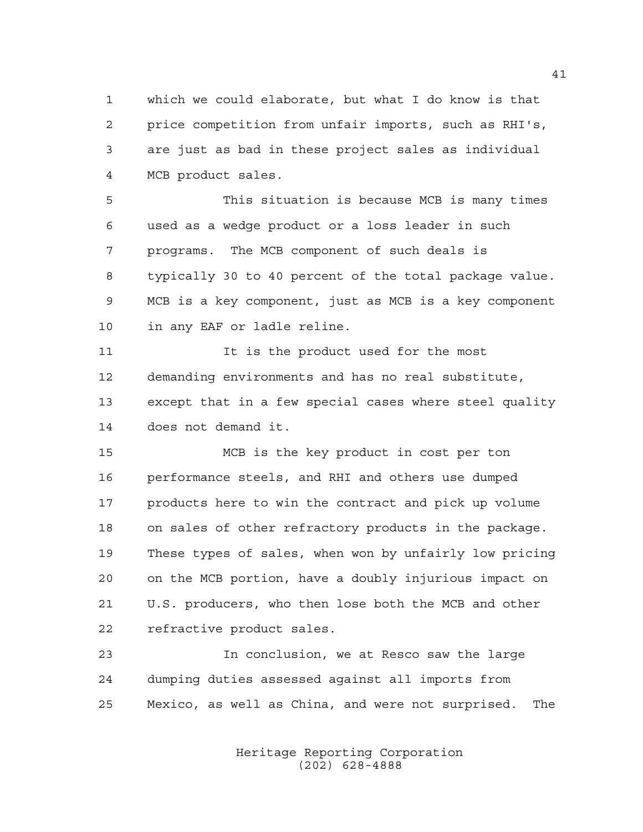which we could elaborate, but what I do know is that price competition from unfair imports, such as RHI's, are just as bad in these project sales as individual MCB product sales.

 This situation is because MCB is many times used as a wedge product or a loss leader in such programs. The MCB component of such deals is typically 30 to 40 percent of the total package value. MCB is a key component, just as MCB is a key component in any EAF or ladle reline.

 It is the product used for the most demanding environments and has no real substitute, except that in a few special cases where steel quality does not demand it.

 MCB is the key product in cost per ton performance steels, and RHI and others use dumped products here to win the contract and pick up volume on sales of other refractory products in the package. These types of sales, when won by unfairly low pricing on the MCB portion, have a doubly injurious impact on U.S. producers, who then lose both the MCB and other refractive product sales.

 In conclusion, we at Resco saw the large dumping duties assessed against all imports from Mexico, as well as China, and were not surprised. The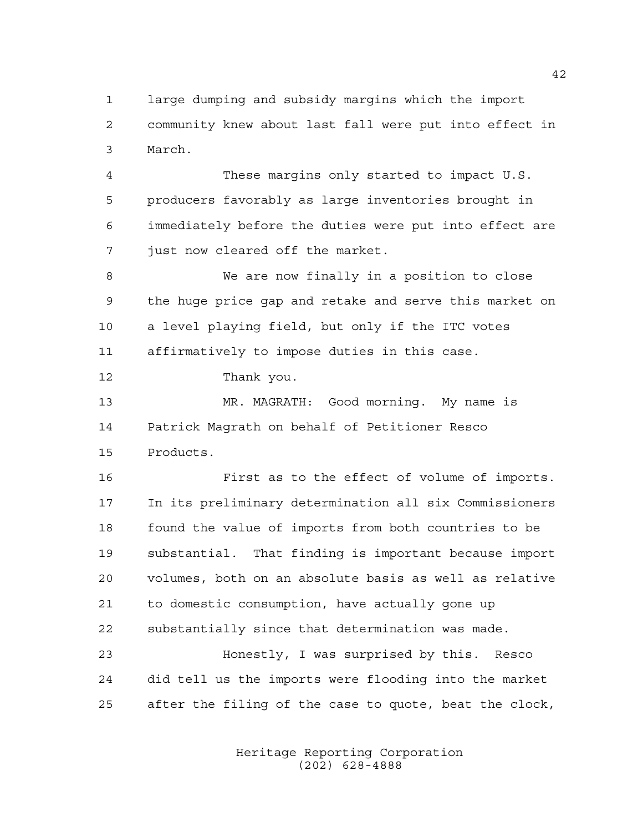large dumping and subsidy margins which the import community knew about last fall were put into effect in March.

 These margins only started to impact U.S. producers favorably as large inventories brought in immediately before the duties were put into effect are just now cleared off the market.

 We are now finally in a position to close the huge price gap and retake and serve this market on a level playing field, but only if the ITC votes affirmatively to impose duties in this case.

Thank you.

 MR. MAGRATH: Good morning. My name is Patrick Magrath on behalf of Petitioner Resco Products.

 First as to the effect of volume of imports. In its preliminary determination all six Commissioners found the value of imports from both countries to be substantial. That finding is important because import volumes, both on an absolute basis as well as relative to domestic consumption, have actually gone up substantially since that determination was made.

 Honestly, I was surprised by this. Resco did tell us the imports were flooding into the market after the filing of the case to quote, beat the clock,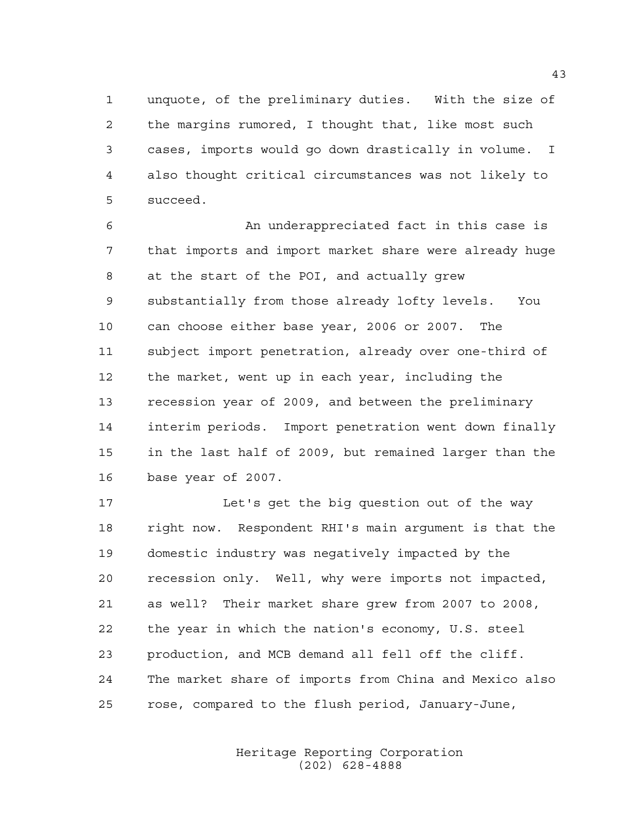unquote, of the preliminary duties. With the size of the margins rumored, I thought that, like most such cases, imports would go down drastically in volume. I also thought critical circumstances was not likely to succeed.

6 An underappreciated fact in this case is that imports and import market share were already huge at the start of the POI, and actually grew substantially from those already lofty levels. You can choose either base year, 2006 or 2007. The subject import penetration, already over one-third of the market, went up in each year, including the recession year of 2009, and between the preliminary interim periods. Import penetration went down finally in the last half of 2009, but remained larger than the base year of 2007.

 Let's get the big question out of the way right now. Respondent RHI's main argument is that the domestic industry was negatively impacted by the recession only. Well, why were imports not impacted, as well? Their market share grew from 2007 to 2008, the year in which the nation's economy, U.S. steel production, and MCB demand all fell off the cliff. The market share of imports from China and Mexico also rose, compared to the flush period, January-June,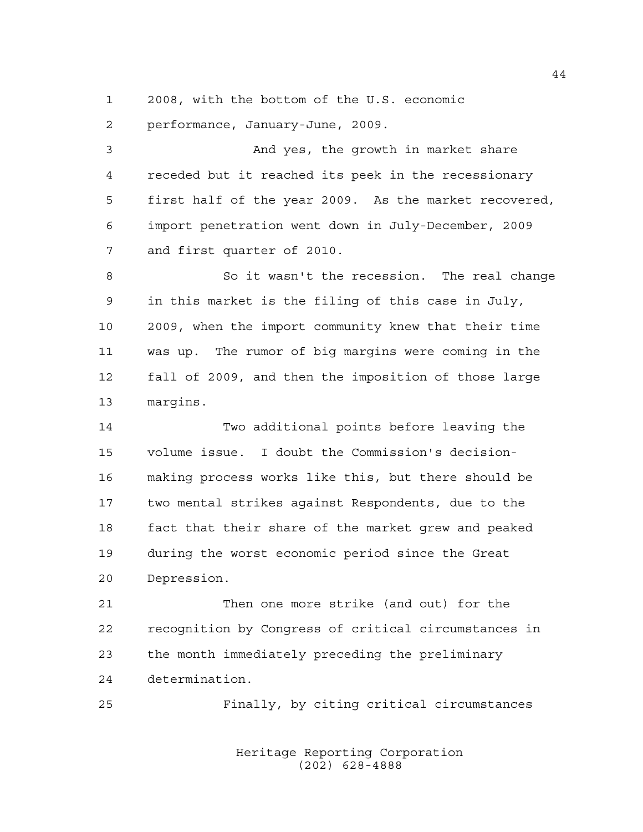2008, with the bottom of the U.S. economic

performance, January-June, 2009.

3 And yes, the growth in market share receded but it reached its peek in the recessionary first half of the year 2009. As the market recovered, import penetration went down in July-December, 2009 and first quarter of 2010.

 So it wasn't the recession. The real change in this market is the filing of this case in July, 2009, when the import community knew that their time was up. The rumor of big margins were coming in the fall of 2009, and then the imposition of those large margins.

 Two additional points before leaving the volume issue. I doubt the Commission's decision- making process works like this, but there should be two mental strikes against Respondents, due to the fact that their share of the market grew and peaked during the worst economic period since the Great Depression.

 Then one more strike (and out) for the recognition by Congress of critical circumstances in the month immediately preceding the preliminary determination.

Finally, by citing critical circumstances

Heritage Reporting Corporation (202) 628-4888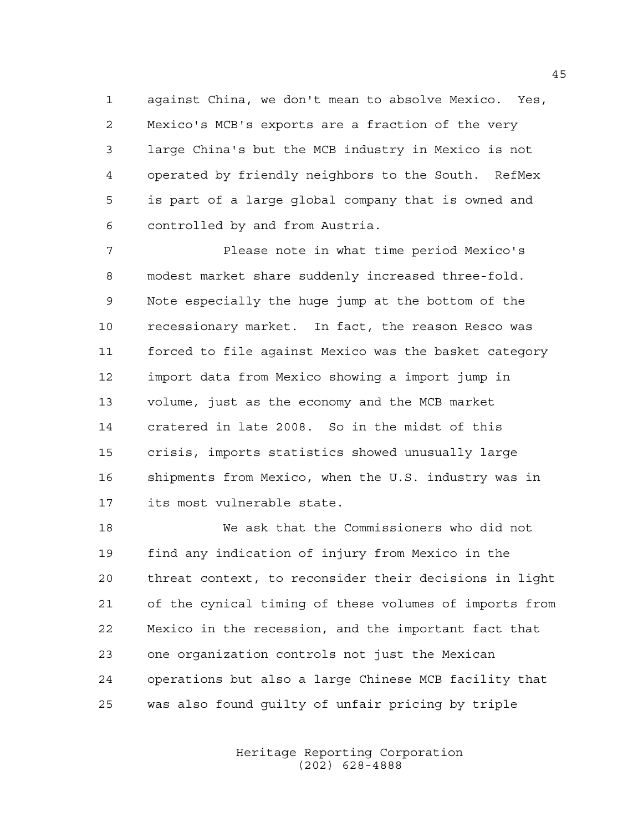against China, we don't mean to absolve Mexico. Yes, Mexico's MCB's exports are a fraction of the very large China's but the MCB industry in Mexico is not operated by friendly neighbors to the South. RefMex is part of a large global company that is owned and controlled by and from Austria.

 Please note in what time period Mexico's modest market share suddenly increased three-fold. Note especially the huge jump at the bottom of the recessionary market. In fact, the reason Resco was forced to file against Mexico was the basket category import data from Mexico showing a import jump in volume, just as the economy and the MCB market cratered in late 2008. So in the midst of this crisis, imports statistics showed unusually large shipments from Mexico, when the U.S. industry was in its most vulnerable state.

 We ask that the Commissioners who did not find any indication of injury from Mexico in the threat context, to reconsider their decisions in light of the cynical timing of these volumes of imports from Mexico in the recession, and the important fact that one organization controls not just the Mexican operations but also a large Chinese MCB facility that was also found guilty of unfair pricing by triple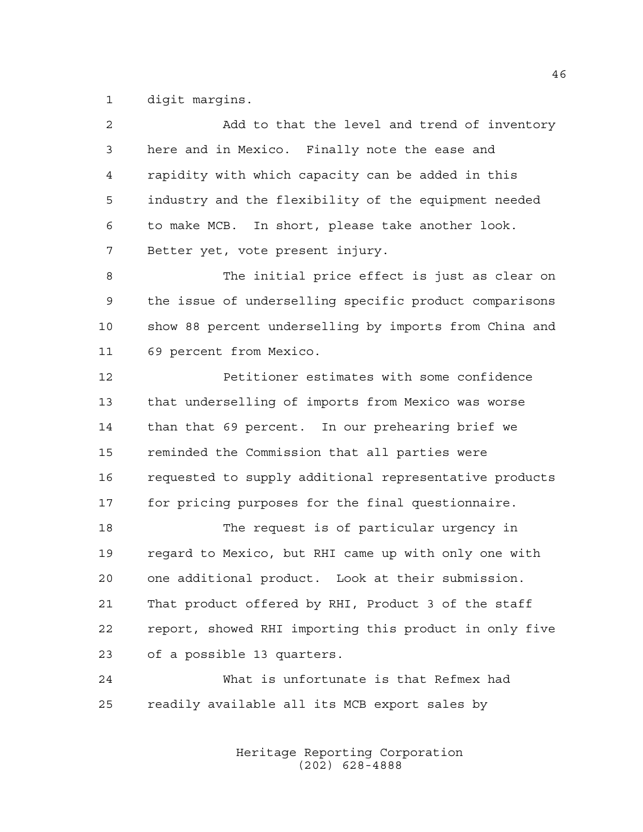digit margins.

| 2  | Add to that the level and trend of inventory           |
|----|--------------------------------------------------------|
| 3  | here and in Mexico. Finally note the ease and          |
| 4  | rapidity with which capacity can be added in this      |
| 5  | industry and the flexibility of the equipment needed   |
| 6  | to make MCB. In short, please take another look.       |
| 7  | Better yet, vote present injury.                       |
| 8  | The initial price effect is just as clear on           |
| 9  | the issue of underselling specific product comparisons |
| 10 | show 88 percent underselling by imports from China and |
| 11 | 69 percent from Mexico.                                |
| 12 | Petitioner estimates with some confidence              |
| 13 | that underselling of imports from Mexico was worse     |
| 14 | than that 69 percent. In our prehearing brief we       |
| 15 | reminded the Commission that all parties were          |
| 16 | requested to supply additional representative products |
| 17 | for pricing purposes for the final questionnaire.      |
| 18 | The request is of particular urgency in                |
| 19 | regard to Mexico, but RHI came up with only one with   |
| 20 | one additional product. Look at their submission.      |
| 21 | That product offered by RHI, Product 3 of the staff    |
| 22 | report, showed RHI importing this product in only five |
| 23 | of a possible 13 quarters.                             |
| 24 | What is unfortunate is that Refmex had                 |
| 25 | readily available all its MCB export sales by          |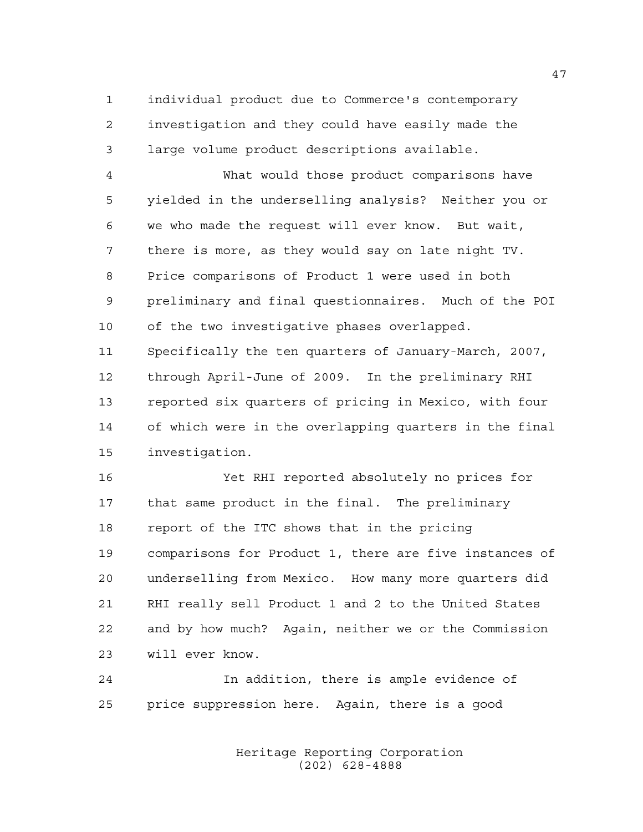individual product due to Commerce's contemporary investigation and they could have easily made the large volume product descriptions available.

 What would those product comparisons have yielded in the underselling analysis? Neither you or we who made the request will ever know. But wait, there is more, as they would say on late night TV. Price comparisons of Product 1 were used in both preliminary and final questionnaires. Much of the POI of the two investigative phases overlapped. Specifically the ten quarters of January-March, 2007, through April-June of 2009. In the preliminary RHI reported six quarters of pricing in Mexico, with four of which were in the overlapping quarters in the final investigation.

 Yet RHI reported absolutely no prices for that same product in the final. The preliminary report of the ITC shows that in the pricing comparisons for Product 1, there are five instances of underselling from Mexico. How many more quarters did RHI really sell Product 1 and 2 to the United States and by how much? Again, neither we or the Commission will ever know.

 In addition, there is ample evidence of price suppression here. Again, there is a good

> Heritage Reporting Corporation (202) 628-4888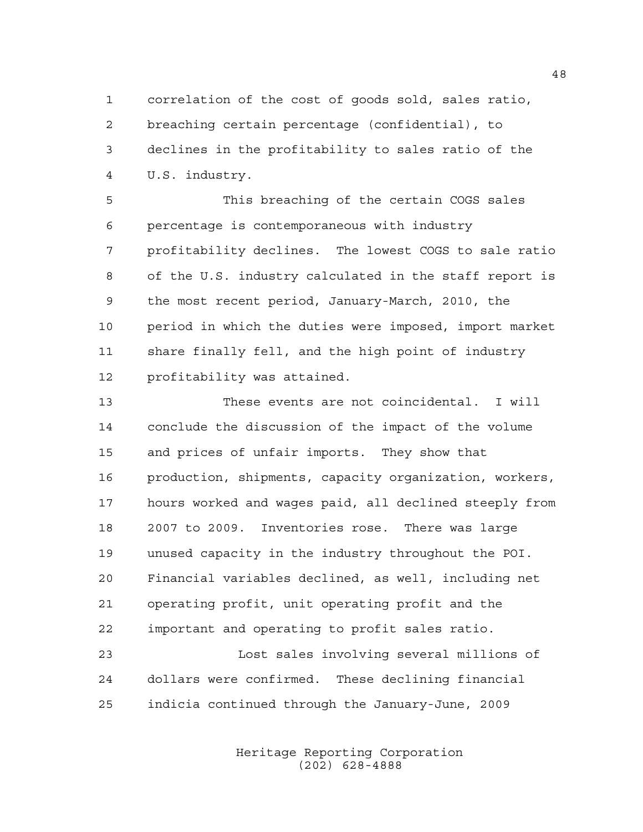correlation of the cost of goods sold, sales ratio, breaching certain percentage (confidential), to declines in the profitability to sales ratio of the U.S. industry.

 This breaching of the certain COGS sales percentage is contemporaneous with industry profitability declines. The lowest COGS to sale ratio of the U.S. industry calculated in the staff report is the most recent period, January-March, 2010, the period in which the duties were imposed, import market share finally fell, and the high point of industry profitability was attained.

 These events are not coincidental. I will conclude the discussion of the impact of the volume and prices of unfair imports. They show that production, shipments, capacity organization, workers, hours worked and wages paid, all declined steeply from 2007 to 2009. Inventories rose. There was large unused capacity in the industry throughout the POI. Financial variables declined, as well, including net operating profit, unit operating profit and the important and operating to profit sales ratio.

23 Lost sales involving several millions of dollars were confirmed. These declining financial indicia continued through the January-June, 2009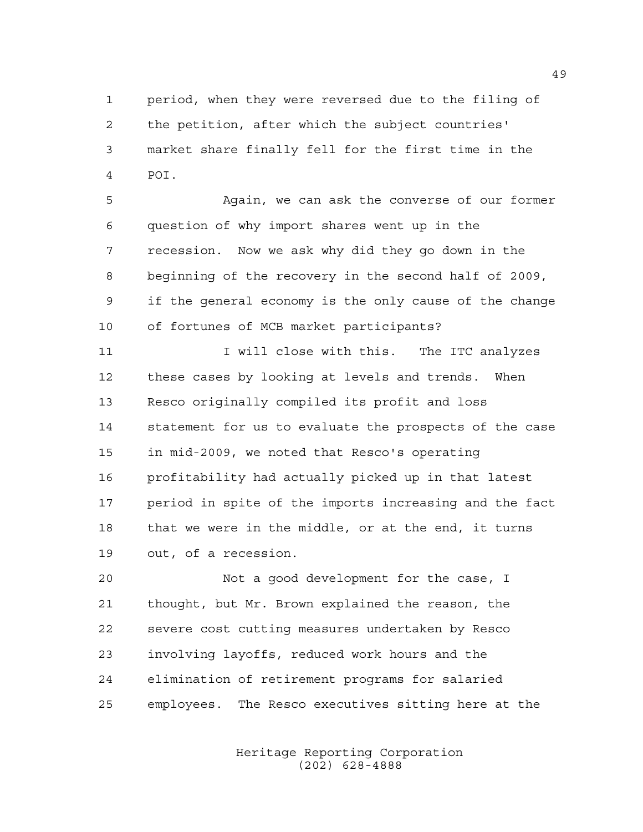period, when they were reversed due to the filing of the petition, after which the subject countries' market share finally fell for the first time in the POI.

 Again, we can ask the converse of our former question of why import shares went up in the recession. Now we ask why did they go down in the beginning of the recovery in the second half of 2009, if the general economy is the only cause of the change of fortunes of MCB market participants?

11 11 I will close with this. The ITC analyzes these cases by looking at levels and trends. When Resco originally compiled its profit and loss statement for us to evaluate the prospects of the case in mid-2009, we noted that Resco's operating profitability had actually picked up in that latest period in spite of the imports increasing and the fact that we were in the middle, or at the end, it turns out, of a recession.

 Not a good development for the case, I thought, but Mr. Brown explained the reason, the severe cost cutting measures undertaken by Resco involving layoffs, reduced work hours and the elimination of retirement programs for salaried employees. The Resco executives sitting here at the

> Heritage Reporting Corporation (202) 628-4888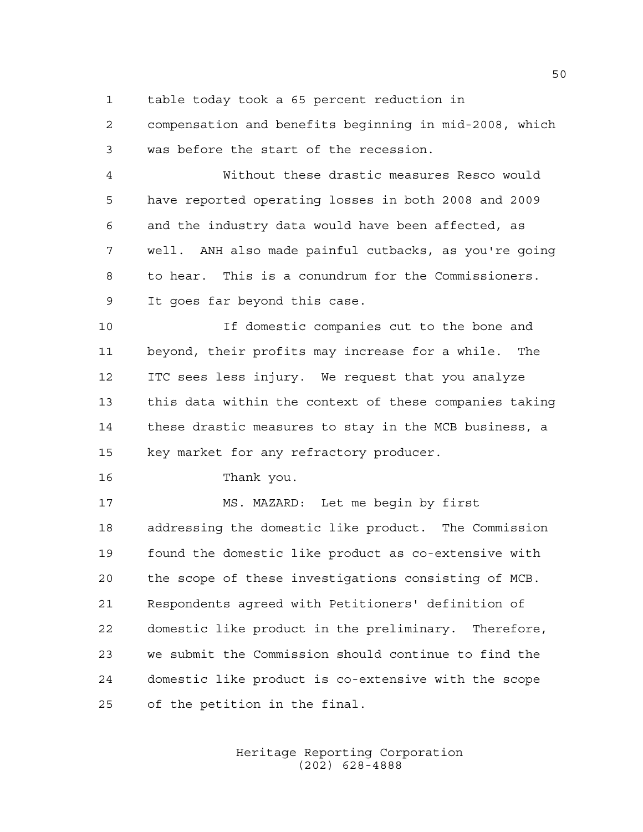table today took a 65 percent reduction in

 compensation and benefits beginning in mid-2008, which was before the start of the recession.

 Without these drastic measures Resco would have reported operating losses in both 2008 and 2009 and the industry data would have been affected, as well. ANH also made painful cutbacks, as you're going to hear. This is a conundrum for the Commissioners. It goes far beyond this case.

 If domestic companies cut to the bone and beyond, their profits may increase for a while. The ITC sees less injury. We request that you analyze this data within the context of these companies taking these drastic measures to stay in the MCB business, a key market for any refractory producer.

Thank you.

 MS. MAZARD: Let me begin by first addressing the domestic like product. The Commission found the domestic like product as co-extensive with the scope of these investigations consisting of MCB. Respondents agreed with Petitioners' definition of domestic like product in the preliminary. Therefore, we submit the Commission should continue to find the domestic like product is co-extensive with the scope of the petition in the final.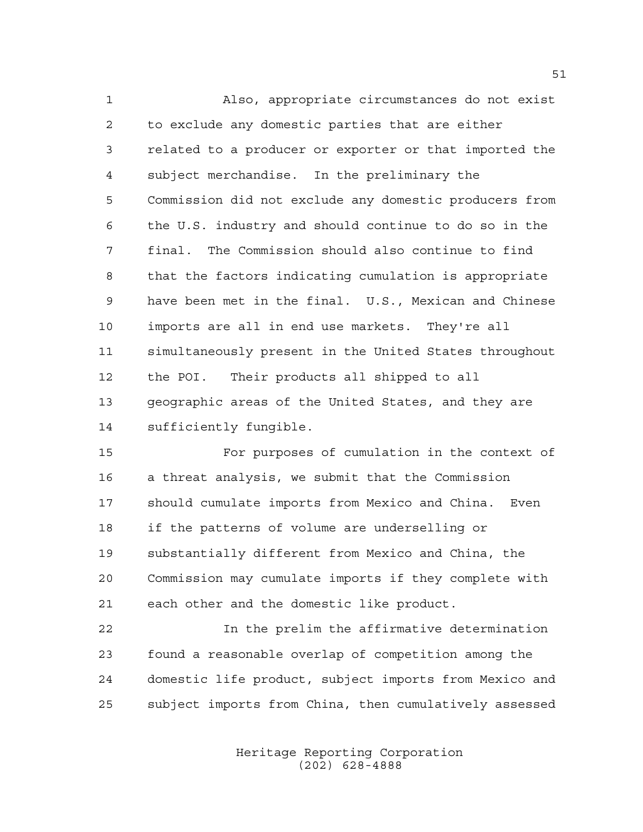Also, appropriate circumstances do not exist to exclude any domestic parties that are either related to a producer or exporter or that imported the subject merchandise. In the preliminary the Commission did not exclude any domestic producers from the U.S. industry and should continue to do so in the final. The Commission should also continue to find that the factors indicating cumulation is appropriate have been met in the final. U.S., Mexican and Chinese imports are all in end use markets. They're all simultaneously present in the United States throughout the POI. Their products all shipped to all geographic areas of the United States, and they are sufficiently fungible.

 For purposes of cumulation in the context of a threat analysis, we submit that the Commission should cumulate imports from Mexico and China. Even if the patterns of volume are underselling or substantially different from Mexico and China, the Commission may cumulate imports if they complete with each other and the domestic like product.

 In the prelim the affirmative determination found a reasonable overlap of competition among the domestic life product, subject imports from Mexico and subject imports from China, then cumulatively assessed

> Heritage Reporting Corporation (202) 628-4888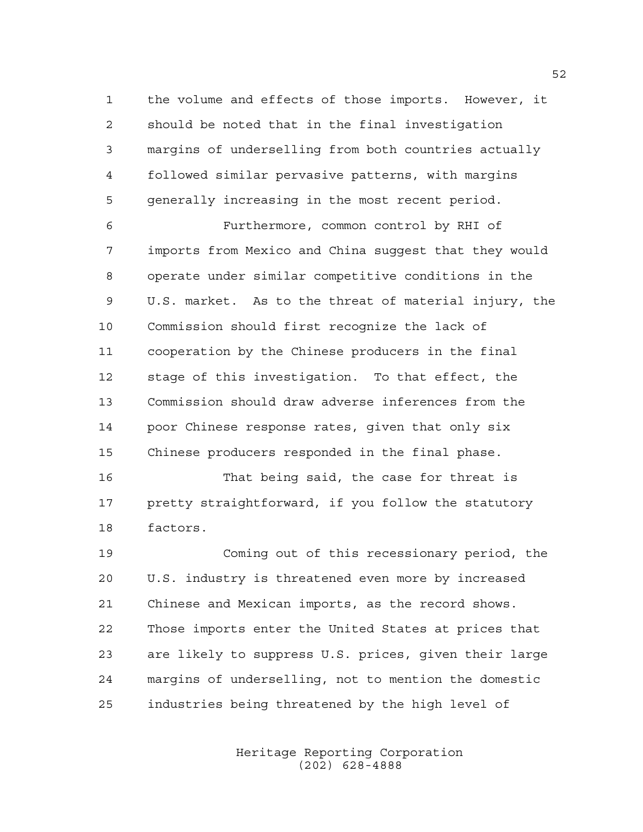the volume and effects of those imports. However, it should be noted that in the final investigation margins of underselling from both countries actually followed similar pervasive patterns, with margins generally increasing in the most recent period.

 Furthermore, common control by RHI of imports from Mexico and China suggest that they would operate under similar competitive conditions in the U.S. market. As to the threat of material injury, the Commission should first recognize the lack of cooperation by the Chinese producers in the final stage of this investigation. To that effect, the Commission should draw adverse inferences from the poor Chinese response rates, given that only six Chinese producers responded in the final phase.

 That being said, the case for threat is pretty straightforward, if you follow the statutory factors.

 Coming out of this recessionary period, the U.S. industry is threatened even more by increased Chinese and Mexican imports, as the record shows. Those imports enter the United States at prices that are likely to suppress U.S. prices, given their large margins of underselling, not to mention the domestic industries being threatened by the high level of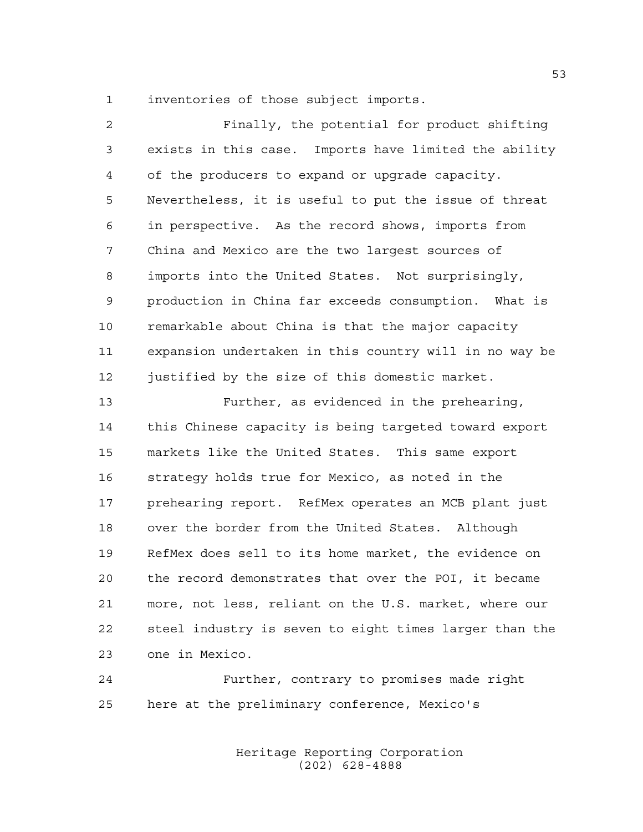inventories of those subject imports.

| $\overline{2}$ | Finally, the potential for product shifting            |
|----------------|--------------------------------------------------------|
| 3              | exists in this case. Imports have limited the ability  |
| 4              | of the producers to expand or upgrade capacity.        |
| 5              | Nevertheless, it is useful to put the issue of threat  |
| 6              | in perspective. As the record shows, imports from      |
| 7              | China and Mexico are the two largest sources of        |
| 8              | imports into the United States. Not surprisingly,      |
| 9              | production in China far exceeds consumption. What is   |
| 10             | remarkable about China is that the major capacity      |
| 11             | expansion undertaken in this country will in no way be |
| 12             | justified by the size of this domestic market.         |
| 13             | Further, as evidenced in the prehearing,               |
| 14             | this Chinese capacity is being targeted toward export  |
| 15             | markets like the United States. This same export       |
| 16             | strategy holds true for Mexico, as noted in the        |
| 17             | prehearing report. RefMex operates an MCB plant just   |
| 18             | over the border from the United States. Although       |
| 19             | RefMex does sell to its home market, the evidence on   |
| 20             | the record demonstrates that over the POI, it became   |
| 21             | more, not less, reliant on the U.S. market, where our  |
| 22             | steel industry is seven to eight times larger than the |

one in Mexico.

 Further, contrary to promises made right here at the preliminary conference, Mexico's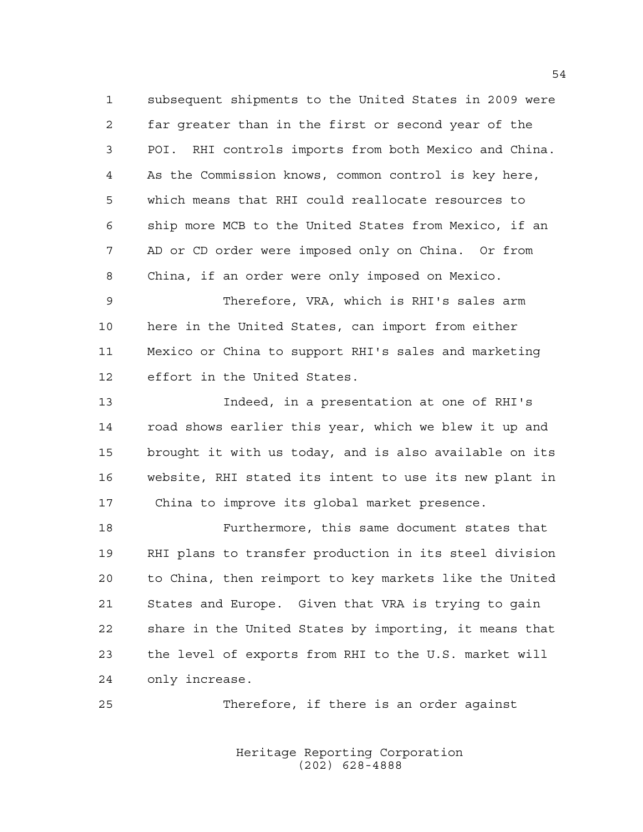subsequent shipments to the United States in 2009 were far greater than in the first or second year of the POI. RHI controls imports from both Mexico and China. As the Commission knows, common control is key here, which means that RHI could reallocate resources to ship more MCB to the United States from Mexico, if an AD or CD order were imposed only on China. Or from China, if an order were only imposed on Mexico.

 Therefore, VRA, which is RHI's sales arm here in the United States, can import from either Mexico or China to support RHI's sales and marketing effort in the United States.

 Indeed, in a presentation at one of RHI's road shows earlier this year, which we blew it up and brought it with us today, and is also available on its website, RHI stated its intent to use its new plant in 17 China to improve its global market presence.

 Furthermore, this same document states that RHI plans to transfer production in its steel division to China, then reimport to key markets like the United States and Europe. Given that VRA is trying to gain share in the United States by importing, it means that the level of exports from RHI to the U.S. market will only increase.

Therefore, if there is an order against

Heritage Reporting Corporation (202) 628-4888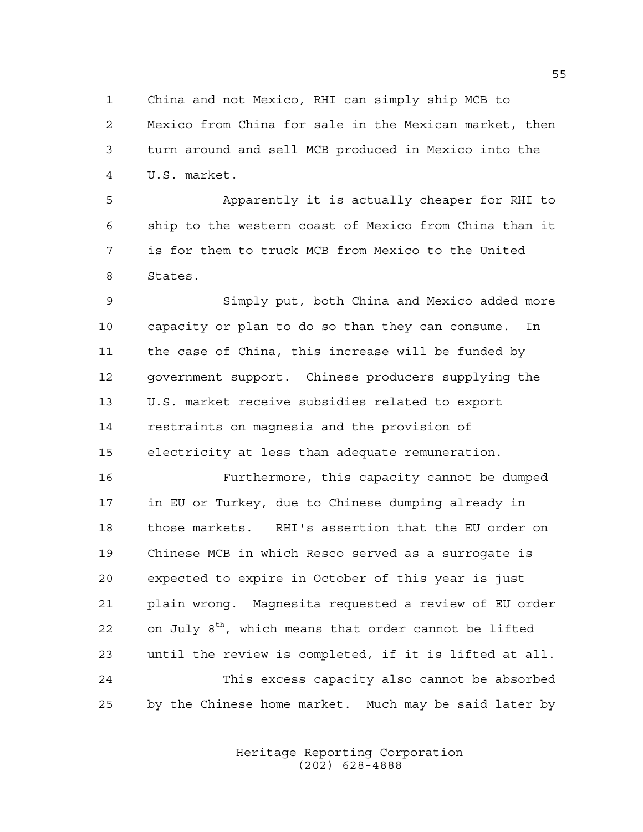China and not Mexico, RHI can simply ship MCB to

 Mexico from China for sale in the Mexican market, then turn around and sell MCB produced in Mexico into the U.S. market.

 Apparently it is actually cheaper for RHI to ship to the western coast of Mexico from China than it is for them to truck MCB from Mexico to the United States.

 Simply put, both China and Mexico added more capacity or plan to do so than they can consume. In the case of China, this increase will be funded by government support. Chinese producers supplying the U.S. market receive subsidies related to export restraints on magnesia and the provision of electricity at less than adequate remuneration.

 Furthermore, this capacity cannot be dumped in EU or Turkey, due to Chinese dumping already in those markets. RHI's assertion that the EU order on Chinese MCB in which Resco served as a surrogate is expected to expire in October of this year is just plain wrong. Magnesita requested a review of EU order 22 on July  $8<sup>th</sup>$ , which means that order cannot be lifted until the review is completed, if it is lifted at all. This excess capacity also cannot be absorbed by the Chinese home market. Much may be said later by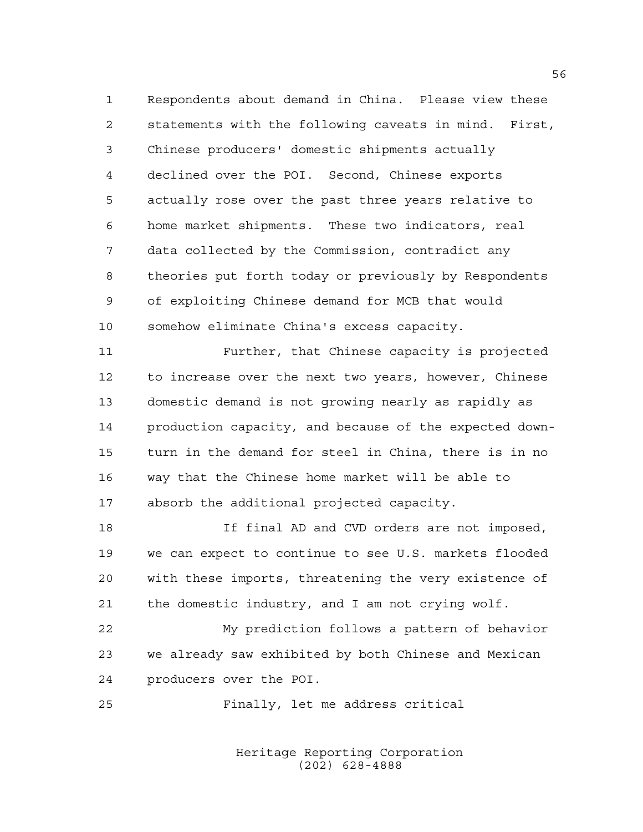Respondents about demand in China. Please view these statements with the following caveats in mind. First, Chinese producers' domestic shipments actually declined over the POI. Second, Chinese exports actually rose over the past three years relative to home market shipments. These two indicators, real data collected by the Commission, contradict any theories put forth today or previously by Respondents of exploiting Chinese demand for MCB that would somehow eliminate China's excess capacity.

 Further, that Chinese capacity is projected to increase over the next two years, however, Chinese domestic demand is not growing nearly as rapidly as production capacity, and because of the expected down- turn in the demand for steel in China, there is in no way that the Chinese home market will be able to absorb the additional projected capacity.

 If final AD and CVD orders are not imposed, we can expect to continue to see U.S. markets flooded with these imports, threatening the very existence of the domestic industry, and I am not crying wolf.

 My prediction follows a pattern of behavior we already saw exhibited by both Chinese and Mexican producers over the POI.

Finally, let me address critical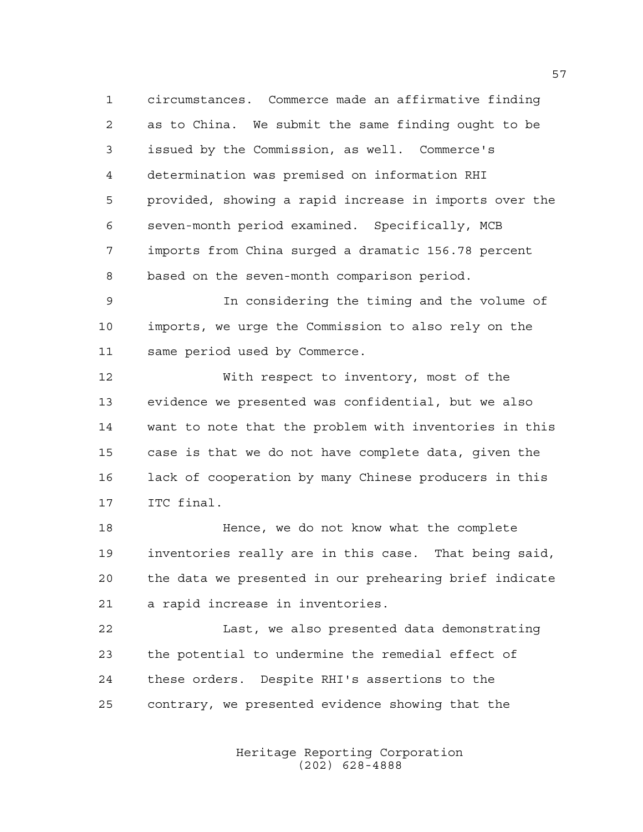circumstances. Commerce made an affirmative finding as to China. We submit the same finding ought to be issued by the Commission, as well. Commerce's determination was premised on information RHI provided, showing a rapid increase in imports over the seven-month period examined. Specifically, MCB imports from China surged a dramatic 156.78 percent based on the seven-month comparison period.

 In considering the timing and the volume of imports, we urge the Commission to also rely on the same period used by Commerce.

 With respect to inventory, most of the evidence we presented was confidential, but we also want to note that the problem with inventories in this case is that we do not have complete data, given the lack of cooperation by many Chinese producers in this ITC final.

 Hence, we do not know what the complete inventories really are in this case. That being said, the data we presented in our prehearing brief indicate a rapid increase in inventories.

 Last, we also presented data demonstrating the potential to undermine the remedial effect of these orders. Despite RHI's assertions to the contrary, we presented evidence showing that the

> Heritage Reporting Corporation (202) 628-4888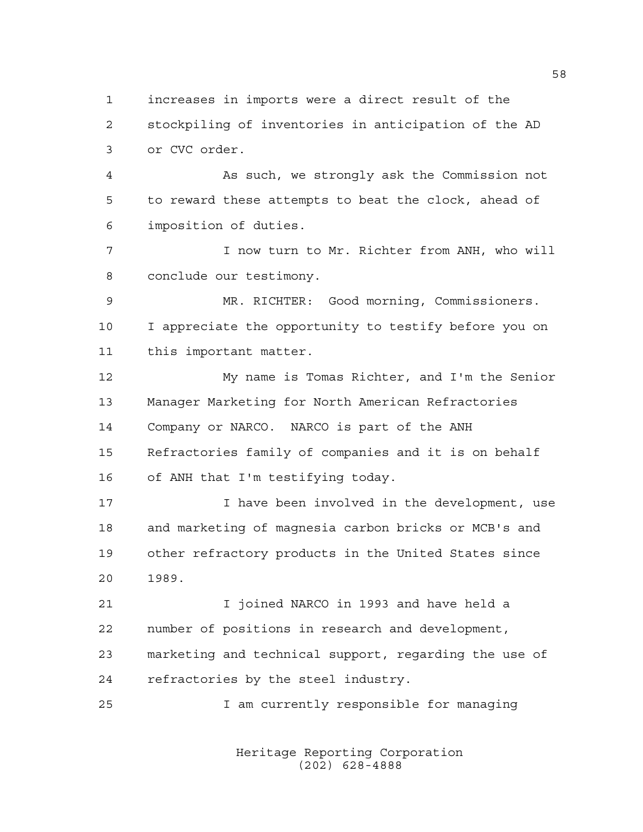increases in imports were a direct result of the stockpiling of inventories in anticipation of the AD or CVC order.

 As such, we strongly ask the Commission not to reward these attempts to beat the clock, ahead of imposition of duties.

 I now turn to Mr. Richter from ANH, who will conclude our testimony.

 MR. RICHTER: Good morning, Commissioners. I appreciate the opportunity to testify before you on this important matter.

 My name is Tomas Richter, and I'm the Senior Manager Marketing for North American Refractories Company or NARCO. NARCO is part of the ANH Refractories family of companies and it is on behalf of ANH that I'm testifying today.

17 17 I have been involved in the development, use and marketing of magnesia carbon bricks or MCB's and other refractory products in the United States since 1989.

 I joined NARCO in 1993 and have held a number of positions in research and development, marketing and technical support, regarding the use of refractories by the steel industry.

I am currently responsible for managing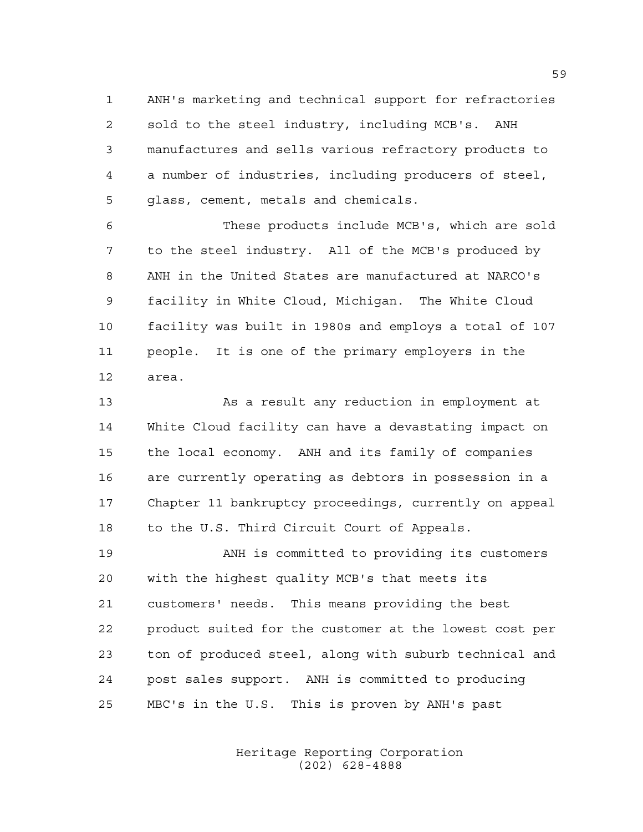ANH's marketing and technical support for refractories sold to the steel industry, including MCB's. ANH manufactures and sells various refractory products to a number of industries, including producers of steel, glass, cement, metals and chemicals.

 These products include MCB's, which are sold to the steel industry. All of the MCB's produced by ANH in the United States are manufactured at NARCO's facility in White Cloud, Michigan. The White Cloud facility was built in 1980s and employs a total of 107 people. It is one of the primary employers in the area.

13 As a result any reduction in employment at White Cloud facility can have a devastating impact on the local economy. ANH and its family of companies are currently operating as debtors in possession in a Chapter 11 bankruptcy proceedings, currently on appeal to the U.S. Third Circuit Court of Appeals.

 ANH is committed to providing its customers with the highest quality MCB's that meets its customers' needs. This means providing the best product suited for the customer at the lowest cost per ton of produced steel, along with suburb technical and post sales support. ANH is committed to producing MBC's in the U.S. This is proven by ANH's past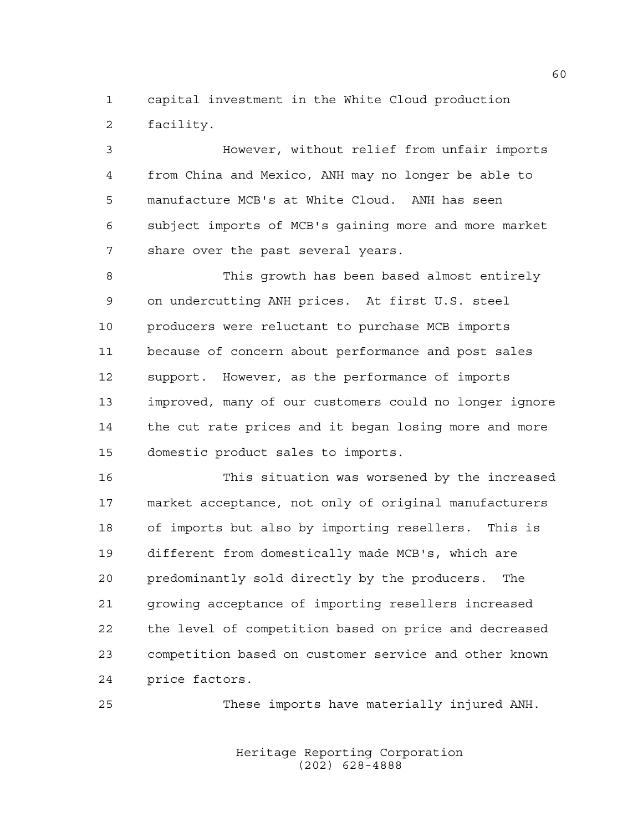capital investment in the White Cloud production facility.

 However, without relief from unfair imports from China and Mexico, ANH may no longer be able to manufacture MCB's at White Cloud. ANH has seen subject imports of MCB's gaining more and more market share over the past several years.

 This growth has been based almost entirely on undercutting ANH prices. At first U.S. steel producers were reluctant to purchase MCB imports because of concern about performance and post sales support. However, as the performance of imports improved, many of our customers could no longer ignore the cut rate prices and it began losing more and more domestic product sales to imports.

 This situation was worsened by the increased market acceptance, not only of original manufacturers of imports but also by importing resellers. This is different from domestically made MCB's, which are predominantly sold directly by the producers. The growing acceptance of importing resellers increased the level of competition based on price and decreased competition based on customer service and other known price factors.

These imports have materially injured ANH.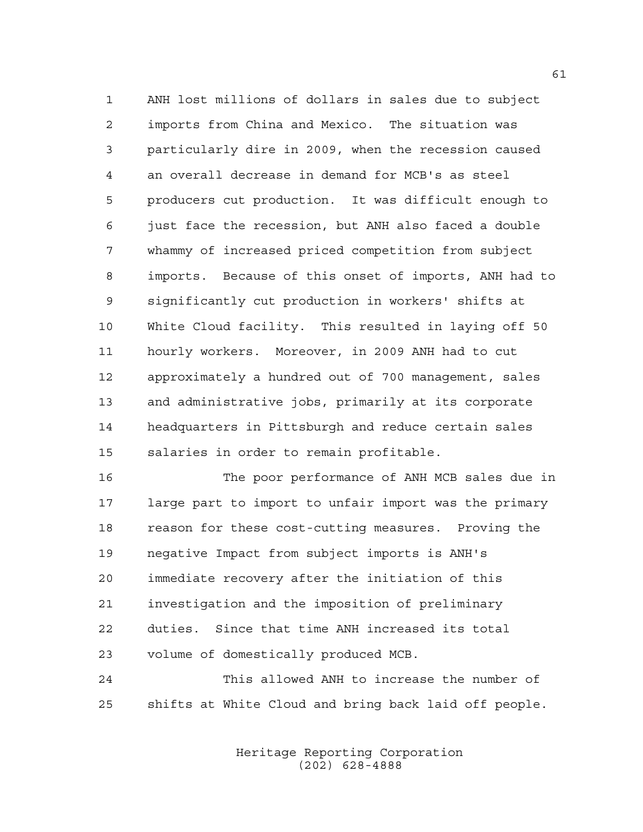ANH lost millions of dollars in sales due to subject imports from China and Mexico. The situation was particularly dire in 2009, when the recession caused an overall decrease in demand for MCB's as steel producers cut production. It was difficult enough to just face the recession, but ANH also faced a double whammy of increased priced competition from subject imports. Because of this onset of imports, ANH had to significantly cut production in workers' shifts at White Cloud facility. This resulted in laying off 50 hourly workers. Moreover, in 2009 ANH had to cut approximately a hundred out of 700 management, sales and administrative jobs, primarily at its corporate headquarters in Pittsburgh and reduce certain sales salaries in order to remain profitable.

 The poor performance of ANH MCB sales due in large part to import to unfair import was the primary reason for these cost-cutting measures. Proving the negative Impact from subject imports is ANH's immediate recovery after the initiation of this investigation and the imposition of preliminary duties. Since that time ANH increased its total volume of domestically produced MCB.

 This allowed ANH to increase the number of shifts at White Cloud and bring back laid off people.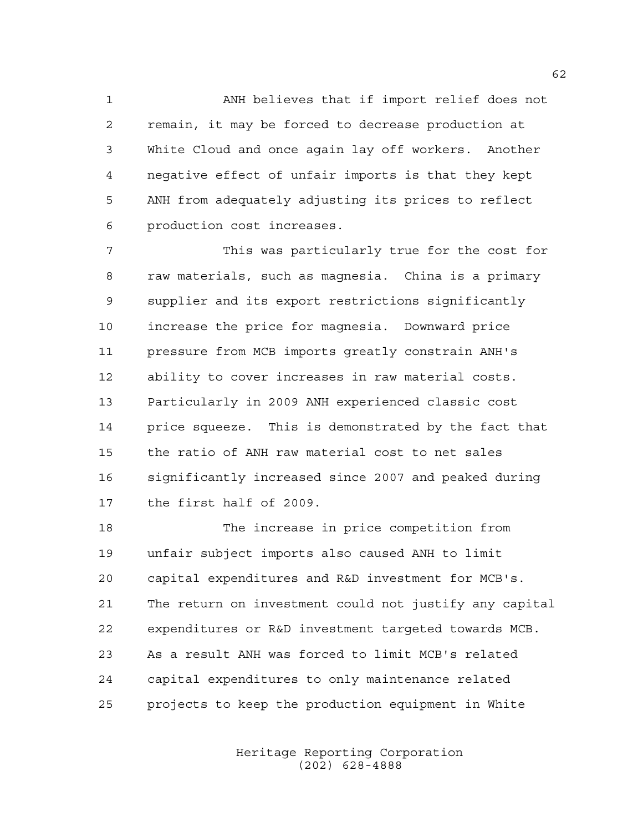ANH believes that if import relief does not remain, it may be forced to decrease production at White Cloud and once again lay off workers. Another negative effect of unfair imports is that they kept ANH from adequately adjusting its prices to reflect production cost increases.

 This was particularly true for the cost for raw materials, such as magnesia. China is a primary supplier and its export restrictions significantly increase the price for magnesia. Downward price pressure from MCB imports greatly constrain ANH's ability to cover increases in raw material costs. Particularly in 2009 ANH experienced classic cost price squeeze. This is demonstrated by the fact that the ratio of ANH raw material cost to net sales significantly increased since 2007 and peaked during the first half of 2009.

 The increase in price competition from unfair subject imports also caused ANH to limit capital expenditures and R&D investment for MCB's. The return on investment could not justify any capital expenditures or R&D investment targeted towards MCB. As a result ANH was forced to limit MCB's related capital expenditures to only maintenance related projects to keep the production equipment in White

> Heritage Reporting Corporation (202) 628-4888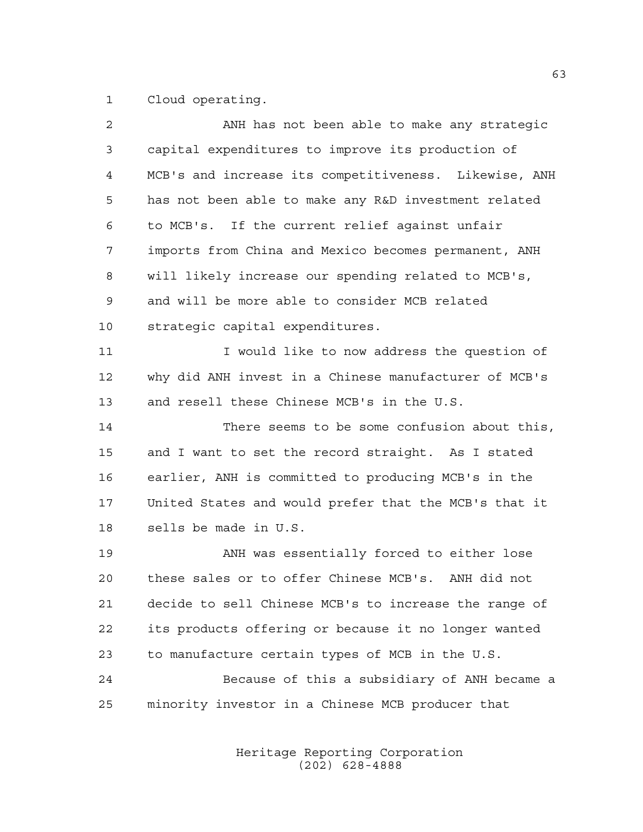Cloud operating.

| $\overline{a}$ | ANH has not been able to make any strategic           |
|----------------|-------------------------------------------------------|
| 3              | capital expenditures to improve its production of     |
| 4              | MCB's and increase its competitiveness. Likewise, ANH |
| 5              | has not been able to make any R&D investment related  |
| 6              | to MCB's. If the current relief against unfair        |
| 7              | imports from China and Mexico becomes permanent, ANH  |
| 8              | will likely increase our spending related to MCB's,   |
| 9              | and will be more able to consider MCB related         |
| 10             | strategic capital expenditures.                       |
| 11             | I would like to now address the question of           |
| 12             | why did ANH invest in a Chinese manufacturer of MCB's |
| 13             | and resell these Chinese MCB's in the U.S.            |
| 14             | There seems to be some confusion about this,          |
| 15             | and I want to set the record straight. As I stated    |
| 16             | earlier, ANH is committed to producing MCB's in the   |
| 17             | United States and would prefer that the MCB's that it |
| 18             | sells be made in U.S.                                 |
| 19             | ANH was essentially forced to either lose             |
| 20             | these sales or to offer Chinese MCB's. ANH did not    |
| 21             | decide to sell Chinese MCB's to increase the range of |
| 22             | its products offering or because it no longer wanted  |
| 23             | to manufacture certain types of MCB in the U.S.       |
| 24             | Because of this a subsidiary of ANH became a          |
| 25             | minority investor in a Chinese MCB producer that      |
|                |                                                       |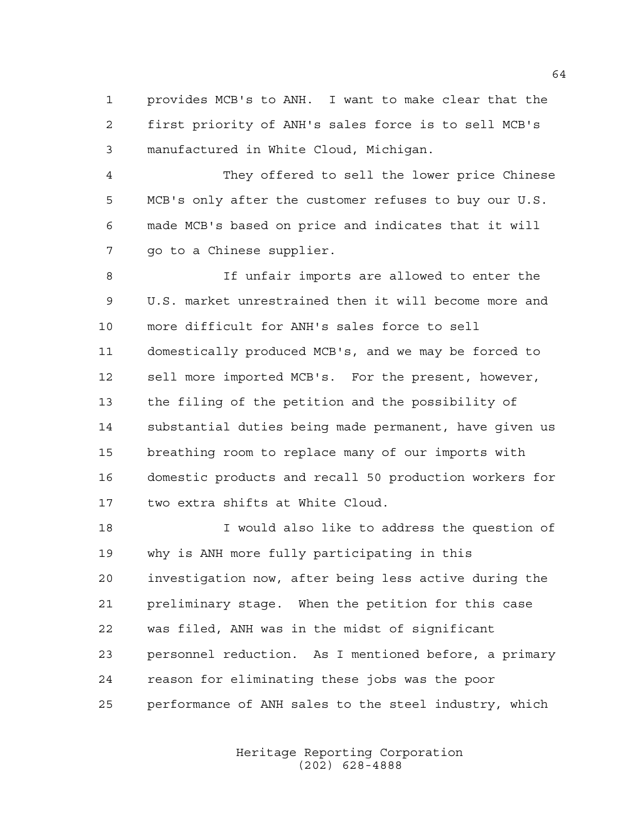provides MCB's to ANH. I want to make clear that the first priority of ANH's sales force is to sell MCB's manufactured in White Cloud, Michigan.

 They offered to sell the lower price Chinese MCB's only after the customer refuses to buy our U.S. made MCB's based on price and indicates that it will go to a Chinese supplier.

 If unfair imports are allowed to enter the U.S. market unrestrained then it will become more and more difficult for ANH's sales force to sell domestically produced MCB's, and we may be forced to sell more imported MCB's. For the present, however, the filing of the petition and the possibility of substantial duties being made permanent, have given us breathing room to replace many of our imports with domestic products and recall 50 production workers for two extra shifts at White Cloud.

 I would also like to address the question of why is ANH more fully participating in this investigation now, after being less active during the preliminary stage. When the petition for this case was filed, ANH was in the midst of significant personnel reduction. As I mentioned before, a primary reason for eliminating these jobs was the poor performance of ANH sales to the steel industry, which

> Heritage Reporting Corporation (202) 628-4888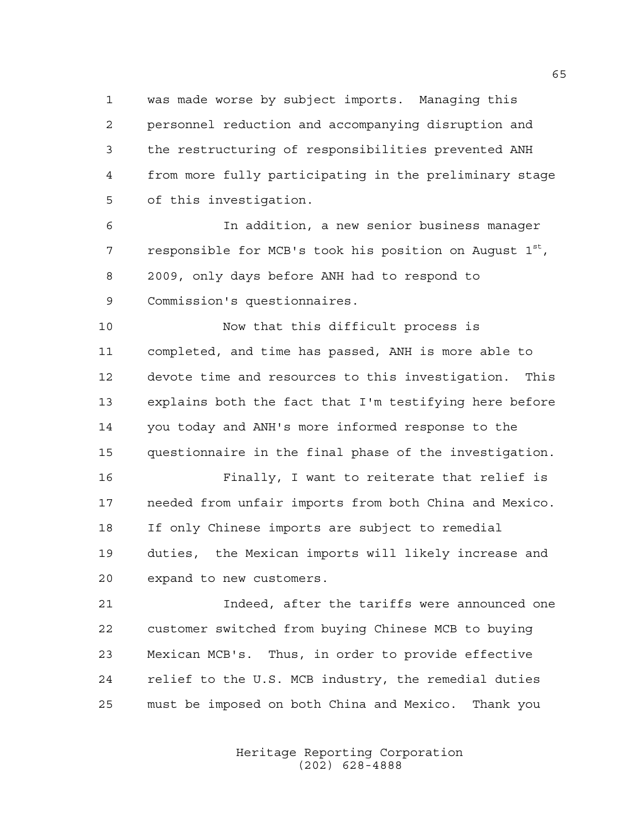was made worse by subject imports. Managing this personnel reduction and accompanying disruption and the restructuring of responsibilities prevented ANH from more fully participating in the preliminary stage of this investigation.

 In addition, a new senior business manager 7 responsible for MCB's took his position on August  $1^{st}$ , 2009, only days before ANH had to respond to Commission's questionnaires.

 Now that this difficult process is completed, and time has passed, ANH is more able to devote time and resources to this investigation. This explains both the fact that I'm testifying here before you today and ANH's more informed response to the questionnaire in the final phase of the investigation.

 Finally, I want to reiterate that relief is needed from unfair imports from both China and Mexico. If only Chinese imports are subject to remedial duties, the Mexican imports will likely increase and expand to new customers.

 Indeed, after the tariffs were announced one customer switched from buying Chinese MCB to buying Mexican MCB's. Thus, in order to provide effective relief to the U.S. MCB industry, the remedial duties must be imposed on both China and Mexico. Thank you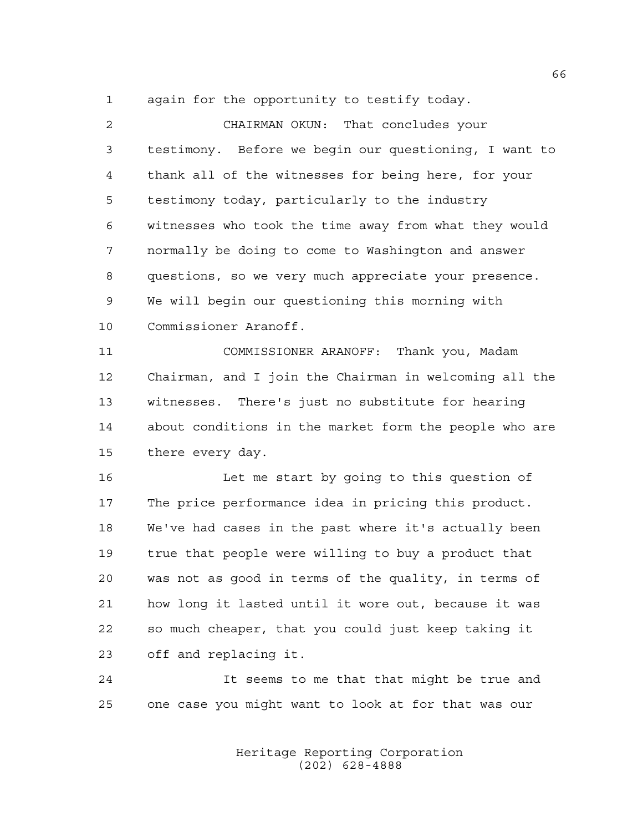again for the opportunity to testify today.

| $\overline{2}$ | CHAIRMAN OKUN: That concludes your                     |
|----------------|--------------------------------------------------------|
| 3              | testimony. Before we begin our questioning, I want to  |
| $\overline{4}$ | thank all of the witnesses for being here, for your    |
| 5              | testimony today, particularly to the industry          |
| 6              | witnesses who took the time away from what they would  |
| 7              | normally be doing to come to Washington and answer     |
| 8              | questions, so we very much appreciate your presence.   |
| 9              | We will begin our questioning this morning with        |
| 10             | Commissioner Aranoff.                                  |
| 11             | COMMISSIONER ARANOFF: Thank you, Madam                 |
| 12             | Chairman, and I join the Chairman in welcoming all the |
| 13             | witnesses. There's just no substitute for hearing      |
| 14             | about conditions in the market form the people who are |
| 15             | there every day.                                       |
| 16             | Let me start by going to this question of              |
| 17             | The price performance idea in pricing this product.    |
| 18             | We've had cases in the past where it's actually been   |
| 19             | true that people were willing to buy a product that    |
| 20             | was not as good in terms of the quality, in terms of   |
| 21             | how long it lasted until it wore out, because it was   |
| 22             | so much cheaper, that you could just keep taking it    |
| 23             | off and replacing it.                                  |
| 24             | It seems to me that that might be true and             |

one case you might want to look at for that was our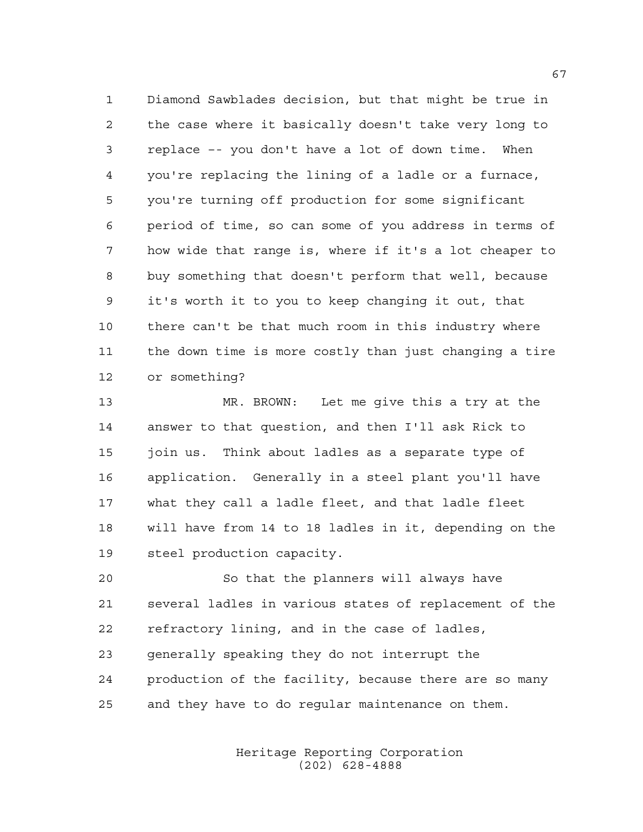Diamond Sawblades decision, but that might be true in the case where it basically doesn't take very long to replace –- you don't have a lot of down time. When you're replacing the lining of a ladle or a furnace, you're turning off production for some significant period of time, so can some of you address in terms of how wide that range is, where if it's a lot cheaper to buy something that doesn't perform that well, because it's worth it to you to keep changing it out, that there can't be that much room in this industry where the down time is more costly than just changing a tire or something?

 MR. BROWN: Let me give this a try at the answer to that question, and then I'll ask Rick to join us. Think about ladles as a separate type of application. Generally in a steel plant you'll have what they call a ladle fleet, and that ladle fleet will have from 14 to 18 ladles in it, depending on the steel production capacity.

 So that the planners will always have several ladles in various states of replacement of the refractory lining, and in the case of ladles, generally speaking they do not interrupt the production of the facility, because there are so many and they have to do regular maintenance on them.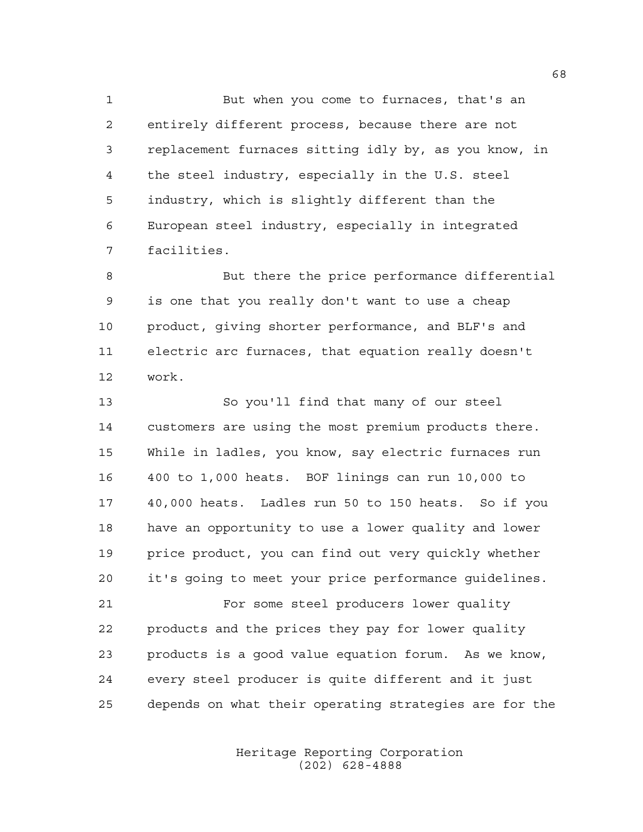But when you come to furnaces, that's an entirely different process, because there are not replacement furnaces sitting idly by, as you know, in the steel industry, especially in the U.S. steel industry, which is slightly different than the European steel industry, especially in integrated facilities.

 But there the price performance differential is one that you really don't want to use a cheap product, giving shorter performance, and BLF's and electric arc furnaces, that equation really doesn't work.

 So you'll find that many of our steel customers are using the most premium products there. While in ladles, you know, say electric furnaces run 400 to 1,000 heats. BOF linings can run 10,000 to 40,000 heats. Ladles run 50 to 150 heats. So if you have an opportunity to use a lower quality and lower price product, you can find out very quickly whether it's going to meet your price performance guidelines.

 For some steel producers lower quality products and the prices they pay for lower quality products is a good value equation forum. As we know, every steel producer is quite different and it just depends on what their operating strategies are for the

> Heritage Reporting Corporation (202) 628-4888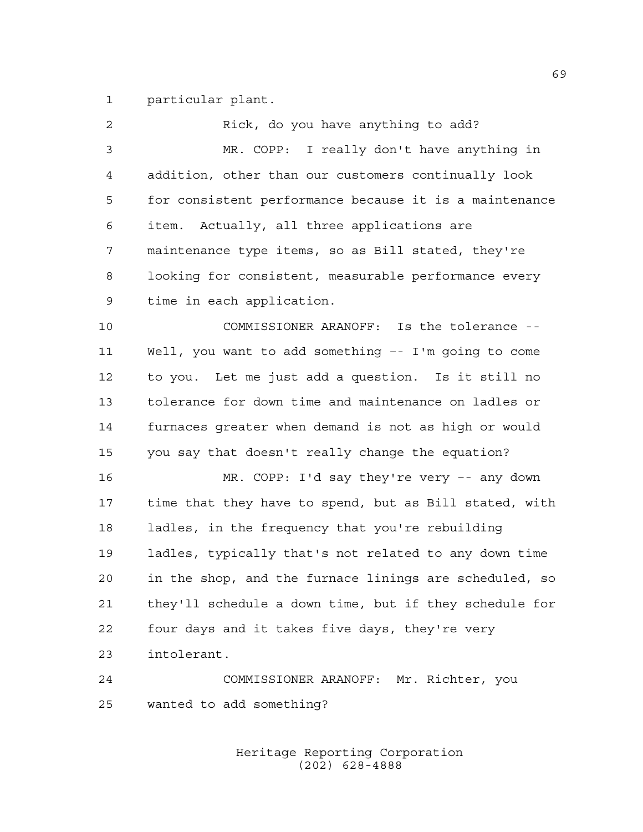particular plant.

| $\overline{2}$ | Rick, do you have anything to add?                     |
|----------------|--------------------------------------------------------|
| 3              | MR. COPP: I really don't have anything in              |
| $\overline{4}$ | addition, other than our customers continually look    |
| 5              | for consistent performance because it is a maintenance |
| 6              | item. Actually, all three applications are             |
| 7              | maintenance type items, so as Bill stated, they're     |
| 8              | looking for consistent, measurable performance every   |
| 9              | time in each application.                              |
| 10             | COMMISSIONER ARANOFF: Is the tolerance --              |
| 11             | Well, you want to add something -- I'm going to come   |
| 12             | to you. Let me just add a question. Is it still no     |
| 13             | tolerance for down time and maintenance on ladles or   |
| 14             | furnaces greater when demand is not as high or would   |
| 15             | you say that doesn't really change the equation?       |
| 16             | MR. COPP: I'd say they're very -- any down             |
| 17             | time that they have to spend, but as Bill stated, with |
| 18             | ladles, in the frequency that you're rebuilding        |
| 19             | ladles, typically that's not related to any down time  |
| 20             | in the shop, and the furnace linings are scheduled, so |
| 21             | they'll schedule a down time, but if they schedule for |
| 22             | four days and it takes five days, they're very         |
| 23             | intolerant.                                            |
| 24             | COMMISSIONER ARANOFF: Mr. Richter, you                 |
| 25             | wanted to add something?                               |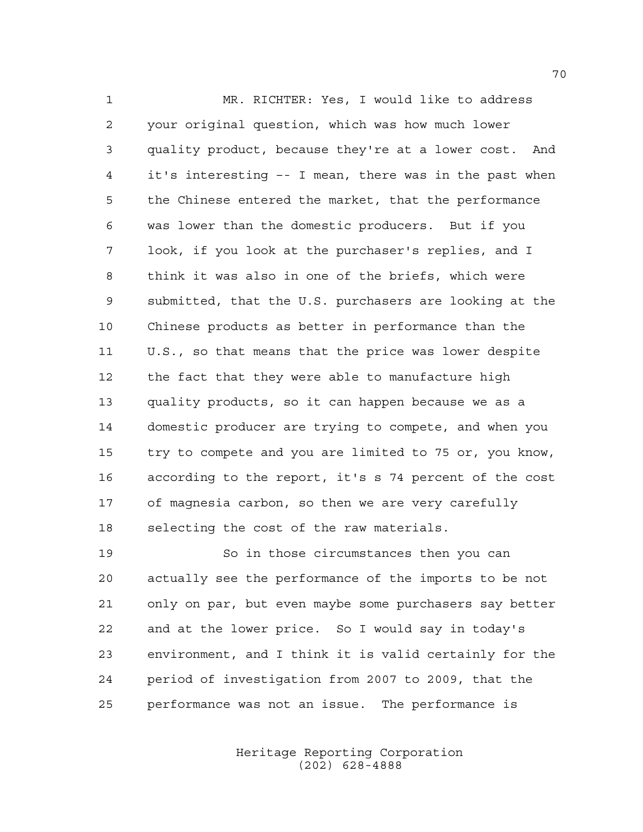MR. RICHTER: Yes, I would like to address your original question, which was how much lower quality product, because they're at a lower cost. And it's interesting –- I mean, there was in the past when the Chinese entered the market, that the performance was lower than the domestic producers. But if you look, if you look at the purchaser's replies, and I think it was also in one of the briefs, which were submitted, that the U.S. purchasers are looking at the Chinese products as better in performance than the U.S., so that means that the price was lower despite the fact that they were able to manufacture high quality products, so it can happen because we as a domestic producer are trying to compete, and when you try to compete and you are limited to 75 or, you know, according to the report, it's s 74 percent of the cost of magnesia carbon, so then we are very carefully selecting the cost of the raw materials.

 So in those circumstances then you can actually see the performance of the imports to be not only on par, but even maybe some purchasers say better and at the lower price. So I would say in today's environment, and I think it is valid certainly for the period of investigation from 2007 to 2009, that the performance was not an issue. The performance is

> Heritage Reporting Corporation (202) 628-4888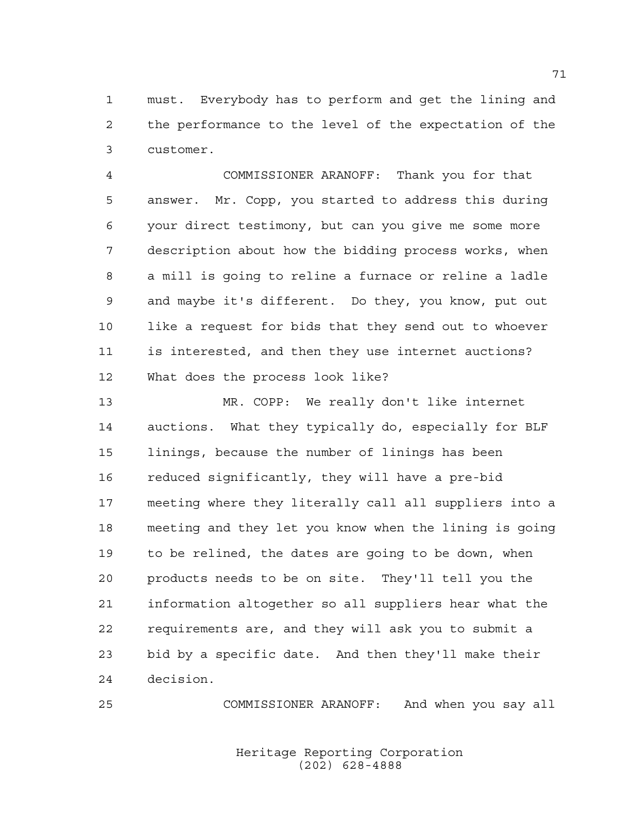must. Everybody has to perform and get the lining and the performance to the level of the expectation of the customer.

 COMMISSIONER ARANOFF: Thank you for that answer. Mr. Copp, you started to address this during your direct testimony, but can you give me some more description about how the bidding process works, when a mill is going to reline a furnace or reline a ladle and maybe it's different. Do they, you know, put out like a request for bids that they send out to whoever is interested, and then they use internet auctions? What does the process look like?

 MR. COPP: We really don't like internet auctions. What they typically do, especially for BLF linings, because the number of linings has been reduced significantly, they will have a pre-bid meeting where they literally call all suppliers into a meeting and they let you know when the lining is going to be relined, the dates are going to be down, when products needs to be on site. They'll tell you the information altogether so all suppliers hear what the requirements are, and they will ask you to submit a bid by a specific date. And then they'll make their decision.

COMMISSIONER ARANOFF: And when you say all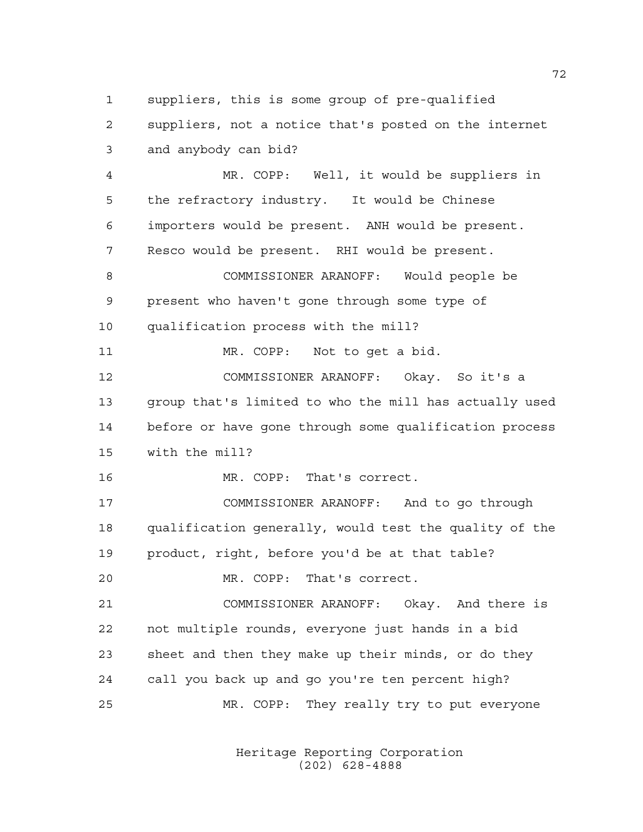suppliers, this is some group of pre-qualified

 suppliers, not a notice that's posted on the internet and anybody can bid?

 MR. COPP: Well, it would be suppliers in the refractory industry. It would be Chinese importers would be present. ANH would be present. Resco would be present. RHI would be present. COMMISSIONER ARANOFF: Would people be

 present who haven't gone through some type of qualification process with the mill?

MR. COPP: Not to get a bid.

 COMMISSIONER ARANOFF: Okay. So it's a group that's limited to who the mill has actually used before or have gone through some qualification process with the mill?

MR. COPP: That's correct.

 COMMISSIONER ARANOFF: And to go through qualification generally, would test the quality of the product, right, before you'd be at that table?

MR. COPP: That's correct.

 COMMISSIONER ARANOFF: Okay. And there is not multiple rounds, everyone just hands in a bid sheet and then they make up their minds, or do they call you back up and go you're ten percent high? MR. COPP: They really try to put everyone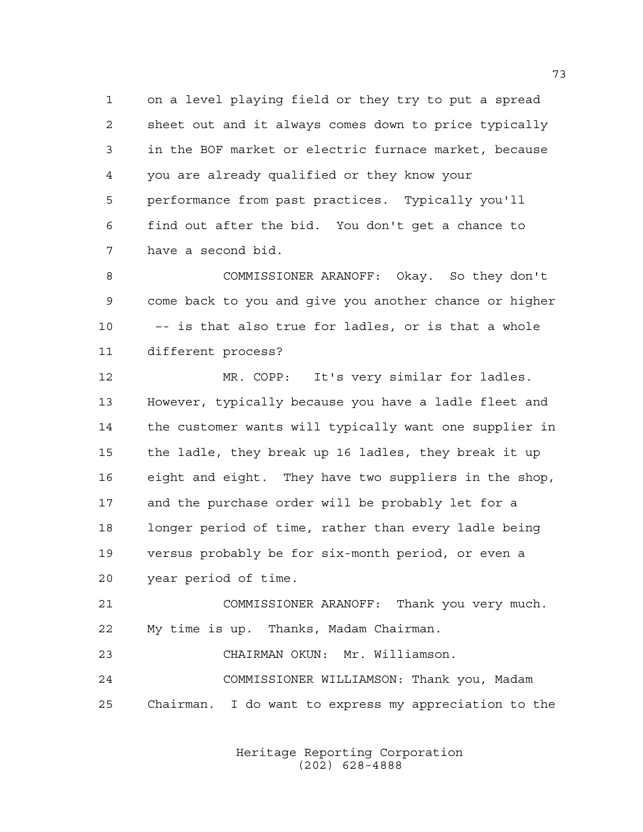on a level playing field or they try to put a spread sheet out and it always comes down to price typically in the BOF market or electric furnace market, because you are already qualified or they know your performance from past practices. Typically you'll find out after the bid. You don't get a chance to have a second bid.

 COMMISSIONER ARANOFF: Okay. So they don't come back to you and give you another chance or higher 10 –- is that also true for ladles, or is that a whole different process?

 MR. COPP: It's very similar for ladles. However, typically because you have a ladle fleet and the customer wants will typically want one supplier in the ladle, they break up 16 ladles, they break it up eight and eight. They have two suppliers in the shop, and the purchase order will be probably let for a longer period of time, rather than every ladle being versus probably be for six-month period, or even a year period of time.

 COMMISSIONER ARANOFF: Thank you very much. My time is up. Thanks, Madam Chairman.

 CHAIRMAN OKUN: Mr. Williamson. COMMISSIONER WILLIAMSON: Thank you, Madam Chairman. I do want to express my appreciation to the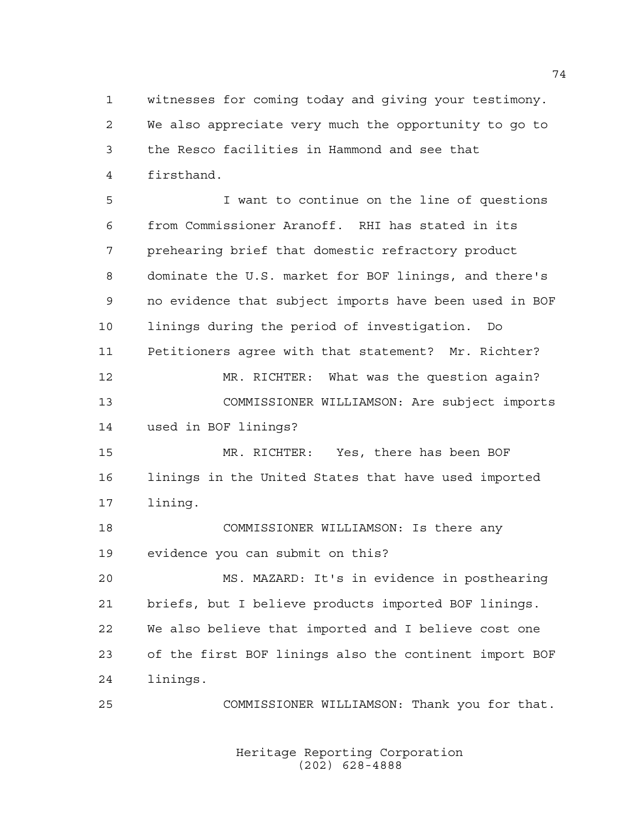witnesses for coming today and giving your testimony. We also appreciate very much the opportunity to go to the Resco facilities in Hammond and see that firsthand.

 I want to continue on the line of questions from Commissioner Aranoff. RHI has stated in its prehearing brief that domestic refractory product dominate the U.S. market for BOF linings, and there's no evidence that subject imports have been used in BOF linings during the period of investigation. Do Petitioners agree with that statement? Mr. Richter? MR. RICHTER: What was the question again? COMMISSIONER WILLIAMSON: Are subject imports used in BOF linings? MR. RICHTER: Yes, there has been BOF linings in the United States that have used imported lining. COMMISSIONER WILLIAMSON: Is there any

evidence you can submit on this?

 MS. MAZARD: It's in evidence in posthearing briefs, but I believe products imported BOF linings. We also believe that imported and I believe cost one of the first BOF linings also the continent import BOF linings.

COMMISSIONER WILLIAMSON: Thank you for that.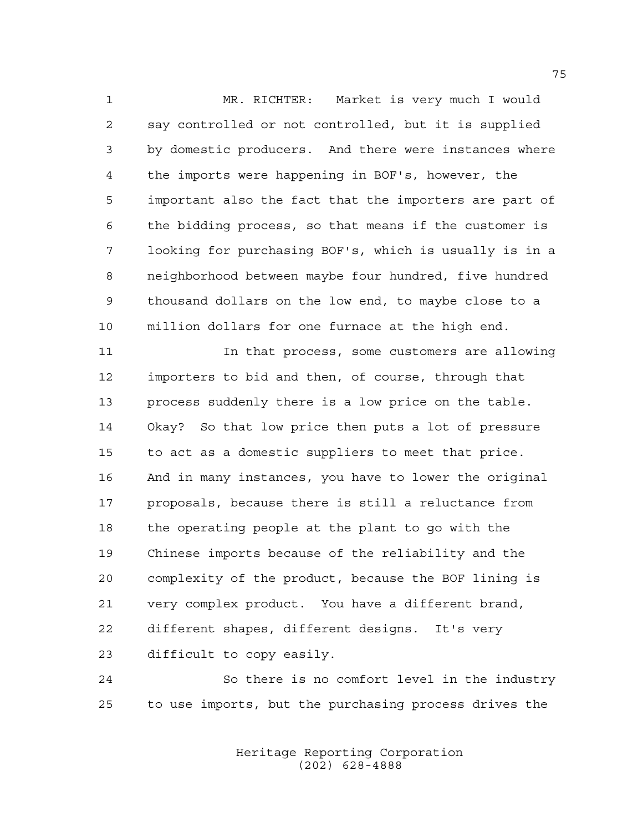MR. RICHTER: Market is very much I would say controlled or not controlled, but it is supplied by domestic producers. And there were instances where the imports were happening in BOF's, however, the important also the fact that the importers are part of the bidding process, so that means if the customer is looking for purchasing BOF's, which is usually is in a neighborhood between maybe four hundred, five hundred thousand dollars on the low end, to maybe close to a million dollars for one furnace at the high end.

 In that process, some customers are allowing importers to bid and then, of course, through that process suddenly there is a low price on the table. Okay? So that low price then puts a lot of pressure to act as a domestic suppliers to meet that price. And in many instances, you have to lower the original proposals, because there is still a reluctance from the operating people at the plant to go with the Chinese imports because of the reliability and the complexity of the product, because the BOF lining is very complex product. You have a different brand, different shapes, different designs. It's very difficult to copy easily.

 So there is no comfort level in the industry to use imports, but the purchasing process drives the

> Heritage Reporting Corporation (202) 628-4888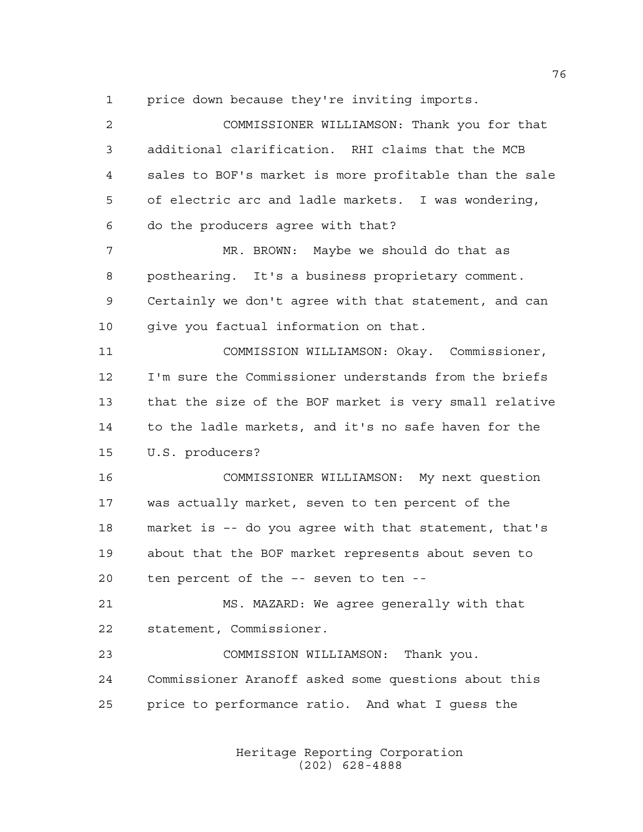price down because they're inviting imports.

 COMMISSIONER WILLIAMSON: Thank you for that additional clarification. RHI claims that the MCB sales to BOF's market is more profitable than the sale of electric arc and ladle markets. I was wondering, do the producers agree with that? MR. BROWN: Maybe we should do that as posthearing. It's a business proprietary comment. Certainly we don't agree with that statement, and can 10 qive you factual information on that. COMMISSION WILLIAMSON: Okay. Commissioner, I'm sure the Commissioner understands from the briefs that the size of the BOF market is very small relative to the ladle markets, and it's no safe haven for the U.S. producers? COMMISSIONER WILLIAMSON: My next question was actually market, seven to ten percent of the market is –- do you agree with that statement, that's about that the BOF market represents about seven to ten percent of the –- seven to ten -- MS. MAZARD: We agree generally with that statement, Commissioner. COMMISSION WILLIAMSON: Thank you. Commissioner Aranoff asked some questions about this price to performance ratio. And what I guess the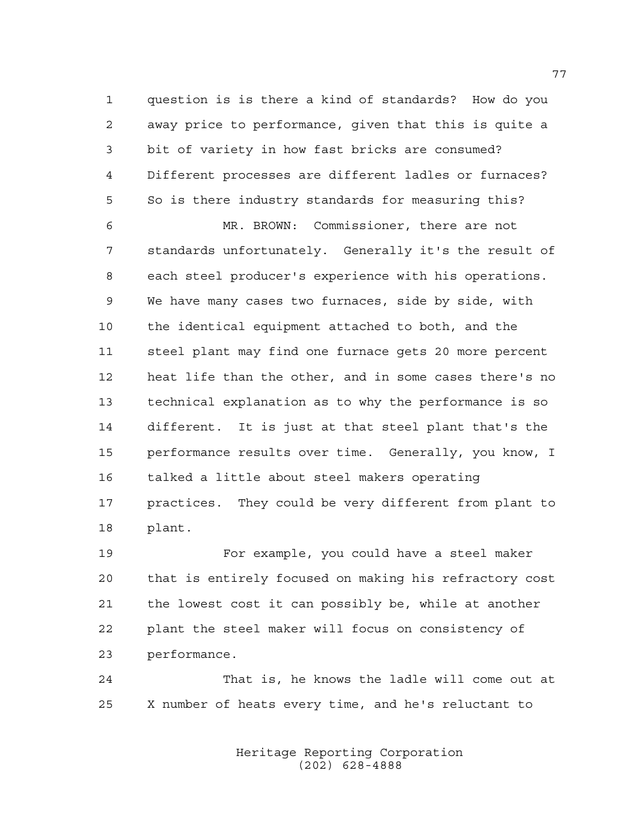question is is there a kind of standards? How do you away price to performance, given that this is quite a bit of variety in how fast bricks are consumed? Different processes are different ladles or furnaces? So is there industry standards for measuring this?

 MR. BROWN: Commissioner, there are not standards unfortunately. Generally it's the result of each steel producer's experience with his operations. We have many cases two furnaces, side by side, with the identical equipment attached to both, and the steel plant may find one furnace gets 20 more percent heat life than the other, and in some cases there's no technical explanation as to why the performance is so different. It is just at that steel plant that's the performance results over time. Generally, you know, I talked a little about steel makers operating practices. They could be very different from plant to plant.

 For example, you could have a steel maker that is entirely focused on making his refractory cost the lowest cost it can possibly be, while at another plant the steel maker will focus on consistency of performance.

 That is, he knows the ladle will come out at X number of heats every time, and he's reluctant to

> Heritage Reporting Corporation (202) 628-4888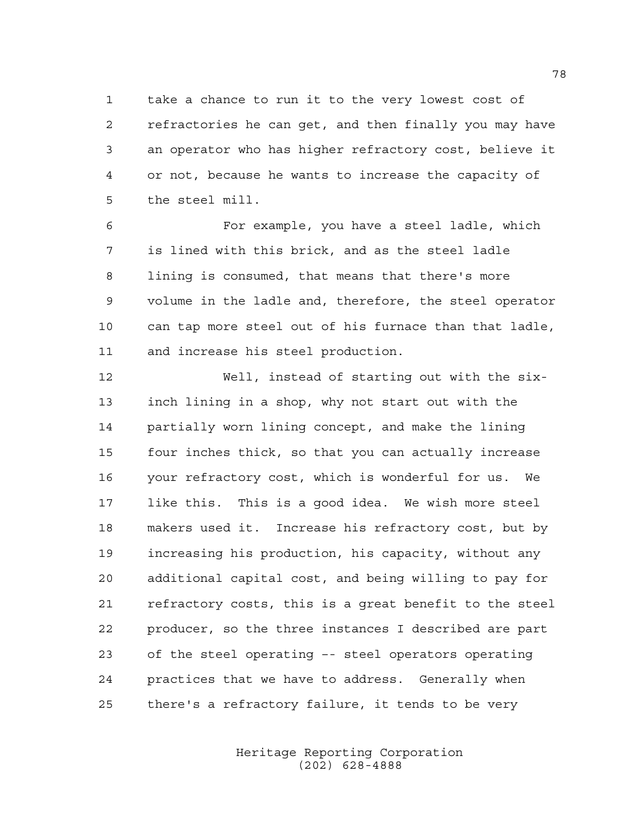take a chance to run it to the very lowest cost of refractories he can get, and then finally you may have an operator who has higher refractory cost, believe it or not, because he wants to increase the capacity of the steel mill.

 For example, you have a steel ladle, which is lined with this brick, and as the steel ladle lining is consumed, that means that there's more volume in the ladle and, therefore, the steel operator can tap more steel out of his furnace than that ladle, and increase his steel production.

 Well, instead of starting out with the six- inch lining in a shop, why not start out with the partially worn lining concept, and make the lining four inches thick, so that you can actually increase your refractory cost, which is wonderful for us. We like this. This is a good idea. We wish more steel makers used it. Increase his refractory cost, but by increasing his production, his capacity, without any additional capital cost, and being willing to pay for refractory costs, this is a great benefit to the steel producer, so the three instances I described are part of the steel operating –- steel operators operating practices that we have to address. Generally when there's a refractory failure, it tends to be very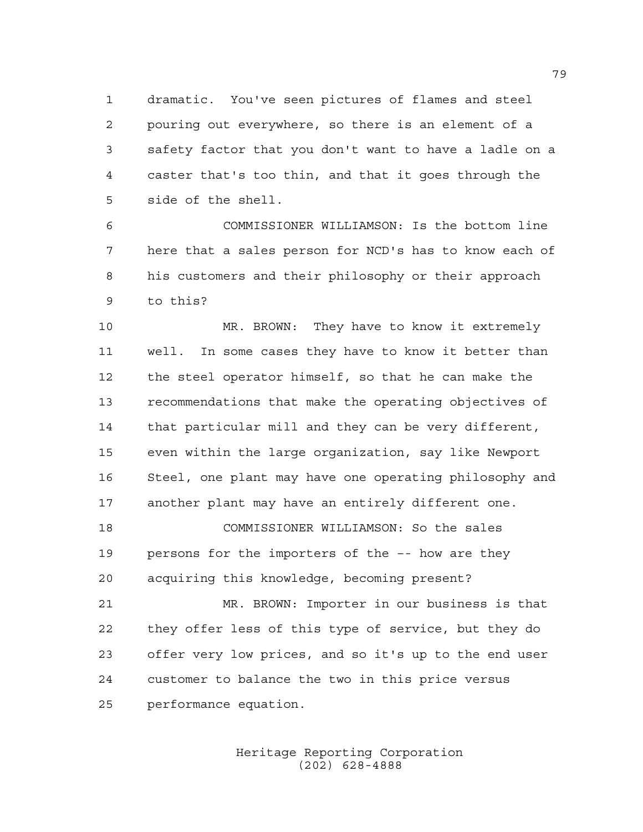dramatic. You've seen pictures of flames and steel pouring out everywhere, so there is an element of a safety factor that you don't want to have a ladle on a caster that's too thin, and that it goes through the side of the shell.

 COMMISSIONER WILLIAMSON: Is the bottom line here that a sales person for NCD's has to know each of his customers and their philosophy or their approach to this?

 MR. BROWN: They have to know it extremely well. In some cases they have to know it better than the steel operator himself, so that he can make the recommendations that make the operating objectives of that particular mill and they can be very different, even within the large organization, say like Newport Steel, one plant may have one operating philosophy and another plant may have an entirely different one.

 COMMISSIONER WILLIAMSON: So the sales persons for the importers of the –- how are they acquiring this knowledge, becoming present?

 MR. BROWN: Importer in our business is that they offer less of this type of service, but they do offer very low prices, and so it's up to the end user customer to balance the two in this price versus performance equation.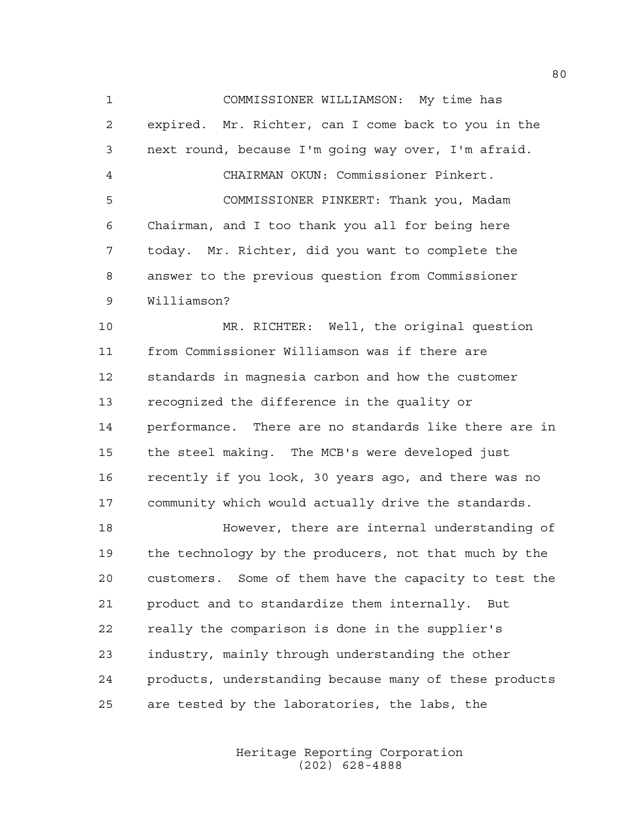COMMISSIONER WILLIAMSON: My time has expired. Mr. Richter, can I come back to you in the next round, because I'm going way over, I'm afraid. CHAIRMAN OKUN: Commissioner Pinkert. COMMISSIONER PINKERT: Thank you, Madam Chairman, and I too thank you all for being here today. Mr. Richter, did you want to complete the answer to the previous question from Commissioner Williamson?

 MR. RICHTER: Well, the original question from Commissioner Williamson was if there are standards in magnesia carbon and how the customer recognized the difference in the quality or performance. There are no standards like there are in the steel making. The MCB's were developed just recently if you look, 30 years ago, and there was no community which would actually drive the standards.

 However, there are internal understanding of the technology by the producers, not that much by the customers. Some of them have the capacity to test the product and to standardize them internally. But really the comparison is done in the supplier's industry, mainly through understanding the other products, understanding because many of these products are tested by the laboratories, the labs, the

> Heritage Reporting Corporation (202) 628-4888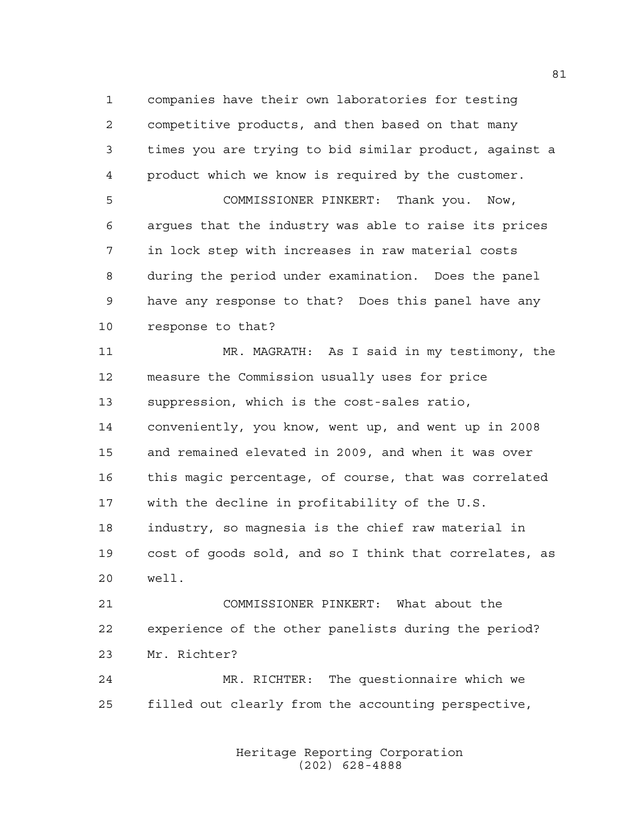companies have their own laboratories for testing competitive products, and then based on that many times you are trying to bid similar product, against a product which we know is required by the customer. COMMISSIONER PINKERT: Thank you. Now, argues that the industry was able to raise its prices in lock step with increases in raw material costs during the period under examination. Does the panel

 have any response to that? Does this panel have any response to that?

 MR. MAGRATH: As I said in my testimony, the measure the Commission usually uses for price suppression, which is the cost-sales ratio, conveniently, you know, went up, and went up in 2008 and remained elevated in 2009, and when it was over this magic percentage, of course, that was correlated with the decline in profitability of the U.S. industry, so magnesia is the chief raw material in cost of goods sold, and so I think that correlates, as well.

 COMMISSIONER PINKERT: What about the experience of the other panelists during the period? Mr. Richter?

 MR. RICHTER: The questionnaire which we filled out clearly from the accounting perspective,

> Heritage Reporting Corporation (202) 628-4888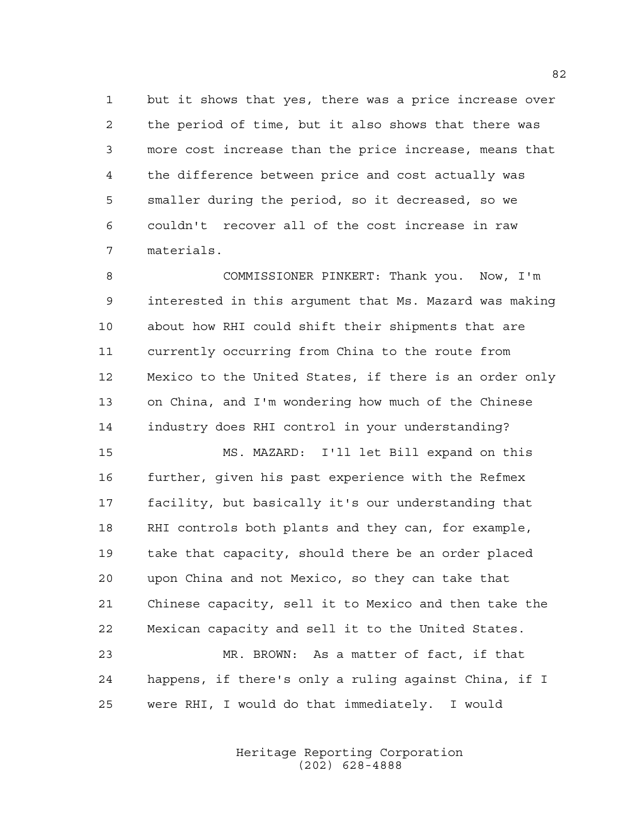but it shows that yes, there was a price increase over the period of time, but it also shows that there was more cost increase than the price increase, means that the difference between price and cost actually was smaller during the period, so it decreased, so we couldn't recover all of the cost increase in raw materials.

 COMMISSIONER PINKERT: Thank you. Now, I'm interested in this argument that Ms. Mazard was making about how RHI could shift their shipments that are currently occurring from China to the route from Mexico to the United States, if there is an order only on China, and I'm wondering how much of the Chinese industry does RHI control in your understanding?

 MS. MAZARD: I'll let Bill expand on this 16 further, given his past experience with the Refmex facility, but basically it's our understanding that RHI controls both plants and they can, for example, take that capacity, should there be an order placed upon China and not Mexico, so they can take that Chinese capacity, sell it to Mexico and then take the Mexican capacity and sell it to the United States. MR. BROWN: As a matter of fact, if that happens, if there's only a ruling against China, if I were RHI, I would do that immediately. I would

> Heritage Reporting Corporation (202) 628-4888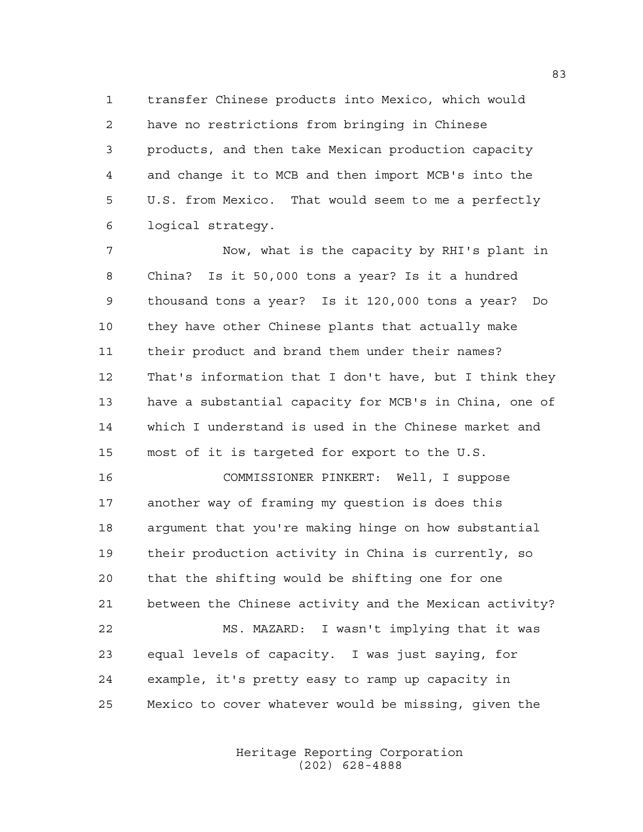transfer Chinese products into Mexico, which would have no restrictions from bringing in Chinese products, and then take Mexican production capacity and change it to MCB and then import MCB's into the U.S. from Mexico. That would seem to me a perfectly logical strategy.

 Now, what is the capacity by RHI's plant in China? Is it 50,000 tons a year? Is it a hundred thousand tons a year? Is it 120,000 tons a year? Do they have other Chinese plants that actually make their product and brand them under their names? That's information that I don't have, but I think they have a substantial capacity for MCB's in China, one of which I understand is used in the Chinese market and most of it is targeted for export to the U.S.

 COMMISSIONER PINKERT: Well, I suppose another way of framing my question is does this argument that you're making hinge on how substantial their production activity in China is currently, so that the shifting would be shifting one for one between the Chinese activity and the Mexican activity? MS. MAZARD: I wasn't implying that it was equal levels of capacity. I was just saying, for

Mexico to cover whatever would be missing, given the

example, it's pretty easy to ramp up capacity in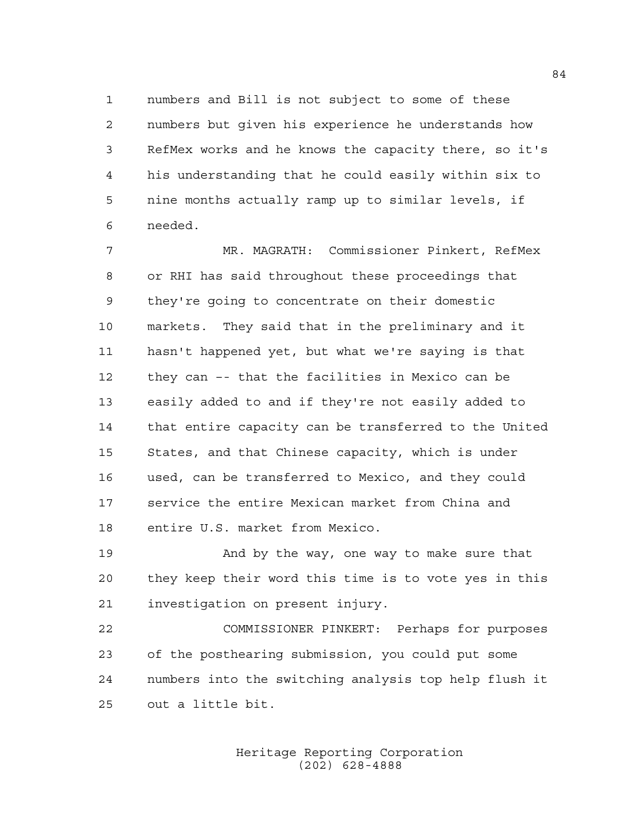numbers and Bill is not subject to some of these numbers but given his experience he understands how RefMex works and he knows the capacity there, so it's his understanding that he could easily within six to nine months actually ramp up to similar levels, if needed.

 MR. MAGRATH: Commissioner Pinkert, RefMex or RHI has said throughout these proceedings that they're going to concentrate on their domestic markets. They said that in the preliminary and it hasn't happened yet, but what we're saying is that they can –- that the facilities in Mexico can be easily added to and if they're not easily added to that entire capacity can be transferred to the United States, and that Chinese capacity, which is under used, can be transferred to Mexico, and they could service the entire Mexican market from China and entire U.S. market from Mexico.

19 And by the way, one way to make sure that they keep their word this time is to vote yes in this investigation on present injury.

 COMMISSIONER PINKERT: Perhaps for purposes of the posthearing submission, you could put some numbers into the switching analysis top help flush it out a little bit.

> Heritage Reporting Corporation (202) 628-4888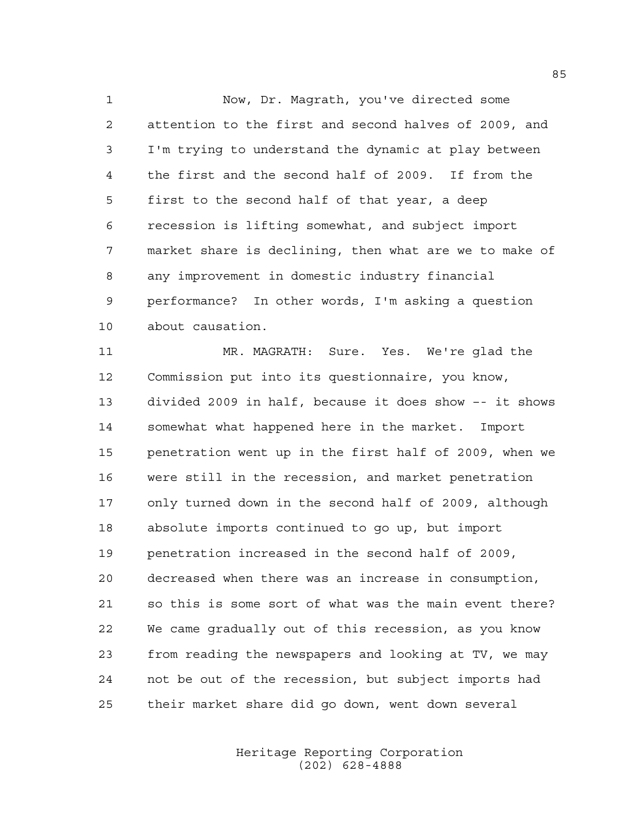Now, Dr. Magrath, you've directed some attention to the first and second halves of 2009, and I'm trying to understand the dynamic at play between the first and the second half of 2009. If from the first to the second half of that year, a deep recession is lifting somewhat, and subject import market share is declining, then what are we to make of any improvement in domestic industry financial performance? In other words, I'm asking a question about causation.

 MR. MAGRATH: Sure. Yes. We're glad the Commission put into its questionnaire, you know, divided 2009 in half, because it does show –- it shows somewhat what happened here in the market. Import penetration went up in the first half of 2009, when we were still in the recession, and market penetration only turned down in the second half of 2009, although absolute imports continued to go up, but import penetration increased in the second half of 2009, decreased when there was an increase in consumption, so this is some sort of what was the main event there? We came gradually out of this recession, as you know from reading the newspapers and looking at TV, we may not be out of the recession, but subject imports had their market share did go down, went down several

> Heritage Reporting Corporation (202) 628-4888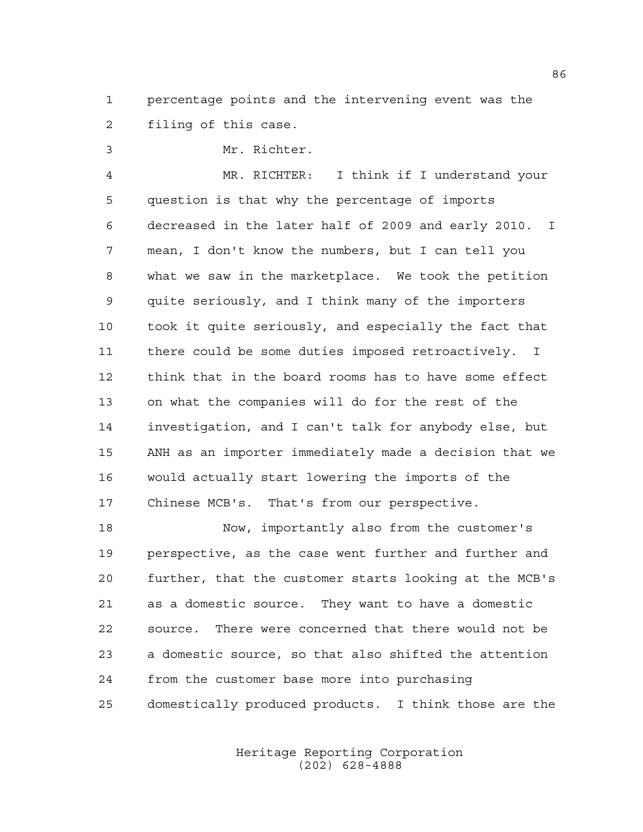percentage points and the intervening event was the filing of this case.

Mr. Richter.

 MR. RICHTER: I think if I understand your question is that why the percentage of imports decreased in the later half of 2009 and early 2010. I mean, I don't know the numbers, but I can tell you what we saw in the marketplace. We took the petition quite seriously, and I think many of the importers took it quite seriously, and especially the fact that there could be some duties imposed retroactively. I think that in the board rooms has to have some effect on what the companies will do for the rest of the investigation, and I can't talk for anybody else, but ANH as an importer immediately made a decision that we would actually start lowering the imports of the Chinese MCB's. That's from our perspective.

 Now, importantly also from the customer's perspective, as the case went further and further and further, that the customer starts looking at the MCB's as a domestic source. They want to have a domestic source. There were concerned that there would not be a domestic source, so that also shifted the attention from the customer base more into purchasing domestically produced products. I think those are the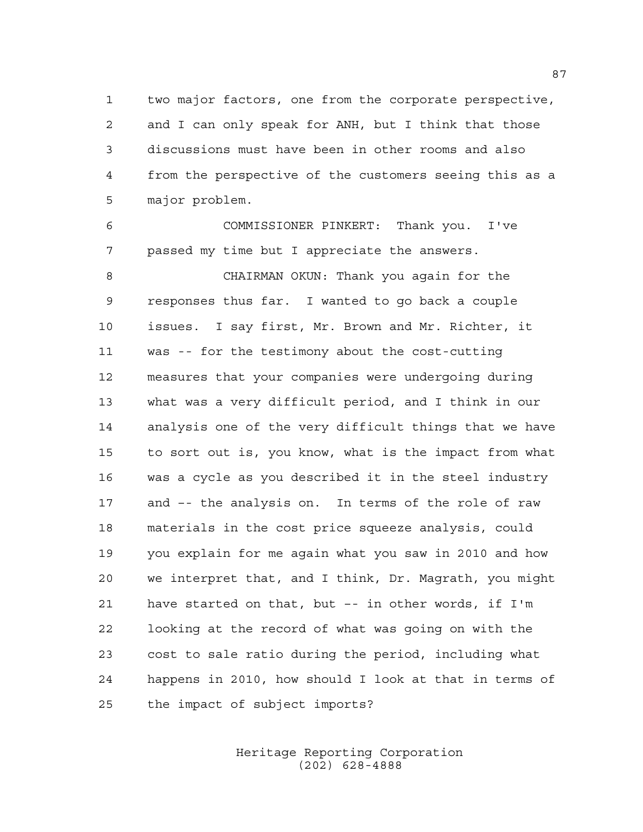two major factors, one from the corporate perspective, and I can only speak for ANH, but I think that those discussions must have been in other rooms and also from the perspective of the customers seeing this as a major problem.

 COMMISSIONER PINKERT: Thank you. I've passed my time but I appreciate the answers.

 CHAIRMAN OKUN: Thank you again for the responses thus far. I wanted to go back a couple issues. I say first, Mr. Brown and Mr. Richter, it was -- for the testimony about the cost-cutting measures that your companies were undergoing during what was a very difficult period, and I think in our analysis one of the very difficult things that we have to sort out is, you know, what is the impact from what was a cycle as you described it in the steel industry and –- the analysis on. In terms of the role of raw materials in the cost price squeeze analysis, could you explain for me again what you saw in 2010 and how we interpret that, and I think, Dr. Magrath, you might have started on that, but –- in other words, if I'm looking at the record of what was going on with the cost to sale ratio during the period, including what happens in 2010, how should I look at that in terms of the impact of subject imports?

> Heritage Reporting Corporation (202) 628-4888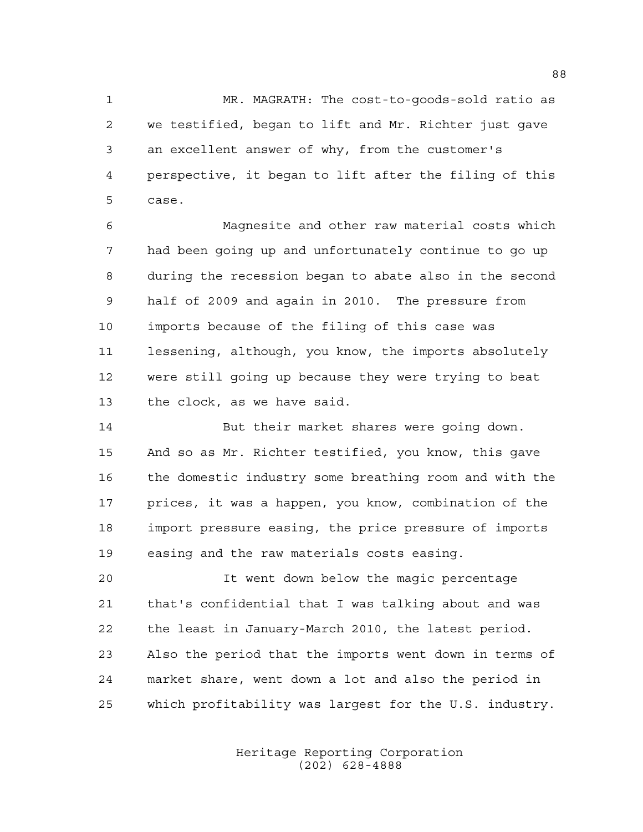MR. MAGRATH: The cost-to-goods-sold ratio as we testified, began to lift and Mr. Richter just gave an excellent answer of why, from the customer's perspective, it began to lift after the filing of this case.

 Magnesite and other raw material costs which had been going up and unfortunately continue to go up during the recession began to abate also in the second half of 2009 and again in 2010. The pressure from imports because of the filing of this case was lessening, although, you know, the imports absolutely were still going up because they were trying to beat the clock, as we have said.

 But their market shares were going down. And so as Mr. Richter testified, you know, this gave the domestic industry some breathing room and with the prices, it was a happen, you know, combination of the import pressure easing, the price pressure of imports easing and the raw materials costs easing.

 It went down below the magic percentage that's confidential that I was talking about and was the least in January-March 2010, the latest period. Also the period that the imports went down in terms of market share, went down a lot and also the period in which profitability was largest for the U.S. industry.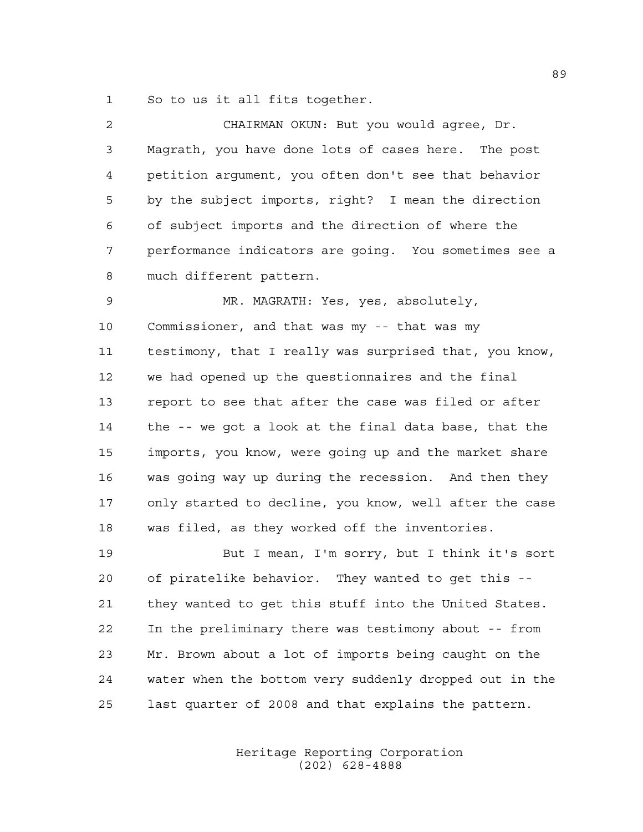So to us it all fits together.

| $\overline{2}$ | CHAIRMAN OKUN: But you would agree, Dr.                |
|----------------|--------------------------------------------------------|
| 3              | Magrath, you have done lots of cases here. The post    |
| 4              | petition argument, you often don't see that behavior   |
| 5              | by the subject imports, right? I mean the direction    |
| 6              | of subject imports and the direction of where the      |
| 7              | performance indicators are going. You sometimes see a  |
| 8              | much different pattern.                                |
| 9              | MR. MAGRATH: Yes, yes, absolutely,                     |
| 10             | Commissioner, and that was my -- that was my           |
| 11             | testimony, that I really was surprised that, you know, |
| 12             | we had opened up the questionnaires and the final      |
| 13             | report to see that after the case was filed or after   |
| 14             | the -- we got a look at the final data base, that the  |
| 15             | imports, you know, were going up and the market share  |
| 16             | was going way up during the recession. And then they   |
| 17             | only started to decline, you know, well after the case |
| 18             | was filed, as they worked off the inventories.         |
| 19             | But I mean, I'm sorry, but I think it's sort           |
| 20             | of piratelike behavior. They wanted to get this        |
| 21             | they wanted to get this stuff into the United States.  |
| 22             | In the preliminary there was testimony about -- from   |
| 23             | Mr. Brown about a lot of imports being caught on the   |
| 24             | water when the bottom very suddenly dropped out in the |

last quarter of 2008 and that explains the pattern.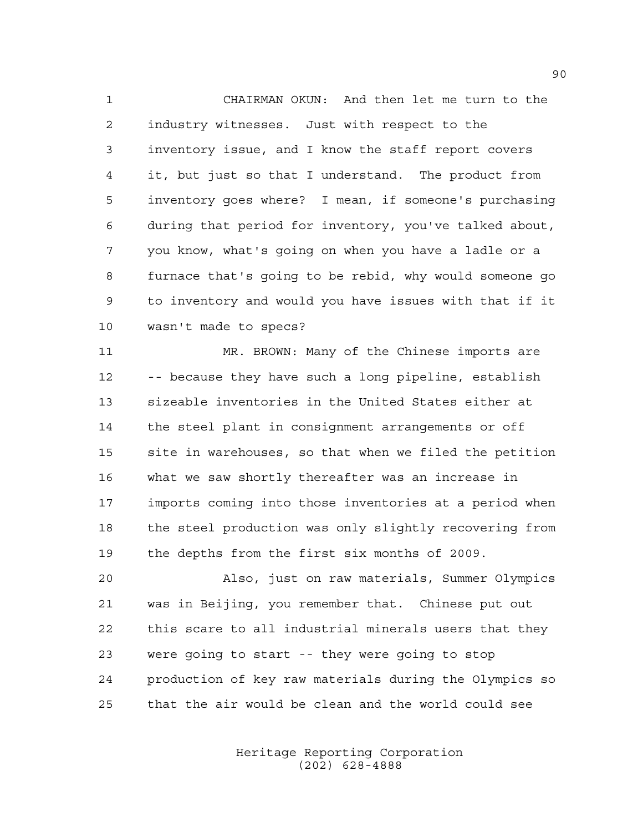CHAIRMAN OKUN: And then let me turn to the industry witnesses. Just with respect to the inventory issue, and I know the staff report covers it, but just so that I understand. The product from inventory goes where? I mean, if someone's purchasing during that period for inventory, you've talked about, you know, what's going on when you have a ladle or a furnace that's going to be rebid, why would someone go to inventory and would you have issues with that if it wasn't made to specs?

 MR. BROWN: Many of the Chinese imports are -- because they have such a long pipeline, establish sizeable inventories in the United States either at the steel plant in consignment arrangements or off site in warehouses, so that when we filed the petition what we saw shortly thereafter was an increase in imports coming into those inventories at a period when the steel production was only slightly recovering from the depths from the first six months of 2009.

 Also, just on raw materials, Summer Olympics was in Beijing, you remember that. Chinese put out this scare to all industrial minerals users that they were going to start -- they were going to stop production of key raw materials during the Olympics so that the air would be clean and the world could see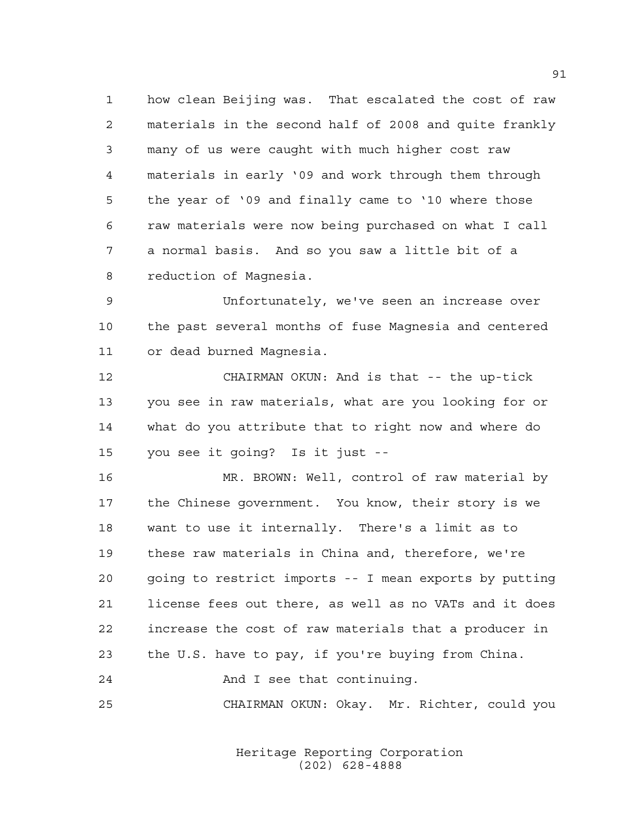how clean Beijing was. That escalated the cost of raw materials in the second half of 2008 and quite frankly many of us were caught with much higher cost raw materials in early '09 and work through them through the year of '09 and finally came to '10 where those raw materials were now being purchased on what I call a normal basis. And so you saw a little bit of a reduction of Magnesia.

 Unfortunately, we've seen an increase over the past several months of fuse Magnesia and centered or dead burned Magnesia.

 CHAIRMAN OKUN: And is that -- the up-tick you see in raw materials, what are you looking for or what do you attribute that to right now and where do you see it going? Is it just --

 MR. BROWN: Well, control of raw material by the Chinese government. You know, their story is we want to use it internally. There's a limit as to these raw materials in China and, therefore, we're going to restrict imports -- I mean exports by putting license fees out there, as well as no VATs and it does increase the cost of raw materials that a producer in the U.S. have to pay, if you're buying from China. And I see that continuing.

CHAIRMAN OKUN: Okay. Mr. Richter, could you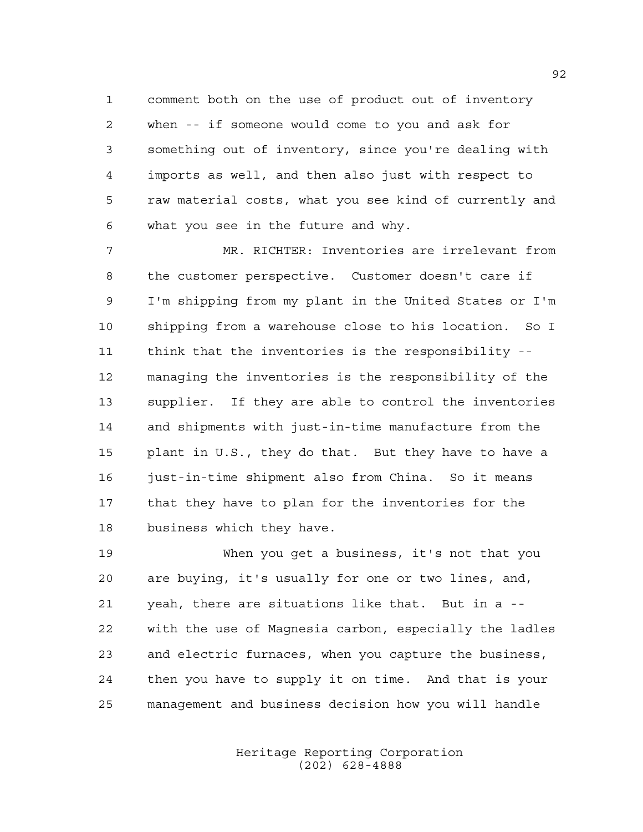comment both on the use of product out of inventory when -- if someone would come to you and ask for something out of inventory, since you're dealing with imports as well, and then also just with respect to raw material costs, what you see kind of currently and what you see in the future and why.

 MR. RICHTER: Inventories are irrelevant from the customer perspective. Customer doesn't care if I'm shipping from my plant in the United States or I'm shipping from a warehouse close to his location. So I think that the inventories is the responsibility -- managing the inventories is the responsibility of the supplier. If they are able to control the inventories and shipments with just-in-time manufacture from the plant in U.S., they do that. But they have to have a just-in-time shipment also from China. So it means that they have to plan for the inventories for the business which they have.

 When you get a business, it's not that you are buying, it's usually for one or two lines, and, yeah, there are situations like that. But in a -- with the use of Magnesia carbon, especially the ladles and electric furnaces, when you capture the business, then you have to supply it on time. And that is your management and business decision how you will handle

> Heritage Reporting Corporation (202) 628-4888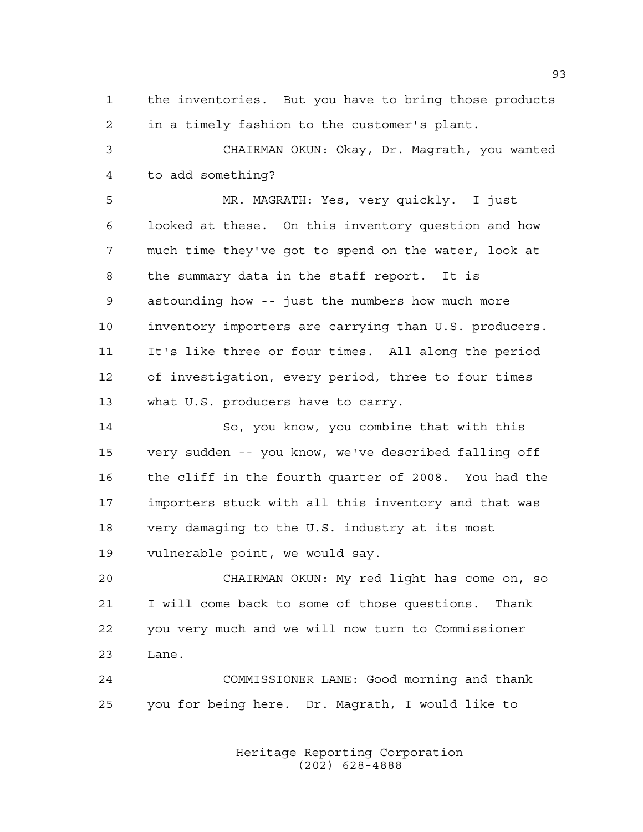the inventories. But you have to bring those products in a timely fashion to the customer's plant.

 CHAIRMAN OKUN: Okay, Dr. Magrath, you wanted to add something?

 MR. MAGRATH: Yes, very quickly. I just looked at these. On this inventory question and how much time they've got to spend on the water, look at the summary data in the staff report. It is astounding how -- just the numbers how much more inventory importers are carrying than U.S. producers. It's like three or four times. All along the period of investigation, every period, three to four times what U.S. producers have to carry.

 So, you know, you combine that with this very sudden -- you know, we've described falling off the cliff in the fourth quarter of 2008. You had the importers stuck with all this inventory and that was very damaging to the U.S. industry at its most vulnerable point, we would say.

 CHAIRMAN OKUN: My red light has come on, so I will come back to some of those questions. Thank you very much and we will now turn to Commissioner Lane.

 COMMISSIONER LANE: Good morning and thank you for being here. Dr. Magrath, I would like to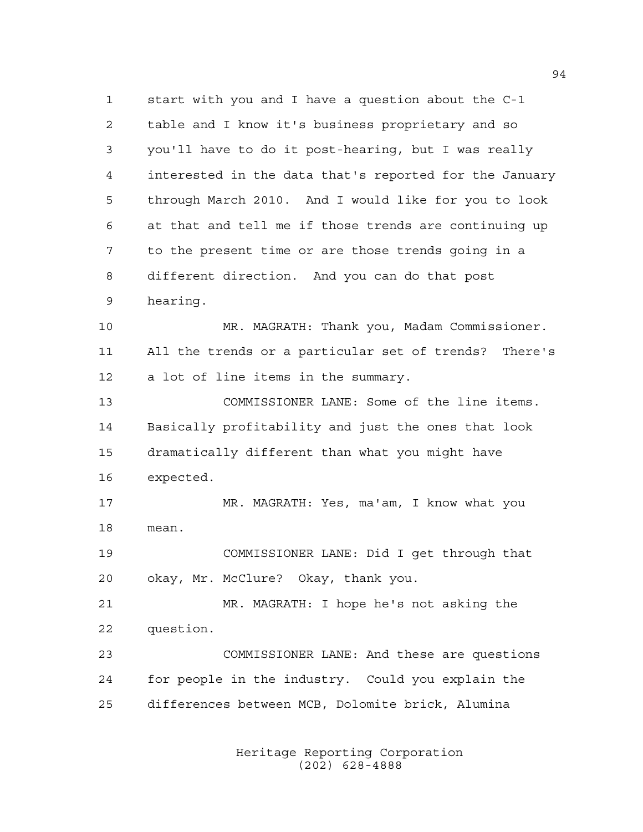start with you and I have a question about the C-1 table and I know it's business proprietary and so you'll have to do it post-hearing, but I was really interested in the data that's reported for the January through March 2010. And I would like for you to look at that and tell me if those trends are continuing up to the present time or are those trends going in a different direction. And you can do that post hearing. MR. MAGRATH: Thank you, Madam Commissioner. All the trends or a particular set of trends? There's a lot of line items in the summary. COMMISSIONER LANE: Some of the line items. Basically profitability and just the ones that look dramatically different than what you might have expected. MR. MAGRATH: Yes, ma'am, I know what you mean. COMMISSIONER LANE: Did I get through that okay, Mr. McClure? Okay, thank you. MR. MAGRATH: I hope he's not asking the

 question. COMMISSIONER LANE: And these are questions for people in the industry. Could you explain the differences between MCB, Dolomite brick, Alumina

> Heritage Reporting Corporation (202) 628-4888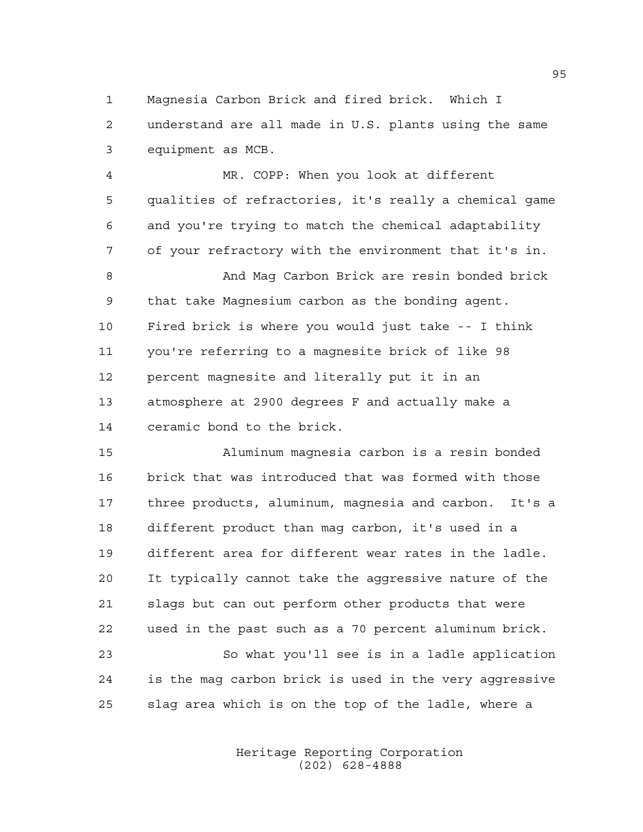Magnesia Carbon Brick and fired brick. Which I understand are all made in U.S. plants using the same equipment as MCB.

 MR. COPP: When you look at different qualities of refractories, it's really a chemical game and you're trying to match the chemical adaptability of your refractory with the environment that it's in. And Mag Carbon Brick are resin bonded brick that take Magnesium carbon as the bonding agent. Fired brick is where you would just take -- I think you're referring to a magnesite brick of like 98 percent magnesite and literally put it in an atmosphere at 2900 degrees F and actually make a ceramic bond to the brick.

 Aluminum magnesia carbon is a resin bonded brick that was introduced that was formed with those three products, aluminum, magnesia and carbon. It's a different product than mag carbon, it's used in a different area for different wear rates in the ladle. It typically cannot take the aggressive nature of the slags but can out perform other products that were used in the past such as a 70 percent aluminum brick. So what you'll see is in a ladle application is the mag carbon brick is used in the very aggressive slag area which is on the top of the ladle, where a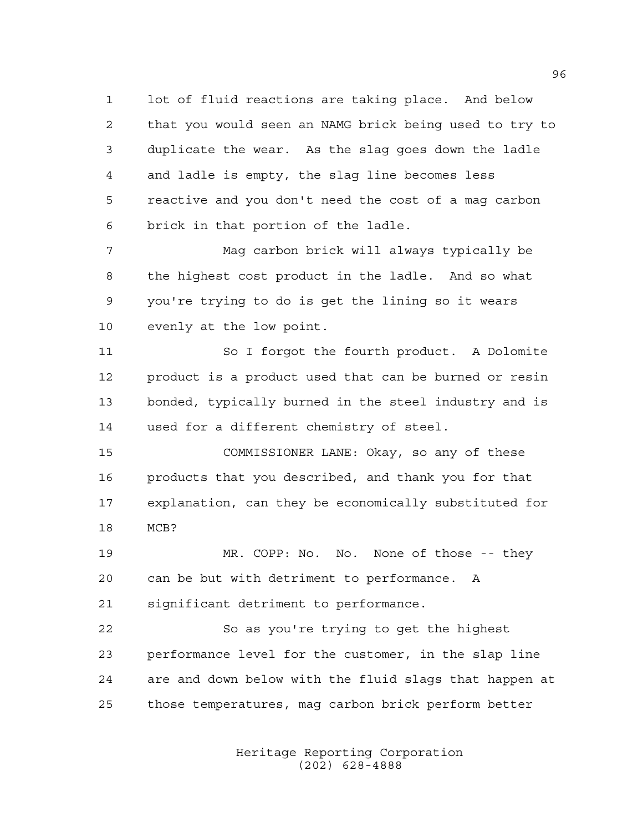lot of fluid reactions are taking place. And below that you would seen an NAMG brick being used to try to duplicate the wear. As the slag goes down the ladle and ladle is empty, the slag line becomes less reactive and you don't need the cost of a mag carbon brick in that portion of the ladle.

 Mag carbon brick will always typically be the highest cost product in the ladle. And so what you're trying to do is get the lining so it wears evenly at the low point.

11 So I forgot the fourth product. A Dolomite product is a product used that can be burned or resin bonded, typically burned in the steel industry and is used for a different chemistry of steel.

 COMMISSIONER LANE: Okay, so any of these products that you described, and thank you for that explanation, can they be economically substituted for MCB?

 MR. COPP: No. No. None of those -- they can be but with detriment to performance. A significant detriment to performance.

 So as you're trying to get the highest performance level for the customer, in the slap line are and down below with the fluid slags that happen at those temperatures, mag carbon brick perform better

> Heritage Reporting Corporation (202) 628-4888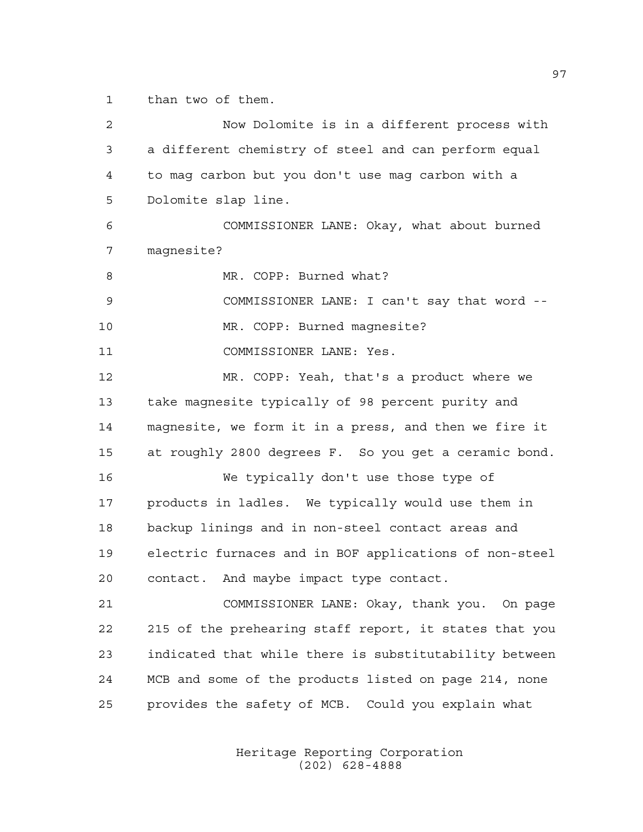than two of them.

 Now Dolomite is in a different process with a different chemistry of steel and can perform equal to mag carbon but you don't use mag carbon with a Dolomite slap line. COMMISSIONER LANE: Okay, what about burned magnesite? 8 MR. COPP: Burned what? COMMISSIONER LANE: I can't say that word -- MR. COPP: Burned magnesite? COMMISSIONER LANE: Yes. MR. COPP: Yeah, that's a product where we take magnesite typically of 98 percent purity and magnesite, we form it in a press, and then we fire it at roughly 2800 degrees F. So you get a ceramic bond. We typically don't use those type of products in ladles. We typically would use them in backup linings and in non-steel contact areas and electric furnaces and in BOF applications of non-steel contact. And maybe impact type contact. COMMISSIONER LANE: Okay, thank you. On page 215 of the prehearing staff report, it states that you indicated that while there is substitutability between MCB and some of the products listed on page 214, none provides the safety of MCB. Could you explain what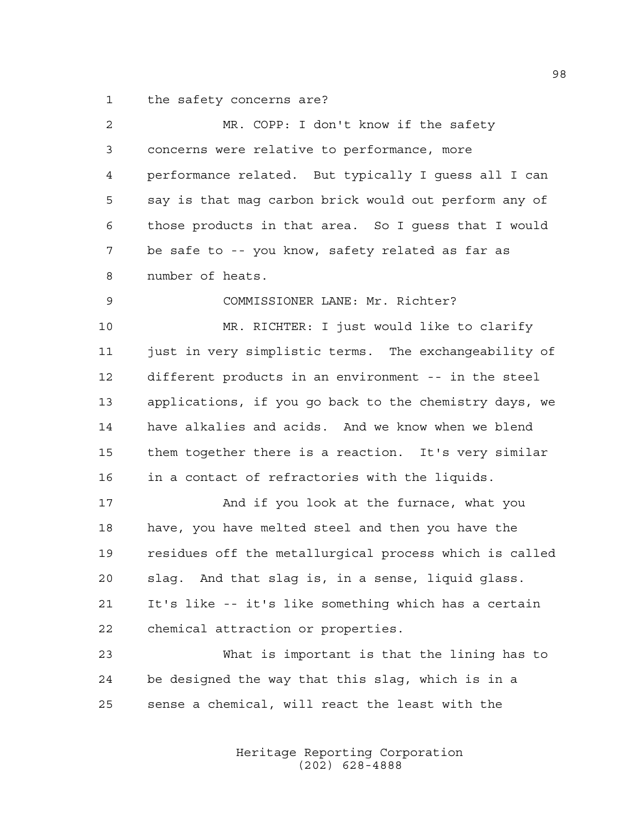the safety concerns are?

| 2  | MR. COPP: I don't know if the safety                   |
|----|--------------------------------------------------------|
| 3  | concerns were relative to performance, more            |
| 4  | performance related. But typically I guess all I can   |
| 5  | say is that mag carbon brick would out perform any of  |
| 6  | those products in that area. So I quess that I would   |
| 7  | be safe to -- you know, safety related as far as       |
| 8  | number of heats.                                       |
| 9  | COMMISSIONER LANE: Mr. Richter?                        |
| 10 | MR. RICHTER: I just would like to clarify              |
| 11 | just in very simplistic terms. The exchangeability of  |
| 12 | different products in an environment -- in the steel   |
| 13 | applications, if you go back to the chemistry days, we |
| 14 | have alkalies and acids. And we know when we blend     |
| 15 | them together there is a reaction. It's very similar   |
| 16 | in a contact of refractories with the liquids.         |
| 17 | And if you look at the furnace, what you               |
| 18 | have, you have melted steel and then you have the      |
| 19 | residues off the metallurgical process which is called |
| 20 | slag. And that slag is, in a sense, liquid glass.      |
| 21 | It's like -- it's like something which has a certain   |
| 22 | chemical attraction or properties.                     |
| 23 | What is important is that the lining has to            |
| 24 | be designed the way that this slag, which is in a      |
| 25 | sense a chemical, will react the least with the        |
|    |                                                        |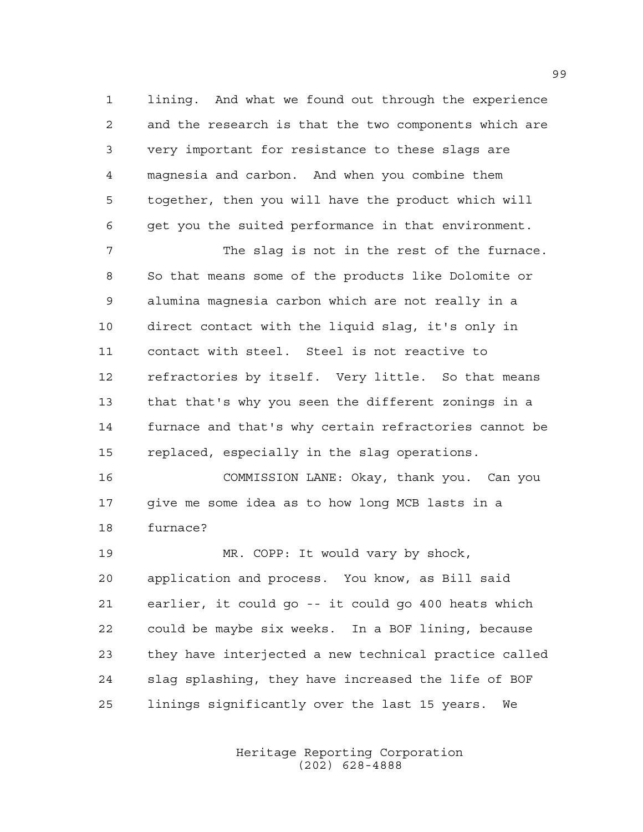lining. And what we found out through the experience and the research is that the two components which are very important for resistance to these slags are magnesia and carbon. And when you combine them together, then you will have the product which will get you the suited performance in that environment.

 The slag is not in the rest of the furnace. So that means some of the products like Dolomite or alumina magnesia carbon which are not really in a direct contact with the liquid slag, it's only in contact with steel. Steel is not reactive to refractories by itself. Very little. So that means that that's why you seen the different zonings in a furnace and that's why certain refractories cannot be replaced, especially in the slag operations.

 COMMISSION LANE: Okay, thank you. Can you give me some idea as to how long MCB lasts in a furnace?

 MR. COPP: It would vary by shock, application and process. You know, as Bill said earlier, it could go -- it could go 400 heats which could be maybe six weeks. In a BOF lining, because they have interjected a new technical practice called slag splashing, they have increased the life of BOF linings significantly over the last 15 years. We

> Heritage Reporting Corporation (202) 628-4888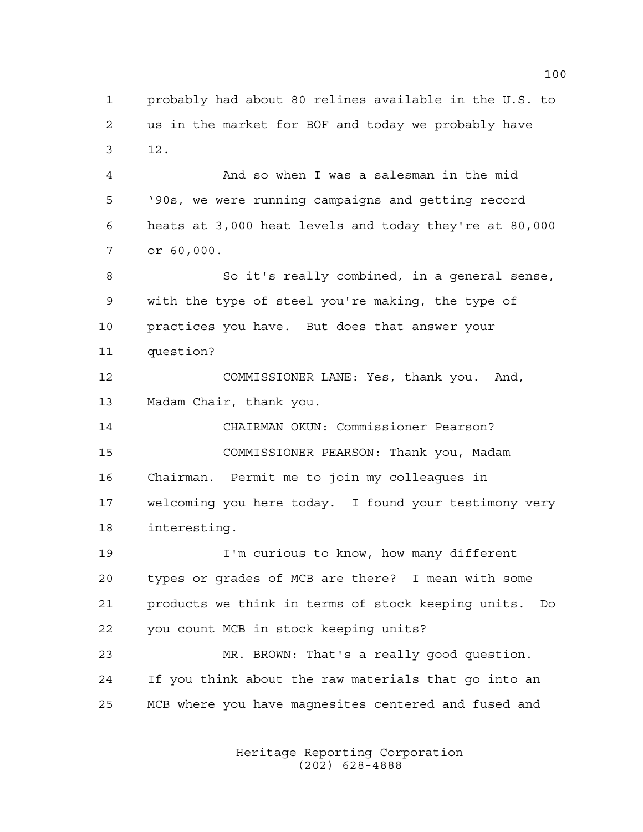probably had about 80 relines available in the U.S. to us in the market for BOF and today we probably have 12.

 And so when I was a salesman in the mid '90s, we were running campaigns and getting record heats at 3,000 heat levels and today they're at 80,000 or 60,000.

 So it's really combined, in a general sense, with the type of steel you're making, the type of practices you have. But does that answer your question?

 COMMISSIONER LANE: Yes, thank you. And, Madam Chair, thank you.

 CHAIRMAN OKUN: Commissioner Pearson? COMMISSIONER PEARSON: Thank you, Madam Chairman. Permit me to join my colleagues in welcoming you here today. I found your testimony very interesting.

 I'm curious to know, how many different types or grades of MCB are there? I mean with some products we think in terms of stock keeping units. Do you count MCB in stock keeping units?

 MR. BROWN: That's a really good question. If you think about the raw materials that go into an MCB where you have magnesites centered and fused and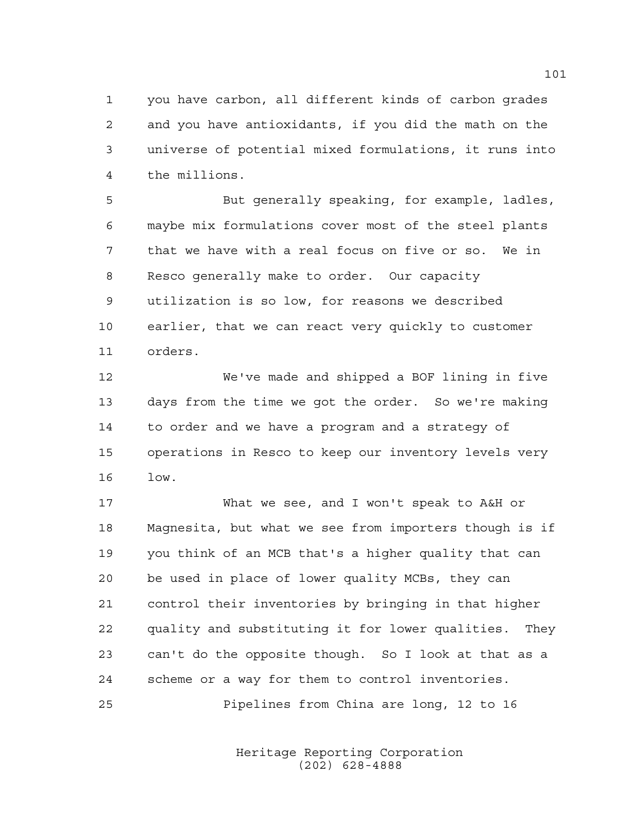you have carbon, all different kinds of carbon grades and you have antioxidants, if you did the math on the universe of potential mixed formulations, it runs into the millions.

 But generally speaking, for example, ladles, maybe mix formulations cover most of the steel plants that we have with a real focus on five or so. We in Resco generally make to order. Our capacity utilization is so low, for reasons we described earlier, that we can react very quickly to customer orders.

 We've made and shipped a BOF lining in five days from the time we got the order. So we're making to order and we have a program and a strategy of operations in Resco to keep our inventory levels very low.

 What we see, and I won't speak to A&H or Magnesita, but what we see from importers though is if you think of an MCB that's a higher quality that can be used in place of lower quality MCBs, they can control their inventories by bringing in that higher quality and substituting it for lower qualities. They can't do the opposite though. So I look at that as a scheme or a way for them to control inventories.

Pipelines from China are long, 12 to 16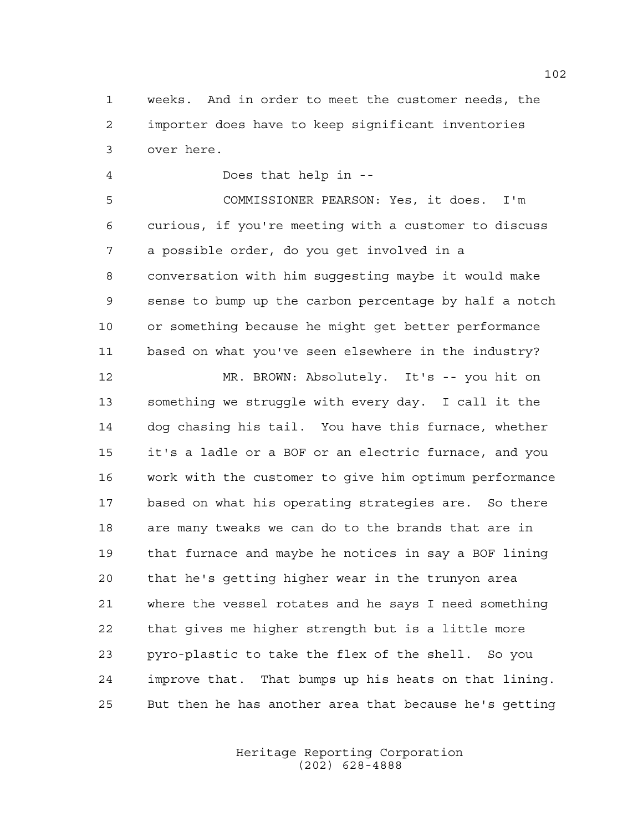weeks. And in order to meet the customer needs, the importer does have to keep significant inventories over here.

Does that help in --

 COMMISSIONER PEARSON: Yes, it does. I'm curious, if you're meeting with a customer to discuss a possible order, do you get involved in a conversation with him suggesting maybe it would make sense to bump up the carbon percentage by half a notch or something because he might get better performance based on what you've seen elsewhere in the industry?

 MR. BROWN: Absolutely. It's -- you hit on something we struggle with every day. I call it the dog chasing his tail. You have this furnace, whether it's a ladle or a BOF or an electric furnace, and you work with the customer to give him optimum performance based on what his operating strategies are. So there are many tweaks we can do to the brands that are in that furnace and maybe he notices in say a BOF lining that he's getting higher wear in the trunyon area where the vessel rotates and he says I need something that gives me higher strength but is a little more pyro-plastic to take the flex of the shell. So you improve that. That bumps up his heats on that lining. But then he has another area that because he's getting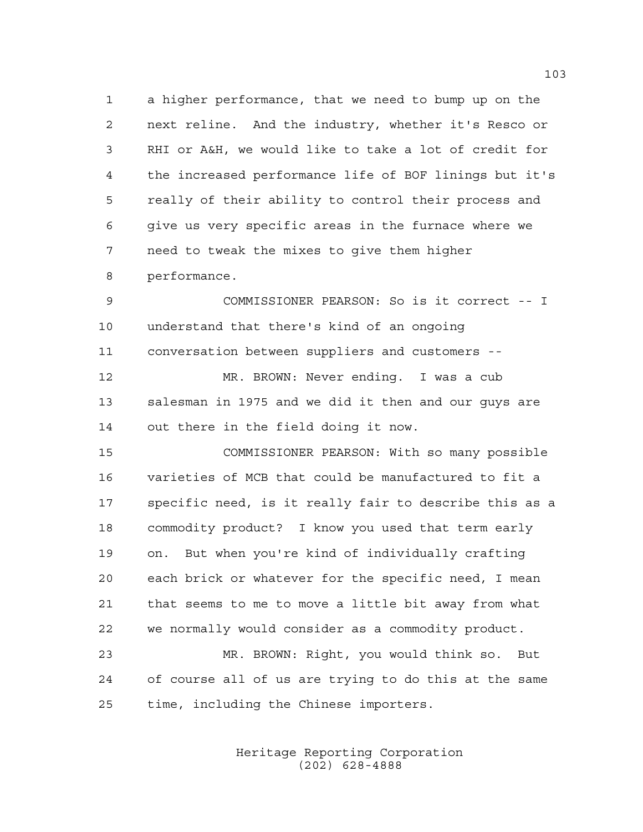a higher performance, that we need to bump up on the next reline. And the industry, whether it's Resco or RHI or A&H, we would like to take a lot of credit for the increased performance life of BOF linings but it's really of their ability to control their process and give us very specific areas in the furnace where we need to tweak the mixes to give them higher

performance.

 COMMISSIONER PEARSON: So is it correct -- I understand that there's kind of an ongoing conversation between suppliers and customers --

 MR. BROWN: Never ending. I was a cub salesman in 1975 and we did it then and our guys are out there in the field doing it now.

 COMMISSIONER PEARSON: With so many possible varieties of MCB that could be manufactured to fit a specific need, is it really fair to describe this as a commodity product? I know you used that term early on. But when you're kind of individually crafting each brick or whatever for the specific need, I mean that seems to me to move a little bit away from what we normally would consider as a commodity product.

 MR. BROWN: Right, you would think so. But of course all of us are trying to do this at the same time, including the Chinese importers.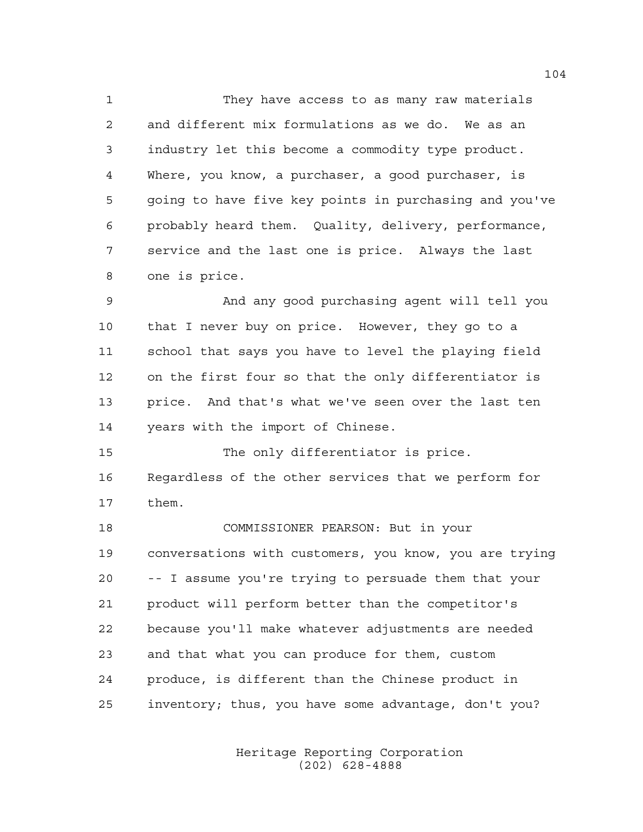They have access to as many raw materials and different mix formulations as we do. We as an industry let this become a commodity type product. Where, you know, a purchaser, a good purchaser, is going to have five key points in purchasing and you've probably heard them. Quality, delivery, performance, service and the last one is price. Always the last one is price.

 And any good purchasing agent will tell you that I never buy on price. However, they go to a school that says you have to level the playing field on the first four so that the only differentiator is price. And that's what we've seen over the last ten years with the import of Chinese.

15 The only differentiator is price. Regardless of the other services that we perform for them.

 COMMISSIONER PEARSON: But in your conversations with customers, you know, you are trying -- I assume you're trying to persuade them that your product will perform better than the competitor's because you'll make whatever adjustments are needed and that what you can produce for them, custom produce, is different than the Chinese product in inventory; thus, you have some advantage, don't you?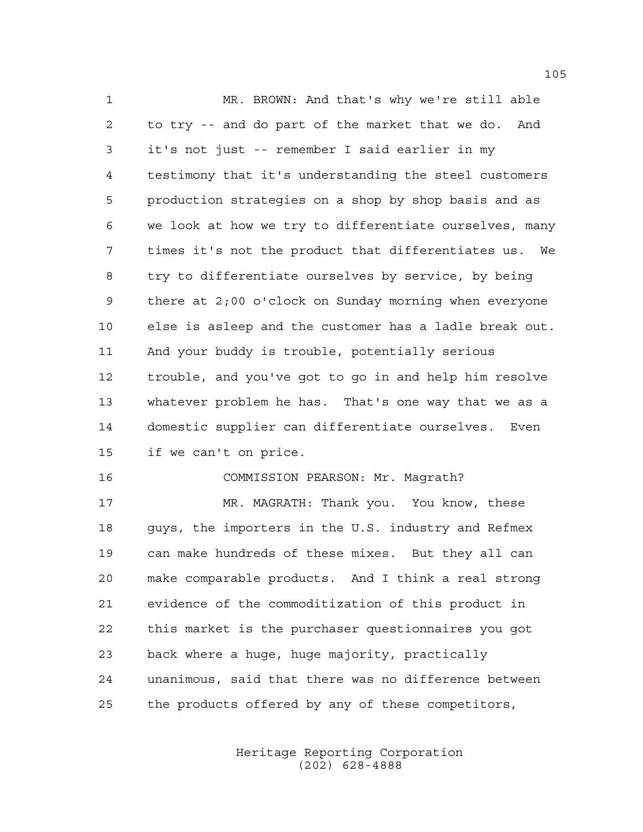MR. BROWN: And that's why we're still able to try -- and do part of the market that we do. And it's not just -- remember I said earlier in my testimony that it's understanding the steel customers production strategies on a shop by shop basis and as we look at how we try to differentiate ourselves, many times it's not the product that differentiates us. We try to differentiate ourselves by service, by being there at 2;00 o'clock on Sunday morning when everyone else is asleep and the customer has a ladle break out. And your buddy is trouble, potentially serious trouble, and you've got to go in and help him resolve whatever problem he has. That's one way that we as a domestic supplier can differentiate ourselves. Even if we can't on price.

## COMMISSION PEARSON: Mr. Magrath?

 MR. MAGRATH: Thank you. You know, these guys, the importers in the U.S. industry and Refmex can make hundreds of these mixes. But they all can make comparable products. And I think a real strong evidence of the commoditization of this product in this market is the purchaser questionnaires you got back where a huge, huge majority, practically unanimous, said that there was no difference between the products offered by any of these competitors,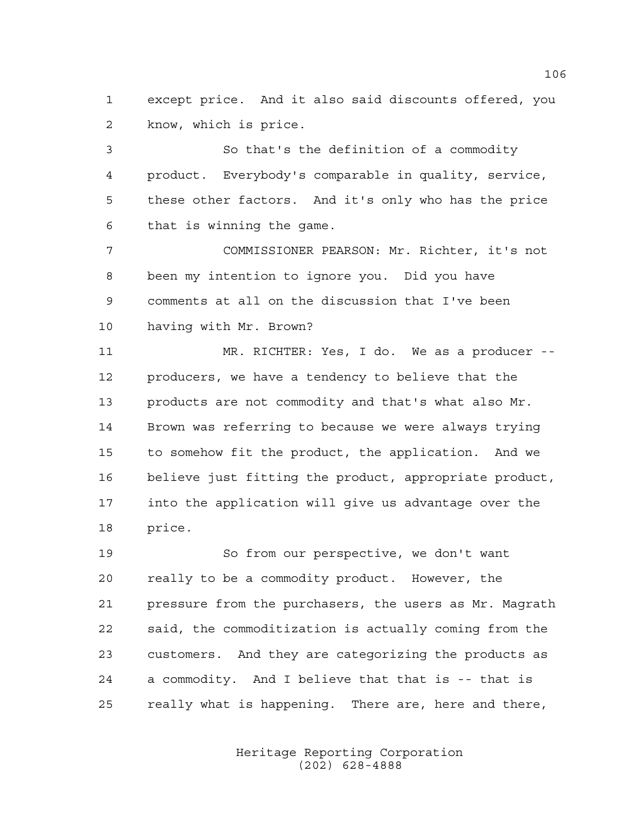except price. And it also said discounts offered, you know, which is price.

 So that's the definition of a commodity product. Everybody's comparable in quality, service, these other factors. And it's only who has the price that is winning the game.

 COMMISSIONER PEARSON: Mr. Richter, it's not been my intention to ignore you. Did you have comments at all on the discussion that I've been having with Mr. Brown?

 MR. RICHTER: Yes, I do. We as a producer -- producers, we have a tendency to believe that the products are not commodity and that's what also Mr. Brown was referring to because we were always trying to somehow fit the product, the application. And we believe just fitting the product, appropriate product, into the application will give us advantage over the price.

 So from our perspective, we don't want really to be a commodity product. However, the pressure from the purchasers, the users as Mr. Magrath said, the commoditization is actually coming from the customers. And they are categorizing the products as a commodity. And I believe that that is -- that is really what is happening. There are, here and there,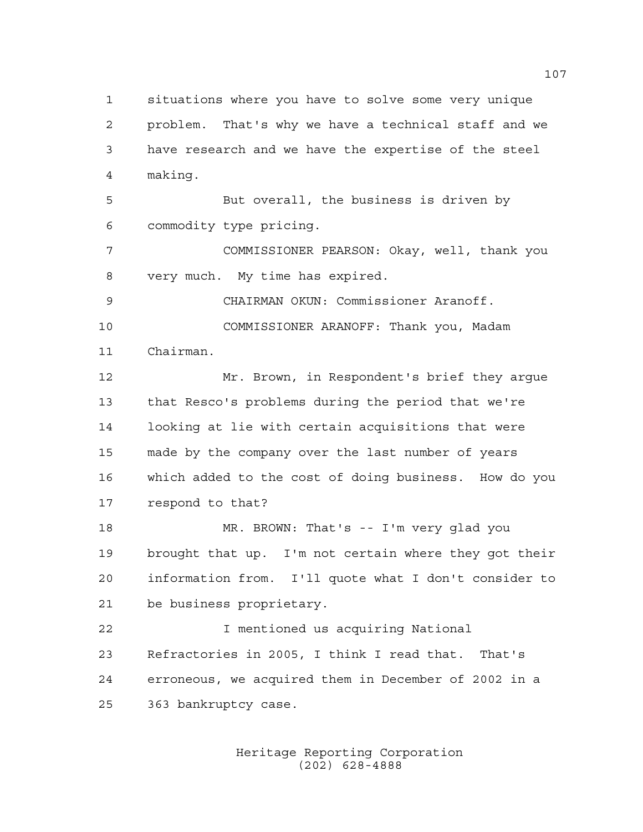situations where you have to solve some very unique problem. That's why we have a technical staff and we have research and we have the expertise of the steel making. But overall, the business is driven by commodity type pricing. COMMISSIONER PEARSON: Okay, well, thank you very much. My time has expired. CHAIRMAN OKUN: Commissioner Aranoff. COMMISSIONER ARANOFF: Thank you, Madam Chairman. Mr. Brown, in Respondent's brief they argue that Resco's problems during the period that we're looking at lie with certain acquisitions that were made by the company over the last number of years which added to the cost of doing business. How do you respond to that? MR. BROWN: That's -- I'm very glad you brought that up. I'm not certain where they got their information from. I'll quote what I don't consider to be business proprietary. I mentioned us acquiring National Refractories in 2005, I think I read that. That's erroneous, we acquired them in December of 2002 in a 363 bankruptcy case.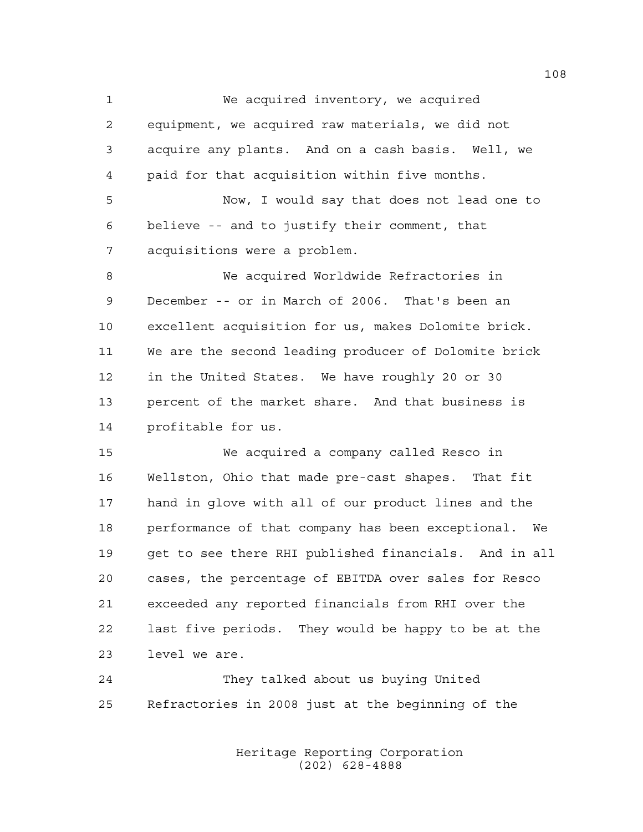We acquired inventory, we acquired equipment, we acquired raw materials, we did not acquire any plants. And on a cash basis. Well, we paid for that acquisition within five months. Now, I would say that does not lead one to believe -- and to justify their comment, that acquisitions were a problem. We acquired Worldwide Refractories in December -- or in March of 2006. That's been an excellent acquisition for us, makes Dolomite brick. We are the second leading producer of Dolomite brick in the United States. We have roughly 20 or 30 percent of the market share. And that business is profitable for us.

 We acquired a company called Resco in Wellston, Ohio that made pre-cast shapes. That fit hand in glove with all of our product lines and the performance of that company has been exceptional. We get to see there RHI published financials. And in all cases, the percentage of EBITDA over sales for Resco exceeded any reported financials from RHI over the last five periods. They would be happy to be at the level we are.

 They talked about us buying United Refractories in 2008 just at the beginning of the

> Heritage Reporting Corporation (202) 628-4888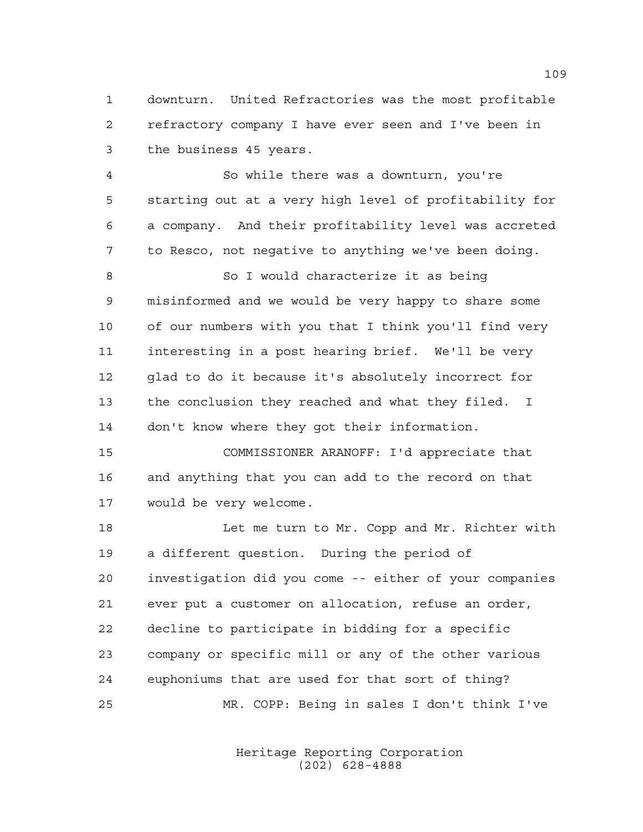downturn. United Refractories was the most profitable refractory company I have ever seen and I've been in the business 45 years.

 So while there was a downturn, you're starting out at a very high level of profitability for a company. And their profitability level was accreted to Resco, not negative to anything we've been doing.

8 So I would characterize it as being misinformed and we would be very happy to share some of our numbers with you that I think you'll find very interesting in a post hearing brief. We'll be very glad to do it because it's absolutely incorrect for the conclusion they reached and what they filed. I don't know where they got their information.

 COMMISSIONER ARANOFF: I'd appreciate that and anything that you can add to the record on that would be very welcome.

 Let me turn to Mr. Copp and Mr. Richter with a different question. During the period of investigation did you come -- either of your companies ever put a customer on allocation, refuse an order, decline to participate in bidding for a specific company or specific mill or any of the other various euphoniums that are used for that sort of thing? MR. COPP: Being in sales I don't think I've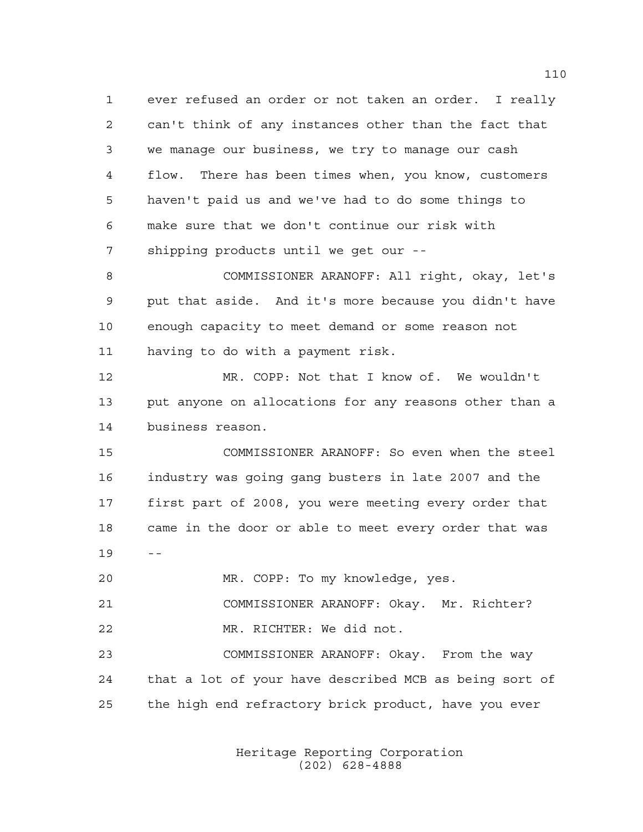ever refused an order or not taken an order. I really can't think of any instances other than the fact that we manage our business, we try to manage our cash flow. There has been times when, you know, customers haven't paid us and we've had to do some things to make sure that we don't continue our risk with shipping products until we get our --

 COMMISSIONER ARANOFF: All right, okay, let's put that aside. And it's more because you didn't have enough capacity to meet demand or some reason not having to do with a payment risk.

 MR. COPP: Not that I know of. We wouldn't put anyone on allocations for any reasons other than a business reason.

 COMMISSIONER ARANOFF: So even when the steel industry was going gang busters in late 2007 and the first part of 2008, you were meeting every order that came in the door or able to meet every order that was --

MR. COPP: To my knowledge, yes.

COMMISSIONER ARANOFF: Okay. Mr. Richter?

MR. RICHTER: We did not.

 COMMISSIONER ARANOFF: Okay. From the way that a lot of your have described MCB as being sort of the high end refractory brick product, have you ever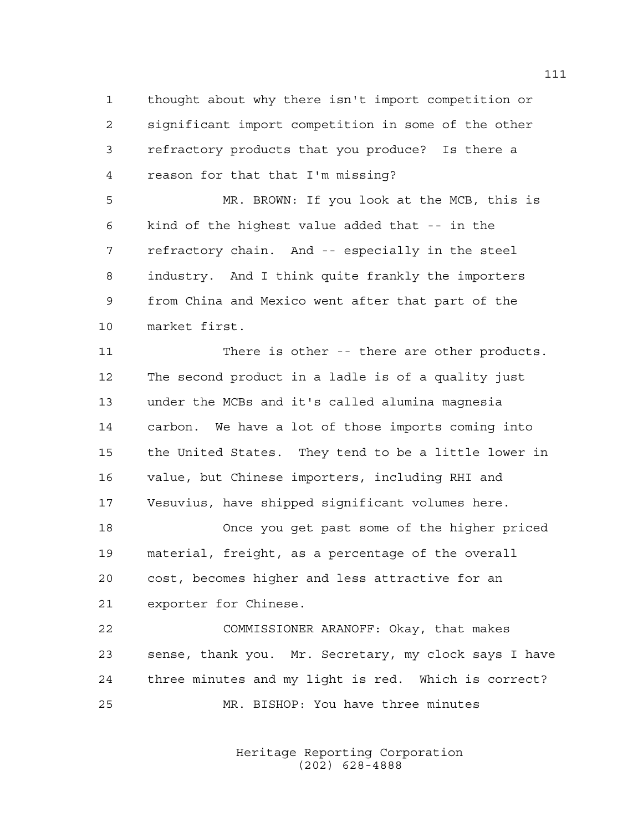thought about why there isn't import competition or significant import competition in some of the other refractory products that you produce? Is there a reason for that that I'm missing?

 MR. BROWN: If you look at the MCB, this is kind of the highest value added that -- in the refractory chain. And -- especially in the steel industry. And I think quite frankly the importers from China and Mexico went after that part of the market first.

 There is other -- there are other products. The second product in a ladle is of a quality just under the MCBs and it's called alumina magnesia carbon. We have a lot of those imports coming into the United States. They tend to be a little lower in value, but Chinese importers, including RHI and Vesuvius, have shipped significant volumes here.

 Once you get past some of the higher priced material, freight, as a percentage of the overall cost, becomes higher and less attractive for an exporter for Chinese.

 COMMISSIONER ARANOFF: Okay, that makes sense, thank you. Mr. Secretary, my clock says I have three minutes and my light is red. Which is correct? MR. BISHOP: You have three minutes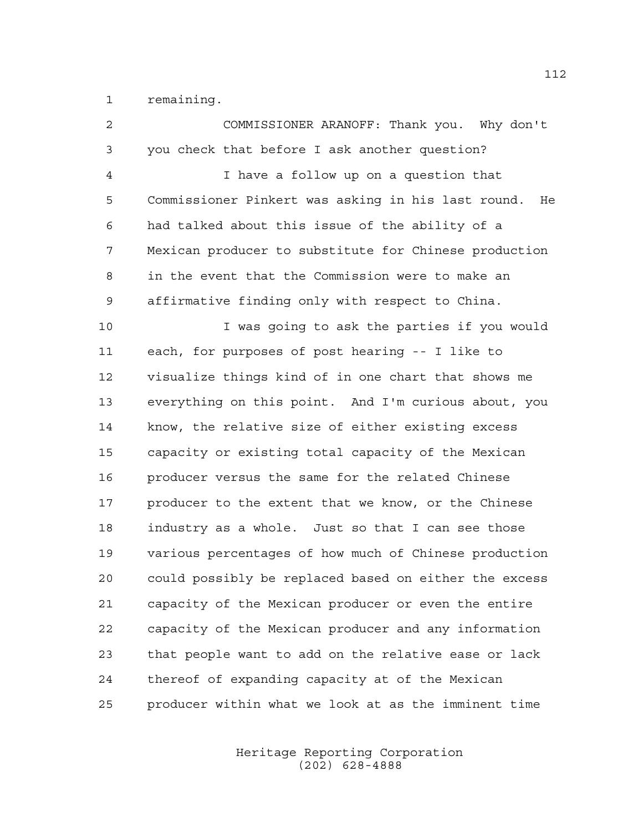remaining.

| $\overline{2}$ | COMMISSIONER ARANOFF: Thank you. Why don't               |
|----------------|----------------------------------------------------------|
| 3              | you check that before I ask another question?            |
| 4              | I have a follow up on a question that                    |
| 5              | Commissioner Pinkert was asking in his last round.<br>He |
| 6              | had talked about this issue of the ability of a          |
| 7              | Mexican producer to substitute for Chinese production    |
| 8              | in the event that the Commission were to make an         |
| 9              | affirmative finding only with respect to China.          |
| 10             | I was going to ask the parties if you would              |
| 11             | each, for purposes of post hearing -- I like to          |
| 12             | visualize things kind of in one chart that shows me      |
| 13             | everything on this point. And I'm curious about, you     |
| 14             | know, the relative size of either existing excess        |
| 15             | capacity or existing total capacity of the Mexican       |
| 16             | producer versus the same for the related Chinese         |
| 17             | producer to the extent that we know, or the Chinese      |
| 18             | industry as a whole. Just so that I can see those        |
| 19             | various percentages of how much of Chinese production    |
| 20             | could possibly be replaced based on either the excess    |
| 21             | capacity of the Mexican producer or even the entire      |
| 22             | capacity of the Mexican producer and any information     |
| 23             | that people want to add on the relative ease or lack     |
| 24             | thereof of expanding capacity at of the Mexican          |
| 25             | producer within what we look at as the imminent time     |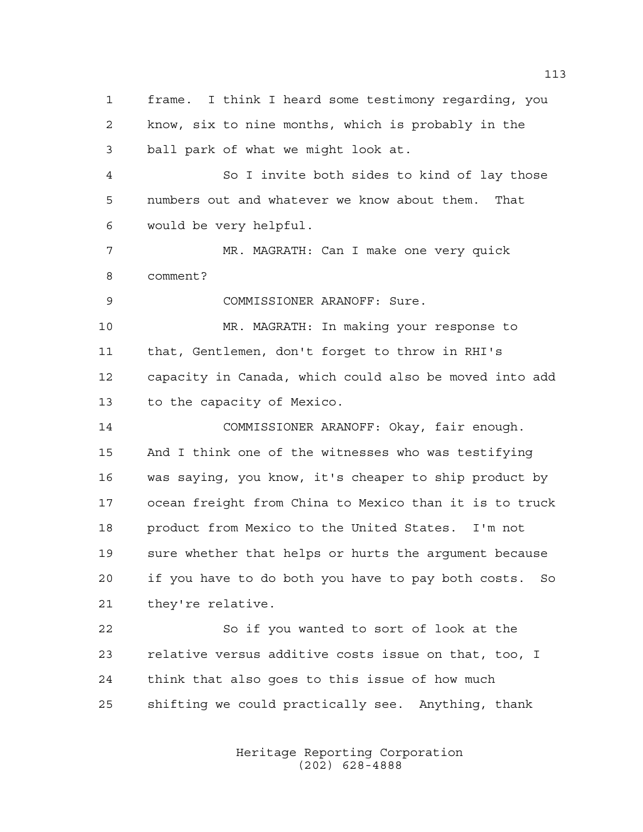frame. I think I heard some testimony regarding, you know, six to nine months, which is probably in the ball park of what we might look at. So I invite both sides to kind of lay those numbers out and whatever we know about them. That would be very helpful. MR. MAGRATH: Can I make one very quick comment? COMMISSIONER ARANOFF: Sure. MR. MAGRATH: In making your response to that, Gentlemen, don't forget to throw in RHI's capacity in Canada, which could also be moved into add to the capacity of Mexico. COMMISSIONER ARANOFF: Okay, fair enough. And I think one of the witnesses who was testifying was saying, you know, it's cheaper to ship product by ocean freight from China to Mexico than it is to truck product from Mexico to the United States. I'm not sure whether that helps or hurts the argument because if you have to do both you have to pay both costs. So they're relative. So if you wanted to sort of look at the relative versus additive costs issue on that, too, I think that also goes to this issue of how much shifting we could practically see. Anything, thank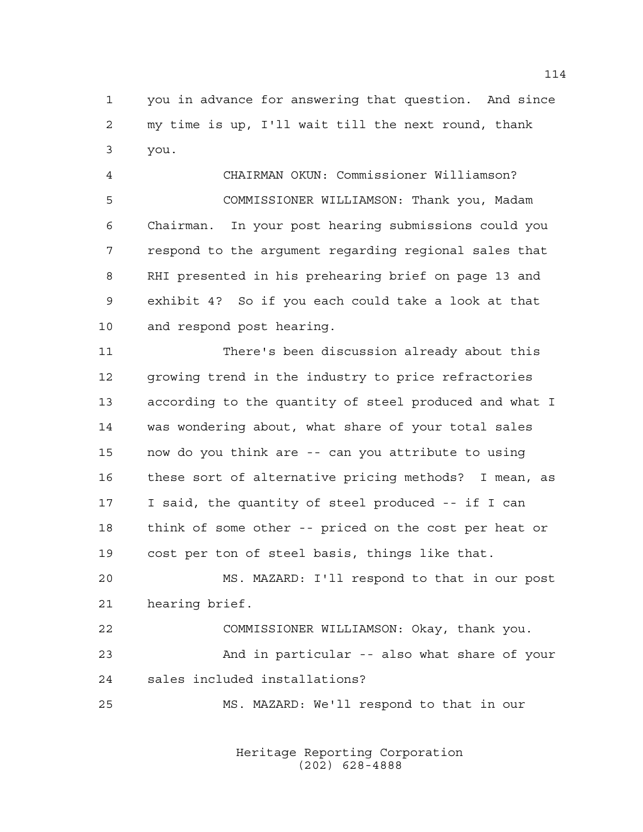you in advance for answering that question. And since my time is up, I'll wait till the next round, thank you.

 CHAIRMAN OKUN: Commissioner Williamson? COMMISSIONER WILLIAMSON: Thank you, Madam Chairman. In your post hearing submissions could you respond to the argument regarding regional sales that RHI presented in his prehearing brief on page 13 and exhibit 4? So if you each could take a look at that and respond post hearing.

 There's been discussion already about this growing trend in the industry to price refractories according to the quantity of steel produced and what I was wondering about, what share of your total sales now do you think are -- can you attribute to using these sort of alternative pricing methods? I mean, as I said, the quantity of steel produced -- if I can think of some other -- priced on the cost per heat or cost per ton of steel basis, things like that.

 MS. MAZARD: I'll respond to that in our post hearing brief.

 COMMISSIONER WILLIAMSON: Okay, thank you. And in particular -- also what share of your sales included installations?

MS. MAZARD: We'll respond to that in our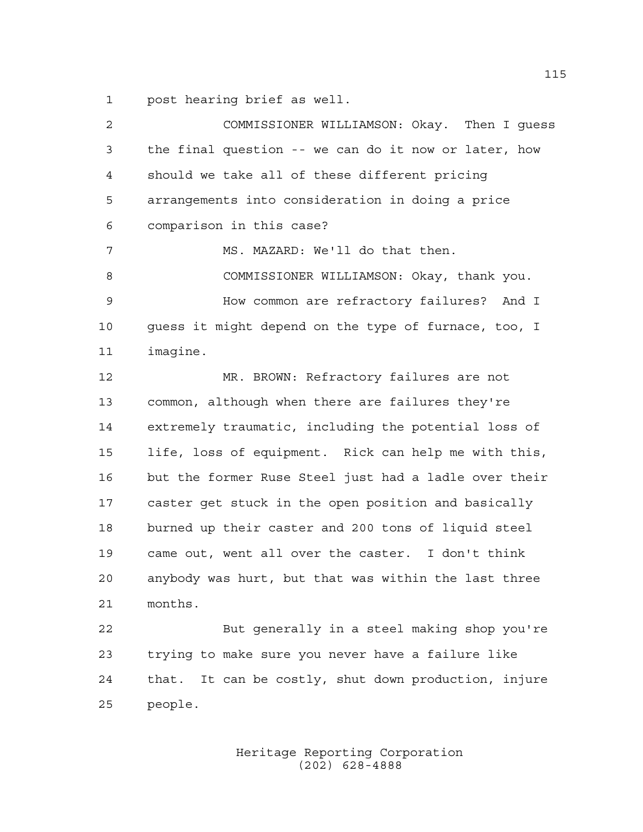post hearing brief as well.

| $\overline{a}$ | COMMISSIONER WILLIAMSON: Okay. Then I quess             |
|----------------|---------------------------------------------------------|
| 3              | the final question -- we can do it now or later, how    |
| 4              | should we take all of these different pricing           |
| 5              | arrangements into consideration in doing a price        |
| 6              | comparison in this case?                                |
| 7              | MS. MAZARD: We'll do that then.                         |
| 8              | COMMISSIONER WILLIAMSON: Okay, thank you.               |
| 9              | How common are refractory failures? And I               |
| 10             | guess it might depend on the type of furnace, too, I    |
| 11             | imagine.                                                |
| 12             | MR. BROWN: Refractory failures are not                  |
| 13             | common, although when there are failures they're        |
| 14             | extremely traumatic, including the potential loss of    |
| 15             | life, loss of equipment. Rick can help me with this,    |
| 16             | but the former Ruse Steel just had a ladle over their   |
| 17             | caster get stuck in the open position and basically     |
| 18             | burned up their caster and 200 tons of liquid steel     |
| 19             | came out, went all over the caster. I don't think       |
| 20             | anybody was hurt, but that was within the last three    |
| 21             | months.                                                 |
| 22             | But generally in a steel making shop you're             |
| 23             | trying to make sure you never have a failure like       |
| 24             | It can be costly, shut down production, injure<br>that. |
| 25             | people.                                                 |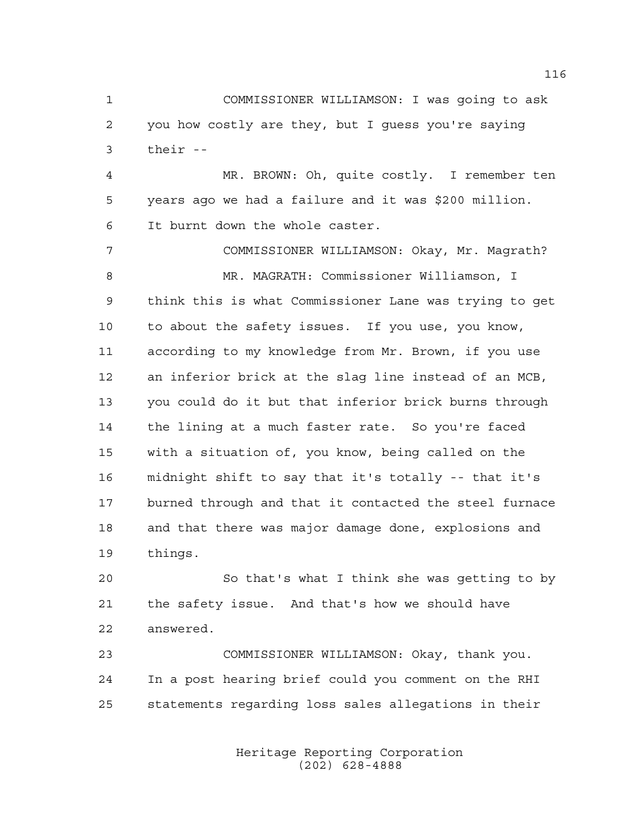COMMISSIONER WILLIAMSON: I was going to ask you how costly are they, but I guess you're saying their --

 MR. BROWN: Oh, quite costly. I remember ten years ago we had a failure and it was \$200 million. It burnt down the whole caster.

 COMMISSIONER WILLIAMSON: Okay, Mr. Magrath? MR. MAGRATH: Commissioner Williamson, I think this is what Commissioner Lane was trying to get to about the safety issues. If you use, you know, according to my knowledge from Mr. Brown, if you use an inferior brick at the slag line instead of an MCB, you could do it but that inferior brick burns through the lining at a much faster rate. So you're faced with a situation of, you know, being called on the midnight shift to say that it's totally -- that it's burned through and that it contacted the steel furnace and that there was major damage done, explosions and things.

 So that's what I think she was getting to by the safety issue. And that's how we should have answered.

 COMMISSIONER WILLIAMSON: Okay, thank you. In a post hearing brief could you comment on the RHI statements regarding loss sales allegations in their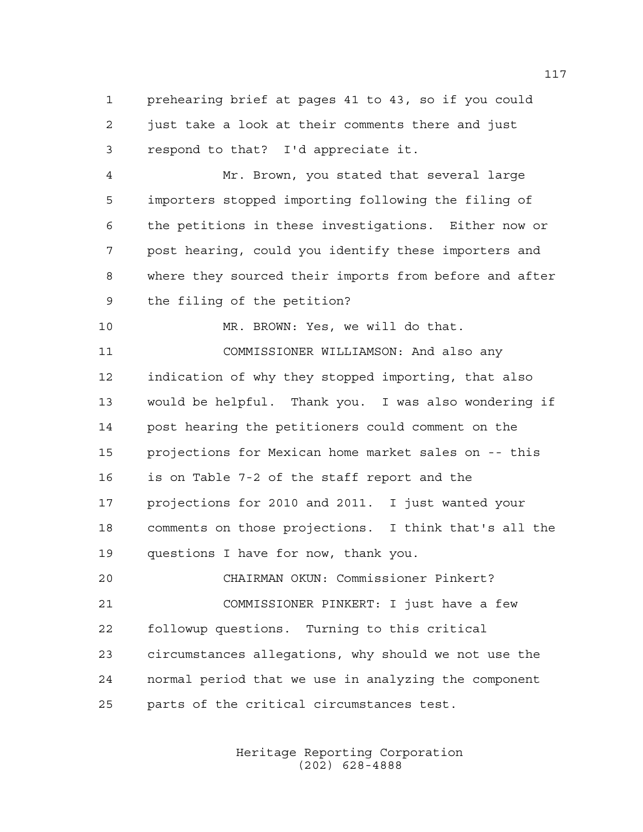prehearing brief at pages 41 to 43, so if you could just take a look at their comments there and just respond to that? I'd appreciate it.

 Mr. Brown, you stated that several large importers stopped importing following the filing of the petitions in these investigations. Either now or post hearing, could you identify these importers and where they sourced their imports from before and after the filing of the petition?

MR. BROWN: Yes, we will do that.

 COMMISSIONER WILLIAMSON: And also any indication of why they stopped importing, that also would be helpful. Thank you. I was also wondering if post hearing the petitioners could comment on the projections for Mexican home market sales on -- this is on Table 7-2 of the staff report and the projections for 2010 and 2011. I just wanted your comments on those projections. I think that's all the questions I have for now, thank you.

 CHAIRMAN OKUN: Commissioner Pinkert? COMMISSIONER PINKERT: I just have a few followup questions. Turning to this critical circumstances allegations, why should we not use the normal period that we use in analyzing the component parts of the critical circumstances test.

> Heritage Reporting Corporation (202) 628-4888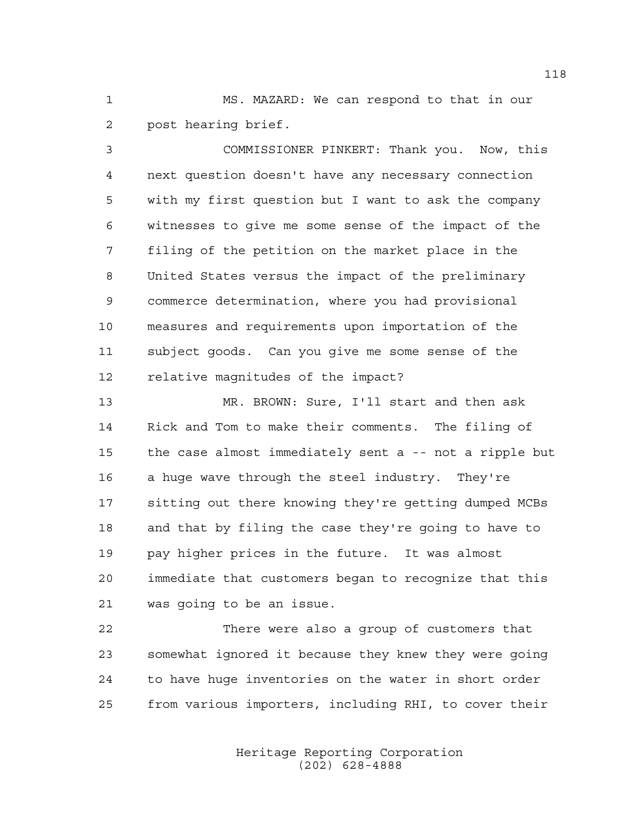MS. MAZARD: We can respond to that in our post hearing brief.

 COMMISSIONER PINKERT: Thank you. Now, this next question doesn't have any necessary connection with my first question but I want to ask the company witnesses to give me some sense of the impact of the filing of the petition on the market place in the United States versus the impact of the preliminary commerce determination, where you had provisional measures and requirements upon importation of the subject goods. Can you give me some sense of the relative magnitudes of the impact?

 MR. BROWN: Sure, I'll start and then ask Rick and Tom to make their comments. The filing of the case almost immediately sent a -- not a ripple but a huge wave through the steel industry. They're sitting out there knowing they're getting dumped MCBs and that by filing the case they're going to have to pay higher prices in the future. It was almost immediate that customers began to recognize that this was going to be an issue.

 There were also a group of customers that somewhat ignored it because they knew they were going to have huge inventories on the water in short order from various importers, including RHI, to cover their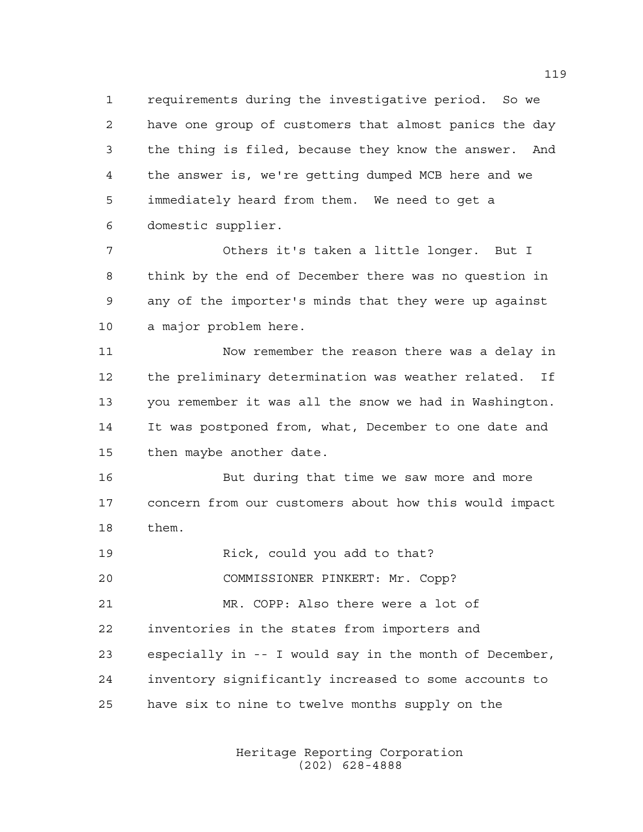requirements during the investigative period. So we have one group of customers that almost panics the day the thing is filed, because they know the answer. And the answer is, we're getting dumped MCB here and we immediately heard from them. We need to get a domestic supplier.

 Others it's taken a little longer. But I think by the end of December there was no question in any of the importer's minds that they were up against a major problem here.

 Now remember the reason there was a delay in the preliminary determination was weather related. If you remember it was all the snow we had in Washington. It was postponed from, what, December to one date and then maybe another date.

 But during that time we saw more and more concern from our customers about how this would impact them.

Rick, could you add to that?

COMMISSIONER PINKERT: Mr. Copp?

 MR. COPP: Also there were a lot of inventories in the states from importers and especially in -- I would say in the month of December, inventory significantly increased to some accounts to have six to nine to twelve months supply on the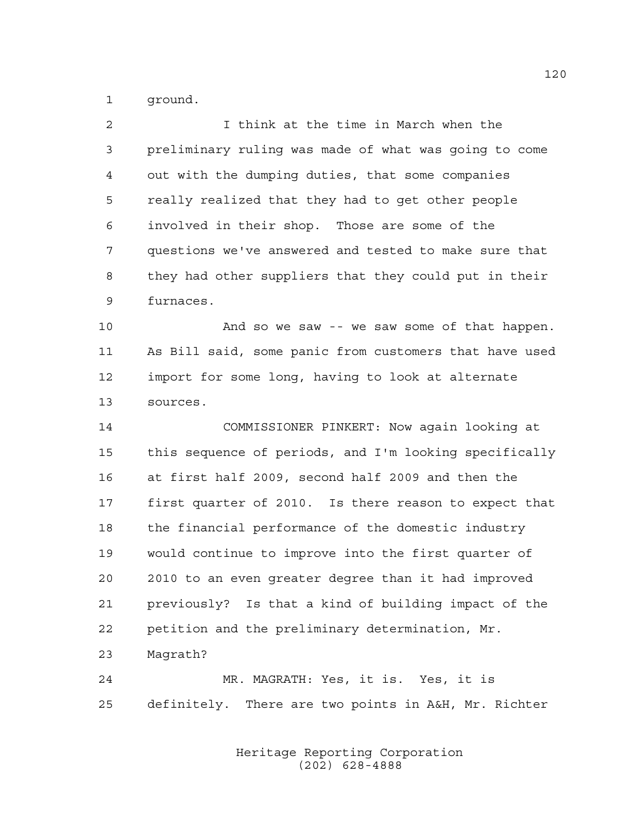ground.

| $\overline{2}$ | I think at the time in March when the                  |
|----------------|--------------------------------------------------------|
| 3              | preliminary ruling was made of what was going to come  |
| 4              | out with the dumping duties, that some companies       |
| 5              | really realized that they had to get other people      |
| 6              | involved in their shop. Those are some of the          |
| 7              | questions we've answered and tested to make sure that  |
| 8              | they had other suppliers that they could put in their  |
| 9              | furnaces.                                              |
| 10             | And so we saw -- we saw some of that happen.           |
| 11             | As Bill said, some panic from customers that have used |
| 12             | import for some long, having to look at alternate      |
| 13             | sources.                                               |
| 14             | COMMISSIONER PINKERT: Now again looking at             |
| 15             | this sequence of periods, and I'm looking specifically |
| 16             | at first half 2009, second half 2009 and then the      |
| 17             | first quarter of 2010. Is there reason to expect that  |
| 18             | the financial performance of the domestic industry     |
| 19             | would continue to improve into the first quarter of    |
| 20             | 2010 to an even greater degree than it had improved    |
| 21             | previously? Is that a kind of building impact of the   |
| 22             | petition and the preliminary determination, Mr.        |
| 23             | Magrath?                                               |
| 24             | MR. MAGRATH: Yes, it is. Yes, it is                    |
| 25             | definitely. There are two points in A&H, Mr. Richter   |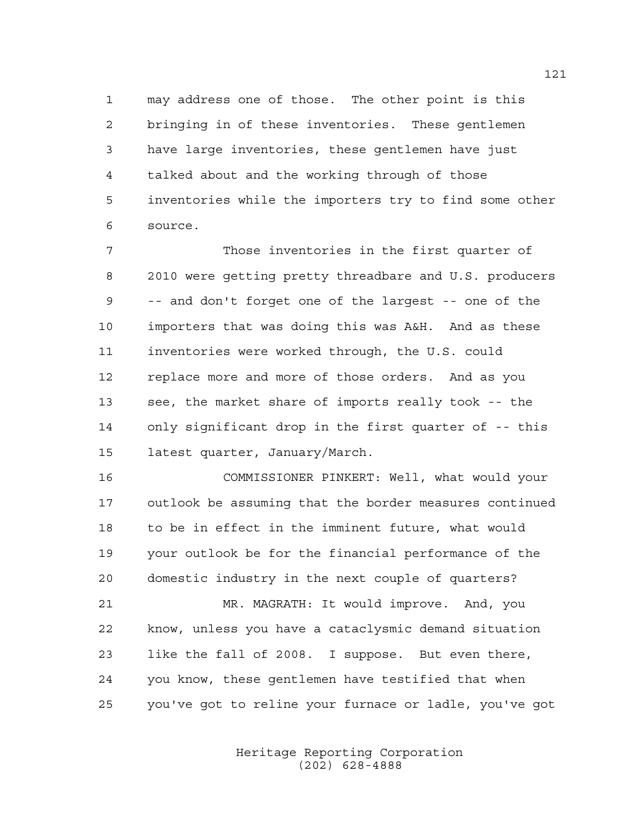may address one of those. The other point is this bringing in of these inventories. These gentlemen have large inventories, these gentlemen have just talked about and the working through of those inventories while the importers try to find some other source.

 Those inventories in the first quarter of 2010 were getting pretty threadbare and U.S. producers -- and don't forget one of the largest -- one of the importers that was doing this was A&H. And as these inventories were worked through, the U.S. could replace more and more of those orders. And as you see, the market share of imports really took -- the only significant drop in the first quarter of -- this latest quarter, January/March.

 COMMISSIONER PINKERT: Well, what would your outlook be assuming that the border measures continued to be in effect in the imminent future, what would your outlook be for the financial performance of the domestic industry in the next couple of quarters?

 MR. MAGRATH: It would improve. And, you know, unless you have a cataclysmic demand situation like the fall of 2008. I suppose. But even there, you know, these gentlemen have testified that when you've got to reline your furnace or ladle, you've got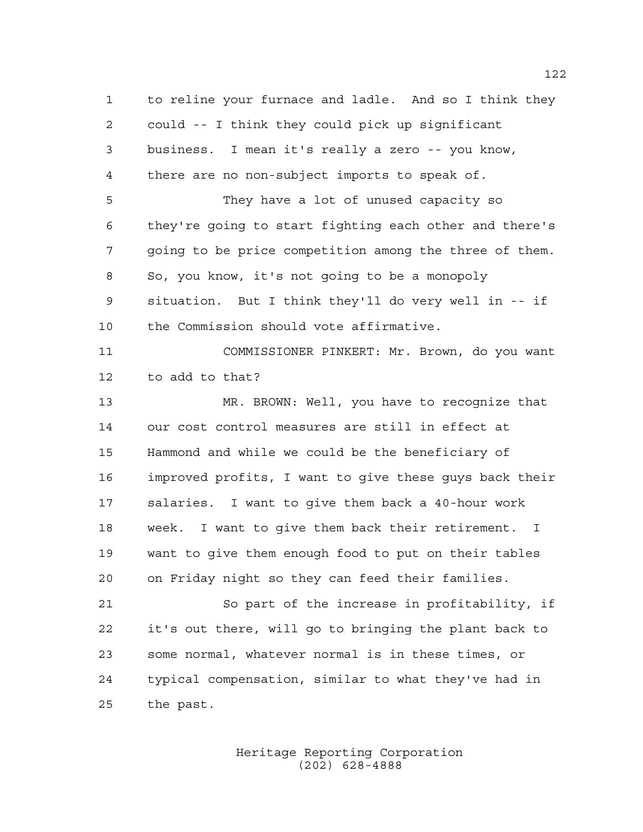to reline your furnace and ladle. And so I think they could -- I think they could pick up significant business. I mean it's really a zero -- you know, there are no non-subject imports to speak of. They have a lot of unused capacity so they're going to start fighting each other and there's going to be price competition among the three of them. So, you know, it's not going to be a monopoly situation. But I think they'll do very well in -- if the Commission should vote affirmative. COMMISSIONER PINKERT: Mr. Brown, do you want to add to that? MR. BROWN: Well, you have to recognize that our cost control measures are still in effect at Hammond and while we could be the beneficiary of improved profits, I want to give these guys back their salaries. I want to give them back a 40-hour work week. I want to give them back their retirement. I want to give them enough food to put on their tables on Friday night so they can feed their families. So part of the increase in profitability, if it's out there, will go to bringing the plant back to some normal, whatever normal is in these times, or typical compensation, similar to what they've had in the past.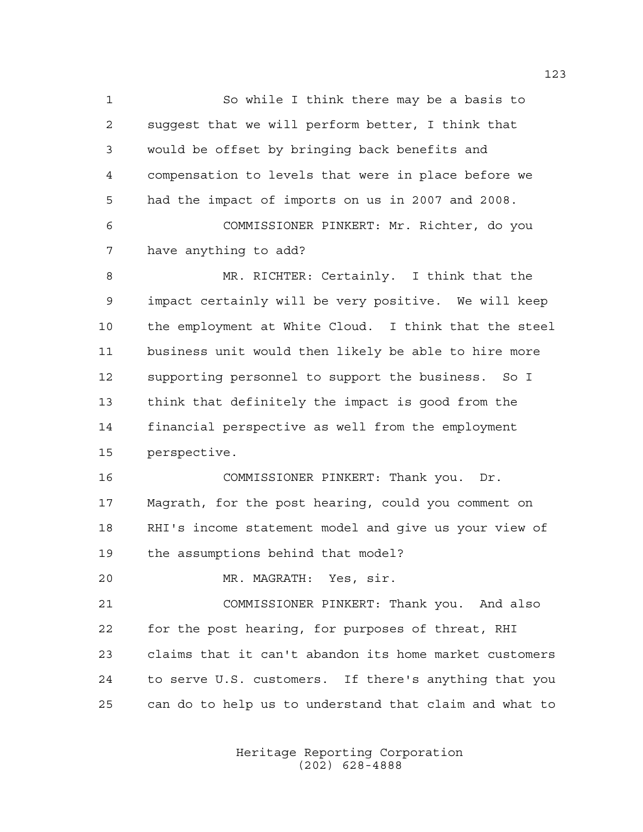So while I think there may be a basis to suggest that we will perform better, I think that would be offset by bringing back benefits and compensation to levels that were in place before we had the impact of imports on us in 2007 and 2008. COMMISSIONER PINKERT: Mr. Richter, do you have anything to add? MR. RICHTER: Certainly. I think that the impact certainly will be very positive. We will keep the employment at White Cloud. I think that the steel business unit would then likely be able to hire more supporting personnel to support the business. So I think that definitely the impact is good from the financial perspective as well from the employment perspective. COMMISSIONER PINKERT: Thank you. Dr. Magrath, for the post hearing, could you comment on RHI's income statement model and give us your view of the assumptions behind that model? MR. MAGRATH: Yes, sir. COMMISSIONER PINKERT: Thank you. And also for the post hearing, for purposes of threat, RHI claims that it can't abandon its home market customers

 to serve U.S. customers. If there's anything that you can do to help us to understand that claim and what to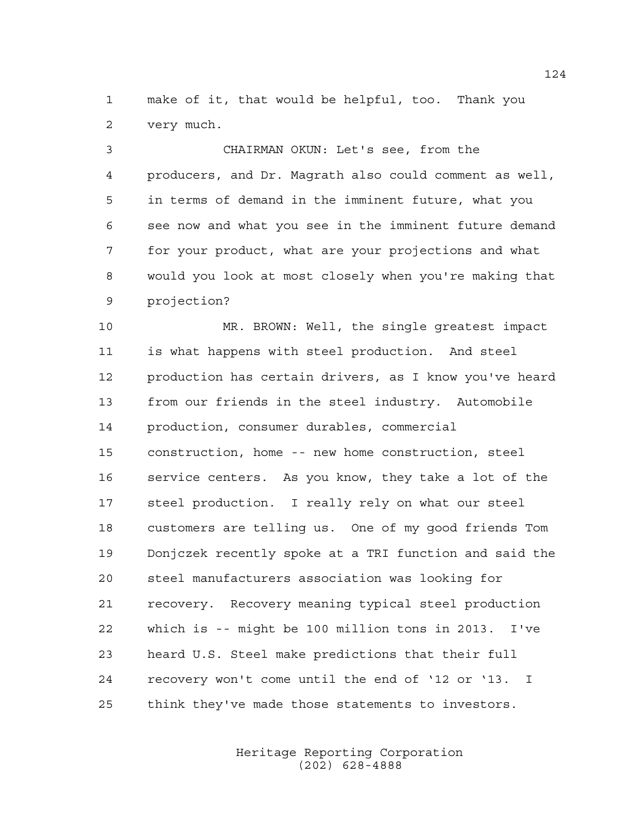make of it, that would be helpful, too. Thank you very much.

 CHAIRMAN OKUN: Let's see, from the producers, and Dr. Magrath also could comment as well, in terms of demand in the imminent future, what you see now and what you see in the imminent future demand for your product, what are your projections and what would you look at most closely when you're making that projection?

 MR. BROWN: Well, the single greatest impact is what happens with steel production. And steel production has certain drivers, as I know you've heard from our friends in the steel industry. Automobile production, consumer durables, commercial construction, home -- new home construction, steel service centers. As you know, they take a lot of the steel production. I really rely on what our steel customers are telling us. One of my good friends Tom Donjczek recently spoke at a TRI function and said the steel manufacturers association was looking for recovery. Recovery meaning typical steel production which is -- might be 100 million tons in 2013. I've heard U.S. Steel make predictions that their full recovery won't come until the end of '12 or '13. I think they've made those statements to investors.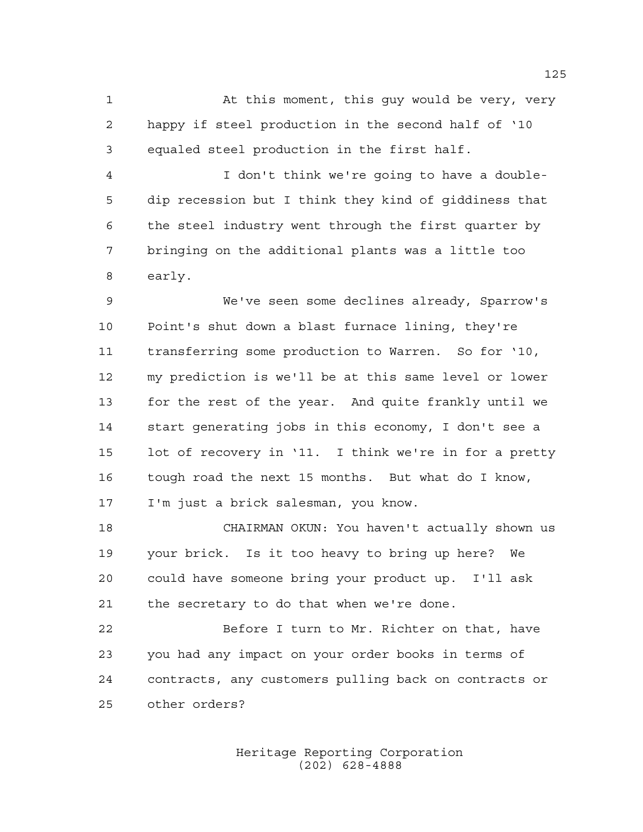1 At this moment, this guy would be very, very happy if steel production in the second half of '10 equaled steel production in the first half.

 I don't think we're going to have a double- dip recession but I think they kind of giddiness that the steel industry went through the first quarter by bringing on the additional plants was a little too early.

 We've seen some declines already, Sparrow's Point's shut down a blast furnace lining, they're transferring some production to Warren. So for '10, my prediction is we'll be at this same level or lower for the rest of the year. And quite frankly until we start generating jobs in this economy, I don't see a lot of recovery in '11. I think we're in for a pretty tough road the next 15 months. But what do I know, I'm just a brick salesman, you know.

 CHAIRMAN OKUN: You haven't actually shown us your brick. Is it too heavy to bring up here? We could have someone bring your product up. I'll ask the secretary to do that when we're done.

 Before I turn to Mr. Richter on that, have you had any impact on your order books in terms of contracts, any customers pulling back on contracts or other orders?

> Heritage Reporting Corporation (202) 628-4888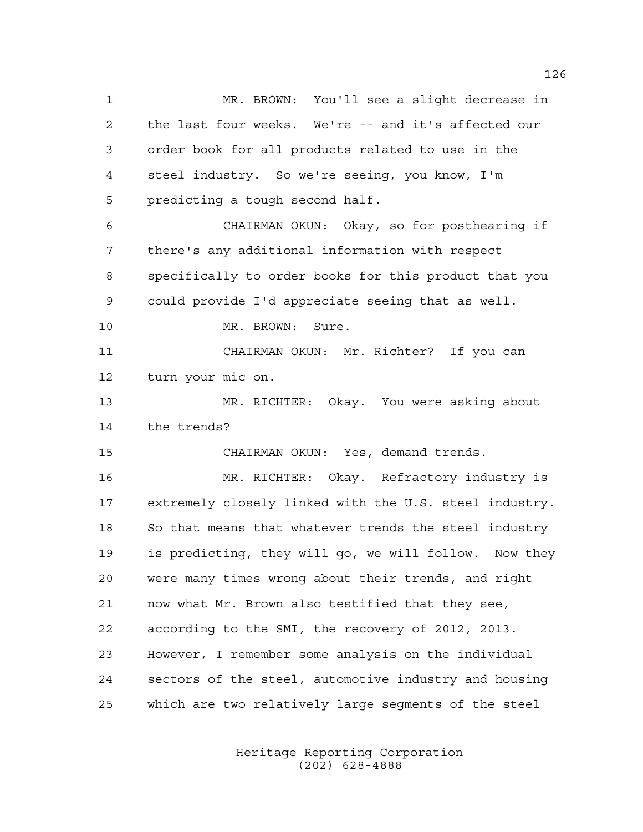MR. BROWN: You'll see a slight decrease in the last four weeks. We're -- and it's affected our order book for all products related to use in the steel industry. So we're seeing, you know, I'm predicting a tough second half. CHAIRMAN OKUN: Okay, so for posthearing if there's any additional information with respect specifically to order books for this product that you could provide I'd appreciate seeing that as well. 10 MR. BROWN: Sure. CHAIRMAN OKUN: Mr. Richter? If you can turn your mic on. MR. RICHTER: Okay. You were asking about the trends? CHAIRMAN OKUN: Yes, demand trends. MR. RICHTER: Okay. Refractory industry is extremely closely linked with the U.S. steel industry. So that means that whatever trends the steel industry is predicting, they will go, we will follow. Now they were many times wrong about their trends, and right now what Mr. Brown also testified that they see, according to the SMI, the recovery of 2012, 2013. However, I remember some analysis on the individual sectors of the steel, automotive industry and housing which are two relatively large segments of the steel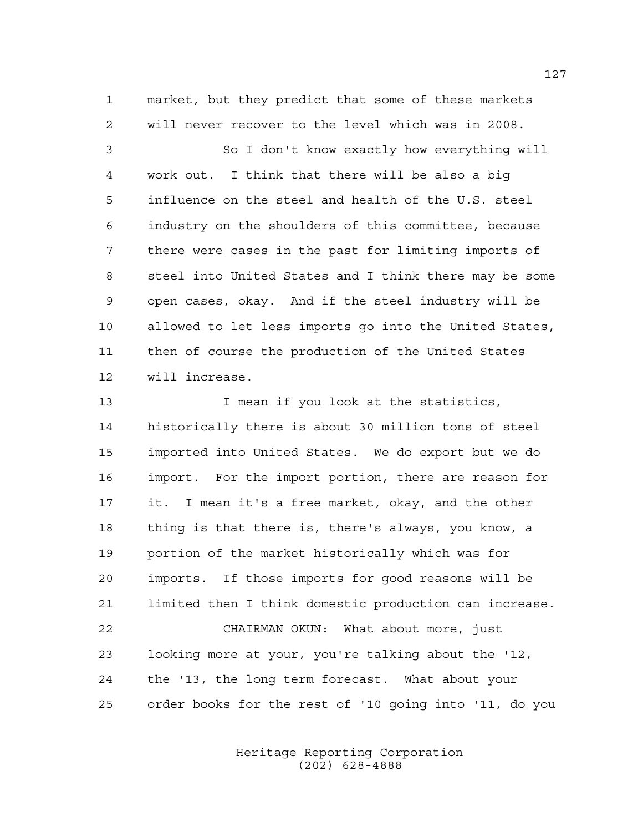market, but they predict that some of these markets will never recover to the level which was in 2008.

 So I don't know exactly how everything will work out. I think that there will be also a big influence on the steel and health of the U.S. steel industry on the shoulders of this committee, because there were cases in the past for limiting imports of steel into United States and I think there may be some open cases, okay. And if the steel industry will be allowed to let less imports go into the United States, then of course the production of the United States will increase.

13 13 I mean if you look at the statistics, historically there is about 30 million tons of steel imported into United States. We do export but we do import. For the import portion, there are reason for it. I mean it's a free market, okay, and the other thing is that there is, there's always, you know, a portion of the market historically which was for imports. If those imports for good reasons will be limited then I think domestic production can increase. CHAIRMAN OKUN: What about more, just looking more at your, you're talking about the '12, the '13, the long term forecast. What about your order books for the rest of '10 going into '11, do you

> Heritage Reporting Corporation (202) 628-4888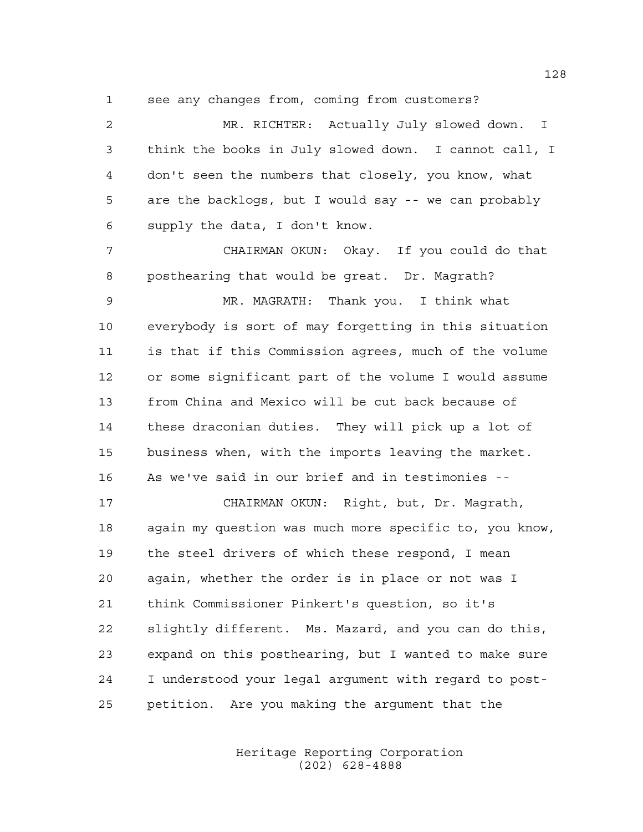see any changes from, coming from customers?

 MR. RICHTER: Actually July slowed down. I think the books in July slowed down. I cannot call, I don't seen the numbers that closely, you know, what are the backlogs, but I would say -- we can probably supply the data, I don't know.

 CHAIRMAN OKUN: Okay. If you could do that posthearing that would be great. Dr. Magrath?

 MR. MAGRATH: Thank you. I think what everybody is sort of may forgetting in this situation is that if this Commission agrees, much of the volume or some significant part of the volume I would assume from China and Mexico will be cut back because of these draconian duties. They will pick up a lot of business when, with the imports leaving the market. As we've said in our brief and in testimonies --

 CHAIRMAN OKUN: Right, but, Dr. Magrath, again my question was much more specific to, you know, the steel drivers of which these respond, I mean again, whether the order is in place or not was I think Commissioner Pinkert's question, so it's slightly different. Ms. Mazard, and you can do this, expand on this posthearing, but I wanted to make sure I understood your legal argument with regard to post-petition. Are you making the argument that the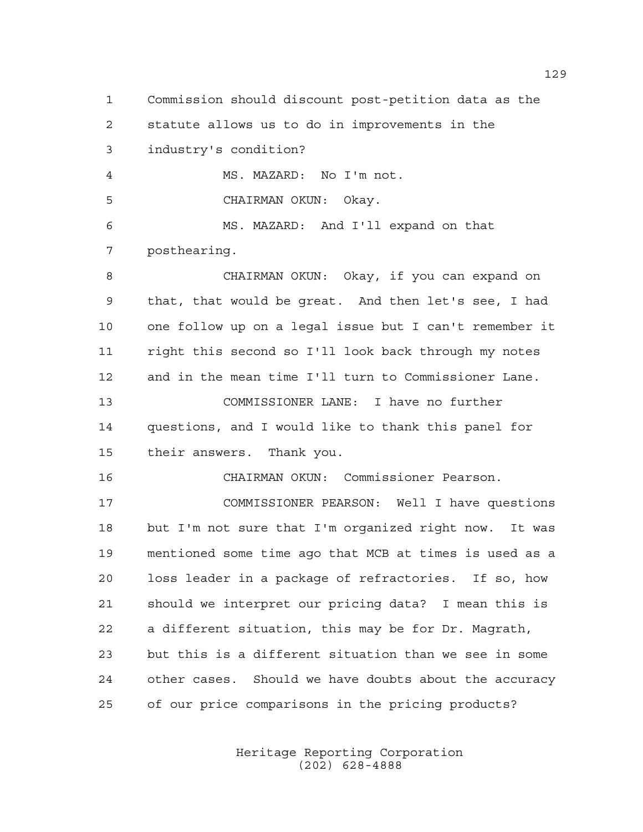Commission should discount post-petition data as the statute allows us to do in improvements in the industry's condition? MS. MAZARD: No I'm not. CHAIRMAN OKUN: Okay. MS. MAZARD: And I'll expand on that posthearing. CHAIRMAN OKUN: Okay, if you can expand on that, that would be great. And then let's see, I had one follow up on a legal issue but I can't remember it right this second so I'll look back through my notes and in the mean time I'll turn to Commissioner Lane. COMMISSIONER LANE: I have no further questions, and I would like to thank this panel for their answers. Thank you. CHAIRMAN OKUN: Commissioner Pearson. COMMISSIONER PEARSON: Well I have questions but I'm not sure that I'm organized right now. It was mentioned some time ago that MCB at times is used as a loss leader in a package of refractories. If so, how should we interpret our pricing data? I mean this is a different situation, this may be for Dr. Magrath, but this is a different situation than we see in some other cases. Should we have doubts about the accuracy of our price comparisons in the pricing products?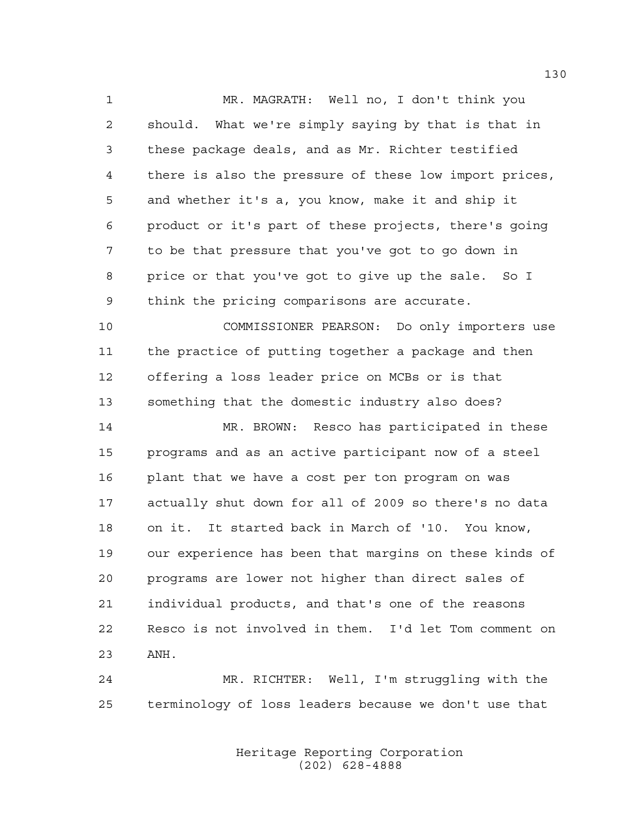MR. MAGRATH: Well no, I don't think you should. What we're simply saying by that is that in these package deals, and as Mr. Richter testified there is also the pressure of these low import prices, and whether it's a, you know, make it and ship it product or it's part of these projects, there's going to be that pressure that you've got to go down in price or that you've got to give up the sale. So I think the pricing comparisons are accurate.

 COMMISSIONER PEARSON: Do only importers use the practice of putting together a package and then offering a loss leader price on MCBs or is that something that the domestic industry also does?

 MR. BROWN: Resco has participated in these programs and as an active participant now of a steel plant that we have a cost per ton program on was actually shut down for all of 2009 so there's no data on it. It started back in March of '10. You know, our experience has been that margins on these kinds of programs are lower not higher than direct sales of individual products, and that's one of the reasons Resco is not involved in them. I'd let Tom comment on ANH.

 MR. RICHTER: Well, I'm struggling with the terminology of loss leaders because we don't use that

> Heritage Reporting Corporation (202) 628-4888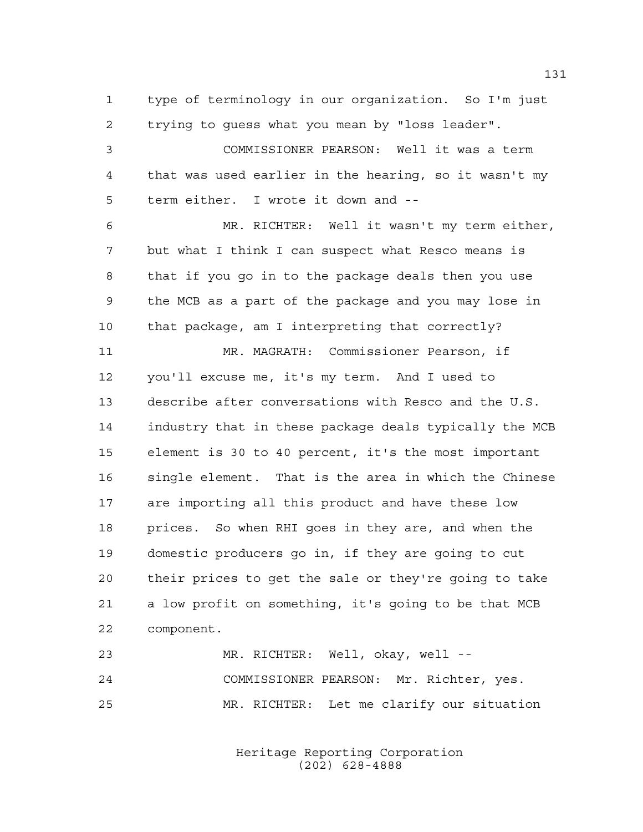type of terminology in our organization. So I'm just trying to guess what you mean by "loss leader".

 COMMISSIONER PEARSON: Well it was a term that was used earlier in the hearing, so it wasn't my term either. I wrote it down and --

 MR. RICHTER: Well it wasn't my term either, but what I think I can suspect what Resco means is that if you go in to the package deals then you use the MCB as a part of the package and you may lose in that package, am I interpreting that correctly?

 MR. MAGRATH: Commissioner Pearson, if you'll excuse me, it's my term. And I used to describe after conversations with Resco and the U.S. industry that in these package deals typically the MCB element is 30 to 40 percent, it's the most important single element. That is the area in which the Chinese are importing all this product and have these low prices. So when RHI goes in they are, and when the domestic producers go in, if they are going to cut their prices to get the sale or they're going to take a low profit on something, it's going to be that MCB component.

| 23 | MR. RICHTER: Well, okay, well --          |
|----|-------------------------------------------|
| 24 | COMMISSIONER PEARSON: Mr. Richter, yes.   |
| 25 | MR. RICHTER: Let me clarify our situation |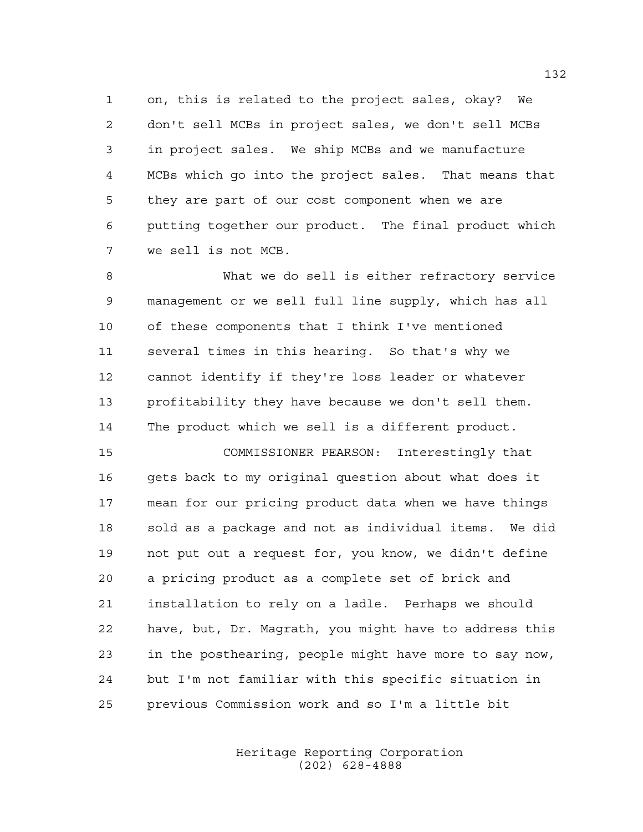on, this is related to the project sales, okay? We don't sell MCBs in project sales, we don't sell MCBs in project sales. We ship MCBs and we manufacture MCBs which go into the project sales. That means that they are part of our cost component when we are putting together our product. The final product which we sell is not MCB.

 What we do sell is either refractory service management or we sell full line supply, which has all of these components that I think I've mentioned several times in this hearing. So that's why we cannot identify if they're loss leader or whatever profitability they have because we don't sell them. The product which we sell is a different product.

 COMMISSIONER PEARSON: Interestingly that gets back to my original question about what does it mean for our pricing product data when we have things sold as a package and not as individual items. We did not put out a request for, you know, we didn't define a pricing product as a complete set of brick and installation to rely on a ladle. Perhaps we should have, but, Dr. Magrath, you might have to address this in the posthearing, people might have more to say now, but I'm not familiar with this specific situation in previous Commission work and so I'm a little bit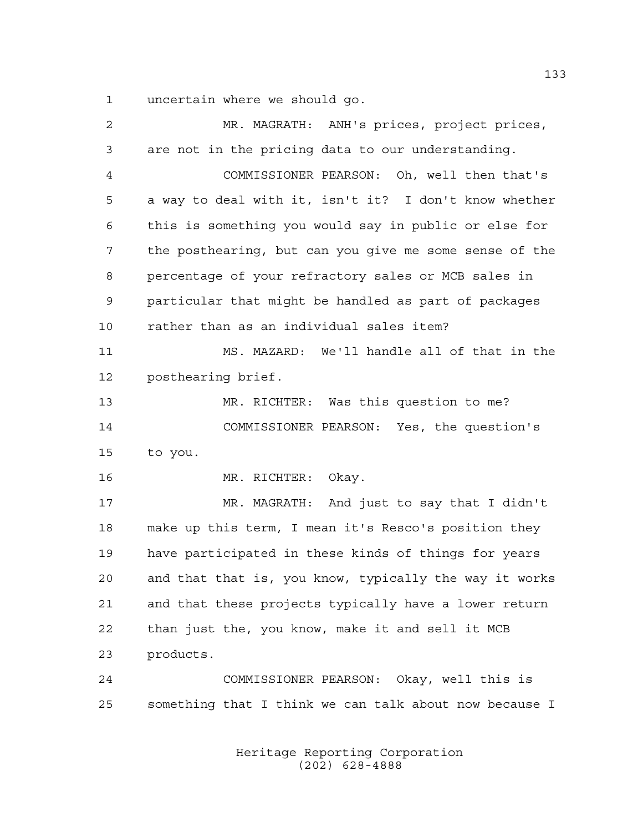uncertain where we should go.

| $\overline{a}$ | MR. MAGRATH: ANH's prices, project prices,             |
|----------------|--------------------------------------------------------|
| 3              | are not in the pricing data to our understanding.      |
| 4              | COMMISSIONER PEARSON: Oh, well then that's             |
| 5              | a way to deal with it, isn't it? I don't know whether  |
| 6              | this is something you would say in public or else for  |
| 7              | the posthearing, but can you give me some sense of the |
| 8              | percentage of your refractory sales or MCB sales in    |
| 9              | particular that might be handled as part of packages   |
| 10             | rather than as an individual sales item?               |
| 11             | MS. MAZARD: We'll handle all of that in the            |
| 12             | posthearing brief.                                     |
| 13             | MR. RICHTER: Was this question to me?                  |
| 14             | COMMISSIONER PEARSON: Yes, the question's              |
| 15             | to you.                                                |
| 16             | Okay.<br>MR. RICHTER:                                  |
| 17             | MR. MAGRATH: And just to say that I didn't             |
| 18             | make up this term, I mean it's Resco's position they   |
| 19             | have participated in these kinds of things for years   |
| 20             | and that that is, you know, typically the way it works |
| 21             | and that these projects typically have a lower return  |
| 22             | than just the, you know, make it and sell it MCB       |
| 23             | products.                                              |
| 24             | COMMISSIONER PEARSON: Okay, well this is               |
| 25             | something that I think we can talk about now because I |
|                |                                                        |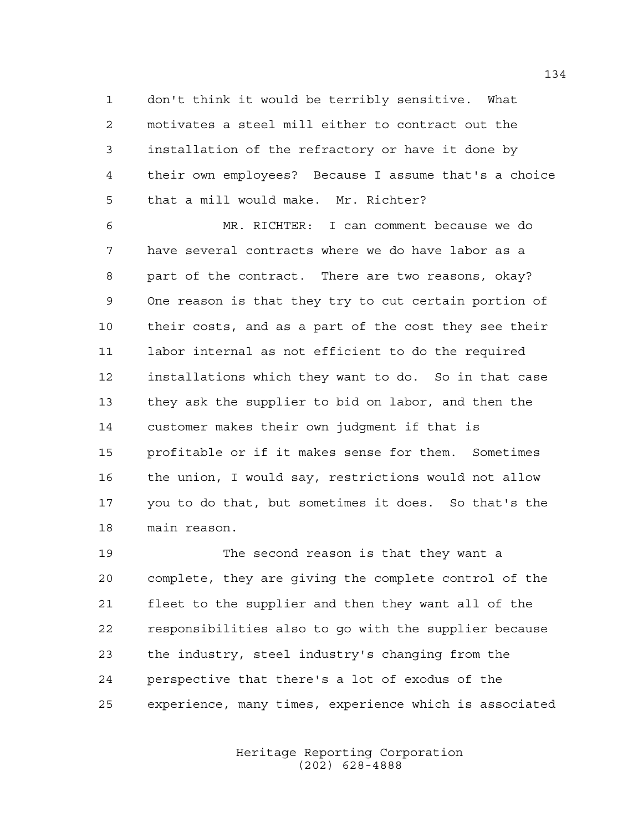don't think it would be terribly sensitive. What motivates a steel mill either to contract out the installation of the refractory or have it done by their own employees? Because I assume that's a choice that a mill would make. Mr. Richter?

 MR. RICHTER: I can comment because we do have several contracts where we do have labor as a part of the contract. There are two reasons, okay? One reason is that they try to cut certain portion of their costs, and as a part of the cost they see their labor internal as not efficient to do the required installations which they want to do. So in that case they ask the supplier to bid on labor, and then the customer makes their own judgment if that is profitable or if it makes sense for them. Sometimes the union, I would say, restrictions would not allow you to do that, but sometimes it does. So that's the main reason.

 The second reason is that they want a complete, they are giving the complete control of the fleet to the supplier and then they want all of the responsibilities also to go with the supplier because the industry, steel industry's changing from the perspective that there's a lot of exodus of the experience, many times, experience which is associated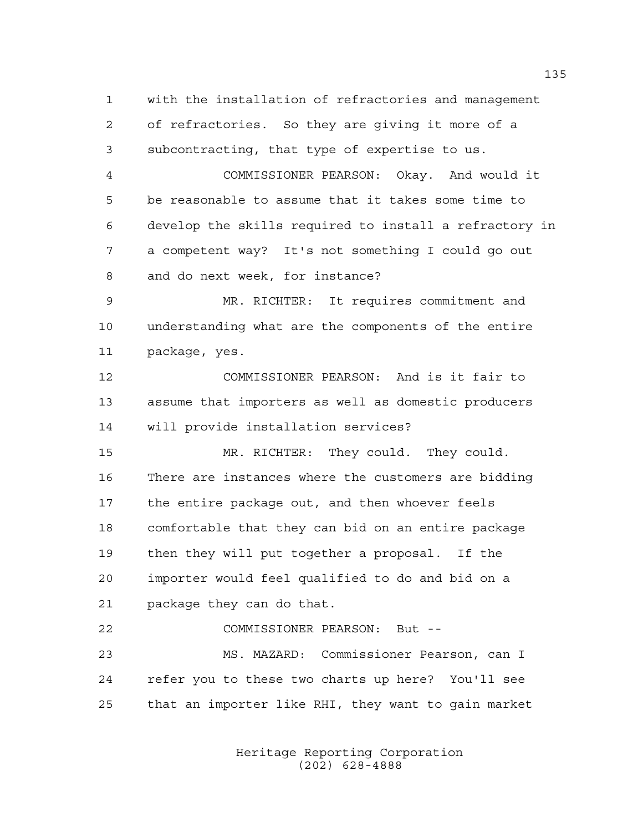with the installation of refractories and management of refractories. So they are giving it more of a subcontracting, that type of expertise to us.

 COMMISSIONER PEARSON: Okay. And would it be reasonable to assume that it takes some time to develop the skills required to install a refractory in a competent way? It's not something I could go out and do next week, for instance?

 MR. RICHTER: It requires commitment and understanding what are the components of the entire package, yes.

 COMMISSIONER PEARSON: And is it fair to assume that importers as well as domestic producers will provide installation services?

 MR. RICHTER: They could. They could. There are instances where the customers are bidding the entire package out, and then whoever feels comfortable that they can bid on an entire package then they will put together a proposal. If the importer would feel qualified to do and bid on a package they can do that.

 COMMISSIONER PEARSON: But -- MS. MAZARD: Commissioner Pearson, can I refer you to these two charts up here? You'll see that an importer like RHI, they want to gain market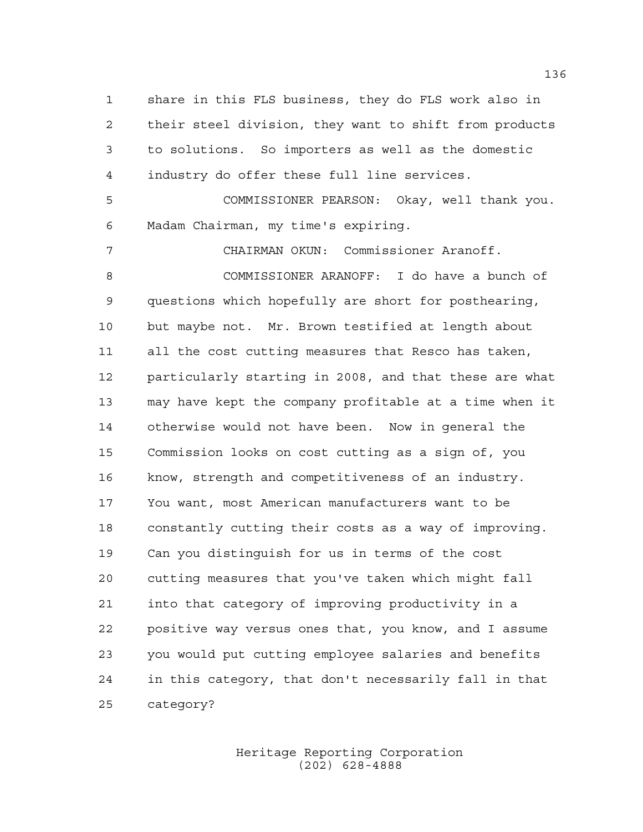share in this FLS business, they do FLS work also in their steel division, they want to shift from products to solutions. So importers as well as the domestic industry do offer these full line services.

 COMMISSIONER PEARSON: Okay, well thank you. Madam Chairman, my time's expiring.

 CHAIRMAN OKUN: Commissioner Aranoff. COMMISSIONER ARANOFF: I do have a bunch of questions which hopefully are short for posthearing, but maybe not. Mr. Brown testified at length about all the cost cutting measures that Resco has taken, particularly starting in 2008, and that these are what may have kept the company profitable at a time when it otherwise would not have been. Now in general the Commission looks on cost cutting as a sign of, you know, strength and competitiveness of an industry. You want, most American manufacturers want to be constantly cutting their costs as a way of improving. Can you distinguish for us in terms of the cost cutting measures that you've taken which might fall into that category of improving productivity in a positive way versus ones that, you know, and I assume you would put cutting employee salaries and benefits in this category, that don't necessarily fall in that category?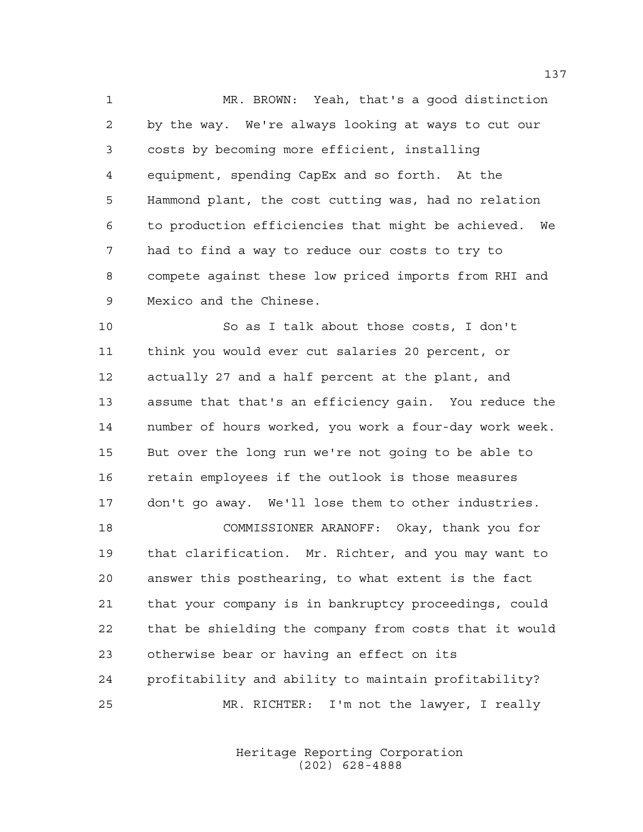MR. BROWN: Yeah, that's a good distinction by the way. We're always looking at ways to cut our costs by becoming more efficient, installing equipment, spending CapEx and so forth. At the Hammond plant, the cost cutting was, had no relation to production efficiencies that might be achieved. We had to find a way to reduce our costs to try to compete against these low priced imports from RHI and Mexico and the Chinese.

 So as I talk about those costs, I don't think you would ever cut salaries 20 percent, or actually 27 and a half percent at the plant, and assume that that's an efficiency gain. You reduce the number of hours worked, you work a four-day work week. But over the long run we're not going to be able to retain employees if the outlook is those measures don't go away. We'll lose them to other industries. COMMISSIONER ARANOFF: Okay, thank you for that clarification. Mr. Richter, and you may want to answer this posthearing, to what extent is the fact

 that your company is in bankruptcy proceedings, could that be shielding the company from costs that it would otherwise bear or having an effect on its profitability and ability to maintain profitability? MR. RICHTER: I'm not the lawyer, I really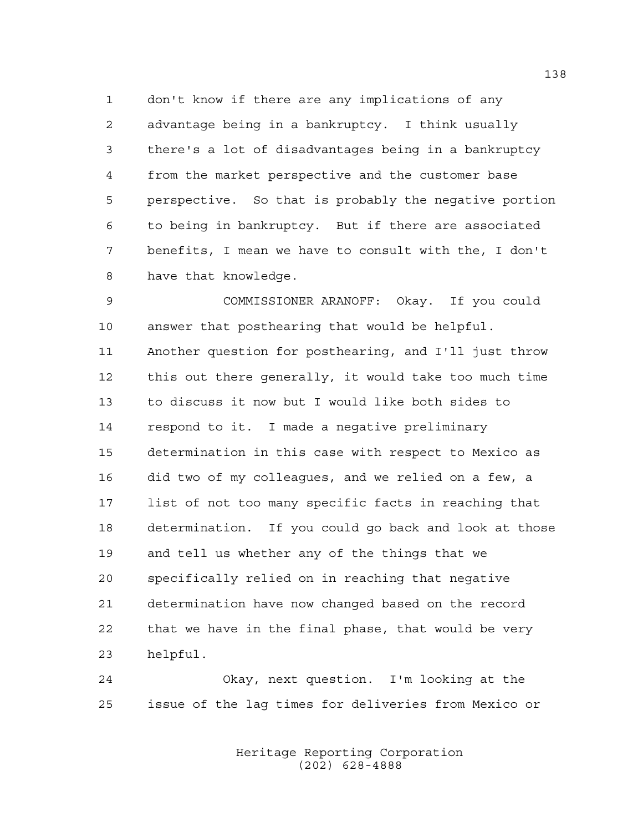don't know if there are any implications of any advantage being in a bankruptcy. I think usually there's a lot of disadvantages being in a bankruptcy from the market perspective and the customer base perspective. So that is probably the negative portion to being in bankruptcy. But if there are associated benefits, I mean we have to consult with the, I don't have that knowledge.

 COMMISSIONER ARANOFF: Okay. If you could answer that posthearing that would be helpful. Another question for posthearing, and I'll just throw this out there generally, it would take too much time to discuss it now but I would like both sides to respond to it. I made a negative preliminary determination in this case with respect to Mexico as did two of my colleagues, and we relied on a few, a list of not too many specific facts in reaching that determination. If you could go back and look at those and tell us whether any of the things that we specifically relied on in reaching that negative determination have now changed based on the record that we have in the final phase, that would be very helpful.

 Okay, next question. I'm looking at the issue of the lag times for deliveries from Mexico or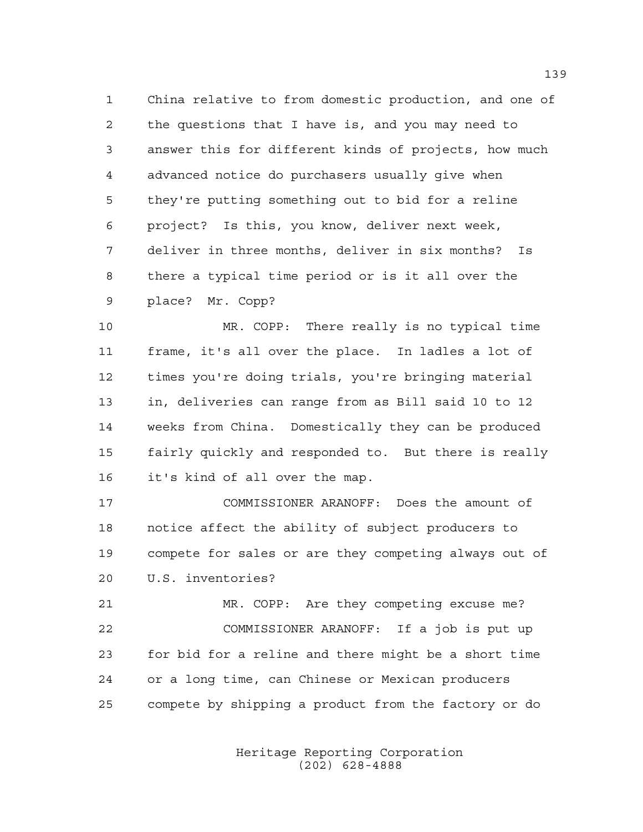China relative to from domestic production, and one of the questions that I have is, and you may need to answer this for different kinds of projects, how much advanced notice do purchasers usually give when they're putting something out to bid for a reline project? Is this, you know, deliver next week, deliver in three months, deliver in six months? Is there a typical time period or is it all over the place? Mr. Copp?

 MR. COPP: There really is no typical time frame, it's all over the place. In ladles a lot of times you're doing trials, you're bringing material in, deliveries can range from as Bill said 10 to 12 weeks from China. Domestically they can be produced fairly quickly and responded to. But there is really it's kind of all over the map.

 COMMISSIONER ARANOFF: Does the amount of notice affect the ability of subject producers to compete for sales or are they competing always out of U.S. inventories?

 MR. COPP: Are they competing excuse me? COMMISSIONER ARANOFF: If a job is put up for bid for a reline and there might be a short time or a long time, can Chinese or Mexican producers compete by shipping a product from the factory or do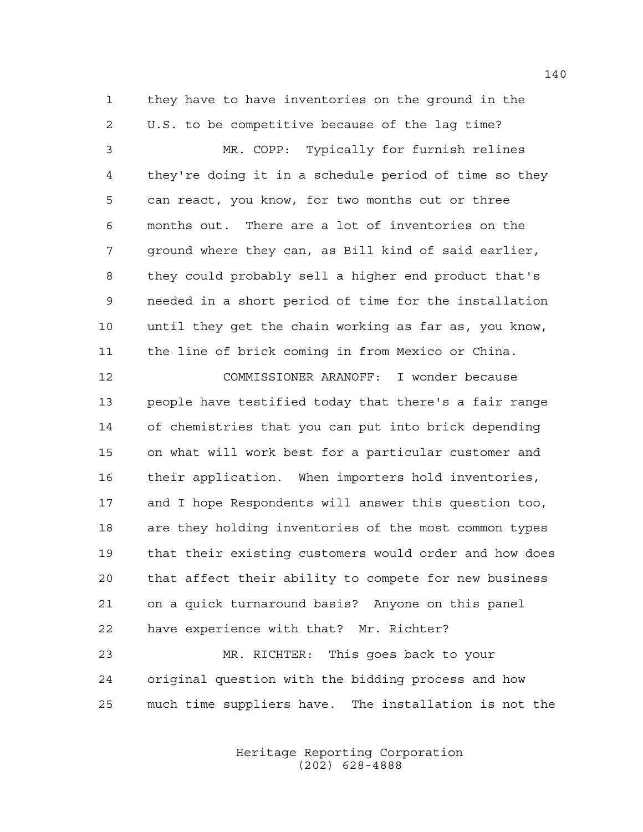they have to have inventories on the ground in the U.S. to be competitive because of the lag time?

 MR. COPP: Typically for furnish relines they're doing it in a schedule period of time so they can react, you know, for two months out or three months out. There are a lot of inventories on the ground where they can, as Bill kind of said earlier, they could probably sell a higher end product that's needed in a short period of time for the installation until they get the chain working as far as, you know, the line of brick coming in from Mexico or China.

 COMMISSIONER ARANOFF: I wonder because people have testified today that there's a fair range of chemistries that you can put into brick depending on what will work best for a particular customer and their application. When importers hold inventories, and I hope Respondents will answer this question too, are they holding inventories of the most common types that their existing customers would order and how does that affect their ability to compete for new business on a quick turnaround basis? Anyone on this panel have experience with that? Mr. Richter?

 MR. RICHTER: This goes back to your original question with the bidding process and how much time suppliers have. The installation is not the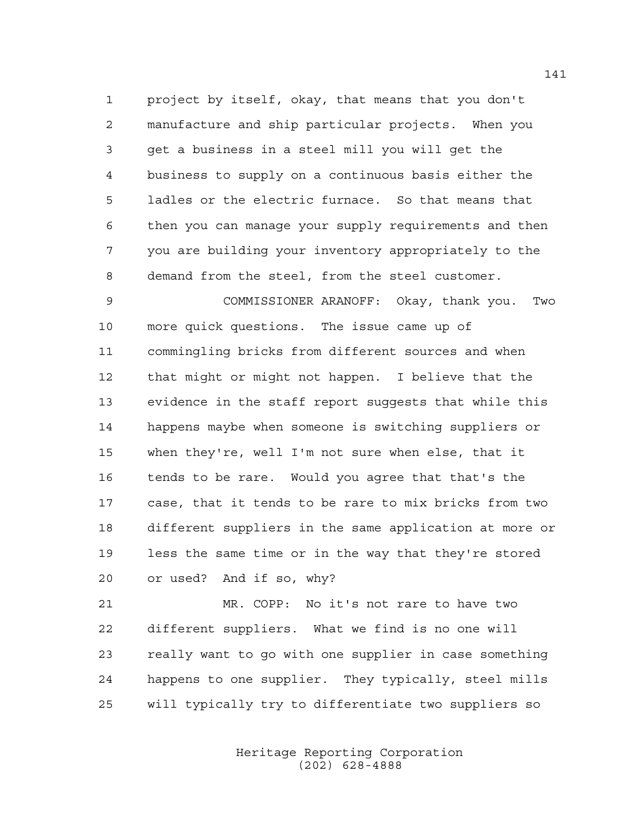project by itself, okay, that means that you don't manufacture and ship particular projects. When you get a business in a steel mill you will get the business to supply on a continuous basis either the ladles or the electric furnace. So that means that then you can manage your supply requirements and then you are building your inventory appropriately to the demand from the steel, from the steel customer.

 COMMISSIONER ARANOFF: Okay, thank you. Two more quick questions. The issue came up of commingling bricks from different sources and when that might or might not happen. I believe that the evidence in the staff report suggests that while this happens maybe when someone is switching suppliers or when they're, well I'm not sure when else, that it tends to be rare. Would you agree that that's the case, that it tends to be rare to mix bricks from two different suppliers in the same application at more or less the same time or in the way that they're stored or used? And if so, why?

 MR. COPP: No it's not rare to have two different suppliers. What we find is no one will really want to go with one supplier in case something happens to one supplier. They typically, steel mills will typically try to differentiate two suppliers so

> Heritage Reporting Corporation (202) 628-4888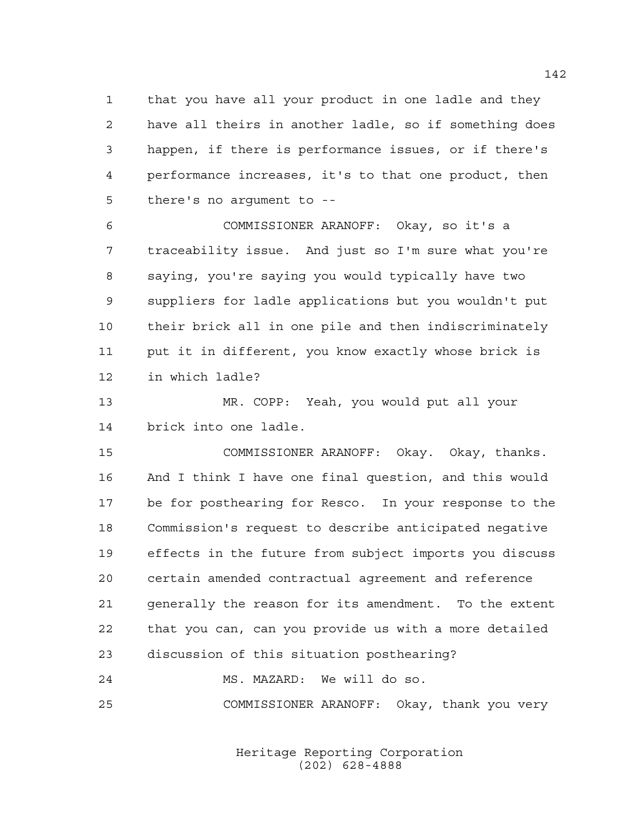that you have all your product in one ladle and they have all theirs in another ladle, so if something does happen, if there is performance issues, or if there's performance increases, it's to that one product, then there's no argument to --

 COMMISSIONER ARANOFF: Okay, so it's a traceability issue. And just so I'm sure what you're saying, you're saying you would typically have two suppliers for ladle applications but you wouldn't put their brick all in one pile and then indiscriminately put it in different, you know exactly whose brick is in which ladle?

 MR. COPP: Yeah, you would put all your brick into one ladle.

 COMMISSIONER ARANOFF: Okay. Okay, thanks. And I think I have one final question, and this would be for posthearing for Resco. In your response to the Commission's request to describe anticipated negative effects in the future from subject imports you discuss certain amended contractual agreement and reference generally the reason for its amendment. To the extent that you can, can you provide us with a more detailed discussion of this situation posthearing?

 MS. MAZARD: We will do so. COMMISSIONER ARANOFF: Okay, thank you very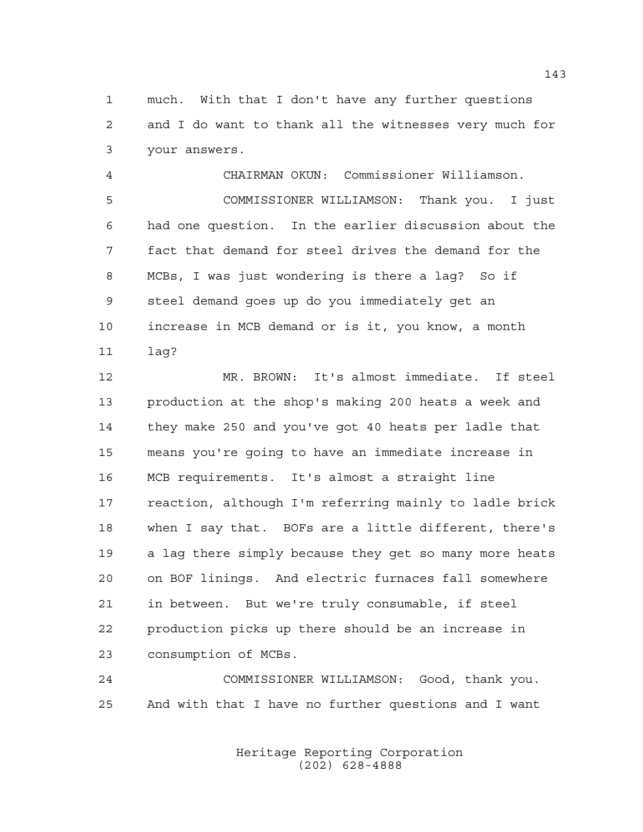much. With that I don't have any further questions and I do want to thank all the witnesses very much for your answers.

 CHAIRMAN OKUN: Commissioner Williamson. COMMISSIONER WILLIAMSON: Thank you. I just had one question. In the earlier discussion about the fact that demand for steel drives the demand for the MCBs, I was just wondering is there a lag? So if steel demand goes up do you immediately get an increase in MCB demand or is it, you know, a month lag?

 MR. BROWN: It's almost immediate. If steel production at the shop's making 200 heats a week and they make 250 and you've got 40 heats per ladle that means you're going to have an immediate increase in MCB requirements. It's almost a straight line reaction, although I'm referring mainly to ladle brick when I say that. BOFs are a little different, there's a lag there simply because they get so many more heats on BOF linings. And electric furnaces fall somewhere in between. But we're truly consumable, if steel production picks up there should be an increase in consumption of MCBs.

 COMMISSIONER WILLIAMSON: Good, thank you. And with that I have no further questions and I want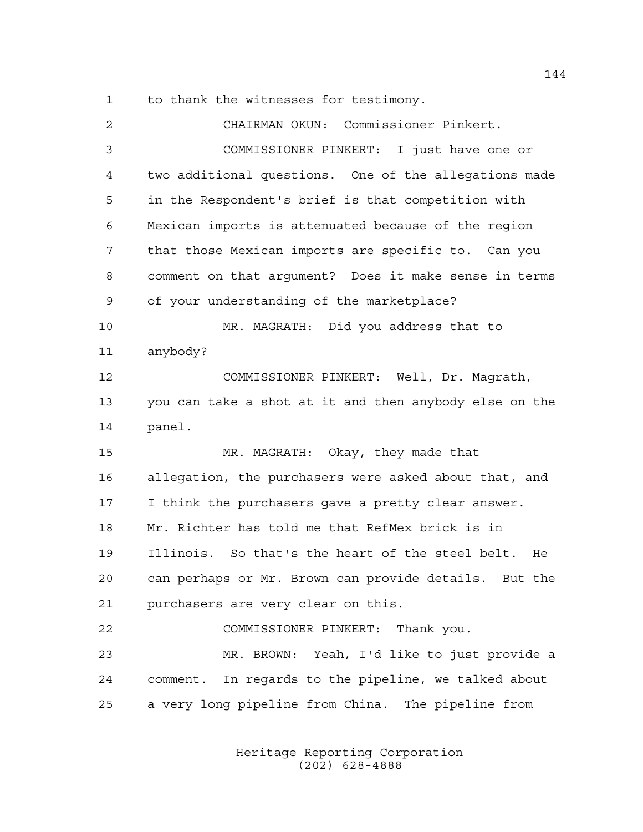to thank the witnesses for testimony.

| 2  | CHAIRMAN OKUN: Commissioner Pinkert.                   |
|----|--------------------------------------------------------|
| 3  | COMMISSIONER PINKERT: I just have one or               |
| 4  | two additional questions. One of the allegations made  |
| 5  | in the Respondent's brief is that competition with     |
| 6  | Mexican imports is attenuated because of the region    |
| 7  | that those Mexican imports are specific to. Can you    |
| 8  | comment on that argument? Does it make sense in terms  |
| 9  | of your understanding of the marketplace?              |
| 10 | MR. MAGRATH: Did you address that to                   |
| 11 | anybody?                                               |
| 12 | COMMISSIONER PINKERT: Well, Dr. Magrath,               |
| 13 | you can take a shot at it and then anybody else on the |
| 14 | panel.                                                 |
|    |                                                        |
| 15 | MR. MAGRATH: Okay, they made that                      |
| 16 | allegation, the purchasers were asked about that, and  |
| 17 | I think the purchasers gave a pretty clear answer.     |
| 18 | Mr. Richter has told me that RefMex brick is in        |
| 19 | Illinois. So that's the heart of the steel belt.<br>He |
| 20 | can perhaps or Mr. Brown can provide details. But the  |
| 21 | purchasers are very clear on this.                     |
| 22 | COMMISSIONER PINKERT: Thank you.                       |
| 23 | MR. BROWN: Yeah, I'd like to just provide a            |
| 24 | comment. In regards to the pipeline, we talked about   |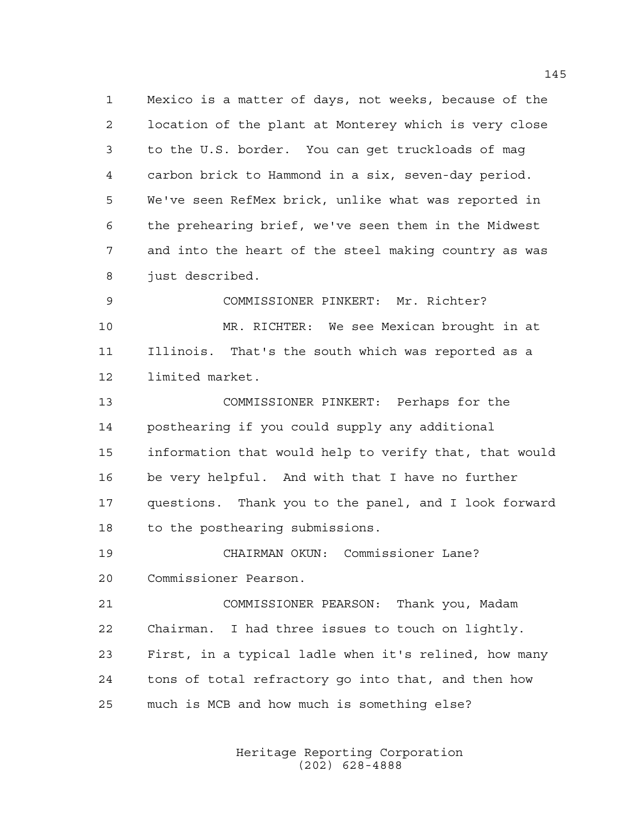Mexico is a matter of days, not weeks, because of the location of the plant at Monterey which is very close to the U.S. border. You can get truckloads of mag carbon brick to Hammond in a six, seven-day period. We've seen RefMex brick, unlike what was reported in the prehearing brief, we've seen them in the Midwest and into the heart of the steel making country as was just described.

 COMMISSIONER PINKERT: Mr. Richter? MR. RICHTER: We see Mexican brought in at Illinois. That's the south which was reported as a limited market.

 COMMISSIONER PINKERT: Perhaps for the posthearing if you could supply any additional information that would help to verify that, that would be very helpful. And with that I have no further questions. Thank you to the panel, and I look forward to the posthearing submissions.

 CHAIRMAN OKUN: Commissioner Lane? Commissioner Pearson.

 COMMISSIONER PEARSON: Thank you, Madam Chairman. I had three issues to touch on lightly. First, in a typical ladle when it's relined, how many tons of total refractory go into that, and then how much is MCB and how much is something else?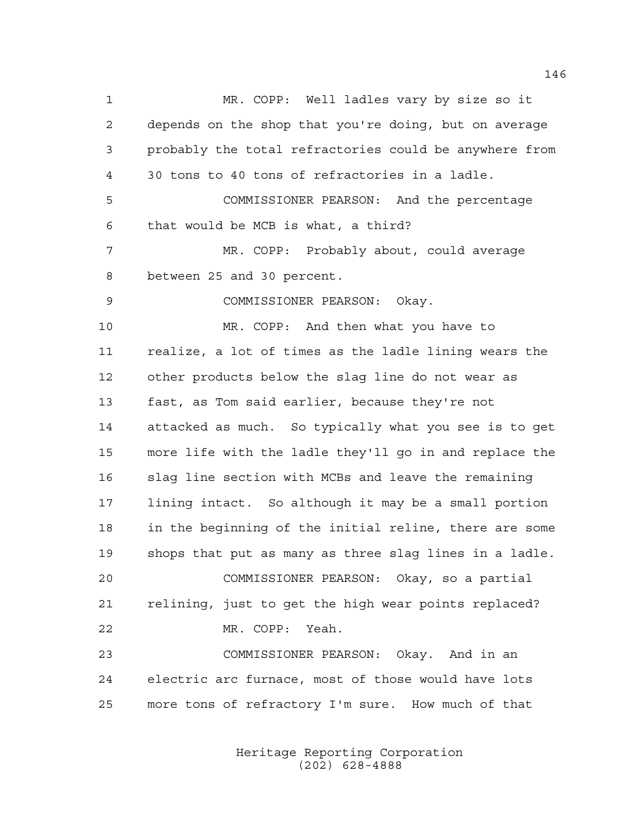MR. COPP: Well ladles vary by size so it depends on the shop that you're doing, but on average probably the total refractories could be anywhere from 30 tons to 40 tons of refractories in a ladle. COMMISSIONER PEARSON: And the percentage that would be MCB is what, a third? MR. COPP: Probably about, could average between 25 and 30 percent. COMMISSIONER PEARSON: Okay. MR. COPP: And then what you have to realize, a lot of times as the ladle lining wears the other products below the slag line do not wear as fast, as Tom said earlier, because they're not attacked as much. So typically what you see is to get more life with the ladle they'll go in and replace the slag line section with MCBs and leave the remaining lining intact. So although it may be a small portion in the beginning of the initial reline, there are some shops that put as many as three slag lines in a ladle. COMMISSIONER PEARSON: Okay, so a partial relining, just to get the high wear points replaced? MR. COPP: Yeah. COMMISSIONER PEARSON: Okay. And in an electric arc furnace, most of those would have lots more tons of refractory I'm sure. How much of that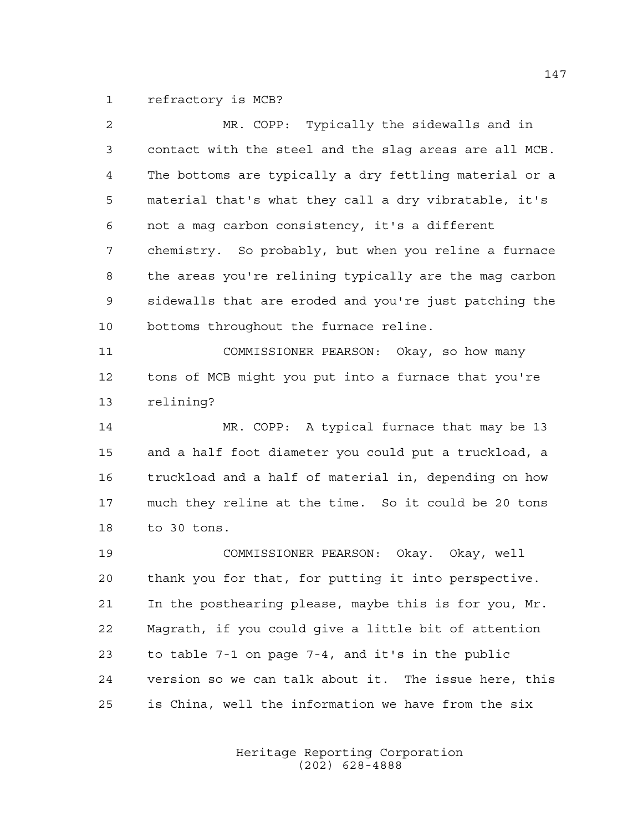refractory is MCB?

| $\overline{2}$ | MR. COPP: Typically the sidewalls and in               |
|----------------|--------------------------------------------------------|
| 3              | contact with the steel and the slag areas are all MCB. |
| 4              | The bottoms are typically a dry fettling material or a |
| 5              | material that's what they call a dry vibratable, it's  |
| 6              | not a mag carbon consistency, it's a different         |
| 7              | chemistry. So probably, but when you reline a furnace  |
| 8              | the areas you're relining typically are the mag carbon |
| 9              | sidewalls that are eroded and you're just patching the |
| 10             | bottoms throughout the furnace reline.                 |
| 11             | COMMISSIONER PEARSON: Okay, so how many                |
| 12             | tons of MCB might you put into a furnace that you're   |
| 13             | relining?                                              |
| 14             | MR. COPP: A typical furnace that may be 13             |
| 15             | and a half foot diameter you could put a truckload, a  |
| 16             | truckload and a half of material in, depending on how  |
| 17             | much they reline at the time. So it could be 20 tons   |
| 18             | to 30 tons.                                            |
| 19             | COMMISSIONER PEARSON: Okay. Okay, well                 |
| 20             | thank you for that, for putting it into perspective.   |
| 21             | In the posthearing please, maybe this is for you, Mr.  |
| 22             | Magrath, if you could give a little bit of attention   |
| 23             | to table 7-1 on page 7-4, and it's in the public       |
| 24             | version so we can talk about it. The issue here, this  |
| 25             | is China, well the information we have from the six    |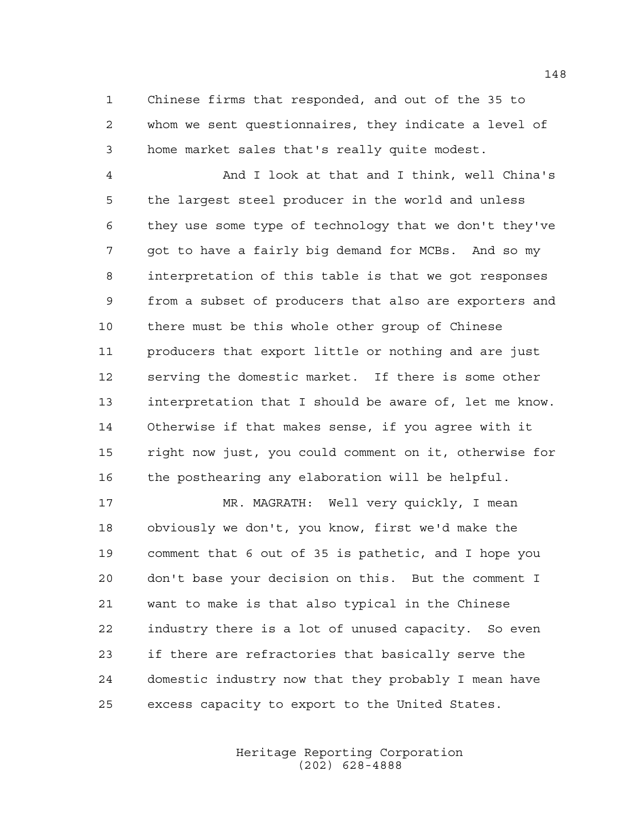Chinese firms that responded, and out of the 35 to whom we sent questionnaires, they indicate a level of home market sales that's really quite modest.

 And I look at that and I think, well China's the largest steel producer in the world and unless they use some type of technology that we don't they've got to have a fairly big demand for MCBs. And so my interpretation of this table is that we got responses from a subset of producers that also are exporters and there must be this whole other group of Chinese producers that export little or nothing and are just serving the domestic market. If there is some other interpretation that I should be aware of, let me know. Otherwise if that makes sense, if you agree with it right now just, you could comment on it, otherwise for the posthearing any elaboration will be helpful.

 MR. MAGRATH: Well very quickly, I mean obviously we don't, you know, first we'd make the comment that 6 out of 35 is pathetic, and I hope you don't base your decision on this. But the comment I want to make is that also typical in the Chinese industry there is a lot of unused capacity. So even if there are refractories that basically serve the domestic industry now that they probably I mean have excess capacity to export to the United States.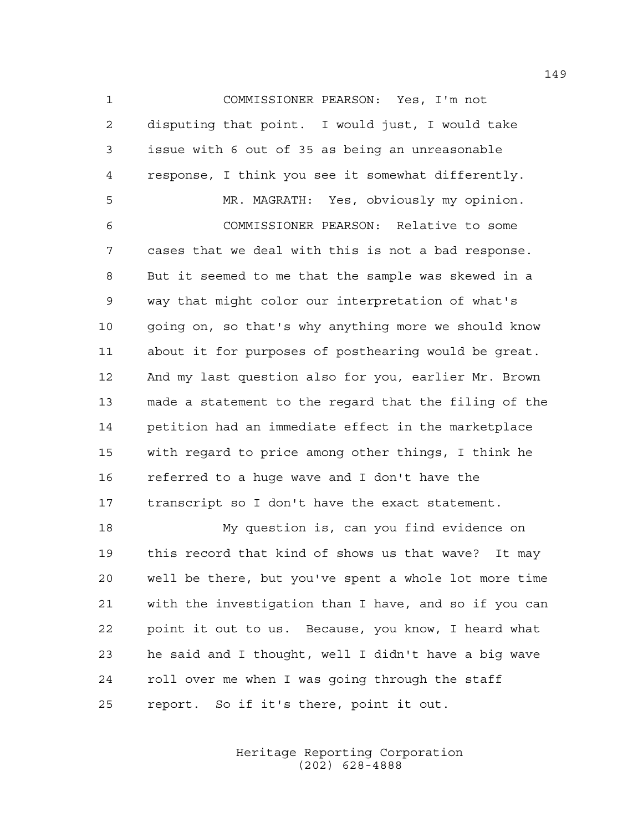COMMISSIONER PEARSON: Yes, I'm not disputing that point. I would just, I would take issue with 6 out of 35 as being an unreasonable response, I think you see it somewhat differently. MR. MAGRATH: Yes, obviously my opinion. COMMISSIONER PEARSON: Relative to some cases that we deal with this is not a bad response. But it seemed to me that the sample was skewed in a way that might color our interpretation of what's 10 qoing on, so that's why anything more we should know about it for purposes of posthearing would be great. And my last question also for you, earlier Mr. Brown made a statement to the regard that the filing of the petition had an immediate effect in the marketplace with regard to price among other things, I think he

 referred to a huge wave and I don't have the transcript so I don't have the exact statement.

 My question is, can you find evidence on this record that kind of shows us that wave? It may well be there, but you've spent a whole lot more time with the investigation than I have, and so if you can point it out to us. Because, you know, I heard what he said and I thought, well I didn't have a big wave roll over me when I was going through the staff report. So if it's there, point it out.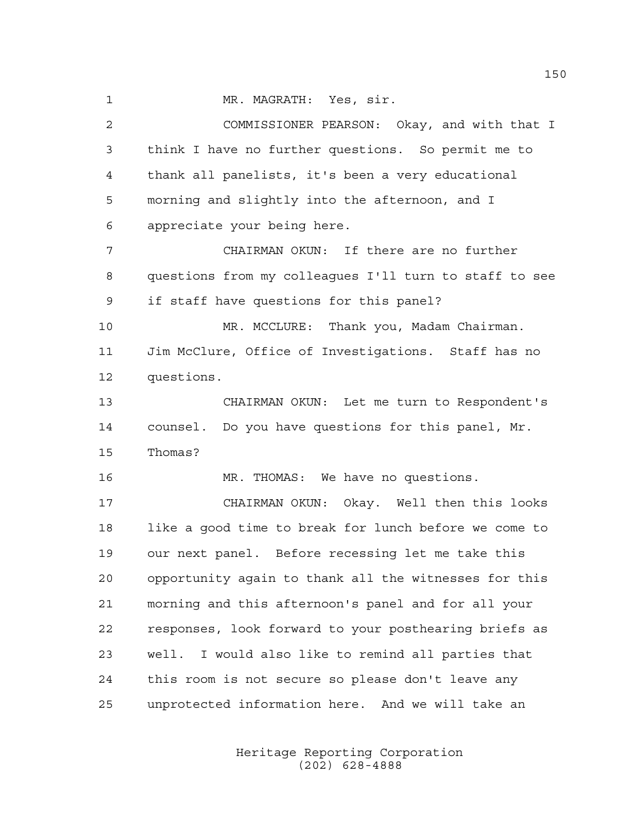1 MR. MAGRATH: Yes, sir.

 COMMISSIONER PEARSON: Okay, and with that I think I have no further questions. So permit me to thank all panelists, it's been a very educational morning and slightly into the afternoon, and I appreciate your being here. CHAIRMAN OKUN: If there are no further questions from my colleagues I'll turn to staff to see if staff have questions for this panel? MR. MCCLURE: Thank you, Madam Chairman. Jim McClure, Office of Investigations. Staff has no questions. CHAIRMAN OKUN: Let me turn to Respondent's counsel. Do you have questions for this panel, Mr. Thomas? MR. THOMAS: We have no questions. CHAIRMAN OKUN: Okay. Well then this looks like a good time to break for lunch before we come to our next panel. Before recessing let me take this opportunity again to thank all the witnesses for this morning and this afternoon's panel and for all your responses, look forward to your posthearing briefs as well. I would also like to remind all parties that this room is not secure so please don't leave any unprotected information here. And we will take an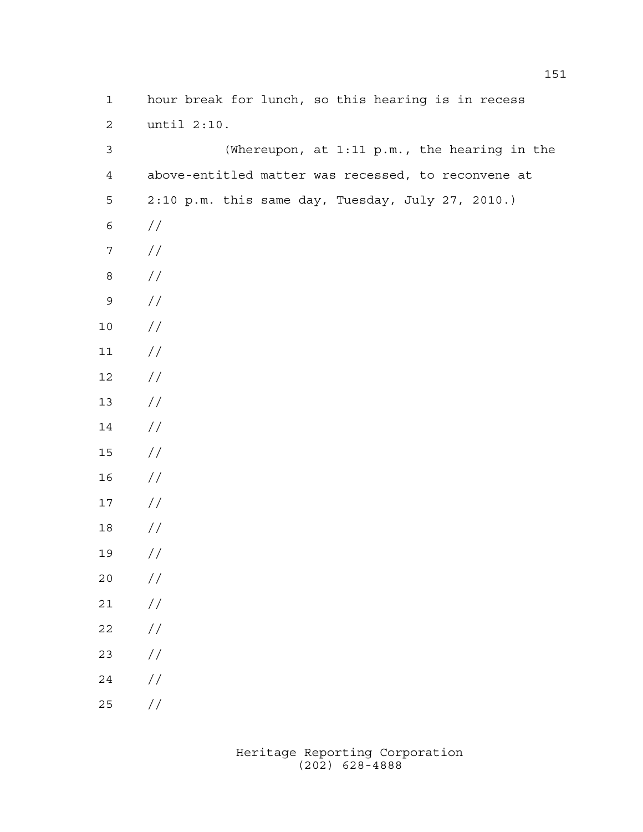| $\mathbf 1$      | hour break for lunch, so this hearing is in recess  |
|------------------|-----------------------------------------------------|
| $\mathbf{2}$     | until $2:10$ .                                      |
| $\mathfrak{Z}$   | (Whereupon, at 1:11 p.m., the hearing in the        |
| $\overline{4}$   | above-entitled matter was recessed, to reconvene at |
| 5                | 2:10 p.m. this same day, Tuesday, July 27, 2010.)   |
| $\epsilon$       | $\frac{1}{2}$                                       |
| $\boldsymbol{7}$ | //                                                  |
| $\,8\,$          | //                                                  |
| $\mathsf 9$      | //                                                  |
| $10$             | //                                                  |
| $11$             | $\frac{1}{2}$                                       |
| $12\,$           | $\frac{1}{2}$                                       |
| 13               | $\frac{1}{2}$                                       |
| $14\,$           | $\frac{1}{2}$                                       |
| $15\,$           | $\frac{1}{2}$                                       |
| 16               | //                                                  |
| 17               | //                                                  |
| 18               | //                                                  |
| 19               | //                                                  |
| 20               | $\frac{\sqrt{2}}{2}$                                |
| $21$             | $\sqrt{}$                                           |
| 22               | $\sqrt{}$                                           |
| 23               | $\sqrt{}$                                           |
| 24               | $\sqrt{}$                                           |
| 25               | $\!/\!$                                             |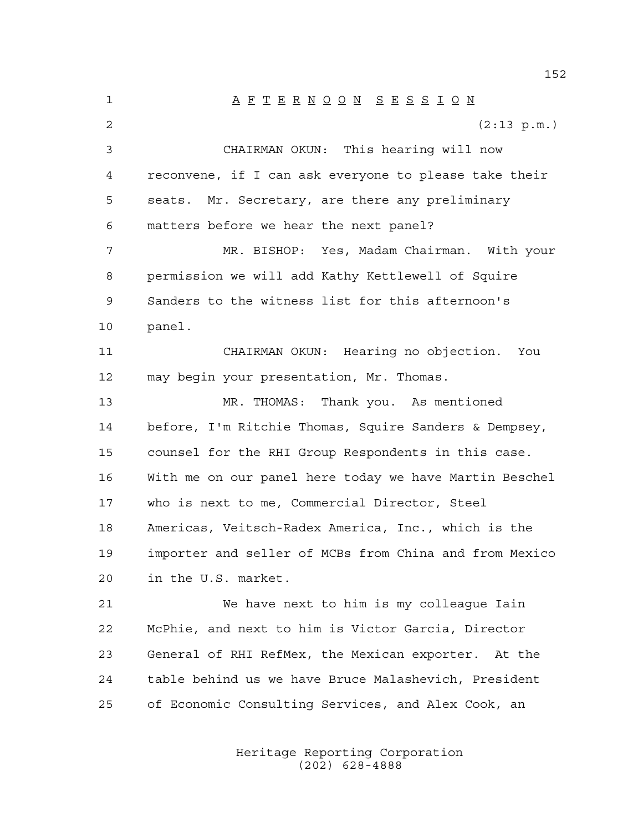A F T E R N O O N S E S S I O N 2 (2:13 p.m.) CHAIRMAN OKUN: This hearing will now reconvene, if I can ask everyone to please take their seats. Mr. Secretary, are there any preliminary matters before we hear the next panel? MR. BISHOP: Yes, Madam Chairman. With your permission we will add Kathy Kettlewell of Squire Sanders to the witness list for this afternoon's panel. CHAIRMAN OKUN: Hearing no objection. You may begin your presentation, Mr. Thomas. MR. THOMAS: Thank you. As mentioned before, I'm Ritchie Thomas, Squire Sanders & Dempsey, counsel for the RHI Group Respondents in this case. With me on our panel here today we have Martin Beschel who is next to me, Commercial Director, Steel Americas, Veitsch-Radex America, Inc., which is the importer and seller of MCBs from China and from Mexico in the U.S. market. We have next to him is my colleague Iain McPhie, and next to him is Victor Garcia, Director General of RHI RefMex, the Mexican exporter. At the table behind us we have Bruce Malashevich, President of Economic Consulting Services, and Alex Cook, an

> Heritage Reporting Corporation (202) 628-4888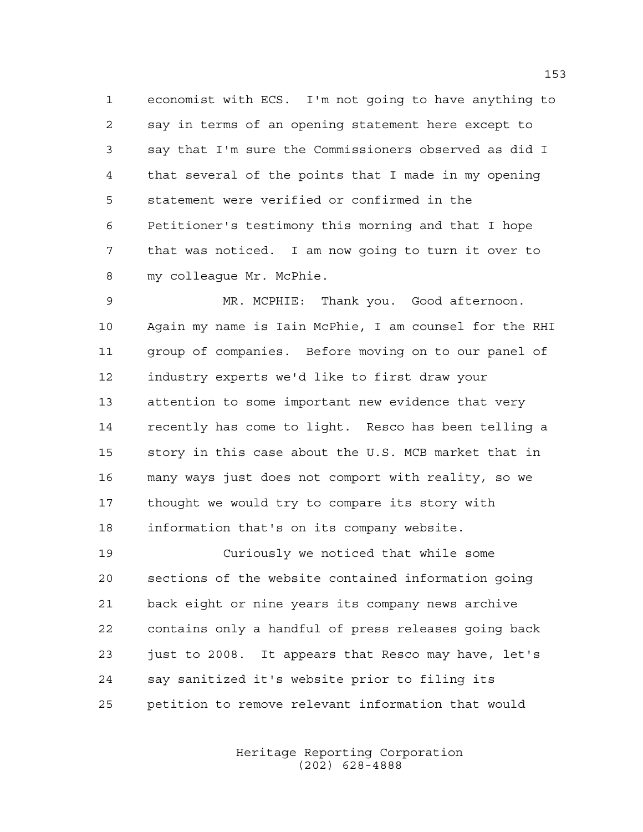economist with ECS. I'm not going to have anything to say in terms of an opening statement here except to say that I'm sure the Commissioners observed as did I that several of the points that I made in my opening statement were verified or confirmed in the Petitioner's testimony this morning and that I hope that was noticed. I am now going to turn it over to my colleague Mr. McPhie.

 MR. MCPHIE: Thank you. Good afternoon. Again my name is Iain McPhie, I am counsel for the RHI group of companies. Before moving on to our panel of industry experts we'd like to first draw your attention to some important new evidence that very recently has come to light. Resco has been telling a story in this case about the U.S. MCB market that in many ways just does not comport with reality, so we thought we would try to compare its story with information that's on its company website.

 Curiously we noticed that while some sections of the website contained information going back eight or nine years its company news archive contains only a handful of press releases going back just to 2008. It appears that Resco may have, let's say sanitized it's website prior to filing its petition to remove relevant information that would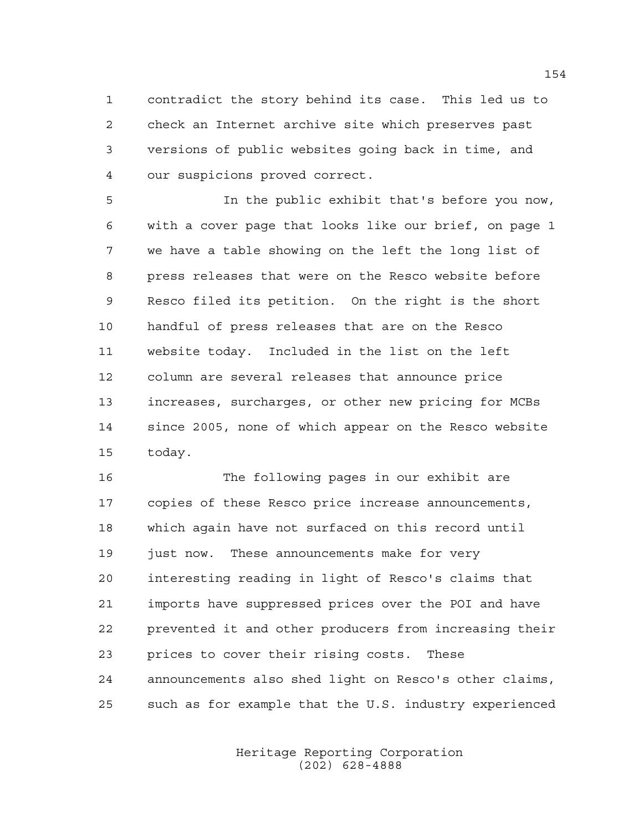contradict the story behind its case. This led us to check an Internet archive site which preserves past versions of public websites going back in time, and our suspicions proved correct.

 In the public exhibit that's before you now, with a cover page that looks like our brief, on page 1 we have a table showing on the left the long list of press releases that were on the Resco website before Resco filed its petition. On the right is the short handful of press releases that are on the Resco website today. Included in the list on the left column are several releases that announce price increases, surcharges, or other new pricing for MCBs since 2005, none of which appear on the Resco website today.

 The following pages in our exhibit are copies of these Resco price increase announcements, which again have not surfaced on this record until just now. These announcements make for very interesting reading in light of Resco's claims that imports have suppressed prices over the POI and have prevented it and other producers from increasing their prices to cover their rising costs. These announcements also shed light on Resco's other claims, such as for example that the U.S. industry experienced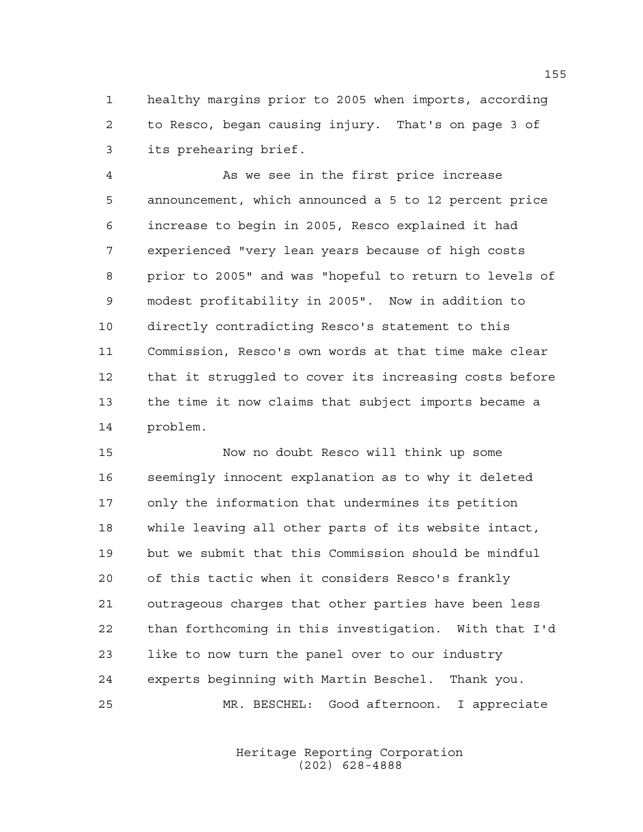healthy margins prior to 2005 when imports, according to Resco, began causing injury. That's on page 3 of its prehearing brief.

 As we see in the first price increase announcement, which announced a 5 to 12 percent price increase to begin in 2005, Resco explained it had experienced "very lean years because of high costs prior to 2005" and was "hopeful to return to levels of modest profitability in 2005". Now in addition to directly contradicting Resco's statement to this Commission, Resco's own words at that time make clear that it struggled to cover its increasing costs before the time it now claims that subject imports became a problem.

 Now no doubt Resco will think up some seemingly innocent explanation as to why it deleted only the information that undermines its petition while leaving all other parts of its website intact, but we submit that this Commission should be mindful of this tactic when it considers Resco's frankly outrageous charges that other parties have been less than forthcoming in this investigation. With that I'd like to now turn the panel over to our industry experts beginning with Martin Beschel. Thank you. MR. BESCHEL: Good afternoon. I appreciate

> Heritage Reporting Corporation (202) 628-4888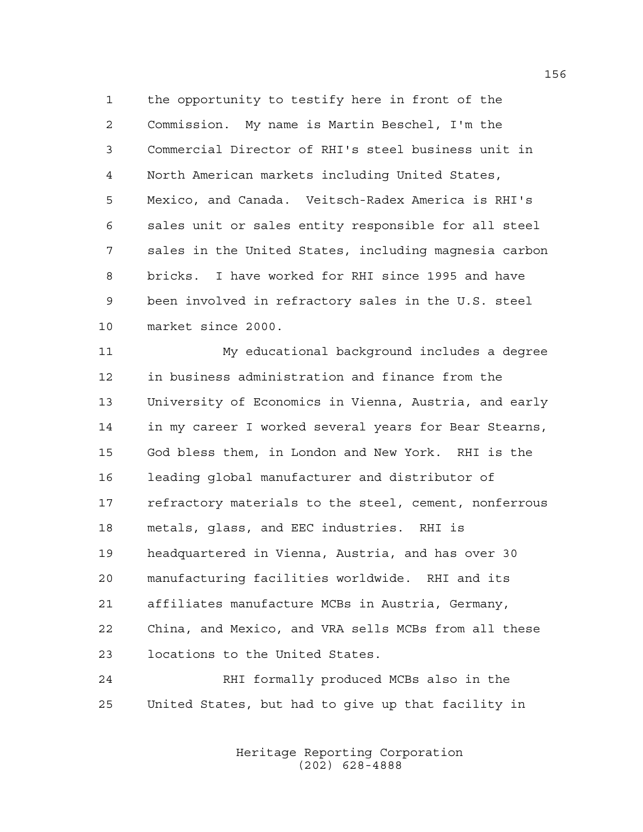the opportunity to testify here in front of the Commission. My name is Martin Beschel, I'm the Commercial Director of RHI's steel business unit in North American markets including United States, Mexico, and Canada. Veitsch-Radex America is RHI's sales unit or sales entity responsible for all steel sales in the United States, including magnesia carbon bricks. I have worked for RHI since 1995 and have been involved in refractory sales in the U.S. steel market since 2000.

 My educational background includes a degree in business administration and finance from the University of Economics in Vienna, Austria, and early in my career I worked several years for Bear Stearns, God bless them, in London and New York. RHI is the leading global manufacturer and distributor of refractory materials to the steel, cement, nonferrous metals, glass, and EEC industries. RHI is headquartered in Vienna, Austria, and has over 30 manufacturing facilities worldwide. RHI and its affiliates manufacture MCBs in Austria, Germany, China, and Mexico, and VRA sells MCBs from all these locations to the United States.

 RHI formally produced MCBs also in the United States, but had to give up that facility in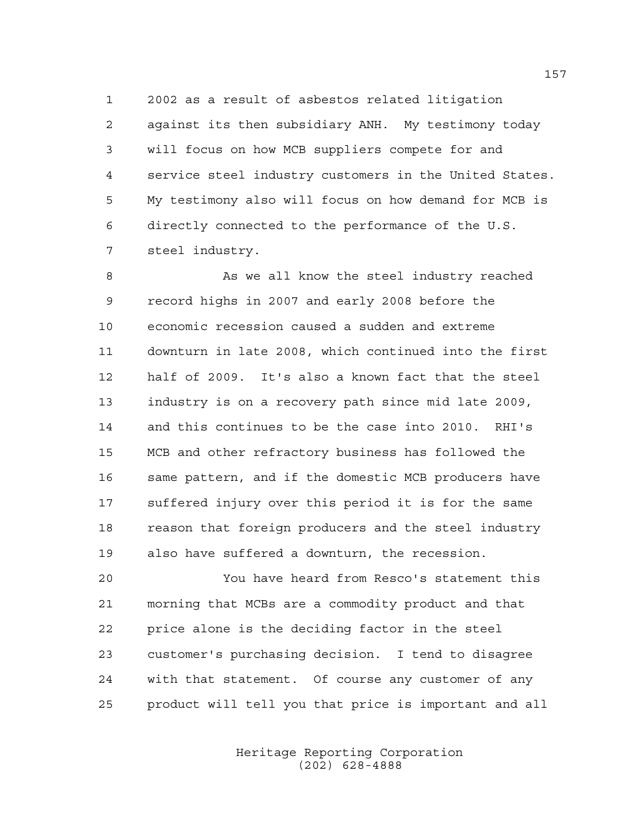2002 as a result of asbestos related litigation against its then subsidiary ANH. My testimony today will focus on how MCB suppliers compete for and service steel industry customers in the United States. My testimony also will focus on how demand for MCB is directly connected to the performance of the U.S. steel industry.

8 As we all know the steel industry reached record highs in 2007 and early 2008 before the economic recession caused a sudden and extreme downturn in late 2008, which continued into the first half of 2009. It's also a known fact that the steel industry is on a recovery path since mid late 2009, and this continues to be the case into 2010. RHI's MCB and other refractory business has followed the same pattern, and if the domestic MCB producers have suffered injury over this period it is for the same reason that foreign producers and the steel industry also have suffered a downturn, the recession.

 You have heard from Resco's statement this morning that MCBs are a commodity product and that price alone is the deciding factor in the steel customer's purchasing decision. I tend to disagree with that statement. Of course any customer of any product will tell you that price is important and all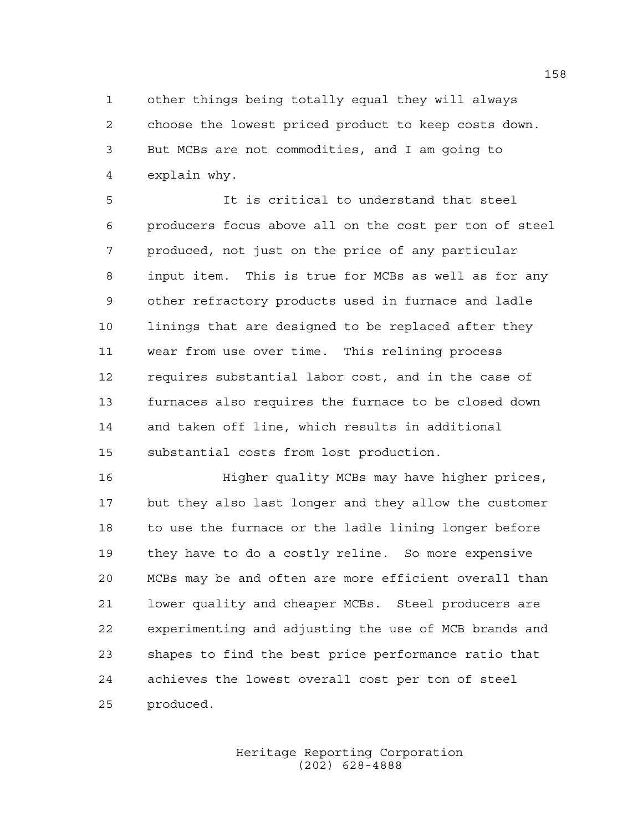other things being totally equal they will always choose the lowest priced product to keep costs down. But MCBs are not commodities, and I am going to explain why.

 It is critical to understand that steel producers focus above all on the cost per ton of steel produced, not just on the price of any particular input item. This is true for MCBs as well as for any other refractory products used in furnace and ladle linings that are designed to be replaced after they wear from use over time. This relining process requires substantial labor cost, and in the case of furnaces also requires the furnace to be closed down and taken off line, which results in additional substantial costs from lost production.

 Higher quality MCBs may have higher prices, but they also last longer and they allow the customer to use the furnace or the ladle lining longer before they have to do a costly reline. So more expensive MCBs may be and often are more efficient overall than lower quality and cheaper MCBs. Steel producers are experimenting and adjusting the use of MCB brands and shapes to find the best price performance ratio that achieves the lowest overall cost per ton of steel produced.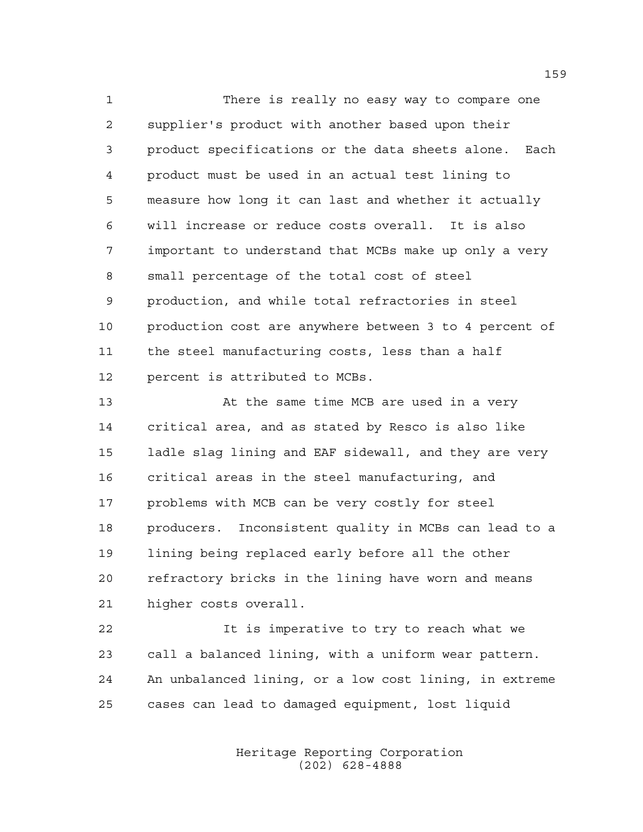There is really no easy way to compare one supplier's product with another based upon their product specifications or the data sheets alone. Each product must be used in an actual test lining to measure how long it can last and whether it actually will increase or reduce costs overall. It is also important to understand that MCBs make up only a very small percentage of the total cost of steel production, and while total refractories in steel 10 production cost are anywhere between 3 to 4 percent of the steel manufacturing costs, less than a half percent is attributed to MCBs.

 At the same time MCB are used in a very critical area, and as stated by Resco is also like ladle slag lining and EAF sidewall, and they are very critical areas in the steel manufacturing, and problems with MCB can be very costly for steel producers. Inconsistent quality in MCBs can lead to a lining being replaced early before all the other refractory bricks in the lining have worn and means higher costs overall.

 It is imperative to try to reach what we call a balanced lining, with a uniform wear pattern. An unbalanced lining, or a low cost lining, in extreme cases can lead to damaged equipment, lost liquid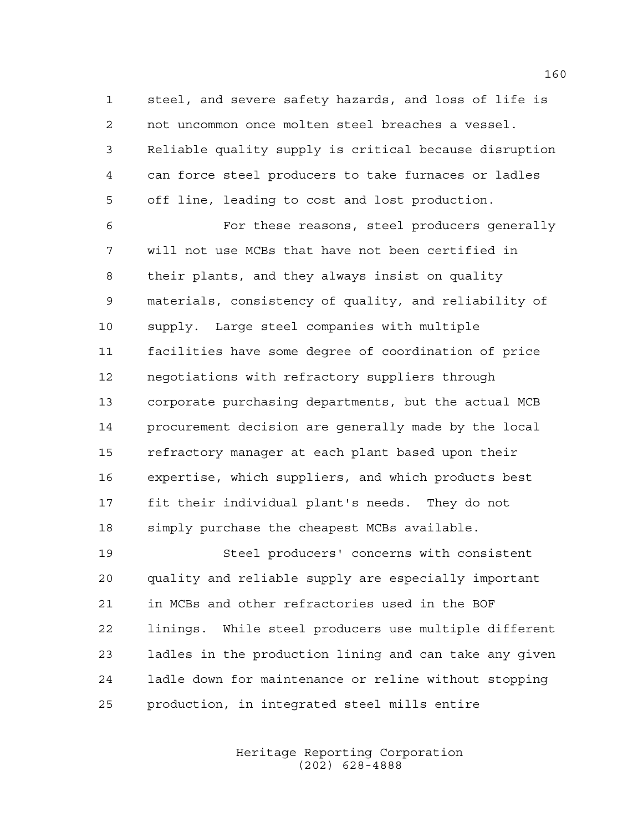steel, and severe safety hazards, and loss of life is not uncommon once molten steel breaches a vessel. Reliable quality supply is critical because disruption can force steel producers to take furnaces or ladles off line, leading to cost and lost production.

 For these reasons, steel producers generally will not use MCBs that have not been certified in their plants, and they always insist on quality materials, consistency of quality, and reliability of supply. Large steel companies with multiple facilities have some degree of coordination of price negotiations with refractory suppliers through corporate purchasing departments, but the actual MCB procurement decision are generally made by the local refractory manager at each plant based upon their expertise, which suppliers, and which products best fit their individual plant's needs. They do not simply purchase the cheapest MCBs available.

 Steel producers' concerns with consistent quality and reliable supply are especially important in MCBs and other refractories used in the BOF linings. While steel producers use multiple different ladles in the production lining and can take any given ladle down for maintenance or reline without stopping production, in integrated steel mills entire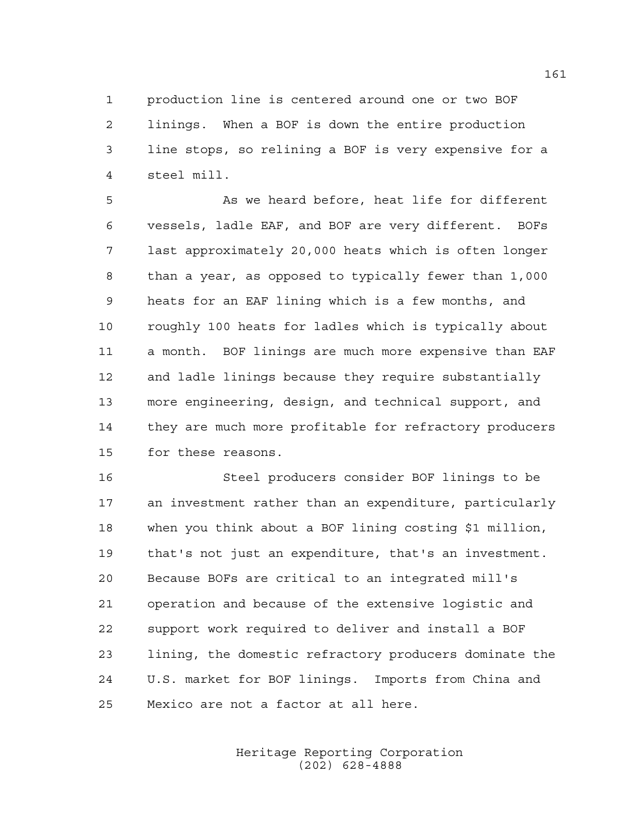production line is centered around one or two BOF linings. When a BOF is down the entire production line stops, so relining a BOF is very expensive for a steel mill.

 As we heard before, heat life for different vessels, ladle EAF, and BOF are very different. BOFs last approximately 20,000 heats which is often longer than a year, as opposed to typically fewer than 1,000 heats for an EAF lining which is a few months, and roughly 100 heats for ladles which is typically about a month. BOF linings are much more expensive than EAF and ladle linings because they require substantially more engineering, design, and technical support, and they are much more profitable for refractory producers for these reasons.

 Steel producers consider BOF linings to be an investment rather than an expenditure, particularly when you think about a BOF lining costing \$1 million, that's not just an expenditure, that's an investment. Because BOFs are critical to an integrated mill's operation and because of the extensive logistic and support work required to deliver and install a BOF lining, the domestic refractory producers dominate the U.S. market for BOF linings. Imports from China and Mexico are not a factor at all here.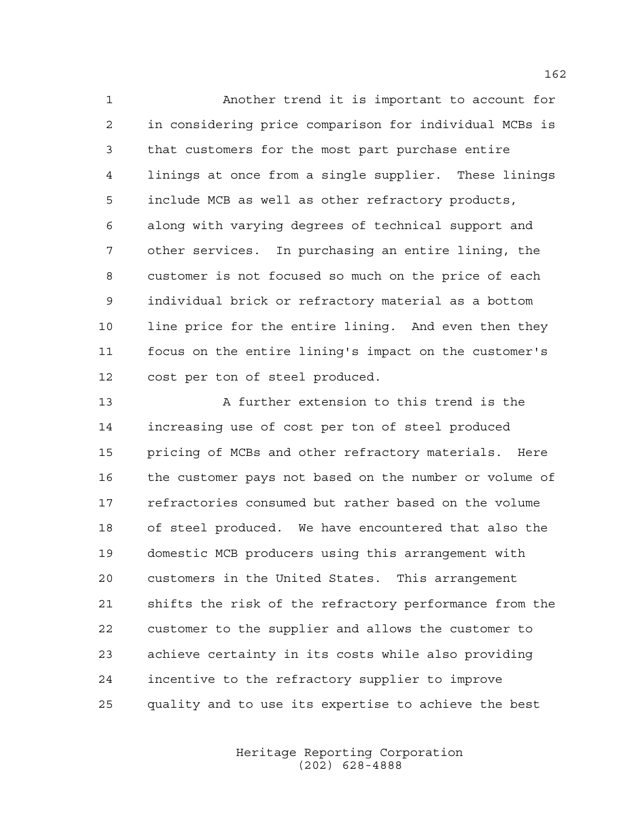Another trend it is important to account for in considering price comparison for individual MCBs is that customers for the most part purchase entire linings at once from a single supplier. These linings include MCB as well as other refractory products, along with varying degrees of technical support and other services. In purchasing an entire lining, the customer is not focused so much on the price of each individual brick or refractory material as a bottom 10 line price for the entire lining. And even then they focus on the entire lining's impact on the customer's cost per ton of steel produced.

 A further extension to this trend is the increasing use of cost per ton of steel produced pricing of MCBs and other refractory materials. Here the customer pays not based on the number or volume of refractories consumed but rather based on the volume of steel produced. We have encountered that also the domestic MCB producers using this arrangement with customers in the United States. This arrangement shifts the risk of the refractory performance from the customer to the supplier and allows the customer to achieve certainty in its costs while also providing incentive to the refractory supplier to improve quality and to use its expertise to achieve the best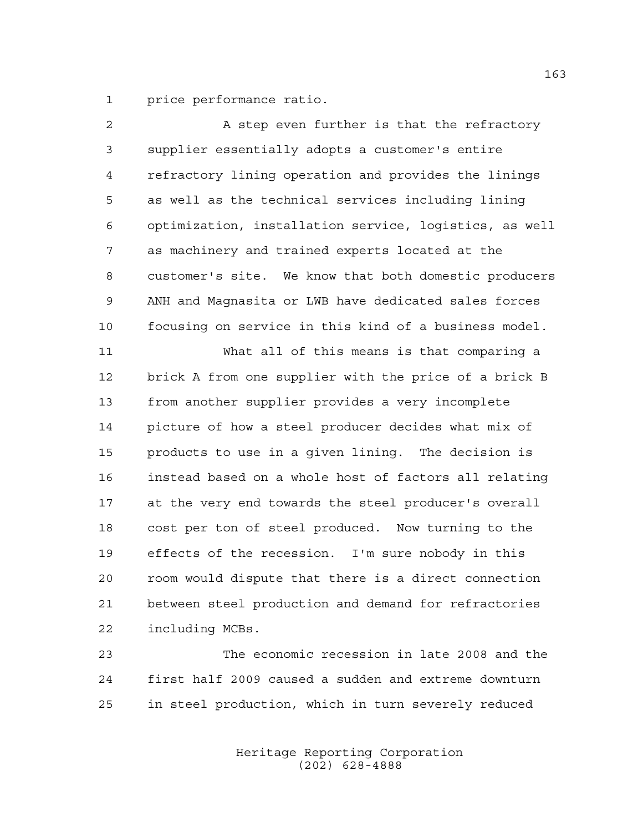price performance ratio.

| 2  | A step even further is that the refractory             |
|----|--------------------------------------------------------|
| 3  | supplier essentially adopts a customer's entire        |
| 4  | refractory lining operation and provides the linings   |
| 5  | as well as the technical services including lining     |
| 6  | optimization, installation service, logistics, as well |
| 7  | as machinery and trained experts located at the        |
| 8  | customer's site. We know that both domestic producers  |
| 9  | ANH and Magnasita or LWB have dedicated sales forces   |
| 10 | focusing on service in this kind of a business model.  |
| 11 | What all of this means is that comparing a             |
| 12 | brick A from one supplier with the price of a brick B  |
| 13 | from another supplier provides a very incomplete       |
| 14 | picture of how a steel producer decides what mix of    |
| 15 | products to use in a given lining. The decision is     |
| 16 | instead based on a whole host of factors all relating  |
| 17 | at the very end towards the steel producer's overall   |
| 18 | cost per ton of steel produced. Now turning to the     |
| 19 | effects of the recession. I'm sure nobody in this      |
| 20 | room would dispute that there is a direct connection   |
| 21 | between steel production and demand for refractories   |
| 22 | including MCBs.                                        |
| 23 | The economic recession in late 2008 and the            |
|    |                                                        |

 first half 2009 caused a sudden and extreme downturn in steel production, which in turn severely reduced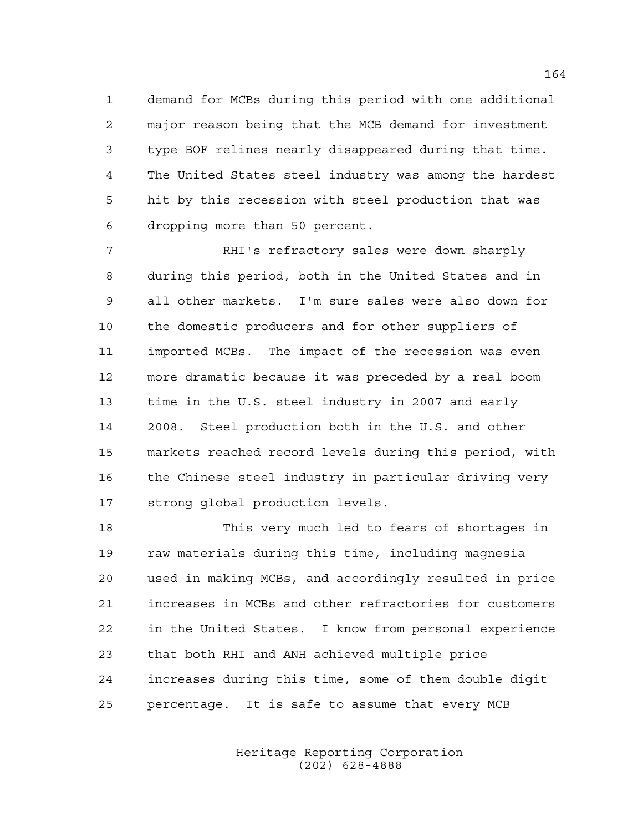demand for MCBs during this period with one additional major reason being that the MCB demand for investment type BOF relines nearly disappeared during that time. The United States steel industry was among the hardest hit by this recession with steel production that was dropping more than 50 percent.

 RHI's refractory sales were down sharply during this period, both in the United States and in all other markets. I'm sure sales were also down for the domestic producers and for other suppliers of imported MCBs. The impact of the recession was even more dramatic because it was preceded by a real boom time in the U.S. steel industry in 2007 and early 2008. Steel production both in the U.S. and other markets reached record levels during this period, with 16 the Chinese steel industry in particular driving very strong global production levels.

 This very much led to fears of shortages in raw materials during this time, including magnesia used in making MCBs, and accordingly resulted in price increases in MCBs and other refractories for customers in the United States. I know from personal experience that both RHI and ANH achieved multiple price increases during this time, some of them double digit percentage. It is safe to assume that every MCB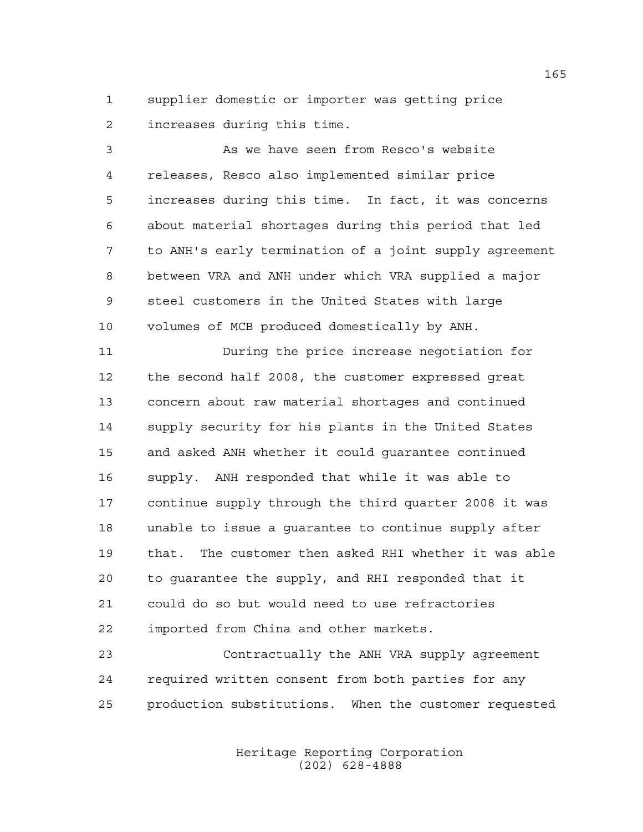supplier domestic or importer was getting price increases during this time.

 As we have seen from Resco's website releases, Resco also implemented similar price increases during this time. In fact, it was concerns about material shortages during this period that led to ANH's early termination of a joint supply agreement between VRA and ANH under which VRA supplied a major steel customers in the United States with large volumes of MCB produced domestically by ANH.

 During the price increase negotiation for the second half 2008, the customer expressed great concern about raw material shortages and continued supply security for his plants in the United States and asked ANH whether it could guarantee continued supply. ANH responded that while it was able to continue supply through the third quarter 2008 it was unable to issue a guarantee to continue supply after that. The customer then asked RHI whether it was able to guarantee the supply, and RHI responded that it could do so but would need to use refractories imported from China and other markets.

 Contractually the ANH VRA supply agreement required written consent from both parties for any production substitutions. When the customer requested

> Heritage Reporting Corporation (202) 628-4888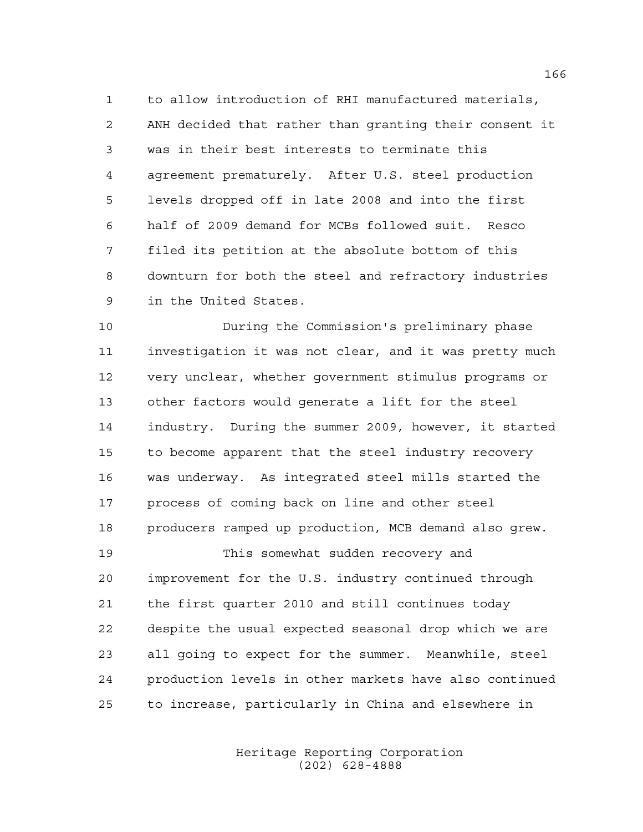to allow introduction of RHI manufactured materials, ANH decided that rather than granting their consent it was in their best interests to terminate this agreement prematurely. After U.S. steel production levels dropped off in late 2008 and into the first half of 2009 demand for MCBs followed suit. Resco filed its petition at the absolute bottom of this downturn for both the steel and refractory industries in the United States.

 During the Commission's preliminary phase investigation it was not clear, and it was pretty much very unclear, whether government stimulus programs or other factors would generate a lift for the steel industry. During the summer 2009, however, it started to become apparent that the steel industry recovery was underway. As integrated steel mills started the process of coming back on line and other steel producers ramped up production, MCB demand also grew. This somewhat sudden recovery and

 improvement for the U.S. industry continued through the first quarter 2010 and still continues today despite the usual expected seasonal drop which we are all going to expect for the summer. Meanwhile, steel production levels in other markets have also continued to increase, particularly in China and elsewhere in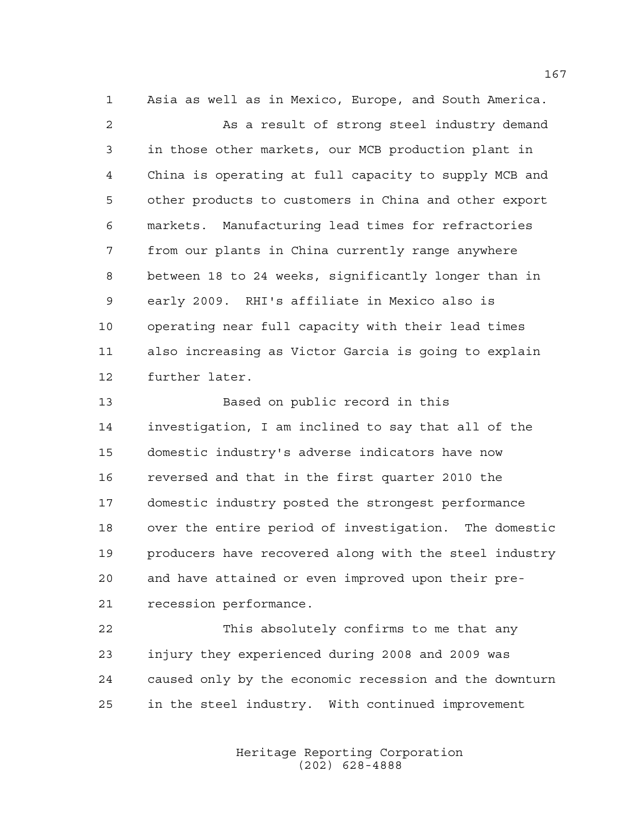Asia as well as in Mexico, Europe, and South America. As a result of strong steel industry demand in those other markets, our MCB production plant in China is operating at full capacity to supply MCB and other products to customers in China and other export markets. Manufacturing lead times for refractories from our plants in China currently range anywhere between 18 to 24 weeks, significantly longer than in early 2009. RHI's affiliate in Mexico also is operating near full capacity with their lead times also increasing as Victor Garcia is going to explain further later.

 Based on public record in this investigation, I am inclined to say that all of the domestic industry's adverse indicators have now reversed and that in the first quarter 2010 the domestic industry posted the strongest performance over the entire period of investigation. The domestic producers have recovered along with the steel industry and have attained or even improved upon their pre-recession performance.

 This absolutely confirms to me that any injury they experienced during 2008 and 2009 was caused only by the economic recession and the downturn in the steel industry. With continued improvement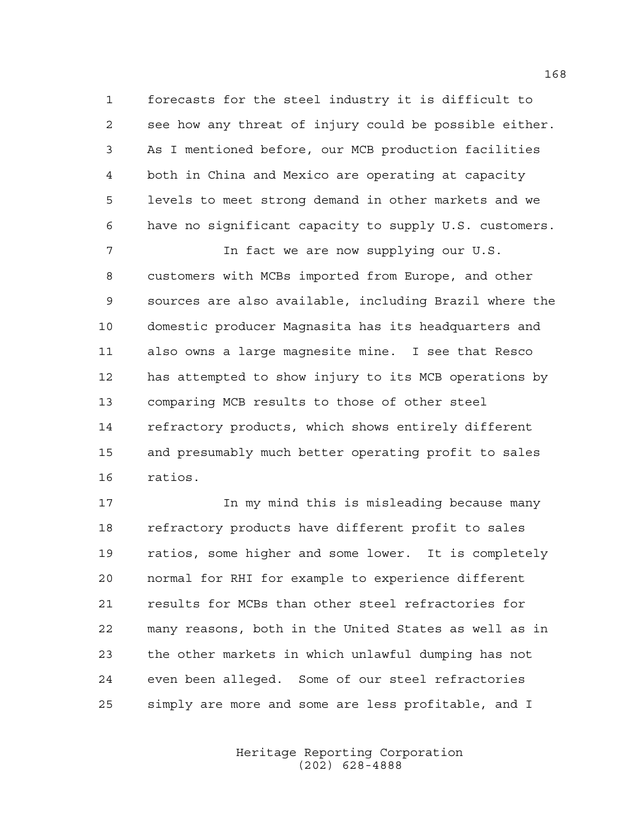forecasts for the steel industry it is difficult to see how any threat of injury could be possible either. As I mentioned before, our MCB production facilities both in China and Mexico are operating at capacity levels to meet strong demand in other markets and we have no significant capacity to supply U.S. customers.

 In fact we are now supplying our U.S. customers with MCBs imported from Europe, and other sources are also available, including Brazil where the domestic producer Magnasita has its headquarters and also owns a large magnesite mine. I see that Resco has attempted to show injury to its MCB operations by comparing MCB results to those of other steel refractory products, which shows entirely different and presumably much better operating profit to sales ratios.

17 10 In my mind this is misleading because many refractory products have different profit to sales ratios, some higher and some lower. It is completely normal for RHI for example to experience different results for MCBs than other steel refractories for many reasons, both in the United States as well as in the other markets in which unlawful dumping has not even been alleged. Some of our steel refractories simply are more and some are less profitable, and I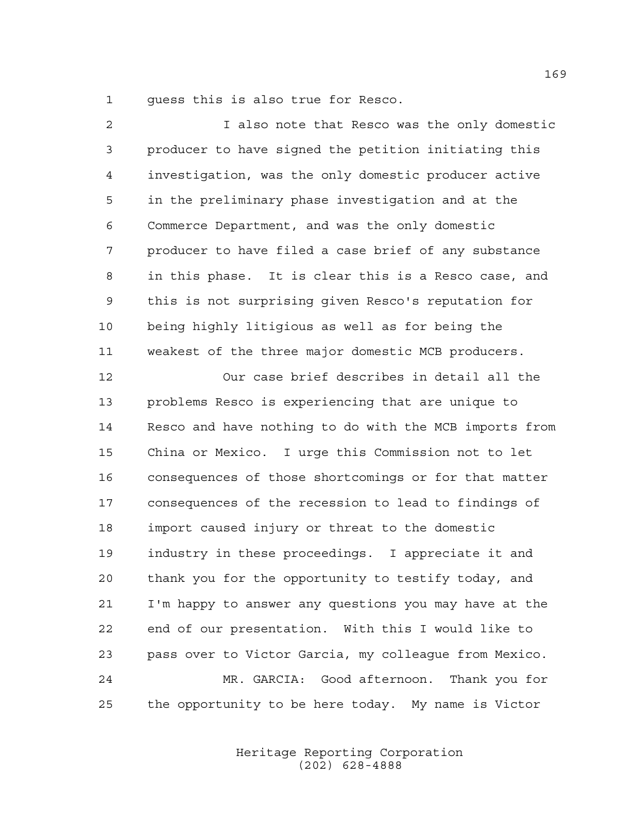guess this is also true for Resco.

| $\overline{a}$ | I also note that Resco was the only domestic           |
|----------------|--------------------------------------------------------|
| 3              | producer to have signed the petition initiating this   |
| 4              | investigation, was the only domestic producer active   |
| 5              | in the preliminary phase investigation and at the      |
| 6              | Commerce Department, and was the only domestic         |
| 7              | producer to have filed a case brief of any substance   |
| 8              | in this phase. It is clear this is a Resco case, and   |
| 9              | this is not surprising given Resco's reputation for    |
| 10             | being highly litigious as well as for being the        |
| 11             | weakest of the three major domestic MCB producers.     |
| 12             | Our case brief describes in detail all the             |
| 13             | problems Resco is experiencing that are unique to      |
| 14             | Resco and have nothing to do with the MCB imports from |
| 15             | China or Mexico. I urge this Commission not to let     |
| 16             | consequences of those shortcomings or for that matter  |
| 17             | consequences of the recession to lead to findings of   |
| 18             | import caused injury or threat to the domestic         |
| 19             | industry in these proceedings. I appreciate it and     |
| 20             | thank you for the opportunity to testify today, and    |
| 21             | I'm happy to answer any questions you may have at the  |
| 22             | end of our presentation. With this I would like to     |
| 23             | pass over to Victor Garcia, my colleague from Mexico.  |
| 24             | MR. GARCIA: Good afternoon. Thank you for              |
| 25             | the opportunity to be here today. My name is Victor    |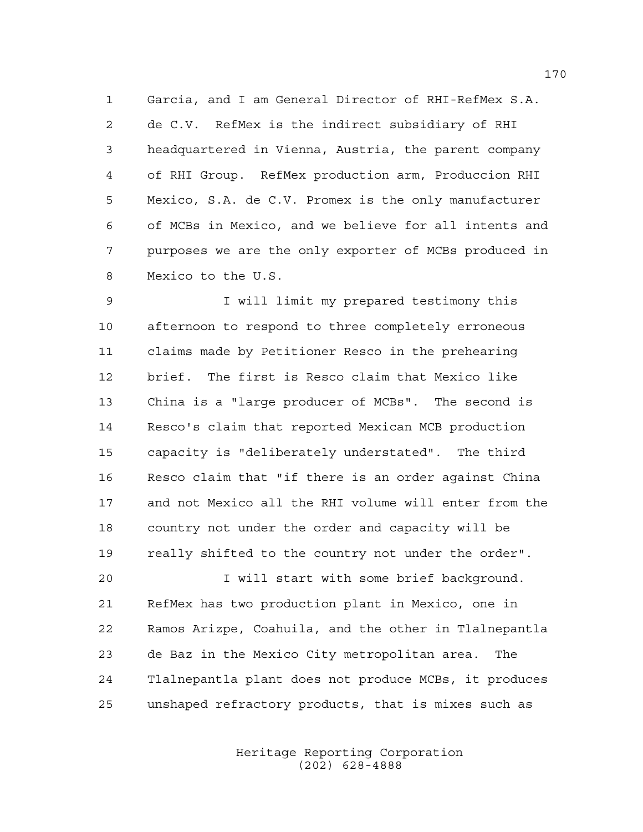Garcia, and I am General Director of RHI-RefMex S.A. de C.V. RefMex is the indirect subsidiary of RHI headquartered in Vienna, Austria, the parent company of RHI Group. RefMex production arm, Produccion RHI Mexico, S.A. de C.V. Promex is the only manufacturer of MCBs in Mexico, and we believe for all intents and purposes we are the only exporter of MCBs produced in Mexico to the U.S.

 I will limit my prepared testimony this afternoon to respond to three completely erroneous claims made by Petitioner Resco in the prehearing brief. The first is Resco claim that Mexico like China is a "large producer of MCBs". The second is Resco's claim that reported Mexican MCB production capacity is "deliberately understated". The third Resco claim that "if there is an order against China and not Mexico all the RHI volume will enter from the country not under the order and capacity will be really shifted to the country not under the order".

 I will start with some brief background. RefMex has two production plant in Mexico, one in Ramos Arizpe, Coahuila, and the other in Tlalnepantla de Baz in the Mexico City metropolitan area. The Tlalnepantla plant does not produce MCBs, it produces unshaped refractory products, that is mixes such as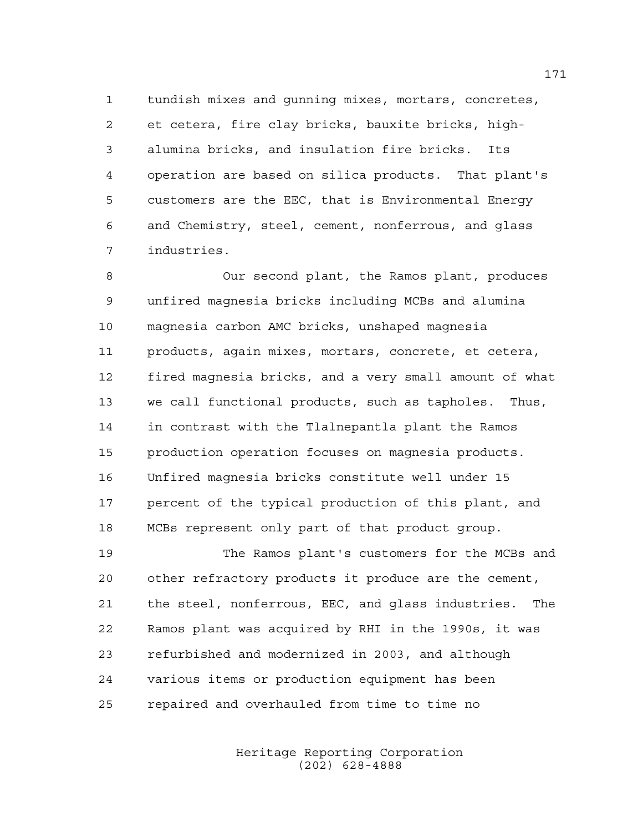tundish mixes and gunning mixes, mortars, concretes, et cetera, fire clay bricks, bauxite bricks, high- alumina bricks, and insulation fire bricks. Its operation are based on silica products. That plant's customers are the EEC, that is Environmental Energy and Chemistry, steel, cement, nonferrous, and glass industries.

 Our second plant, the Ramos plant, produces unfired magnesia bricks including MCBs and alumina magnesia carbon AMC bricks, unshaped magnesia products, again mixes, mortars, concrete, et cetera, fired magnesia bricks, and a very small amount of what we call functional products, such as tapholes. Thus, in contrast with the Tlalnepantla plant the Ramos production operation focuses on magnesia products. Unfired magnesia bricks constitute well under 15 percent of the typical production of this plant, and MCBs represent only part of that product group.

 The Ramos plant's customers for the MCBs and other refractory products it produce are the cement, the steel, nonferrous, EEC, and glass industries. The Ramos plant was acquired by RHI in the 1990s, it was refurbished and modernized in 2003, and although various items or production equipment has been repaired and overhauled from time to time no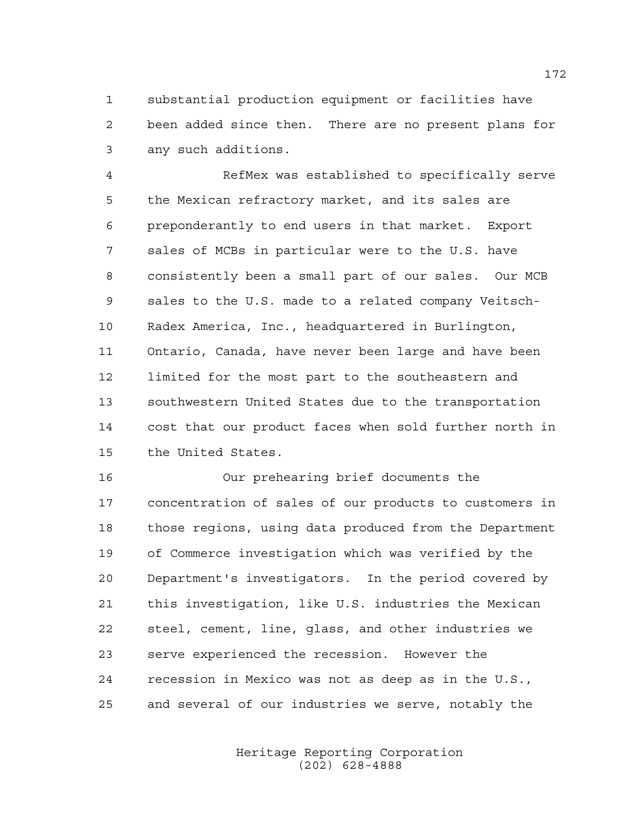substantial production equipment or facilities have been added since then. There are no present plans for any such additions.

 RefMex was established to specifically serve the Mexican refractory market, and its sales are preponderantly to end users in that market. Export sales of MCBs in particular were to the U.S. have consistently been a small part of our sales. Our MCB sales to the U.S. made to a related company Veitsch- Radex America, Inc., headquartered in Burlington, Ontario, Canada, have never been large and have been limited for the most part to the southeastern and southwestern United States due to the transportation cost that our product faces when sold further north in the United States.

 Our prehearing brief documents the concentration of sales of our products to customers in those regions, using data produced from the Department of Commerce investigation which was verified by the Department's investigators. In the period covered by this investigation, like U.S. industries the Mexican steel, cement, line, glass, and other industries we serve experienced the recession. However the recession in Mexico was not as deep as in the U.S., and several of our industries we serve, notably the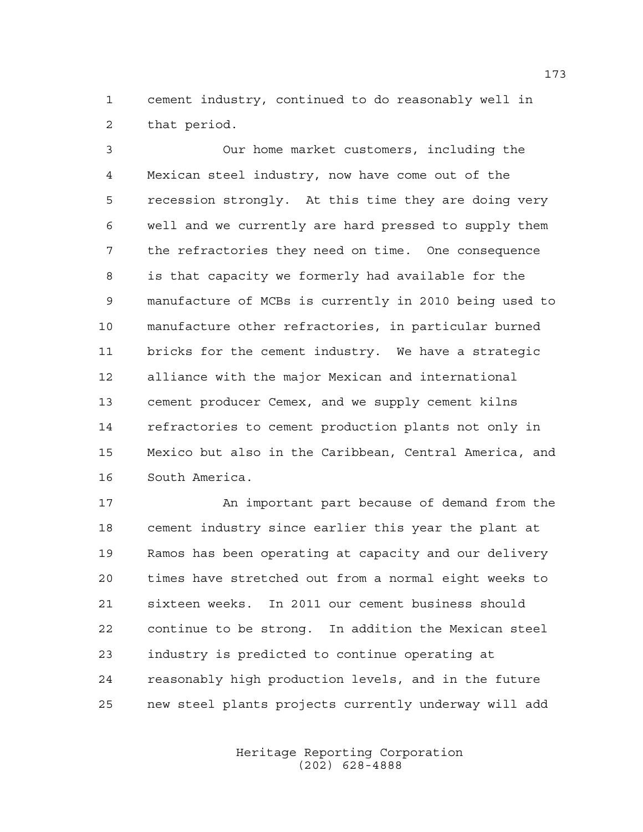cement industry, continued to do reasonably well in that period.

 Our home market customers, including the Mexican steel industry, now have come out of the recession strongly. At this time they are doing very well and we currently are hard pressed to supply them the refractories they need on time. One consequence is that capacity we formerly had available for the manufacture of MCBs is currently in 2010 being used to manufacture other refractories, in particular burned bricks for the cement industry. We have a strategic alliance with the major Mexican and international cement producer Cemex, and we supply cement kilns refractories to cement production plants not only in Mexico but also in the Caribbean, Central America, and South America.

17 An important part because of demand from the cement industry since earlier this year the plant at Ramos has been operating at capacity and our delivery times have stretched out from a normal eight weeks to sixteen weeks. In 2011 our cement business should continue to be strong. In addition the Mexican steel industry is predicted to continue operating at reasonably high production levels, and in the future new steel plants projects currently underway will add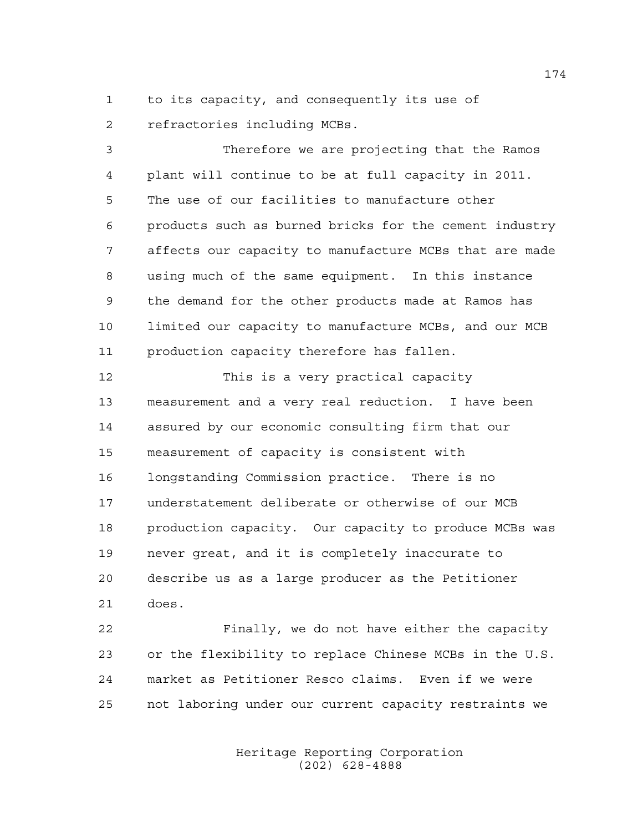to its capacity, and consequently its use of refractories including MCBs.

 Therefore we are projecting that the Ramos plant will continue to be at full capacity in 2011. The use of our facilities to manufacture other products such as burned bricks for the cement industry affects our capacity to manufacture MCBs that are made using much of the same equipment. In this instance the demand for the other products made at Ramos has limited our capacity to manufacture MCBs, and our MCB production capacity therefore has fallen.

 This is a very practical capacity measurement and a very real reduction. I have been assured by our economic consulting firm that our measurement of capacity is consistent with longstanding Commission practice. There is no understatement deliberate or otherwise of our MCB production capacity. Our capacity to produce MCBs was never great, and it is completely inaccurate to describe us as a large producer as the Petitioner does.

 Finally, we do not have either the capacity or the flexibility to replace Chinese MCBs in the U.S. market as Petitioner Resco claims. Even if we were not laboring under our current capacity restraints we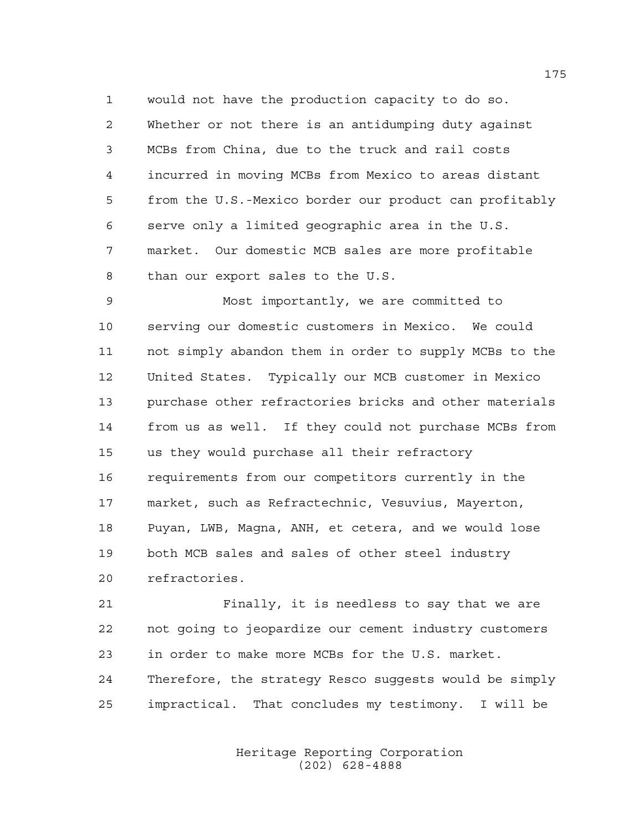would not have the production capacity to do so. Whether or not there is an antidumping duty against MCBs from China, due to the truck and rail costs incurred in moving MCBs from Mexico to areas distant from the U.S.-Mexico border our product can profitably serve only a limited geographic area in the U.S. market. Our domestic MCB sales are more profitable than our export sales to the U.S.

 Most importantly, we are committed to serving our domestic customers in Mexico. We could not simply abandon them in order to supply MCBs to the United States. Typically our MCB customer in Mexico purchase other refractories bricks and other materials from us as well. If they could not purchase MCBs from us they would purchase all their refractory requirements from our competitors currently in the market, such as Refractechnic, Vesuvius, Mayerton, Puyan, LWB, Magna, ANH, et cetera, and we would lose both MCB sales and sales of other steel industry refractories.

 Finally, it is needless to say that we are not going to jeopardize our cement industry customers in order to make more MCBs for the U.S. market. Therefore, the strategy Resco suggests would be simply impractical. That concludes my testimony. I will be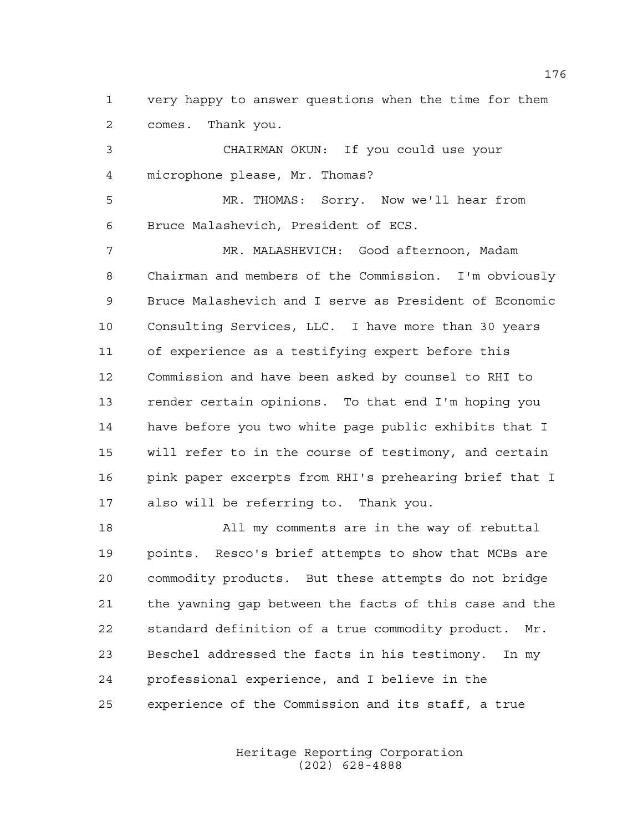very happy to answer questions when the time for them comes. Thank you.

 CHAIRMAN OKUN: If you could use your microphone please, Mr. Thomas?

 MR. THOMAS: Sorry. Now we'll hear from Bruce Malashevich, President of ECS.

 MR. MALASHEVICH: Good afternoon, Madam Chairman and members of the Commission. I'm obviously Bruce Malashevich and I serve as President of Economic Consulting Services, LLC. I have more than 30 years of experience as a testifying expert before this Commission and have been asked by counsel to RHI to render certain opinions. To that end I'm hoping you have before you two white page public exhibits that I will refer to in the course of testimony, and certain pink paper excerpts from RHI's prehearing brief that I also will be referring to. Thank you.

 All my comments are in the way of rebuttal points. Resco's brief attempts to show that MCBs are commodity products. But these attempts do not bridge the yawning gap between the facts of this case and the standard definition of a true commodity product. Mr. Beschel addressed the facts in his testimony. In my professional experience, and I believe in the experience of the Commission and its staff, a true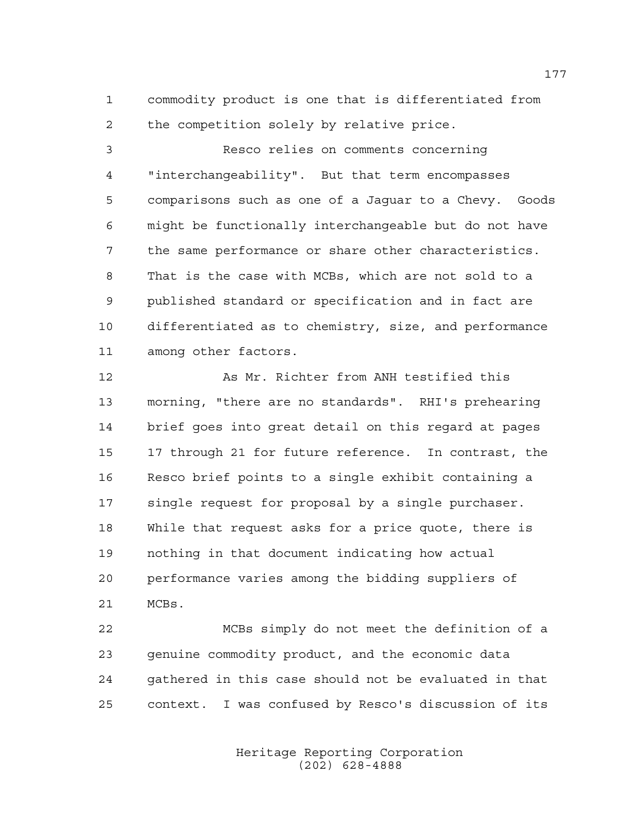commodity product is one that is differentiated from the competition solely by relative price.

 Resco relies on comments concerning "interchangeability". But that term encompasses comparisons such as one of a Jaguar to a Chevy. Goods might be functionally interchangeable but do not have the same performance or share other characteristics. That is the case with MCBs, which are not sold to a published standard or specification and in fact are differentiated as to chemistry, size, and performance among other factors.

 As Mr. Richter from ANH testified this morning, "there are no standards". RHI's prehearing brief goes into great detail on this regard at pages 17 through 21 for future reference. In contrast, the Resco brief points to a single exhibit containing a single request for proposal by a single purchaser. While that request asks for a price quote, there is nothing in that document indicating how actual performance varies among the bidding suppliers of MCBs.

 MCBs simply do not meet the definition of a genuine commodity product, and the economic data gathered in this case should not be evaluated in that context. I was confused by Resco's discussion of its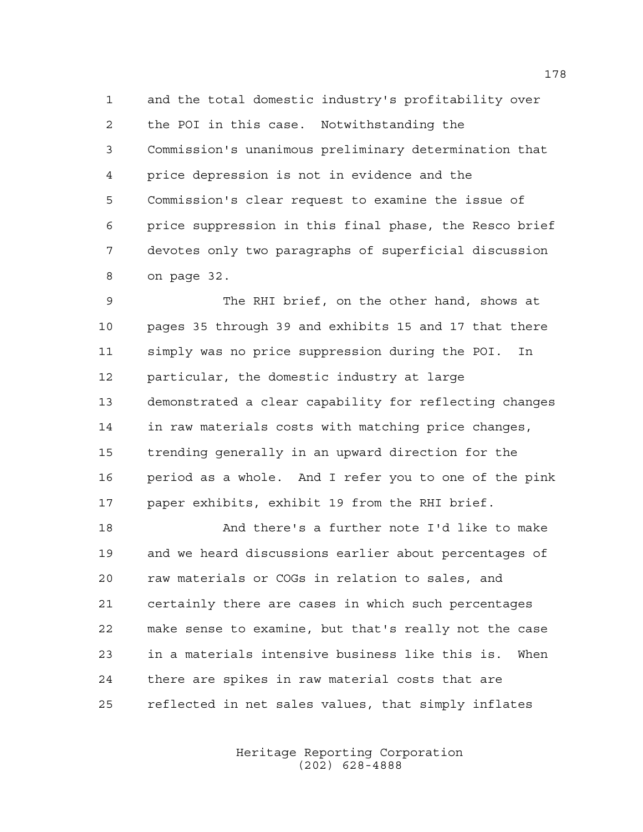and the total domestic industry's profitability over the POI in this case. Notwithstanding the Commission's unanimous preliminary determination that price depression is not in evidence and the Commission's clear request to examine the issue of price suppression in this final phase, the Resco brief devotes only two paragraphs of superficial discussion on page 32.

 The RHI brief, on the other hand, shows at pages 35 through 39 and exhibits 15 and 17 that there simply was no price suppression during the POI. In particular, the domestic industry at large demonstrated a clear capability for reflecting changes in raw materials costs with matching price changes, trending generally in an upward direction for the period as a whole. And I refer you to one of the pink paper exhibits, exhibit 19 from the RHI brief.

 And there's a further note I'd like to make and we heard discussions earlier about percentages of raw materials or COGs in relation to sales, and certainly there are cases in which such percentages make sense to examine, but that's really not the case in a materials intensive business like this is. When there are spikes in raw material costs that are reflected in net sales values, that simply inflates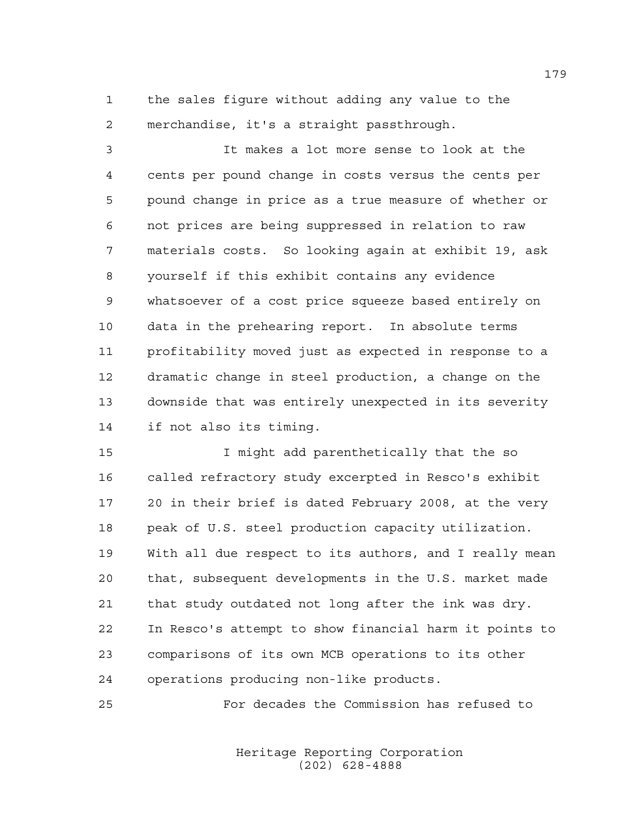the sales figure without adding any value to the merchandise, it's a straight passthrough.

 It makes a lot more sense to look at the cents per pound change in costs versus the cents per pound change in price as a true measure of whether or not prices are being suppressed in relation to raw materials costs. So looking again at exhibit 19, ask yourself if this exhibit contains any evidence whatsoever of a cost price squeeze based entirely on data in the prehearing report. In absolute terms profitability moved just as expected in response to a dramatic change in steel production, a change on the downside that was entirely unexpected in its severity if not also its timing.

 I might add parenthetically that the so called refractory study excerpted in Resco's exhibit 20 in their brief is dated February 2008, at the very peak of U.S. steel production capacity utilization. With all due respect to its authors, and I really mean that, subsequent developments in the U.S. market made that study outdated not long after the ink was dry. In Resco's attempt to show financial harm it points to comparisons of its own MCB operations to its other operations producing non-like products.

For decades the Commission has refused to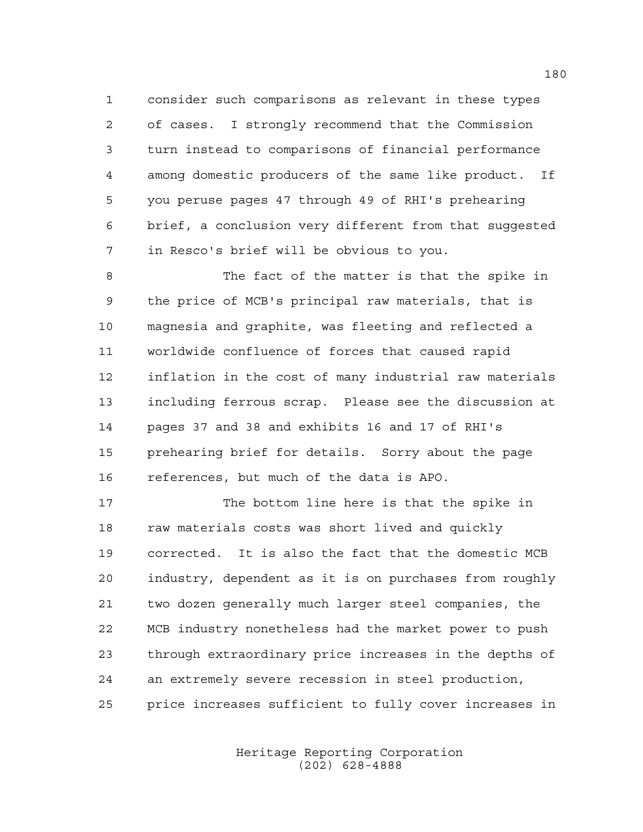consider such comparisons as relevant in these types of cases. I strongly recommend that the Commission turn instead to comparisons of financial performance among domestic producers of the same like product. If you peruse pages 47 through 49 of RHI's prehearing brief, a conclusion very different from that suggested in Resco's brief will be obvious to you.

 The fact of the matter is that the spike in the price of MCB's principal raw materials, that is magnesia and graphite, was fleeting and reflected a worldwide confluence of forces that caused rapid inflation in the cost of many industrial raw materials including ferrous scrap. Please see the discussion at pages 37 and 38 and exhibits 16 and 17 of RHI's prehearing brief for details. Sorry about the page references, but much of the data is APO.

 The bottom line here is that the spike in 18 raw materials costs was short lived and quickly corrected. It is also the fact that the domestic MCB industry, dependent as it is on purchases from roughly two dozen generally much larger steel companies, the MCB industry nonetheless had the market power to push through extraordinary price increases in the depths of an extremely severe recession in steel production, price increases sufficient to fully cover increases in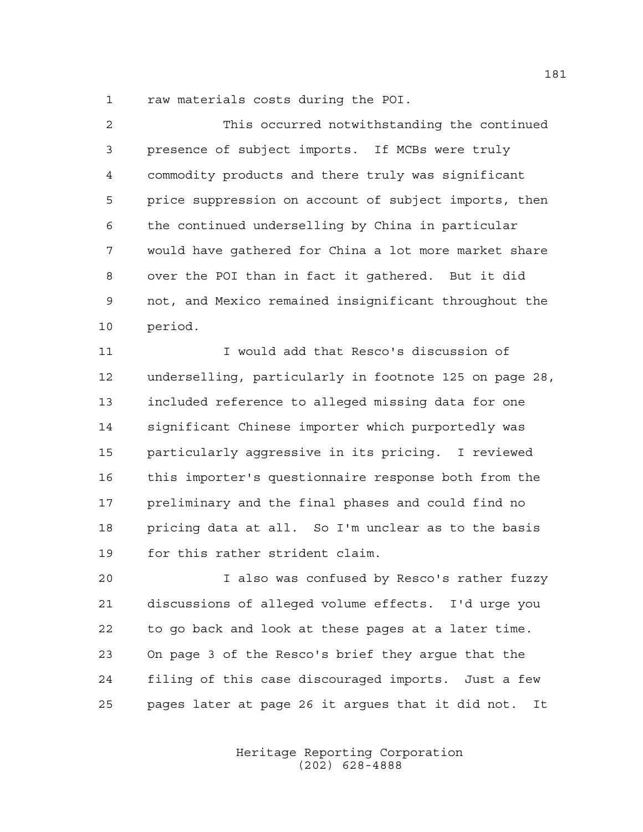raw materials costs during the POI.

| $\mathcal{L}$ | This occurred notwithstanding the continued           |
|---------------|-------------------------------------------------------|
| 3             | presence of subject imports. If MCBs were truly       |
| 4             | commodity products and there truly was significant    |
| 5             | price suppression on account of subject imports, then |
| 6             | the continued underselling by China in particular     |
| 7             | would have gathered for China a lot more market share |
| 8             | over the POI than in fact it gathered. But it did     |
| 9             | not, and Mexico remained insignificant throughout the |
| 10            | period.                                               |

 I would add that Resco's discussion of underselling, particularly in footnote 125 on page 28, included reference to alleged missing data for one significant Chinese importer which purportedly was particularly aggressive in its pricing. I reviewed this importer's questionnaire response both from the preliminary and the final phases and could find no pricing data at all. So I'm unclear as to the basis for this rather strident claim.

 I also was confused by Resco's rather fuzzy discussions of alleged volume effects. I'd urge you to go back and look at these pages at a later time. On page 3 of the Resco's brief they argue that the filing of this case discouraged imports. Just a few pages later at page 26 it argues that it did not. It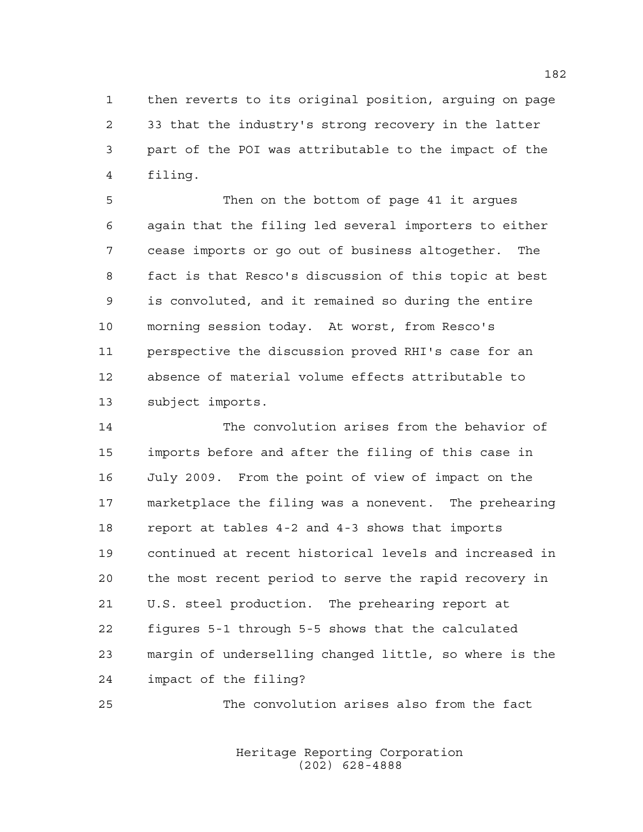then reverts to its original position, arguing on page 33 that the industry's strong recovery in the latter part of the POI was attributable to the impact of the filing.

 Then on the bottom of page 41 it argues again that the filing led several importers to either cease imports or go out of business altogether. The fact is that Resco's discussion of this topic at best is convoluted, and it remained so during the entire morning session today. At worst, from Resco's perspective the discussion proved RHI's case for an absence of material volume effects attributable to subject imports.

 The convolution arises from the behavior of imports before and after the filing of this case in July 2009. From the point of view of impact on the marketplace the filing was a nonevent. The prehearing report at tables 4-2 and 4-3 shows that imports continued at recent historical levels and increased in the most recent period to serve the rapid recovery in U.S. steel production. The prehearing report at figures 5-1 through 5-5 shows that the calculated margin of underselling changed little, so where is the impact of the filing?

The convolution arises also from the fact

Heritage Reporting Corporation (202) 628-4888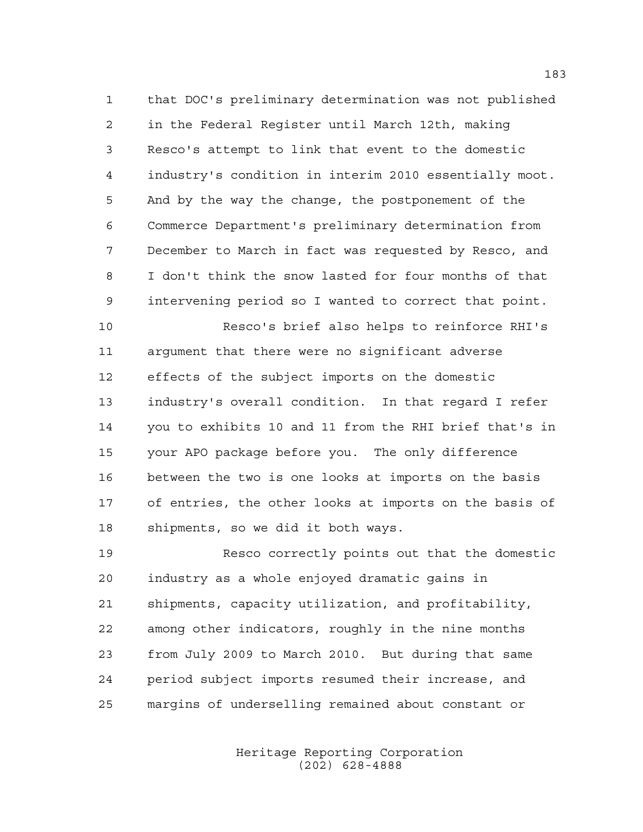that DOC's preliminary determination was not published in the Federal Register until March 12th, making Resco's attempt to link that event to the domestic industry's condition in interim 2010 essentially moot. And by the way the change, the postponement of the Commerce Department's preliminary determination from December to March in fact was requested by Resco, and I don't think the snow lasted for four months of that intervening period so I wanted to correct that point.

 Resco's brief also helps to reinforce RHI's argument that there were no significant adverse effects of the subject imports on the domestic industry's overall condition. In that regard I refer you to exhibits 10 and 11 from the RHI brief that's in your APO package before you. The only difference between the two is one looks at imports on the basis of entries, the other looks at imports on the basis of shipments, so we did it both ways.

 Resco correctly points out that the domestic industry as a whole enjoyed dramatic gains in shipments, capacity utilization, and profitability, among other indicators, roughly in the nine months from July 2009 to March 2010. But during that same period subject imports resumed their increase, and margins of underselling remained about constant or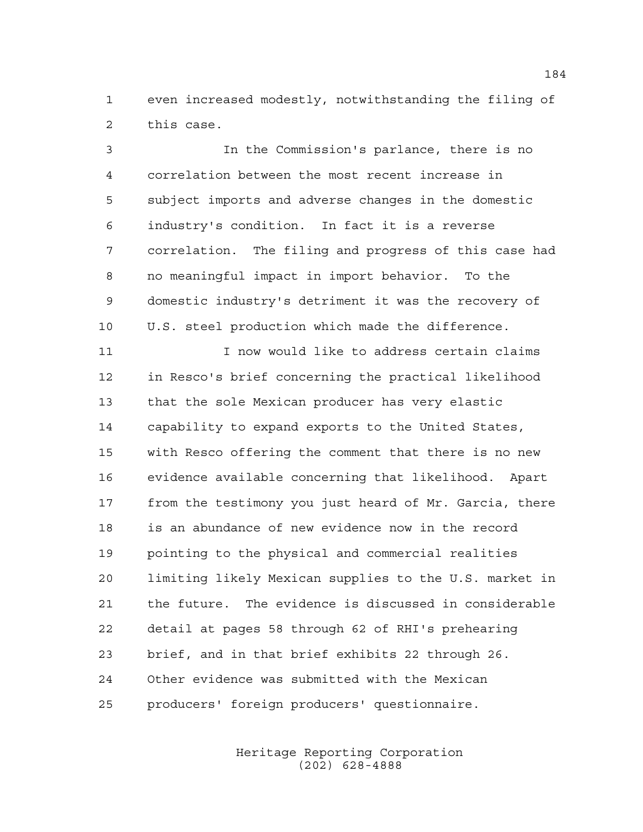even increased modestly, notwithstanding the filing of this case.

 In the Commission's parlance, there is no correlation between the most recent increase in subject imports and adverse changes in the domestic industry's condition. In fact it is a reverse correlation. The filing and progress of this case had no meaningful impact in import behavior. To the domestic industry's detriment it was the recovery of U.S. steel production which made the difference.

 I now would like to address certain claims in Resco's brief concerning the practical likelihood that the sole Mexican producer has very elastic capability to expand exports to the United States, with Resco offering the comment that there is no new evidence available concerning that likelihood. Apart from the testimony you just heard of Mr. Garcia, there is an abundance of new evidence now in the record pointing to the physical and commercial realities limiting likely Mexican supplies to the U.S. market in the future. The evidence is discussed in considerable detail at pages 58 through 62 of RHI's prehearing brief, and in that brief exhibits 22 through 26. Other evidence was submitted with the Mexican producers' foreign producers' questionnaire.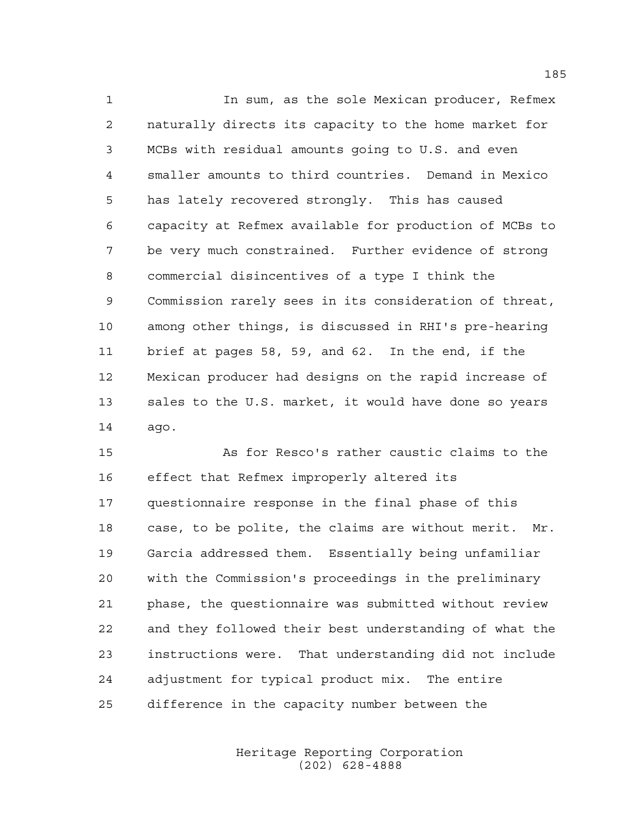In sum, as the sole Mexican producer, Refmex naturally directs its capacity to the home market for MCBs with residual amounts going to U.S. and even smaller amounts to third countries. Demand in Mexico has lately recovered strongly. This has caused capacity at Refmex available for production of MCBs to be very much constrained. Further evidence of strong commercial disincentives of a type I think the Commission rarely sees in its consideration of threat, among other things, is discussed in RHI's pre-hearing brief at pages 58, 59, and 62. In the end, if the Mexican producer had designs on the rapid increase of sales to the U.S. market, it would have done so years ago.

 As for Resco's rather caustic claims to the effect that Refmex improperly altered its questionnaire response in the final phase of this case, to be polite, the claims are without merit. Mr. Garcia addressed them. Essentially being unfamiliar with the Commission's proceedings in the preliminary phase, the questionnaire was submitted without review and they followed their best understanding of what the instructions were. That understanding did not include adjustment for typical product mix. The entire difference in the capacity number between the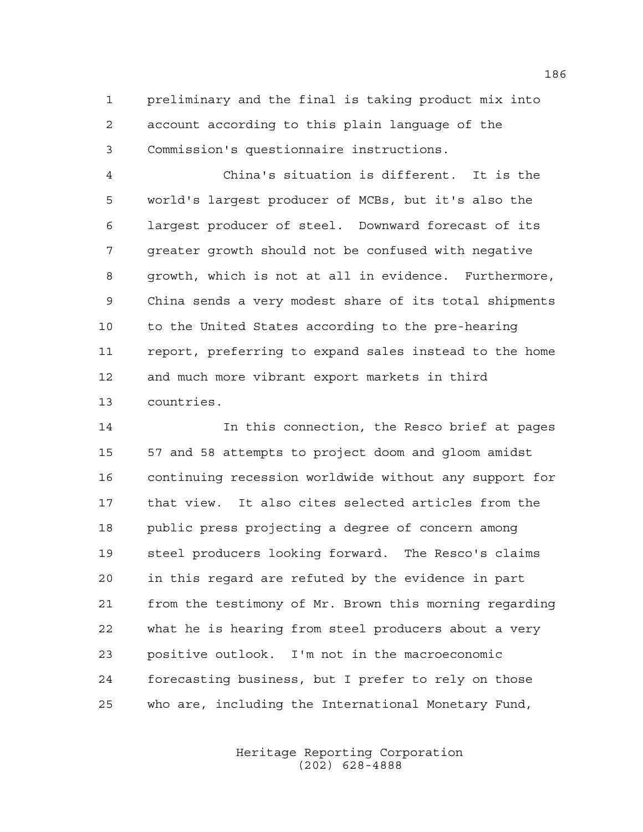preliminary and the final is taking product mix into account according to this plain language of the Commission's questionnaire instructions.

 China's situation is different. It is the world's largest producer of MCBs, but it's also the largest producer of steel. Downward forecast of its greater growth should not be confused with negative growth, which is not at all in evidence. Furthermore, China sends a very modest share of its total shipments to the United States according to the pre-hearing report, preferring to expand sales instead to the home and much more vibrant export markets in third countries.

 In this connection, the Resco brief at pages 57 and 58 attempts to project doom and gloom amidst continuing recession worldwide without any support for that view. It also cites selected articles from the public press projecting a degree of concern among steel producers looking forward. The Resco's claims in this regard are refuted by the evidence in part from the testimony of Mr. Brown this morning regarding what he is hearing from steel producers about a very positive outlook. I'm not in the macroeconomic forecasting business, but I prefer to rely on those who are, including the International Monetary Fund,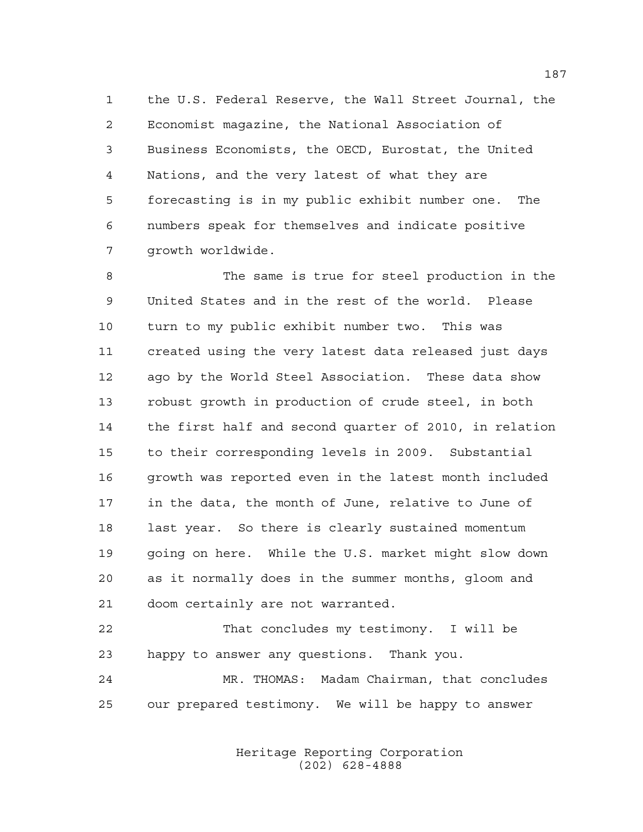the U.S. Federal Reserve, the Wall Street Journal, the Economist magazine, the National Association of Business Economists, the OECD, Eurostat, the United Nations, and the very latest of what they are forecasting is in my public exhibit number one. The numbers speak for themselves and indicate positive growth worldwide.

 The same is true for steel production in the United States and in the rest of the world. Please turn to my public exhibit number two. This was created using the very latest data released just days ago by the World Steel Association. These data show robust growth in production of crude steel, in both the first half and second quarter of 2010, in relation to their corresponding levels in 2009. Substantial growth was reported even in the latest month included in the data, the month of June, relative to June of last year. So there is clearly sustained momentum going on here. While the U.S. market might slow down as it normally does in the summer months, gloom and doom certainly are not warranted.

 That concludes my testimony. I will be happy to answer any questions. Thank you. MR. THOMAS: Madam Chairman, that concludes

our prepared testimony. We will be happy to answer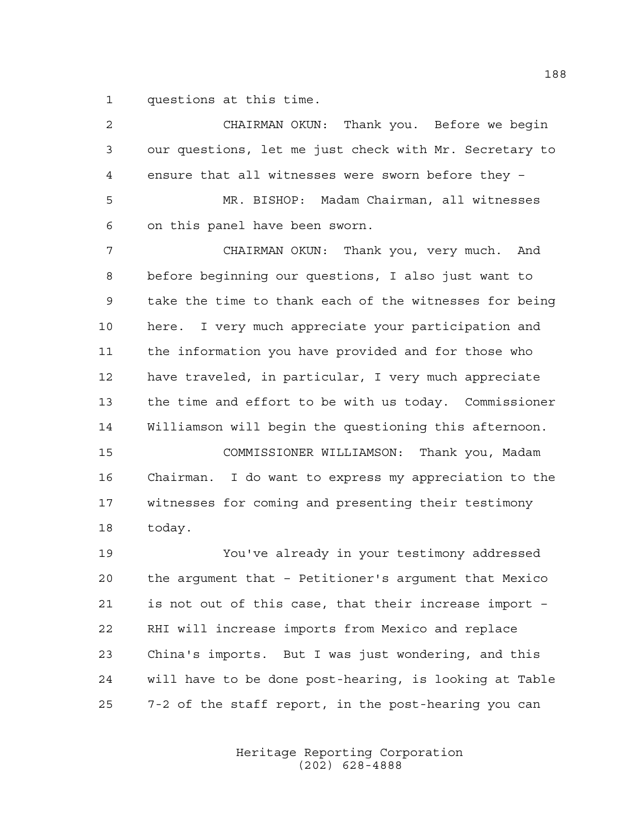questions at this time.

| 2  | CHAIRMAN OKUN: Thank you. Before we begin              |
|----|--------------------------------------------------------|
| 3  | our questions, let me just check with Mr. Secretary to |
| 4  | ensure that all witnesses were sworn before they -     |
| 5  | MR. BISHOP: Madam Chairman, all witnesses              |
| 6  | on this panel have been sworn.                         |
| 7  | CHAIRMAN OKUN: Thank you, very much. And               |
| 8  | before beginning our questions, I also just want to    |
| 9  | take the time to thank each of the witnesses for being |
| 10 | I very much appreciate your participation and<br>here. |
| 11 | the information you have provided and for those who    |
| 12 | have traveled, in particular, I very much appreciate   |
| 13 | the time and effort to be with us today. Commissioner  |
| 14 | Williamson will begin the questioning this afternoon.  |
| 15 | COMMISSIONER WILLIAMSON: Thank you, Madam              |
| 16 | Chairman. I do want to express my appreciation to the  |
| 17 | witnesses for coming and presenting their testimony    |
| 18 | today.                                                 |
| 19 | You've already in your testimony addressed             |
| 20 | the argument that - Petitioner's argument that Mexico  |
| 21 | is not out of this case, that their increase import -  |
| 22 | RHI will increase imports from Mexico and replace      |
| 23 | China's imports. But I was just wondering, and this    |
| 24 | will have to be done post-hearing, is looking at Table |
| 25 | 7-2 of the staff report, in the post-hearing you can   |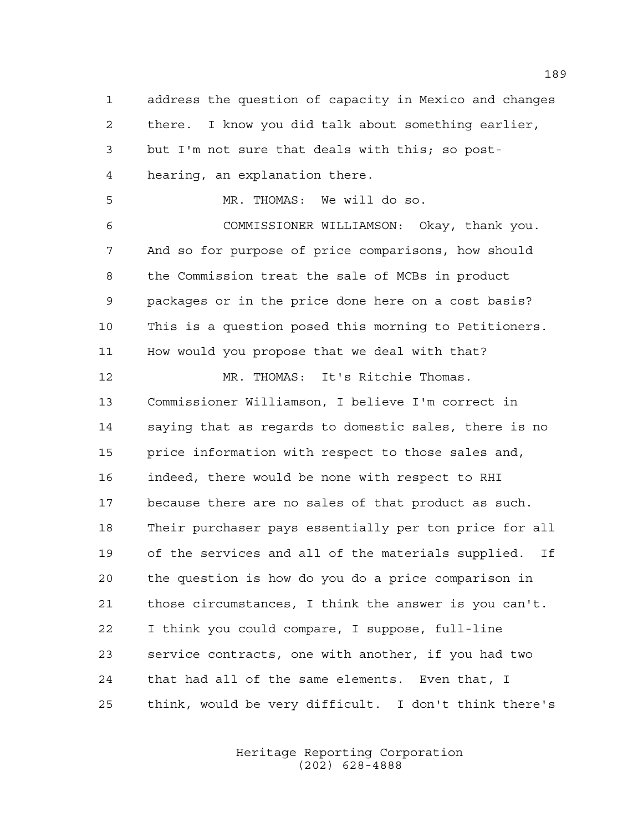address the question of capacity in Mexico and changes there. I know you did talk about something earlier, but I'm not sure that deals with this; so post- hearing, an explanation there. MR. THOMAS: We will do so. COMMISSIONER WILLIAMSON: Okay, thank you. And so for purpose of price comparisons, how should the Commission treat the sale of MCBs in product packages or in the price done here on a cost basis? This is a question posed this morning to Petitioners. How would you propose that we deal with that? MR. THOMAS: It's Ritchie Thomas. Commissioner Williamson, I believe I'm correct in saying that as regards to domestic sales, there is no price information with respect to those sales and, indeed, there would be none with respect to RHI because there are no sales of that product as such. Their purchaser pays essentially per ton price for all of the services and all of the materials supplied. If the question is how do you do a price comparison in those circumstances, I think the answer is you can't. I think you could compare, I suppose, full-line service contracts, one with another, if you had two that had all of the same elements. Even that, I think, would be very difficult. I don't think there's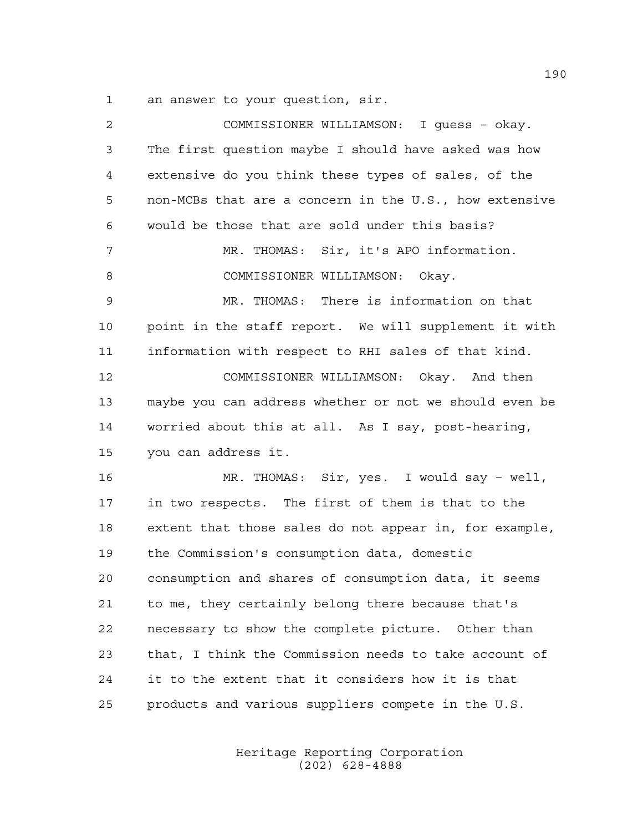an answer to your question, sir.

| 2  | COMMISSIONER WILLIAMSON: I guess - okay.               |
|----|--------------------------------------------------------|
| 3  | The first question maybe I should have asked was how   |
| 4  | extensive do you think these types of sales, of the    |
| 5  | non-MCBs that are a concern in the U.S., how extensive |
| 6  | would be those that are sold under this basis?         |
| 7  | MR. THOMAS: Sir, it's APO information.                 |
| 8  | COMMISSIONER WILLIAMSON: Okay.                         |
| 9  | MR. THOMAS: There is information on that               |
| 10 | point in the staff report. We will supplement it with  |
| 11 | information with respect to RHI sales of that kind.    |
| 12 | COMMISSIONER WILLIAMSON: Okay. And then                |
| 13 | maybe you can address whether or not we should even be |
| 14 | worried about this at all. As I say, post-hearing,     |
| 15 | you can address it.                                    |
| 16 | MR. THOMAS: Sir, yes. I would say - well,              |
| 17 | in two respects. The first of them is that to the      |
| 18 | extent that those sales do not appear in, for example, |
| 19 | the Commission's consumption data, domestic            |
| 20 | consumption and shares of consumption data, it seems   |
| 21 | to me, they certainly belong there because that's      |
| 22 | necessary to show the complete picture. Other than     |
| 23 | that, I think the Commission needs to take account of  |
| 24 | it to the extent that it considers how it is that      |
| 25 | products and various suppliers compete in the U.S.     |
|    |                                                        |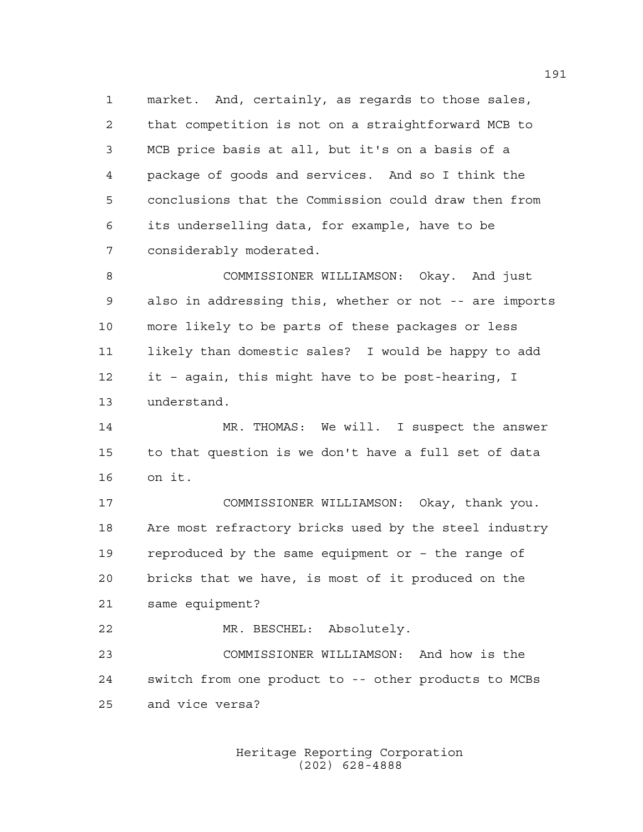market. And, certainly, as regards to those sales, that competition is not on a straightforward MCB to MCB price basis at all, but it's on a basis of a package of goods and services. And so I think the conclusions that the Commission could draw then from its underselling data, for example, have to be considerably moderated.

 COMMISSIONER WILLIAMSON: Okay. And just also in addressing this, whether or not -- are imports more likely to be parts of these packages or less likely than domestic sales? I would be happy to add it – again, this might have to be post-hearing, I understand.

14 MR. THOMAS: We will. I suspect the answer to that question is we don't have a full set of data on it.

 COMMISSIONER WILLIAMSON: Okay, thank you. Are most refractory bricks used by the steel industry reproduced by the same equipment or – the range of bricks that we have, is most of it produced on the same equipment?

MR. BESCHEL: Absolutely.

 COMMISSIONER WILLIAMSON: And how is the switch from one product to -- other products to MCBs and vice versa?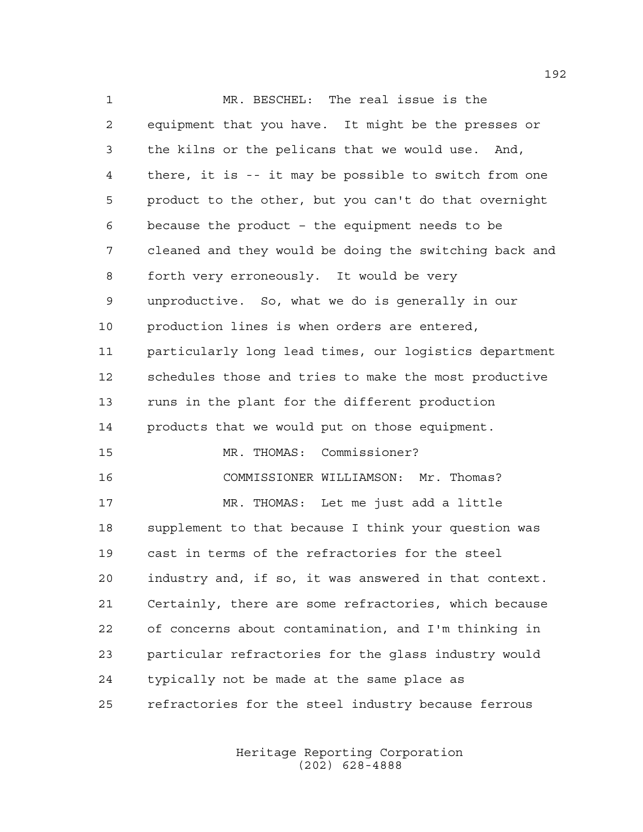MR. BESCHEL: The real issue is the equipment that you have. It might be the presses or the kilns or the pelicans that we would use. And, there, it is -- it may be possible to switch from one product to the other, but you can't do that overnight because the product – the equipment needs to be cleaned and they would be doing the switching back and forth very erroneously. It would be very unproductive. So, what we do is generally in our production lines is when orders are entered, particularly long lead times, our logistics department schedules those and tries to make the most productive runs in the plant for the different production products that we would put on those equipment. MR. THOMAS: Commissioner? COMMISSIONER WILLIAMSON: Mr. Thomas? MR. THOMAS: Let me just add a little supplement to that because I think your question was cast in terms of the refractories for the steel industry and, if so, it was answered in that context. Certainly, there are some refractories, which because of concerns about contamination, and I'm thinking in particular refractories for the glass industry would typically not be made at the same place as refractories for the steel industry because ferrous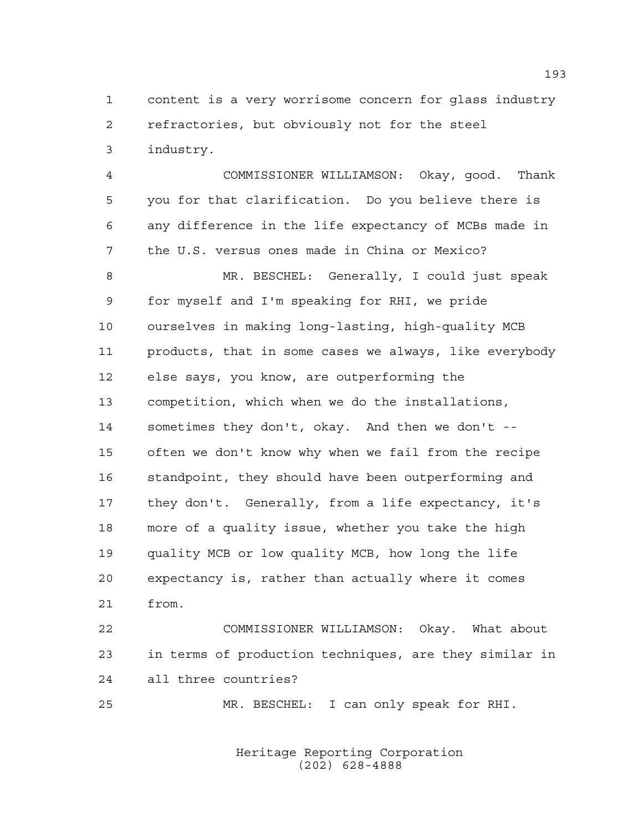content is a very worrisome concern for glass industry refractories, but obviously not for the steel industry.

 COMMISSIONER WILLIAMSON: Okay, good. Thank you for that clarification. Do you believe there is any difference in the life expectancy of MCBs made in the U.S. versus ones made in China or Mexico? MR. BESCHEL: Generally, I could just speak for myself and I'm speaking for RHI, we pride ourselves in making long-lasting, high-quality MCB products, that in some cases we always, like everybody else says, you know, are outperforming the competition, which when we do the installations, sometimes they don't, okay. And then we don't -- often we don't know why when we fail from the recipe 16 standpoint, they should have been outperforming and they don't. Generally, from a life expectancy, it's more of a quality issue, whether you take the high quality MCB or low quality MCB, how long the life expectancy is, rather than actually where it comes from.

 COMMISSIONER WILLIAMSON: Okay. What about in terms of production techniques, are they similar in all three countries?

MR. BESCHEL: I can only speak for RHI.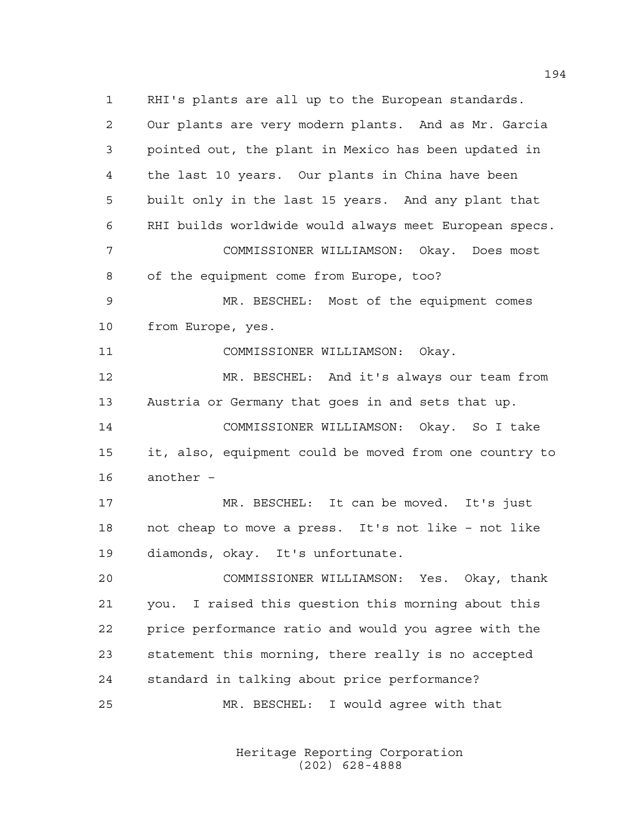RHI's plants are all up to the European standards. Our plants are very modern plants. And as Mr. Garcia pointed out, the plant in Mexico has been updated in the last 10 years. Our plants in China have been built only in the last 15 years. And any plant that RHI builds worldwide would always meet European specs. COMMISSIONER WILLIAMSON: Okay. Does most of the equipment come from Europe, too? MR. BESCHEL: Most of the equipment comes from Europe, yes. COMMISSIONER WILLIAMSON: Okay. MR. BESCHEL: And it's always our team from Austria or Germany that goes in and sets that up. COMMISSIONER WILLIAMSON: Okay. So I take it, also, equipment could be moved from one country to another – MR. BESCHEL: It can be moved. It's just not cheap to move a press. It's not like – not like diamonds, okay. It's unfortunate. COMMISSIONER WILLIAMSON: Yes. Okay, thank you. I raised this question this morning about this price performance ratio and would you agree with the statement this morning, there really is no accepted standard in talking about price performance? MR. BESCHEL: I would agree with that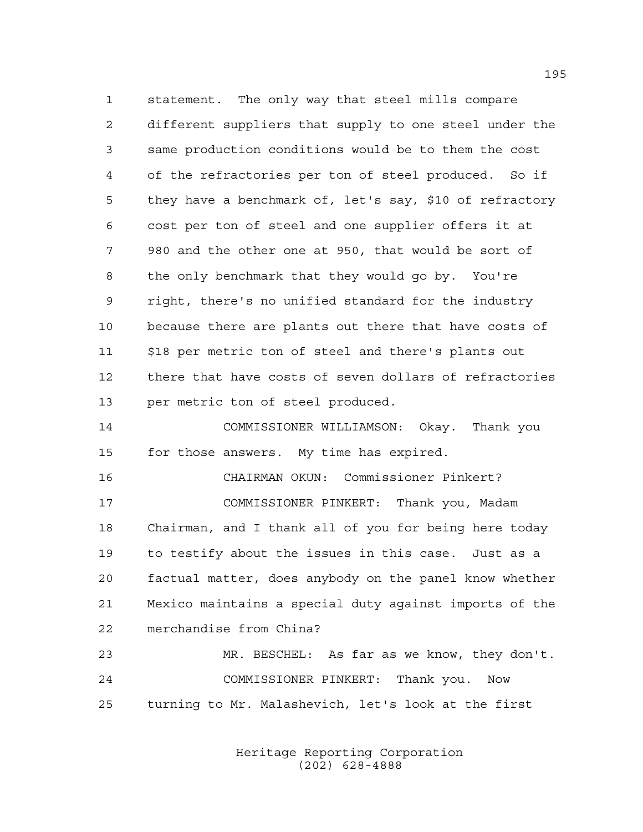statement. The only way that steel mills compare different suppliers that supply to one steel under the same production conditions would be to them the cost of the refractories per ton of steel produced. So if they have a benchmark of, let's say, \$10 of refractory cost per ton of steel and one supplier offers it at 980 and the other one at 950, that would be sort of the only benchmark that they would go by. You're right, there's no unified standard for the industry because there are plants out there that have costs of \$18 per metric ton of steel and there's plants out there that have costs of seven dollars of refractories per metric ton of steel produced.

 COMMISSIONER WILLIAMSON: Okay. Thank you for those answers. My time has expired.

 CHAIRMAN OKUN: Commissioner Pinkert? COMMISSIONER PINKERT: Thank you, Madam Chairman, and I thank all of you for being here today to testify about the issues in this case. Just as a factual matter, does anybody on the panel know whether Mexico maintains a special duty against imports of the merchandise from China?

 MR. BESCHEL: As far as we know, they don't. COMMISSIONER PINKERT: Thank you. Now turning to Mr. Malashevich, let's look at the first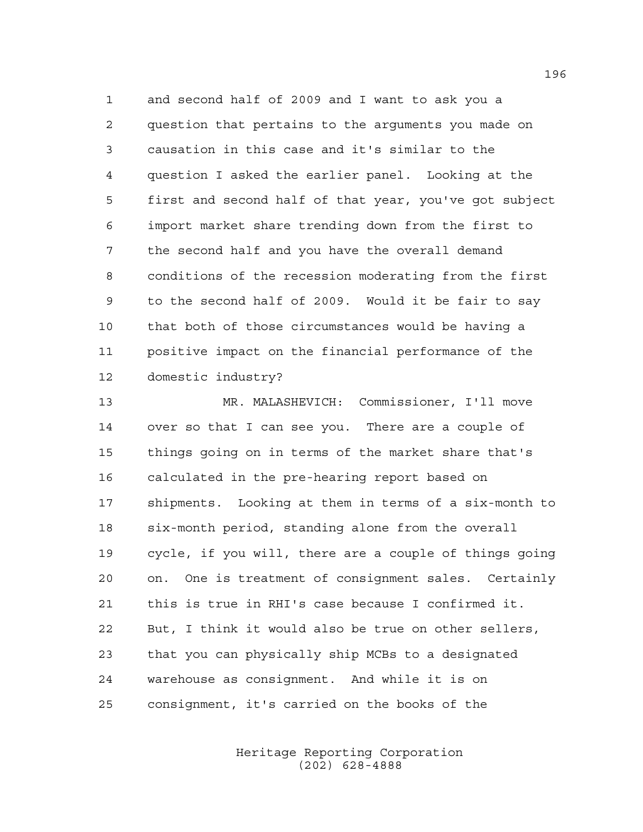and second half of 2009 and I want to ask you a question that pertains to the arguments you made on causation in this case and it's similar to the question I asked the earlier panel. Looking at the first and second half of that year, you've got subject import market share trending down from the first to the second half and you have the overall demand conditions of the recession moderating from the first to the second half of 2009. Would it be fair to say that both of those circumstances would be having a positive impact on the financial performance of the domestic industry?

 MR. MALASHEVICH: Commissioner, I'll move over so that I can see you. There are a couple of things going on in terms of the market share that's calculated in the pre-hearing report based on shipments. Looking at them in terms of a six-month to six-month period, standing alone from the overall cycle, if you will, there are a couple of things going on. One is treatment of consignment sales. Certainly this is true in RHI's case because I confirmed it. But, I think it would also be true on other sellers, that you can physically ship MCBs to a designated warehouse as consignment. And while it is on consignment, it's carried on the books of the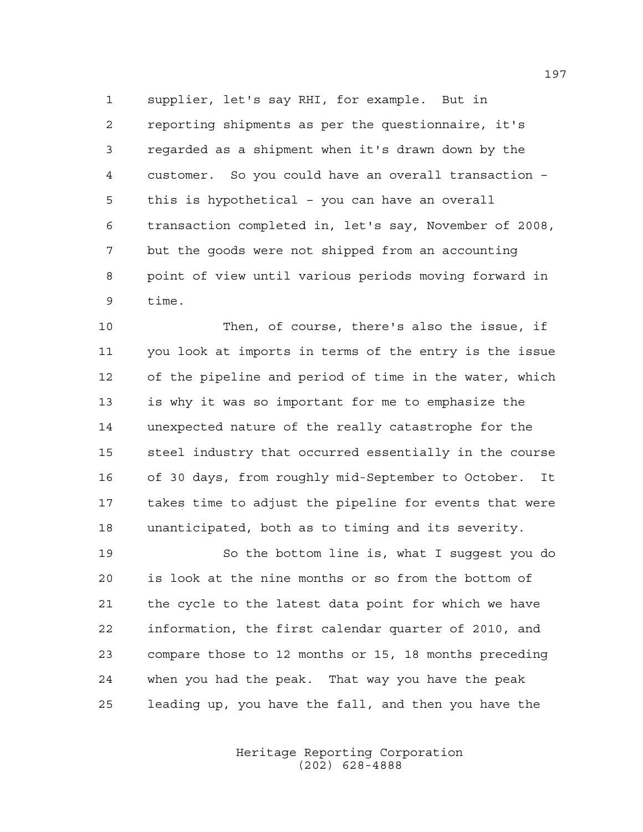supplier, let's say RHI, for example. But in reporting shipments as per the questionnaire, it's regarded as a shipment when it's drawn down by the customer. So you could have an overall transaction – this is hypothetical – you can have an overall transaction completed in, let's say, November of 2008, but the goods were not shipped from an accounting point of view until various periods moving forward in time.

 Then, of course, there's also the issue, if you look at imports in terms of the entry is the issue of the pipeline and period of time in the water, which is why it was so important for me to emphasize the unexpected nature of the really catastrophe for the steel industry that occurred essentially in the course of 30 days, from roughly mid-September to October. It takes time to adjust the pipeline for events that were unanticipated, both as to timing and its severity.

 So the bottom line is, what I suggest you do is look at the nine months or so from the bottom of the cycle to the latest data point for which we have information, the first calendar quarter of 2010, and compare those to 12 months or 15, 18 months preceding when you had the peak. That way you have the peak leading up, you have the fall, and then you have the

> Heritage Reporting Corporation (202) 628-4888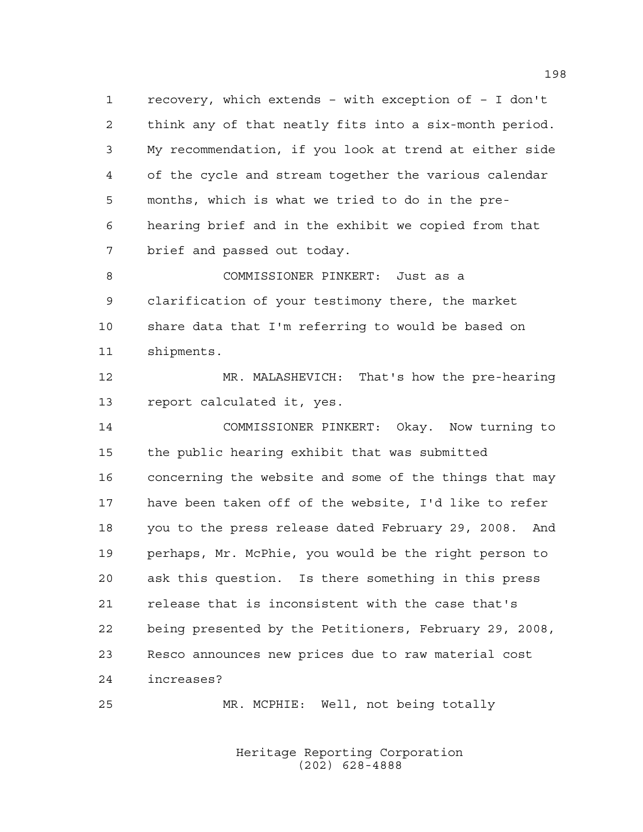recovery, which extends – with exception of – I don't think any of that neatly fits into a six-month period. My recommendation, if you look at trend at either side of the cycle and stream together the various calendar months, which is what we tried to do in the pre- hearing brief and in the exhibit we copied from that brief and passed out today.

 COMMISSIONER PINKERT: Just as a clarification of your testimony there, the market share data that I'm referring to would be based on shipments.

 MR. MALASHEVICH: That's how the pre-hearing report calculated it, yes.

 COMMISSIONER PINKERT: Okay. Now turning to the public hearing exhibit that was submitted concerning the website and some of the things that may have been taken off of the website, I'd like to refer you to the press release dated February 29, 2008. And perhaps, Mr. McPhie, you would be the right person to ask this question. Is there something in this press release that is inconsistent with the case that's being presented by the Petitioners, February 29, 2008, Resco announces new prices due to raw material cost increases?

MR. MCPHIE: Well, not being totally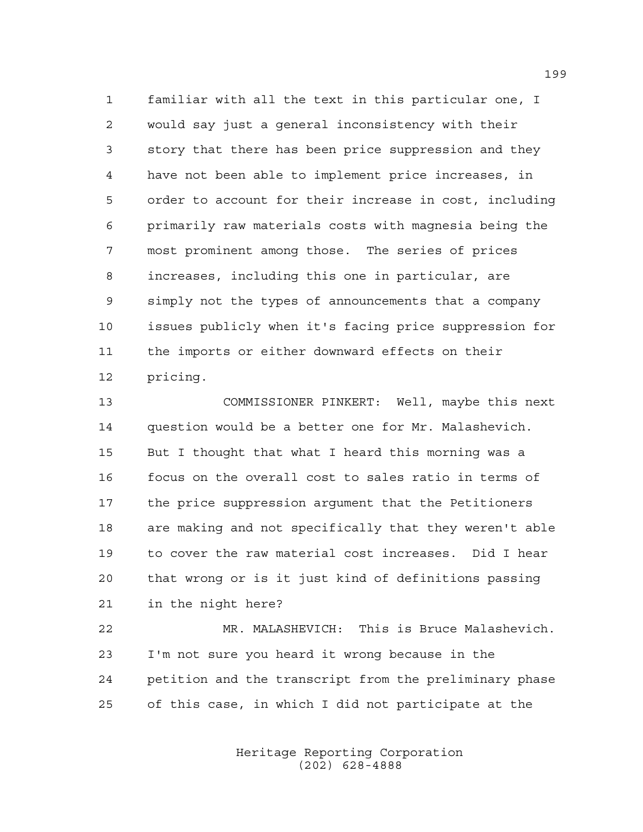familiar with all the text in this particular one, I would say just a general inconsistency with their story that there has been price suppression and they have not been able to implement price increases, in order to account for their increase in cost, including primarily raw materials costs with magnesia being the most prominent among those. The series of prices increases, including this one in particular, are simply not the types of announcements that a company issues publicly when it's facing price suppression for the imports or either downward effects on their pricing.

 COMMISSIONER PINKERT: Well, maybe this next question would be a better one for Mr. Malashevich. But I thought that what I heard this morning was a focus on the overall cost to sales ratio in terms of the price suppression argument that the Petitioners are making and not specifically that they weren't able to cover the raw material cost increases. Did I hear that wrong or is it just kind of definitions passing in the night here?

 MR. MALASHEVICH: This is Bruce Malashevich. I'm not sure you heard it wrong because in the petition and the transcript from the preliminary phase of this case, in which I did not participate at the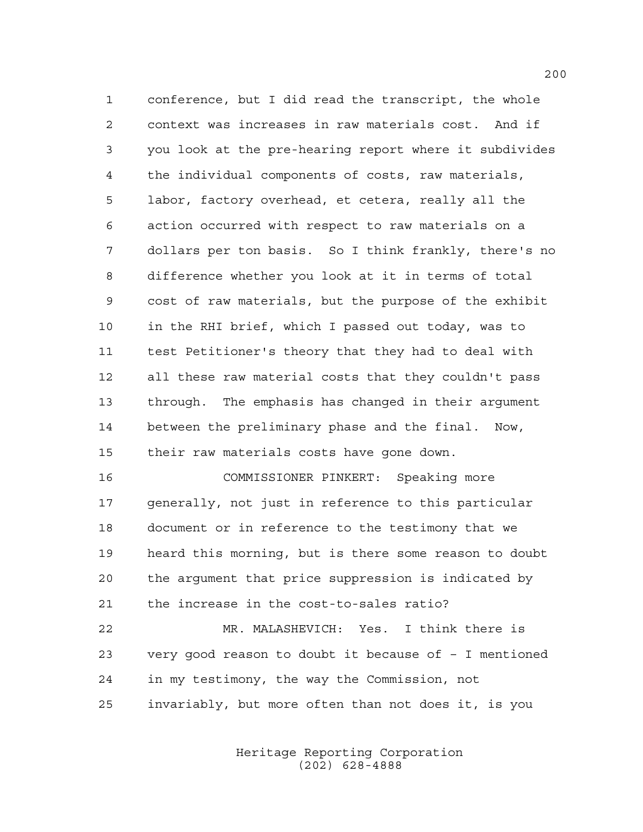conference, but I did read the transcript, the whole context was increases in raw materials cost. And if you look at the pre-hearing report where it subdivides the individual components of costs, raw materials, labor, factory overhead, et cetera, really all the action occurred with respect to raw materials on a dollars per ton basis. So I think frankly, there's no difference whether you look at it in terms of total cost of raw materials, but the purpose of the exhibit in the RHI brief, which I passed out today, was to test Petitioner's theory that they had to deal with all these raw material costs that they couldn't pass through. The emphasis has changed in their argument between the preliminary phase and the final. Now, their raw materials costs have gone down.

 COMMISSIONER PINKERT: Speaking more generally, not just in reference to this particular document or in reference to the testimony that we heard this morning, but is there some reason to doubt the argument that price suppression is indicated by the increase in the cost-to-sales ratio?

 MR. MALASHEVICH: Yes. I think there is very good reason to doubt it because of – I mentioned in my testimony, the way the Commission, not invariably, but more often than not does it, is you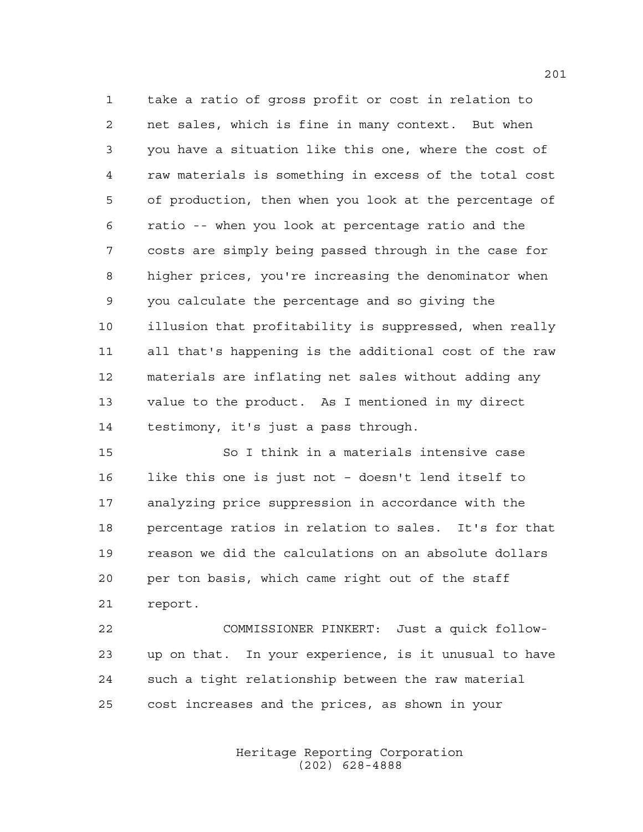take a ratio of gross profit or cost in relation to net sales, which is fine in many context. But when you have a situation like this one, where the cost of raw materials is something in excess of the total cost of production, then when you look at the percentage of ratio -- when you look at percentage ratio and the costs are simply being passed through in the case for higher prices, you're increasing the denominator when you calculate the percentage and so giving the illusion that profitability is suppressed, when really all that's happening is the additional cost of the raw materials are inflating net sales without adding any value to the product. As I mentioned in my direct testimony, it's just a pass through.

 So I think in a materials intensive case like this one is just not – doesn't lend itself to analyzing price suppression in accordance with the percentage ratios in relation to sales. It's for that reason we did the calculations on an absolute dollars per ton basis, which came right out of the staff report.

 COMMISSIONER PINKERT: Just a quick follow- up on that. In your experience, is it unusual to have such a tight relationship between the raw material cost increases and the prices, as shown in your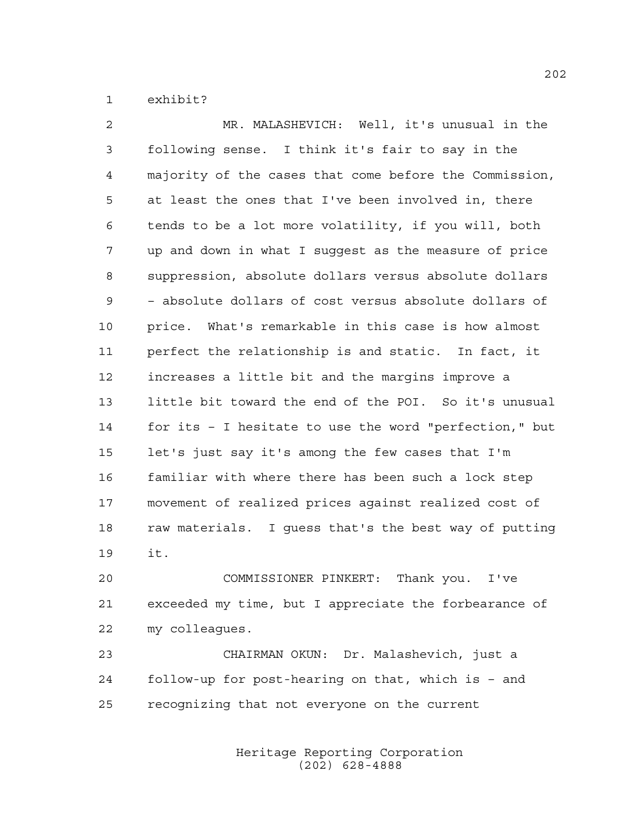exhibit?

 MR. MALASHEVICH: Well, it's unusual in the following sense. I think it's fair to say in the majority of the cases that come before the Commission, at least the ones that I've been involved in, there tends to be a lot more volatility, if you will, both up and down in what I suggest as the measure of price suppression, absolute dollars versus absolute dollars – absolute dollars of cost versus absolute dollars of price. What's remarkable in this case is how almost perfect the relationship is and static. In fact, it increases a little bit and the margins improve a little bit toward the end of the POI. So it's unusual for its – I hesitate to use the word "perfection," but let's just say it's among the few cases that I'm familiar with where there has been such a lock step movement of realized prices against realized cost of raw materials. I guess that's the best way of putting it.

 COMMISSIONER PINKERT: Thank you. I've exceeded my time, but I appreciate the forbearance of my colleagues.

 CHAIRMAN OKUN: Dr. Malashevich, just a follow-up for post-hearing on that, which is – and recognizing that not everyone on the current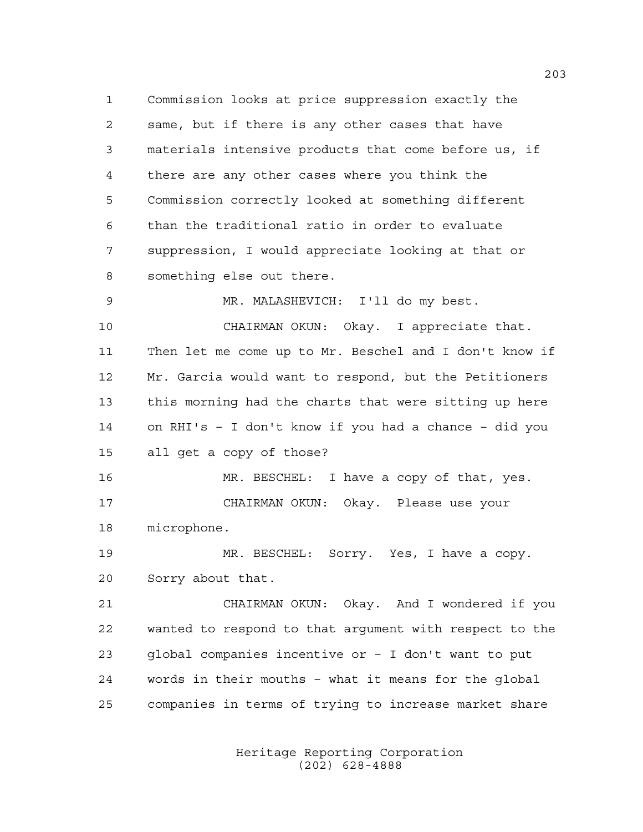Commission looks at price suppression exactly the same, but if there is any other cases that have materials intensive products that come before us, if there are any other cases where you think the Commission correctly looked at something different than the traditional ratio in order to evaluate suppression, I would appreciate looking at that or something else out there. MR. MALASHEVICH: I'll do my best. CHAIRMAN OKUN: Okay. I appreciate that. Then let me come up to Mr. Beschel and I don't know if Mr. Garcia would want to respond, but the Petitioners this morning had the charts that were sitting up here on RHI's – I don't know if you had a chance – did you all get a copy of those? MR. BESCHEL: I have a copy of that, yes. CHAIRMAN OKUN: Okay. Please use your microphone. MR. BESCHEL: Sorry. Yes, I have a copy. Sorry about that. CHAIRMAN OKUN: Okay. And I wondered if you wanted to respond to that argument with respect to the global companies incentive or – I don't want to put words in their mouths – what it means for the global companies in terms of trying to increase market share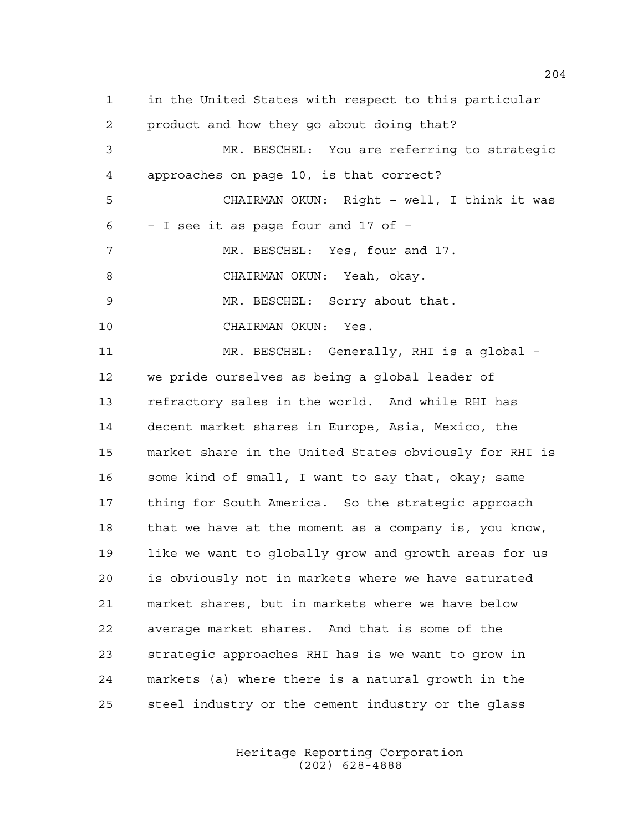in the United States with respect to this particular product and how they go about doing that? MR. BESCHEL: You are referring to strategic approaches on page 10, is that correct? CHAIRMAN OKUN: Right – well, I think it was – I see it as page four and 17 of – 7 MR. BESCHEL: Yes, four and 17. CHAIRMAN OKUN: Yeah, okay. MR. BESCHEL: Sorry about that. CHAIRMAN OKUN: Yes. MR. BESCHEL: Generally, RHI is a global – we pride ourselves as being a global leader of refractory sales in the world. And while RHI has decent market shares in Europe, Asia, Mexico, the market share in the United States obviously for RHI is 16 some kind of small, I want to say that, okay; same thing for South America. So the strategic approach that we have at the moment as a company is, you know, like we want to globally grow and growth areas for us is obviously not in markets where we have saturated market shares, but in markets where we have below average market shares. And that is some of the strategic approaches RHI has is we want to grow in markets (a) where there is a natural growth in the steel industry or the cement industry or the glass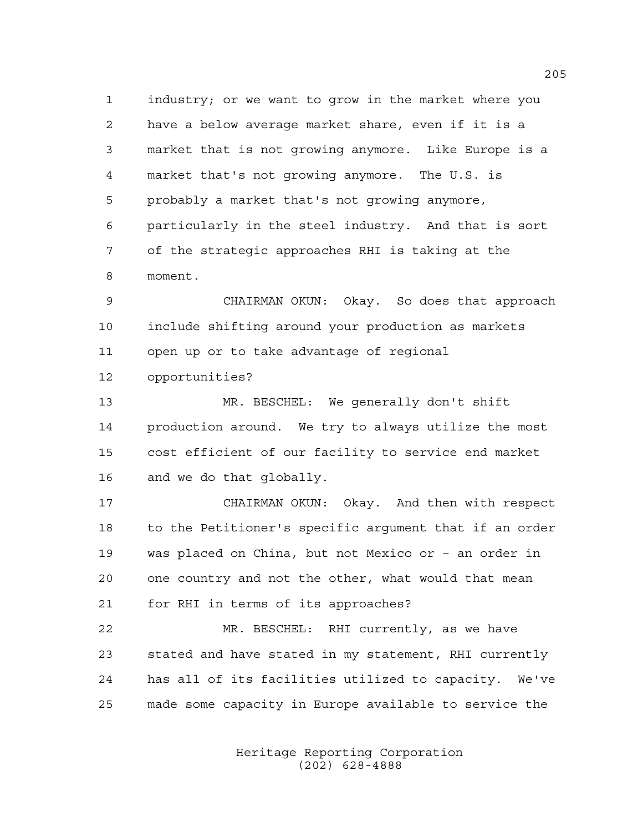industry; or we want to grow in the market where you have a below average market share, even if it is a market that is not growing anymore. Like Europe is a market that's not growing anymore. The U.S. is probably a market that's not growing anymore, particularly in the steel industry. And that is sort of the strategic approaches RHI is taking at the moment.

 CHAIRMAN OKUN: Okay. So does that approach include shifting around your production as markets open up or to take advantage of regional opportunities?

 MR. BESCHEL: We generally don't shift production around. We try to always utilize the most cost efficient of our facility to service end market and we do that globally.

 CHAIRMAN OKUN: Okay. And then with respect to the Petitioner's specific argument that if an order was placed on China, but not Mexico or – an order in one country and not the other, what would that mean for RHI in terms of its approaches?

 MR. BESCHEL: RHI currently, as we have stated and have stated in my statement, RHI currently has all of its facilities utilized to capacity. We've made some capacity in Europe available to service the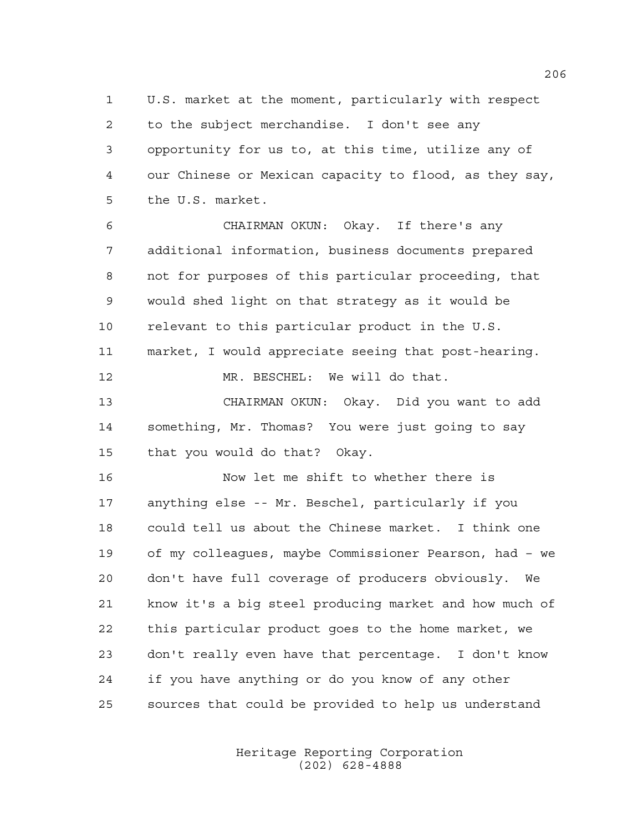U.S. market at the moment, particularly with respect to the subject merchandise. I don't see any opportunity for us to, at this time, utilize any of our Chinese or Mexican capacity to flood, as they say, the U.S. market.

 CHAIRMAN OKUN: Okay. If there's any additional information, business documents prepared not for purposes of this particular proceeding, that would shed light on that strategy as it would be relevant to this particular product in the U.S. market, I would appreciate seeing that post-hearing. MR. BESCHEL: We will do that. CHAIRMAN OKUN: Okay. Did you want to add something, Mr. Thomas? You were just going to say

that you would do that? Okay.

 Now let me shift to whether there is anything else -- Mr. Beschel, particularly if you could tell us about the Chinese market. I think one of my colleagues, maybe Commissioner Pearson, had – we don't have full coverage of producers obviously. We know it's a big steel producing market and how much of this particular product goes to the home market, we don't really even have that percentage. I don't know if you have anything or do you know of any other sources that could be provided to help us understand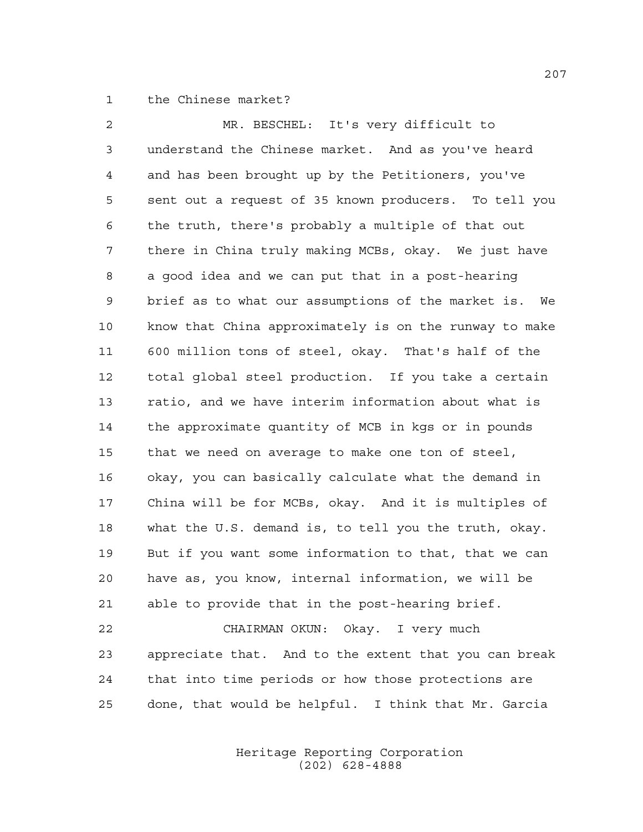the Chinese market?

| $\overline{2}$ | MR. BESCHEL: It's very difficult to                    |
|----------------|--------------------------------------------------------|
| 3              | understand the Chinese market. And as you've heard     |
| $\overline{4}$ | and has been brought up by the Petitioners, you've     |
| 5              | sent out a request of 35 known producers. To tell you  |
| 6              | the truth, there's probably a multiple of that out     |
| 7              | there in China truly making MCBs, okay. We just have   |
| 8              | a good idea and we can put that in a post-hearing      |
| 9              | brief as to what our assumptions of the market is. We  |
| 10             | know that China approximately is on the runway to make |
| 11             | 600 million tons of steel, okay. That's half of the    |
| 12             | total global steel production. If you take a certain   |
| 13             | ratio, and we have interim information about what is   |
| 14             | the approximate quantity of MCB in kgs or in pounds    |
| 15             | that we need on average to make one ton of steel,      |
| 16             | okay, you can basically calculate what the demand in   |
| 17             | China will be for MCBs, okay. And it is multiples of   |
| 18             | what the U.S. demand is, to tell you the truth, okay.  |
| 19             | But if you want some information to that, that we can  |
| 20             | have as, you know, internal information, we will be    |
| 21             | able to provide that in the post-hearing brief.        |
| 22             | CHAIRMAN OKUN: Okay. I very much                       |
| 23             | appreciate that. And to the extent that you can break  |
| 24             | that into time periods or how those protections are    |
| 25             | done, that would be helpful. I think that Mr. Garcia   |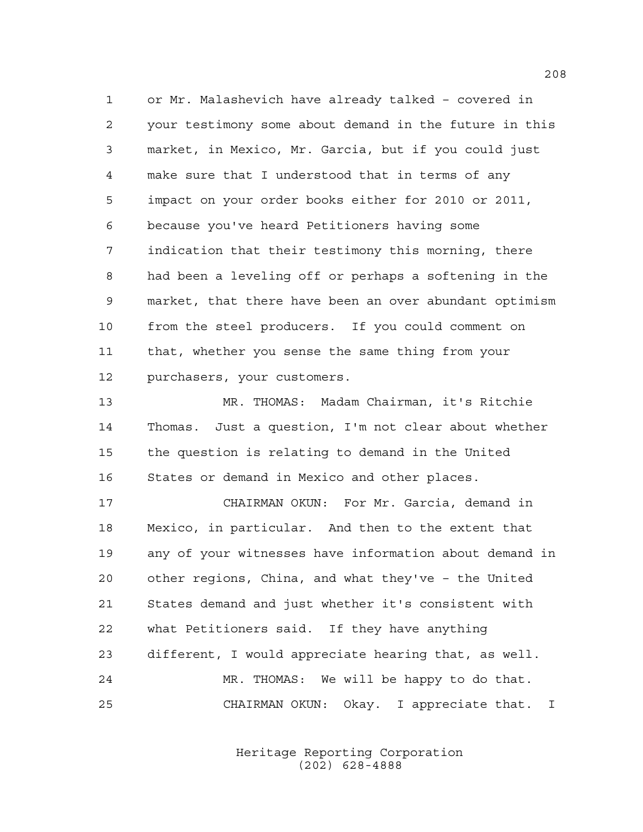or Mr. Malashevich have already talked – covered in your testimony some about demand in the future in this market, in Mexico, Mr. Garcia, but if you could just make sure that I understood that in terms of any impact on your order books either for 2010 or 2011, because you've heard Petitioners having some indication that their testimony this morning, there had been a leveling off or perhaps a softening in the market, that there have been an over abundant optimism from the steel producers. If you could comment on that, whether you sense the same thing from your purchasers, your customers.

 MR. THOMAS: Madam Chairman, it's Ritchie Thomas. Just a question, I'm not clear about whether the question is relating to demand in the United States or demand in Mexico and other places.

 CHAIRMAN OKUN: For Mr. Garcia, demand in Mexico, in particular. And then to the extent that any of your witnesses have information about demand in other regions, China, and what they've – the United States demand and just whether it's consistent with what Petitioners said. If they have anything different, I would appreciate hearing that, as well. MR. THOMAS: We will be happy to do that. CHAIRMAN OKUN: Okay. I appreciate that. I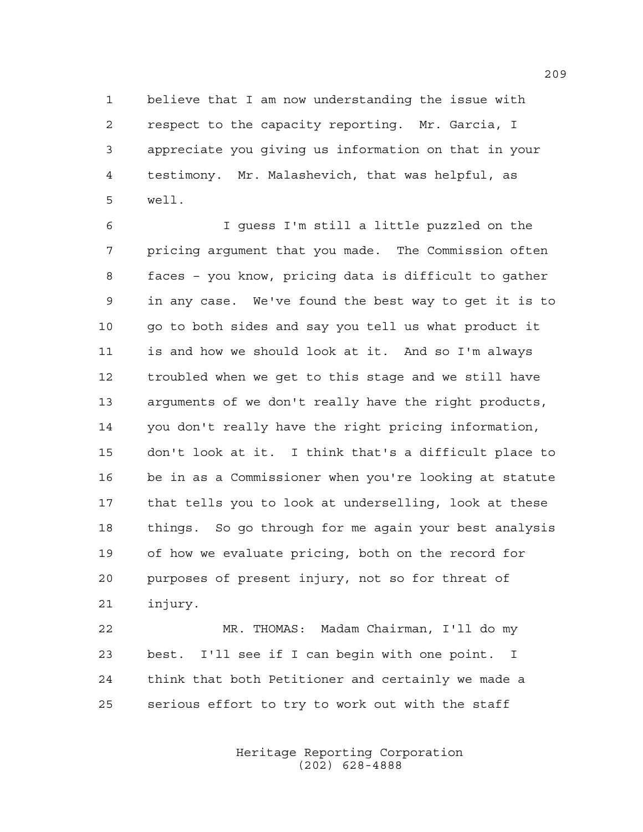believe that I am now understanding the issue with respect to the capacity reporting. Mr. Garcia, I appreciate you giving us information on that in your testimony. Mr. Malashevich, that was helpful, as well.

 I guess I'm still a little puzzled on the pricing argument that you made. The Commission often faces – you know, pricing data is difficult to gather in any case. We've found the best way to get it is to go to both sides and say you tell us what product it is and how we should look at it. And so I'm always troubled when we get to this stage and we still have arguments of we don't really have the right products, you don't really have the right pricing information, don't look at it. I think that's a difficult place to be in as a Commissioner when you're looking at statute that tells you to look at underselling, look at these things. So go through for me again your best analysis of how we evaluate pricing, both on the record for purposes of present injury, not so for threat of injury.

 MR. THOMAS: Madam Chairman, I'll do my best. I'll see if I can begin with one point. I think that both Petitioner and certainly we made a serious effort to try to work out with the staff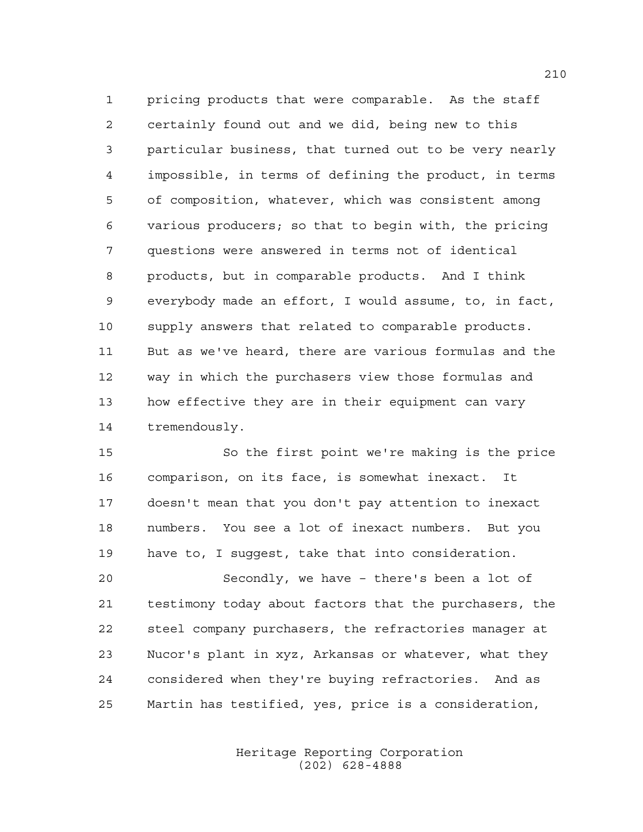pricing products that were comparable. As the staff certainly found out and we did, being new to this particular business, that turned out to be very nearly impossible, in terms of defining the product, in terms of composition, whatever, which was consistent among various producers; so that to begin with, the pricing questions were answered in terms not of identical products, but in comparable products. And I think everybody made an effort, I would assume, to, in fact, supply answers that related to comparable products. But as we've heard, there are various formulas and the way in which the purchasers view those formulas and how effective they are in their equipment can vary tremendously.

 So the first point we're making is the price comparison, on its face, is somewhat inexact. It doesn't mean that you don't pay attention to inexact numbers. You see a lot of inexact numbers. But you have to, I suggest, take that into consideration.

 Secondly, we have – there's been a lot of testimony today about factors that the purchasers, the steel company purchasers, the refractories manager at Nucor's plant in xyz, Arkansas or whatever, what they considered when they're buying refractories. And as Martin has testified, yes, price is a consideration,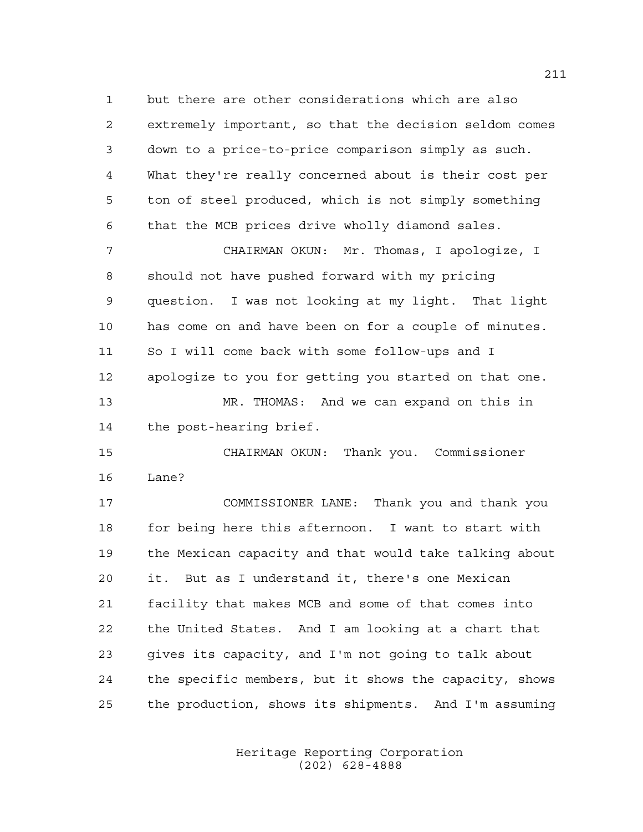but there are other considerations which are also extremely important, so that the decision seldom comes down to a price-to-price comparison simply as such. What they're really concerned about is their cost per ton of steel produced, which is not simply something that the MCB prices drive wholly diamond sales.

 CHAIRMAN OKUN: Mr. Thomas, I apologize, I should not have pushed forward with my pricing question. I was not looking at my light. That light has come on and have been on for a couple of minutes. So I will come back with some follow-ups and I apologize to you for getting you started on that one. MR. THOMAS: And we can expand on this in the post-hearing brief.

 CHAIRMAN OKUN: Thank you. Commissioner Lane?

 COMMISSIONER LANE: Thank you and thank you for being here this afternoon. I want to start with the Mexican capacity and that would take talking about it. But as I understand it, there's one Mexican facility that makes MCB and some of that comes into the United States. And I am looking at a chart that gives its capacity, and I'm not going to talk about the specific members, but it shows the capacity, shows the production, shows its shipments. And I'm assuming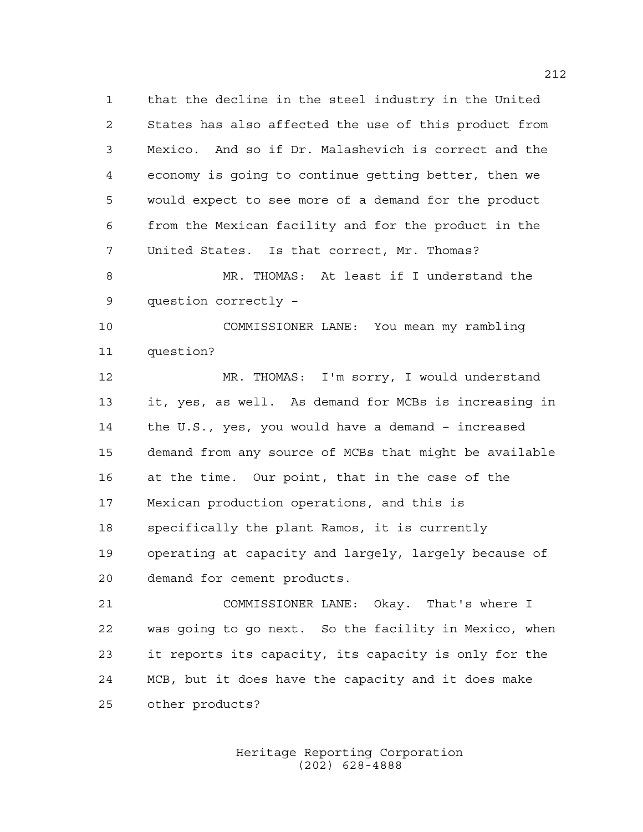that the decline in the steel industry in the United States has also affected the use of this product from Mexico. And so if Dr. Malashevich is correct and the economy is going to continue getting better, then we would expect to see more of a demand for the product from the Mexican facility and for the product in the United States. Is that correct, Mr. Thomas?

 MR. THOMAS: At least if I understand the question correctly –

 COMMISSIONER LANE: You mean my rambling question?

 MR. THOMAS: I'm sorry, I would understand it, yes, as well. As demand for MCBs is increasing in the U.S., yes, you would have a demand – increased demand from any source of MCBs that might be available at the time. Our point, that in the case of the Mexican production operations, and this is specifically the plant Ramos, it is currently operating at capacity and largely, largely because of demand for cement products.

 COMMISSIONER LANE: Okay. That's where I was going to go next. So the facility in Mexico, when it reports its capacity, its capacity is only for the MCB, but it does have the capacity and it does make other products?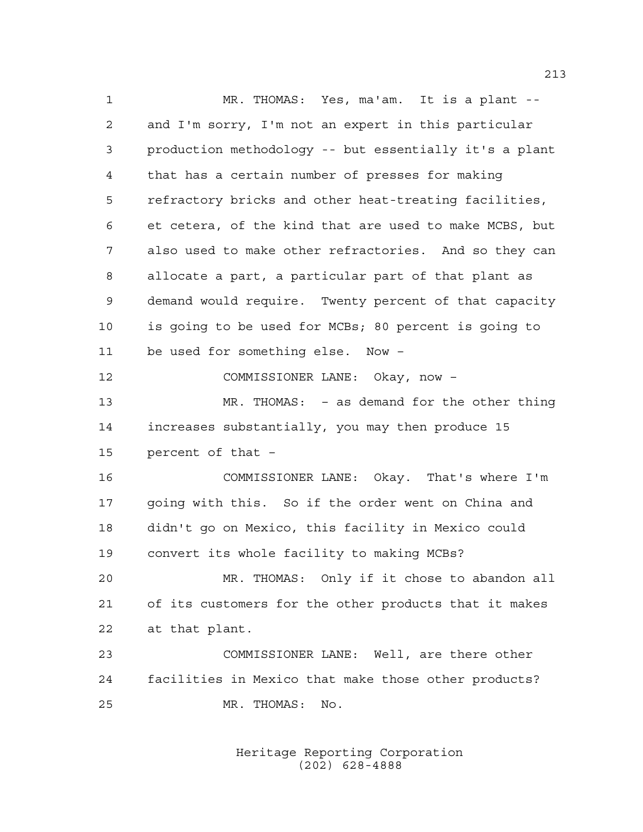MR. THOMAS: Yes, ma'am. It is a plant -- and I'm sorry, I'm not an expert in this particular production methodology -- but essentially it's a plant that has a certain number of presses for making refractory bricks and other heat-treating facilities, et cetera, of the kind that are used to make MCBS, but also used to make other refractories. And so they can allocate a part, a particular part of that plant as demand would require. Twenty percent of that capacity is going to be used for MCBs; 80 percent is going to be used for something else. Now – COMMISSIONER LANE: Okay, now – MR. THOMAS: – as demand for the other thing increases substantially, you may then produce 15 percent of that – COMMISSIONER LANE: Okay. That's where I'm going with this. So if the order went on China and didn't go on Mexico, this facility in Mexico could convert its whole facility to making MCBs? MR. THOMAS: Only if it chose to abandon all of its customers for the other products that it makes at that plant. COMMISSIONER LANE: Well, are there other facilities in Mexico that make those other products? MR. THOMAS: No.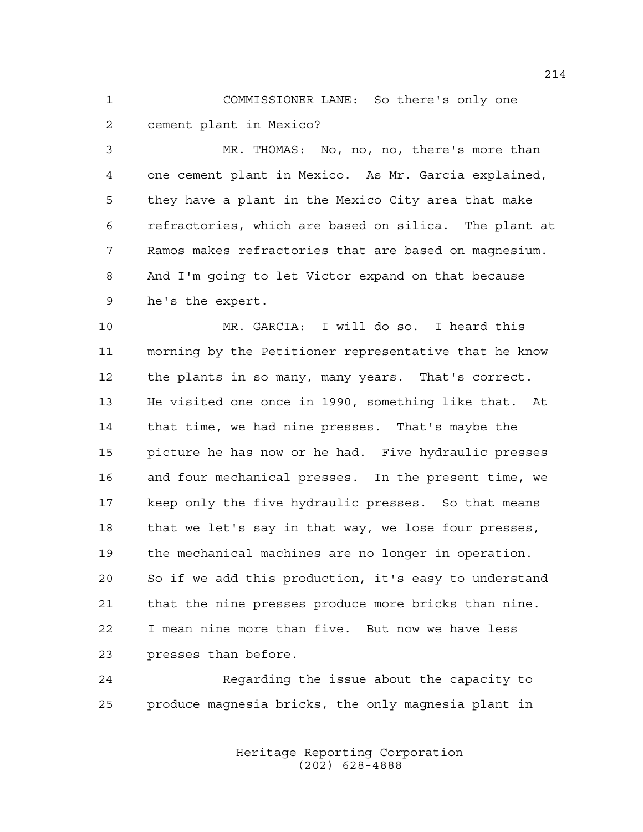COMMISSIONER LANE: So there's only one cement plant in Mexico?

 MR. THOMAS: No, no, no, there's more than one cement plant in Mexico. As Mr. Garcia explained, they have a plant in the Mexico City area that make refractories, which are based on silica. The plant at Ramos makes refractories that are based on magnesium. And I'm going to let Victor expand on that because he's the expert.

 MR. GARCIA: I will do so. I heard this morning by the Petitioner representative that he know the plants in so many, many years. That's correct. He visited one once in 1990, something like that. At that time, we had nine presses. That's maybe the picture he has now or he had. Five hydraulic presses and four mechanical presses. In the present time, we keep only the five hydraulic presses. So that means that we let's say in that way, we lose four presses, the mechanical machines are no longer in operation. So if we add this production, it's easy to understand that the nine presses produce more bricks than nine. I mean nine more than five. But now we have less presses than before.

 Regarding the issue about the capacity to produce magnesia bricks, the only magnesia plant in

> Heritage Reporting Corporation (202) 628-4888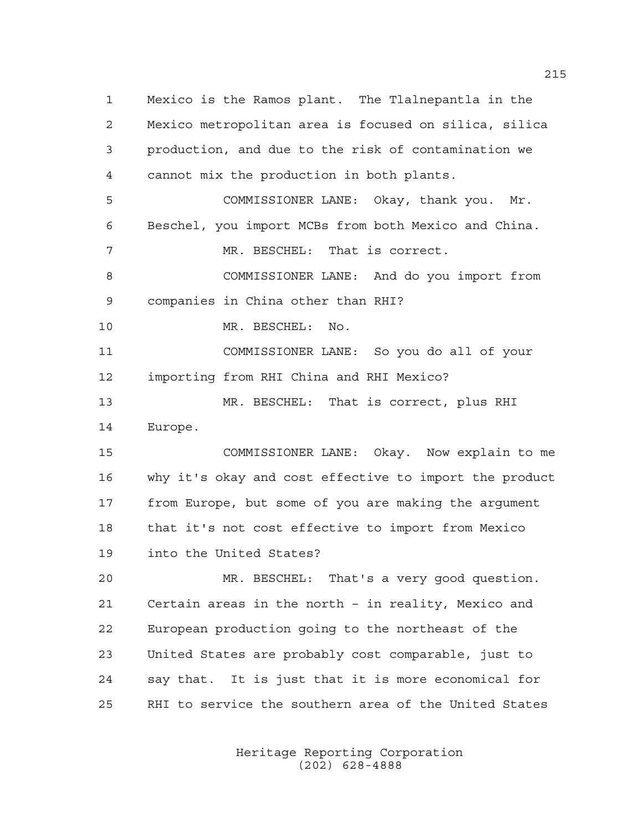Mexico is the Ramos plant. The Tlalnepantla in the Mexico metropolitan area is focused on silica, silica production, and due to the risk of contamination we cannot mix the production in both plants. COMMISSIONER LANE: Okay, thank you. Mr. Beschel, you import MCBs from both Mexico and China. 7 MR. BESCHEL: That is correct. COMMISSIONER LANE: And do you import from companies in China other than RHI? MR. BESCHEL: No. COMMISSIONER LANE: So you do all of your importing from RHI China and RHI Mexico? MR. BESCHEL: That is correct, plus RHI Europe. COMMISSIONER LANE: Okay. Now explain to me why it's okay and cost effective to import the product from Europe, but some of you are making the argument that it's not cost effective to import from Mexico into the United States? MR. BESCHEL: That's a very good question. Certain areas in the north – in reality, Mexico and European production going to the northeast of the United States are probably cost comparable, just to say that. It is just that it is more economical for RHI to service the southern area of the United States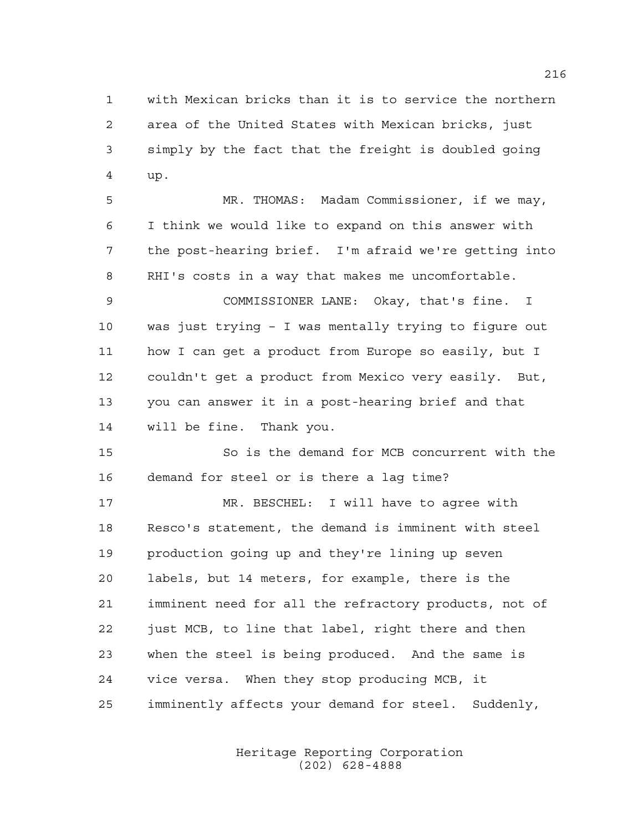with Mexican bricks than it is to service the northern area of the United States with Mexican bricks, just simply by the fact that the freight is doubled going up.

 MR. THOMAS: Madam Commissioner, if we may, I think we would like to expand on this answer with the post-hearing brief. I'm afraid we're getting into RHI's costs in a way that makes me uncomfortable.

 COMMISSIONER LANE: Okay, that's fine. I was just trying – I was mentally trying to figure out how I can get a product from Europe so easily, but I couldn't get a product from Mexico very easily. But, you can answer it in a post-hearing brief and that will be fine. Thank you.

 So is the demand for MCB concurrent with the demand for steel or is there a lag time?

 MR. BESCHEL: I will have to agree with Resco's statement, the demand is imminent with steel production going up and they're lining up seven labels, but 14 meters, for example, there is the imminent need for all the refractory products, not of just MCB, to line that label, right there and then when the steel is being produced. And the same is vice versa. When they stop producing MCB, it imminently affects your demand for steel. Suddenly,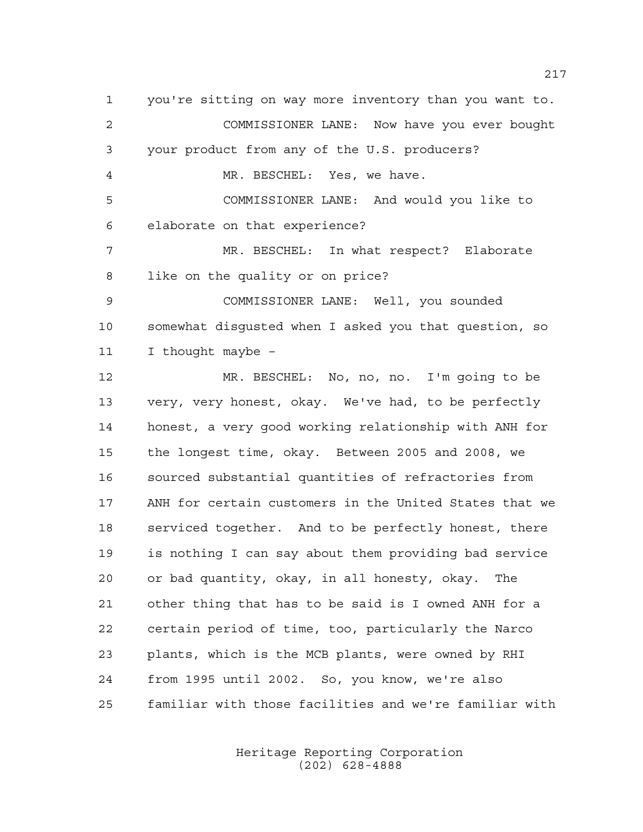you're sitting on way more inventory than you want to. COMMISSIONER LANE: Now have you ever bought your product from any of the U.S. producers? MR. BESCHEL: Yes, we have. COMMISSIONER LANE: And would you like to elaborate on that experience? MR. BESCHEL: In what respect? Elaborate like on the quality or on price? COMMISSIONER LANE: Well, you sounded somewhat disgusted when I asked you that question, so I thought maybe – MR. BESCHEL: No, no, no. I'm going to be very, very honest, okay. We've had, to be perfectly honest, a very good working relationship with ANH for the longest time, okay. Between 2005 and 2008, we sourced substantial quantities of refractories from ANH for certain customers in the United States that we serviced together. And to be perfectly honest, there is nothing I can say about them providing bad service or bad quantity, okay, in all honesty, okay. The other thing that has to be said is I owned ANH for a certain period of time, too, particularly the Narco plants, which is the MCB plants, were owned by RHI from 1995 until 2002. So, you know, we're also familiar with those facilities and we're familiar with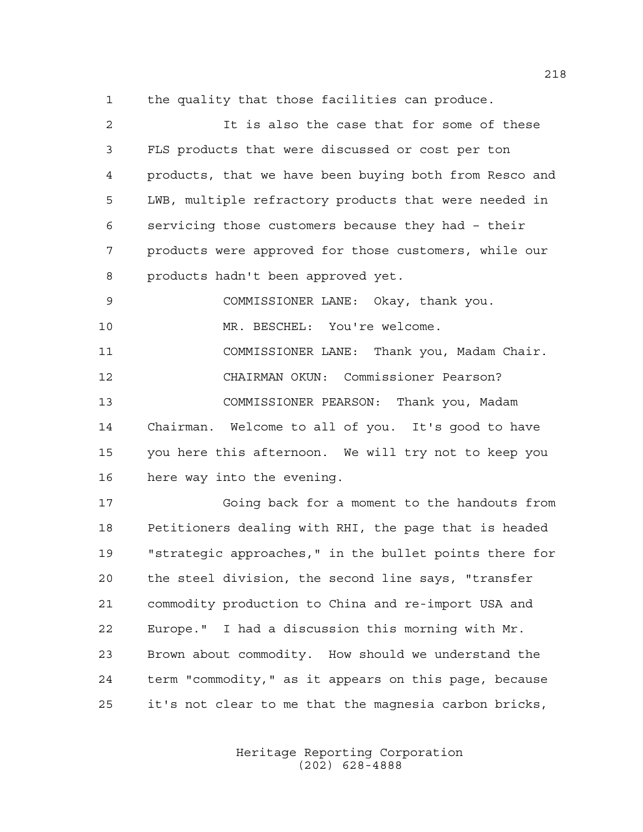the quality that those facilities can produce.

 It is also the case that for some of these FLS products that were discussed or cost per ton products, that we have been buying both from Resco and LWB, multiple refractory products that were needed in servicing those customers because they had – their products were approved for those customers, while our products hadn't been approved yet. COMMISSIONER LANE: Okay, thank you. MR. BESCHEL: You're welcome.

 COMMISSIONER LANE: Thank you, Madam Chair. CHAIRMAN OKUN: Commissioner Pearson? COMMISSIONER PEARSON: Thank you, Madam Chairman. Welcome to all of you. It's good to have you here this afternoon. We will try not to keep you here way into the evening.

 Going back for a moment to the handouts from Petitioners dealing with RHI, the page that is headed "strategic approaches," in the bullet points there for the steel division, the second line says, "transfer commodity production to China and re-import USA and Europe." I had a discussion this morning with Mr. Brown about commodity. How should we understand the term "commodity," as it appears on this page, because it's not clear to me that the magnesia carbon bricks,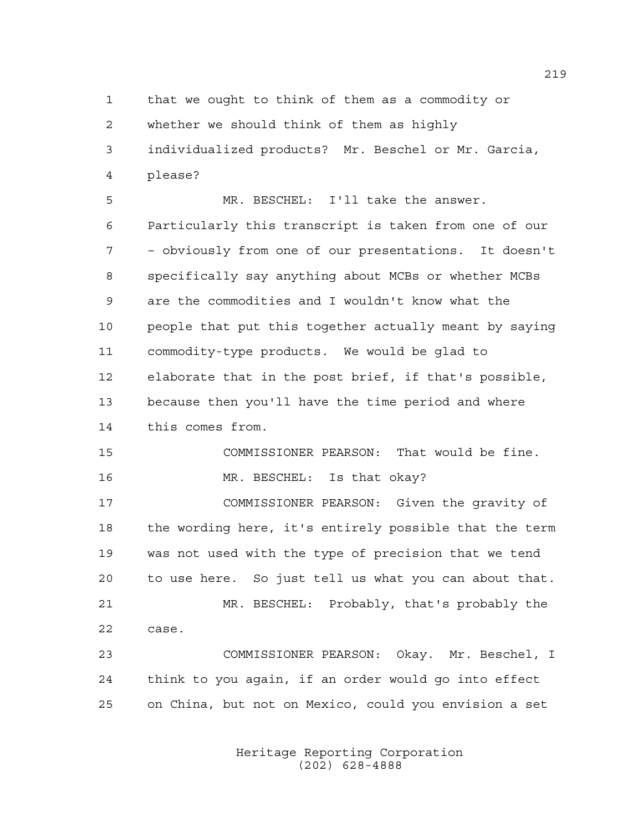that we ought to think of them as a commodity or whether we should think of them as highly individualized products? Mr. Beschel or Mr. Garcia, please?

 MR. BESCHEL: I'll take the answer. Particularly this transcript is taken from one of our – obviously from one of our presentations. It doesn't specifically say anything about MCBs or whether MCBs are the commodities and I wouldn't know what the people that put this together actually meant by saying commodity-type products. We would be glad to elaborate that in the post brief, if that's possible, because then you'll have the time period and where this comes from.

 COMMISSIONER PEARSON: That would be fine. MR. BESCHEL: Is that okay? COMMISSIONER PEARSON: Given the gravity of

 the wording here, it's entirely possible that the term was not used with the type of precision that we tend to use here. So just tell us what you can about that. MR. BESCHEL: Probably, that's probably the case.

 COMMISSIONER PEARSON: Okay. Mr. Beschel, I think to you again, if an order would go into effect on China, but not on Mexico, could you envision a set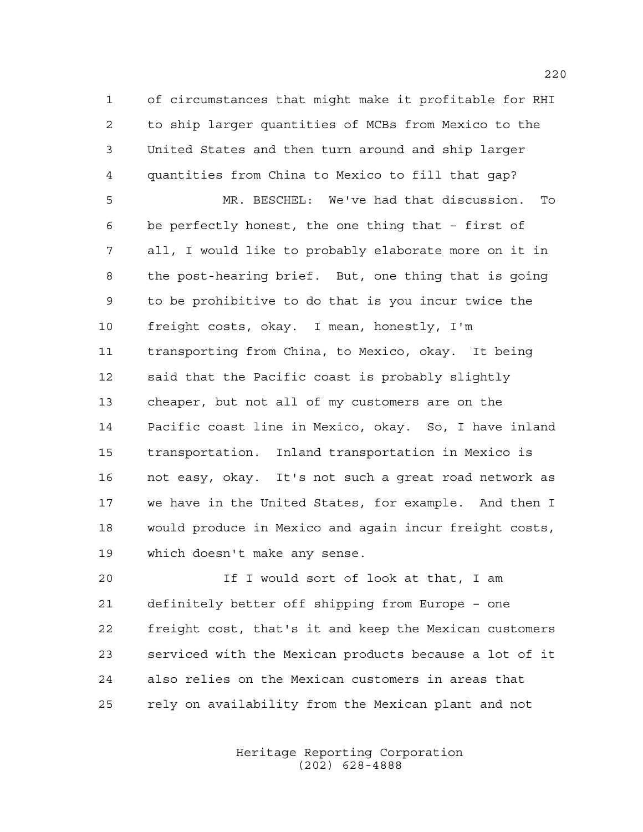of circumstances that might make it profitable for RHI to ship larger quantities of MCBs from Mexico to the United States and then turn around and ship larger quantities from China to Mexico to fill that gap?

 MR. BESCHEL: We've had that discussion. To be perfectly honest, the one thing that – first of all, I would like to probably elaborate more on it in the post-hearing brief. But, one thing that is going to be prohibitive to do that is you incur twice the freight costs, okay. I mean, honestly, I'm transporting from China, to Mexico, okay. It being said that the Pacific coast is probably slightly cheaper, but not all of my customers are on the Pacific coast line in Mexico, okay. So, I have inland transportation. Inland transportation in Mexico is not easy, okay. It's not such a great road network as we have in the United States, for example. And then I would produce in Mexico and again incur freight costs, which doesn't make any sense.

 If I would sort of look at that, I am definitely better off shipping from Europe – one freight cost, that's it and keep the Mexican customers serviced with the Mexican products because a lot of it also relies on the Mexican customers in areas that rely on availability from the Mexican plant and not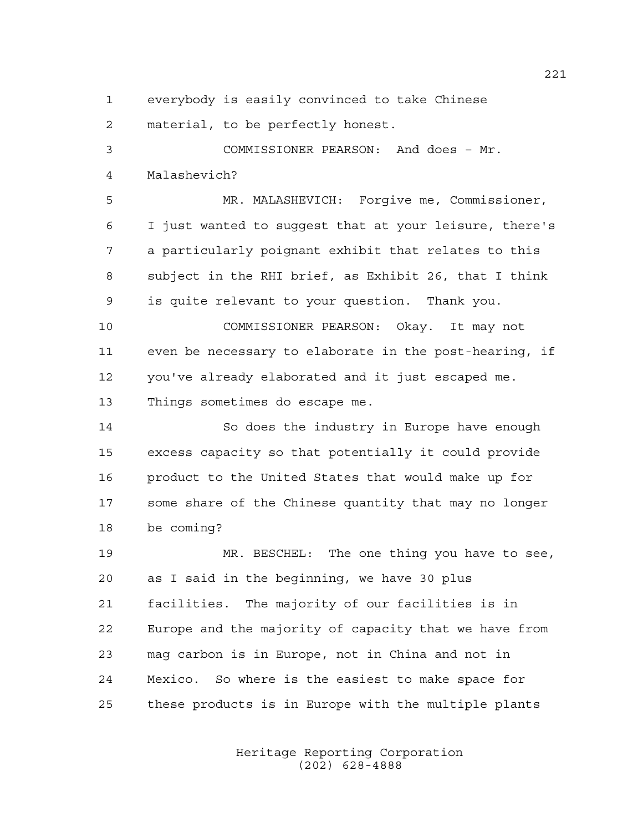everybody is easily convinced to take Chinese

material, to be perfectly honest.

 COMMISSIONER PEARSON: And does – Mr. Malashevich?

 MR. MALASHEVICH: Forgive me, Commissioner, I just wanted to suggest that at your leisure, there's a particularly poignant exhibit that relates to this subject in the RHI brief, as Exhibit 26, that I think is quite relevant to your question. Thank you.

 COMMISSIONER PEARSON: Okay. It may not even be necessary to elaborate in the post-hearing, if you've already elaborated and it just escaped me. Things sometimes do escape me.

 So does the industry in Europe have enough excess capacity so that potentially it could provide product to the United States that would make up for some share of the Chinese quantity that may no longer be coming?

 MR. BESCHEL: The one thing you have to see, as I said in the beginning, we have 30 plus facilities. The majority of our facilities is in Europe and the majority of capacity that we have from mag carbon is in Europe, not in China and not in Mexico. So where is the easiest to make space for these products is in Europe with the multiple plants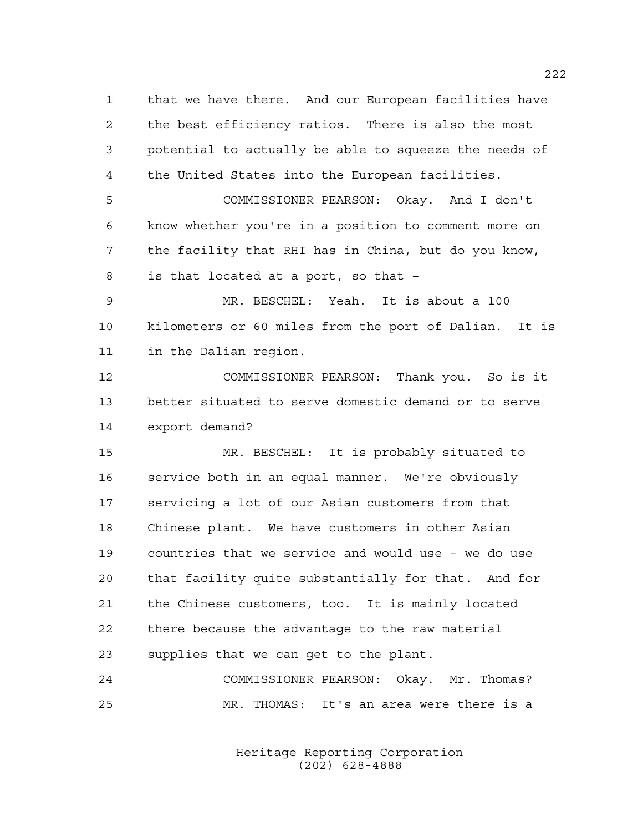that we have there. And our European facilities have the best efficiency ratios. There is also the most potential to actually be able to squeeze the needs of the United States into the European facilities.

 COMMISSIONER PEARSON: Okay. And I don't know whether you're in a position to comment more on the facility that RHI has in China, but do you know, is that located at a port, so that –

 MR. BESCHEL: Yeah. It is about a 100 kilometers or 60 miles from the port of Dalian. It is in the Dalian region.

 COMMISSIONER PEARSON: Thank you. So is it better situated to serve domestic demand or to serve export demand?

 MR. BESCHEL: It is probably situated to service both in an equal manner. We're obviously servicing a lot of our Asian customers from that Chinese plant. We have customers in other Asian countries that we service and would use – we do use that facility quite substantially for that. And for the Chinese customers, too. It is mainly located there because the advantage to the raw material supplies that we can get to the plant.

 COMMISSIONER PEARSON: Okay. Mr. Thomas? MR. THOMAS: It's an area were there is a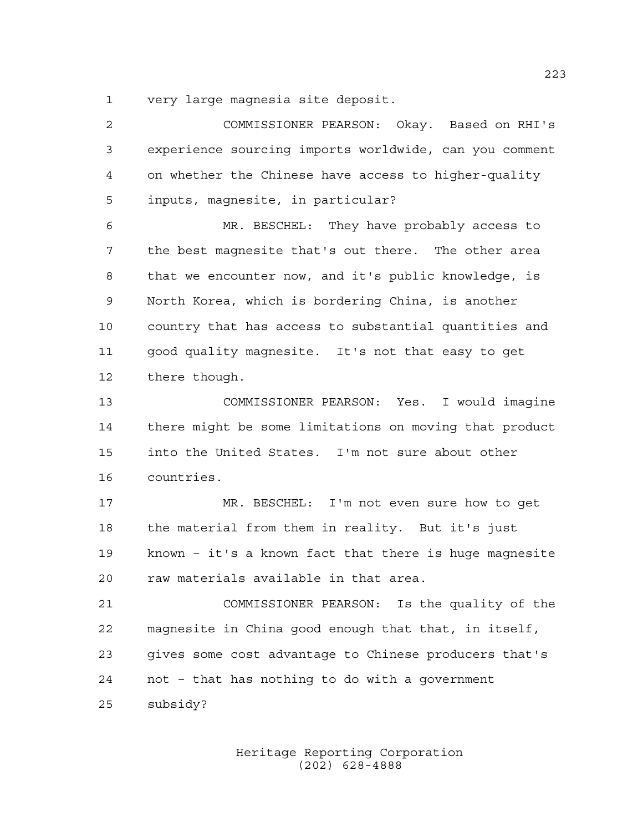very large magnesia site deposit.

| $\overline{2}$ | COMMISSIONER PEARSON: Okay. Based on RHI's             |
|----------------|--------------------------------------------------------|
| 3              | experience sourcing imports worldwide, can you comment |
| 4              | on whether the Chinese have access to higher-quality   |
| 5              | inputs, magnesite, in particular?                      |
| 6              | MR. BESCHEL: They have probably access to              |
| 7              | the best magnesite that's out there. The other area    |
| 8              | that we encounter now, and it's public knowledge, is   |
| 9              | North Korea, which is bordering China, is another      |
| 10             | country that has access to substantial quantities and  |
| 11             | good quality magnesite. It's not that easy to get      |
| 12             | there though.                                          |
| 13             | COMMISSIONER PEARSON: Yes. I would imagine             |
| 14             | there might be some limitations on moving that product |
| 15             | into the United States. I'm not sure about other       |
| 16             | countries.                                             |
| 17             | MR. BESCHEL: I'm not even sure how to get              |
| 18             | the material from them in reality. But it's just       |
| 19             | known - it's a known fact that there is huge magnesite |
| 20             | raw materials available in that area.                  |
| 21             | COMMISSIONER PEARSON: Is the quality of the            |
| 22             | magnesite in China good enough that that, in itself,   |
| 23             | gives some cost advantage to Chinese producers that's  |
| 24             | not - that has nothing to do with a government         |
| 25             | subsidy?                                               |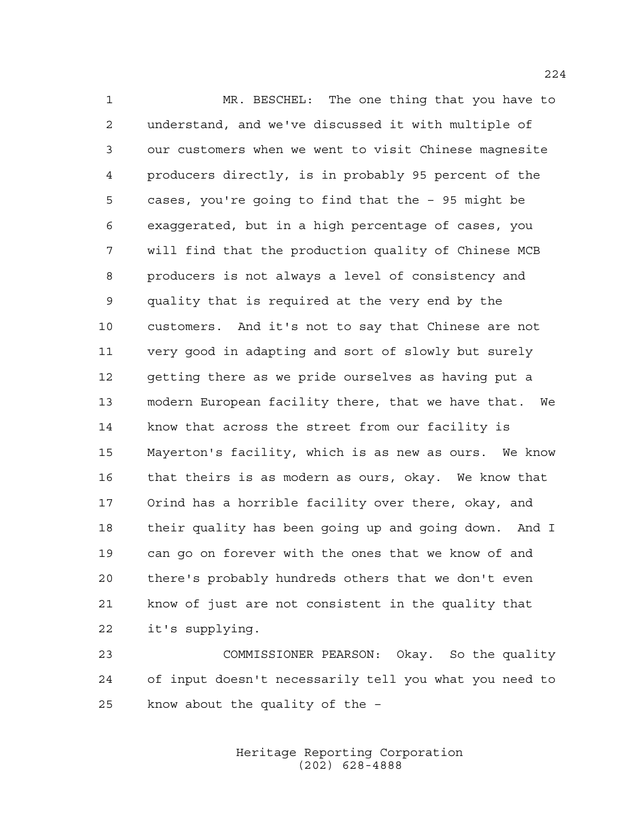MR. BESCHEL: The one thing that you have to understand, and we've discussed it with multiple of our customers when we went to visit Chinese magnesite producers directly, is in probably 95 percent of the cases, you're going to find that the – 95 might be exaggerated, but in a high percentage of cases, you will find that the production quality of Chinese MCB producers is not always a level of consistency and quality that is required at the very end by the customers. And it's not to say that Chinese are not very good in adapting and sort of slowly but surely getting there as we pride ourselves as having put a modern European facility there, that we have that. We know that across the street from our facility is Mayerton's facility, which is as new as ours. We know that theirs is as modern as ours, okay. We know that Orind has a horrible facility over there, okay, and their quality has been going up and going down. And I can go on forever with the ones that we know of and there's probably hundreds others that we don't even know of just are not consistent in the quality that it's supplying.

 COMMISSIONER PEARSON: Okay. So the quality of input doesn't necessarily tell you what you need to know about the quality of the –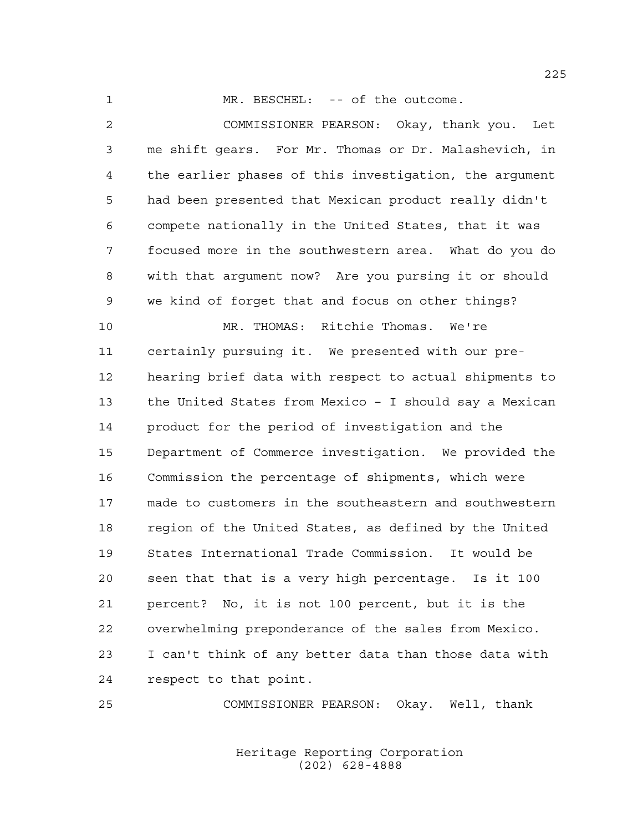1 MR. BESCHEL: -- of the outcome.

 COMMISSIONER PEARSON: Okay, thank you. Let me shift gears. For Mr. Thomas or Dr. Malashevich, in the earlier phases of this investigation, the argument had been presented that Mexican product really didn't compete nationally in the United States, that it was focused more in the southwestern area. What do you do with that argument now? Are you pursing it or should we kind of forget that and focus on other things? MR. THOMAS: Ritchie Thomas. We're certainly pursuing it. We presented with our pre- hearing brief data with respect to actual shipments to the United States from Mexico – I should say a Mexican product for the period of investigation and the Department of Commerce investigation. We provided the Commission the percentage of shipments, which were made to customers in the southeastern and southwestern region of the United States, as defined by the United States International Trade Commission. It would be seen that that is a very high percentage. Is it 100 percent? No, it is not 100 percent, but it is the overwhelming preponderance of the sales from Mexico. I can't think of any better data than those data with respect to that point.

COMMISSIONER PEARSON: Okay. Well, thank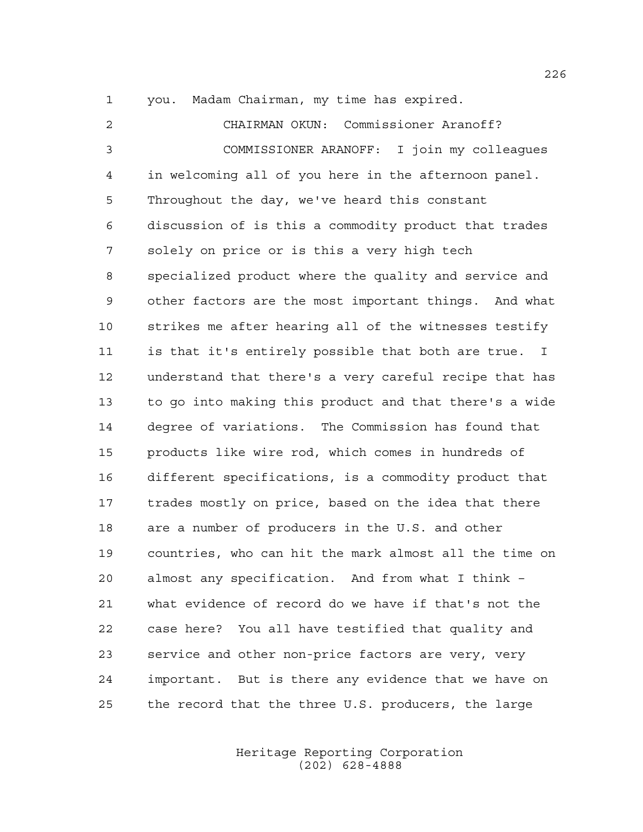you. Madam Chairman, my time has expired.

 CHAIRMAN OKUN: Commissioner Aranoff? COMMISSIONER ARANOFF: I join my colleagues in welcoming all of you here in the afternoon panel. Throughout the day, we've heard this constant discussion of is this a commodity product that trades solely on price or is this a very high tech specialized product where the quality and service and other factors are the most important things. And what strikes me after hearing all of the witnesses testify is that it's entirely possible that both are true. I understand that there's a very careful recipe that has to go into making this product and that there's a wide degree of variations. The Commission has found that products like wire rod, which comes in hundreds of different specifications, is a commodity product that trades mostly on price, based on the idea that there are a number of producers in the U.S. and other countries, who can hit the mark almost all the time on almost any specification. And from what I think – what evidence of record do we have if that's not the case here? You all have testified that quality and service and other non-price factors are very, very important. But is there any evidence that we have on the record that the three U.S. producers, the large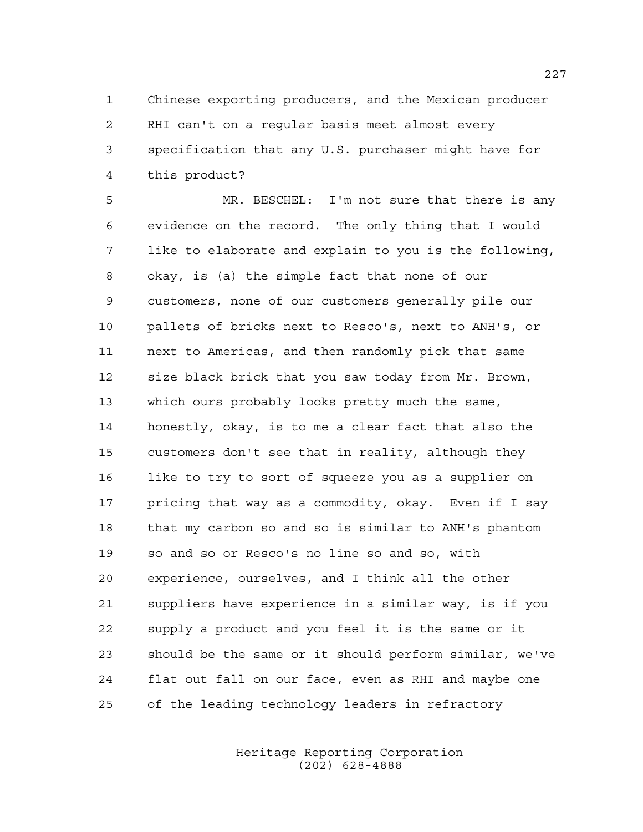Chinese exporting producers, and the Mexican producer RHI can't on a regular basis meet almost every specification that any U.S. purchaser might have for this product?

 MR. BESCHEL: I'm not sure that there is any evidence on the record. The only thing that I would like to elaborate and explain to you is the following, okay, is (a) the simple fact that none of our customers, none of our customers generally pile our pallets of bricks next to Resco's, next to ANH's, or next to Americas, and then randomly pick that same size black brick that you saw today from Mr. Brown, which ours probably looks pretty much the same, honestly, okay, is to me a clear fact that also the customers don't see that in reality, although they like to try to sort of squeeze you as a supplier on pricing that way as a commodity, okay. Even if I say that my carbon so and so is similar to ANH's phantom so and so or Resco's no line so and so, with experience, ourselves, and I think all the other suppliers have experience in a similar way, is if you supply a product and you feel it is the same or it should be the same or it should perform similar, we've flat out fall on our face, even as RHI and maybe one of the leading technology leaders in refractory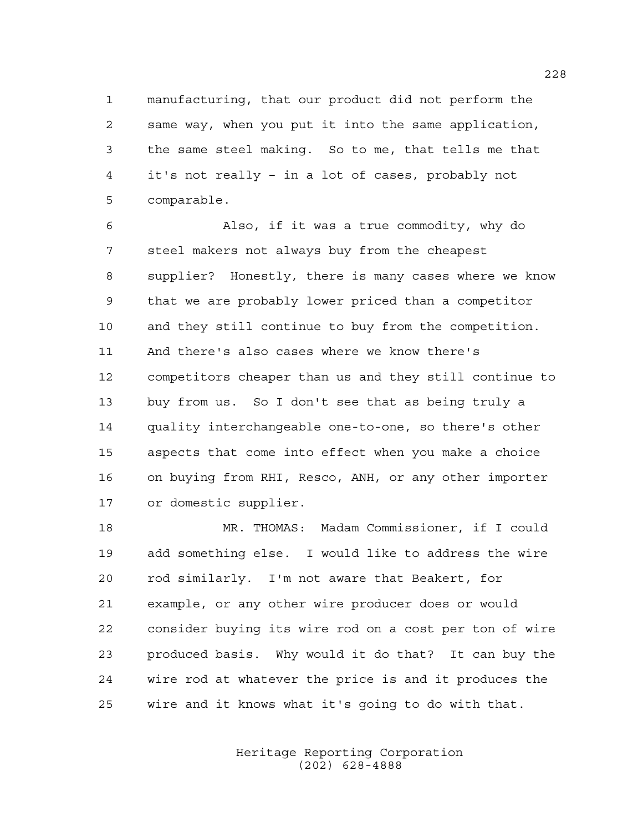manufacturing, that our product did not perform the same way, when you put it into the same application, the same steel making. So to me, that tells me that it's not really – in a lot of cases, probably not comparable.

 Also, if it was a true commodity, why do steel makers not always buy from the cheapest supplier? Honestly, there is many cases where we know that we are probably lower priced than a competitor and they still continue to buy from the competition. And there's also cases where we know there's competitors cheaper than us and they still continue to buy from us. So I don't see that as being truly a quality interchangeable one-to-one, so there's other aspects that come into effect when you make a choice on buying from RHI, Resco, ANH, or any other importer or domestic supplier.

 MR. THOMAS: Madam Commissioner, if I could add something else. I would like to address the wire rod similarly. I'm not aware that Beakert, for example, or any other wire producer does or would consider buying its wire rod on a cost per ton of wire produced basis. Why would it do that? It can buy the wire rod at whatever the price is and it produces the wire and it knows what it's going to do with that.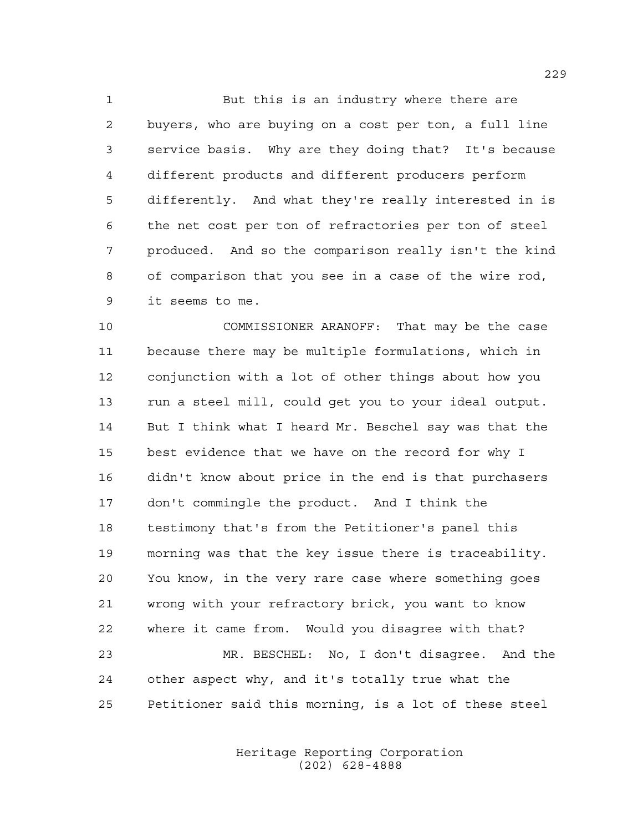But this is an industry where there are buyers, who are buying on a cost per ton, a full line service basis. Why are they doing that? It's because different products and different producers perform differently. And what they're really interested in is the net cost per ton of refractories per ton of steel produced. And so the comparison really isn't the kind of comparison that you see in a case of the wire rod, it seems to me.

 COMMISSIONER ARANOFF: That may be the case because there may be multiple formulations, which in conjunction with a lot of other things about how you run a steel mill, could get you to your ideal output. But I think what I heard Mr. Beschel say was that the best evidence that we have on the record for why I didn't know about price in the end is that purchasers don't commingle the product. And I think the testimony that's from the Petitioner's panel this morning was that the key issue there is traceability. You know, in the very rare case where something goes wrong with your refractory brick, you want to know where it came from. Would you disagree with that? MR. BESCHEL: No, I don't disagree. And the other aspect why, and it's totally true what the

> Heritage Reporting Corporation (202) 628-4888

Petitioner said this morning, is a lot of these steel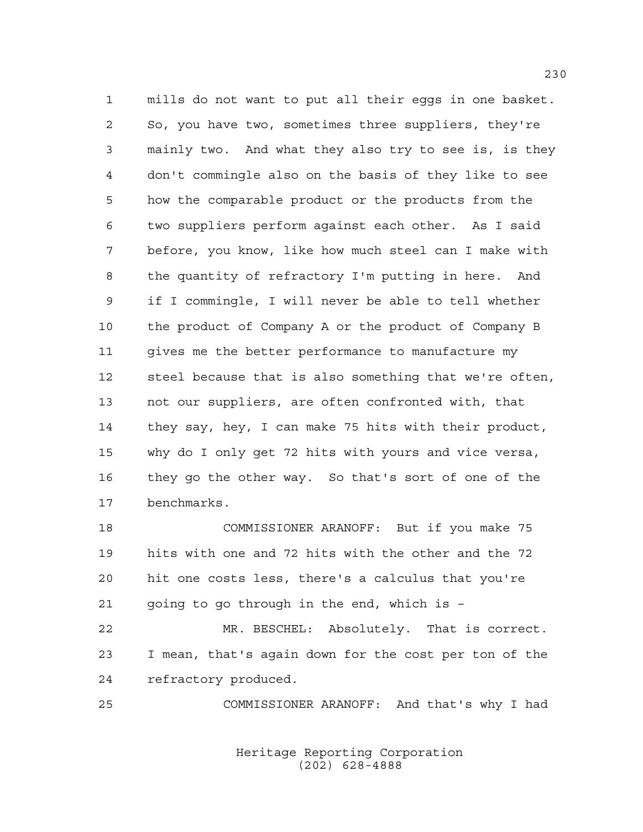mills do not want to put all their eggs in one basket. So, you have two, sometimes three suppliers, they're mainly two. And what they also try to see is, is they don't commingle also on the basis of they like to see how the comparable product or the products from the two suppliers perform against each other. As I said before, you know, like how much steel can I make with the quantity of refractory I'm putting in here. And if I commingle, I will never be able to tell whether the product of Company A or the product of Company B gives me the better performance to manufacture my steel because that is also something that we're often, not our suppliers, are often confronted with, that they say, hey, I can make 75 hits with their product, why do I only get 72 hits with yours and vice versa, they go the other way. So that's sort of one of the benchmarks.

 COMMISSIONER ARANOFF: But if you make 75 hits with one and 72 hits with the other and the 72 hit one costs less, there's a calculus that you're going to go through in the end, which is –

 MR. BESCHEL: Absolutely. That is correct. I mean, that's again down for the cost per ton of the refractory produced.

COMMISSIONER ARANOFF: And that's why I had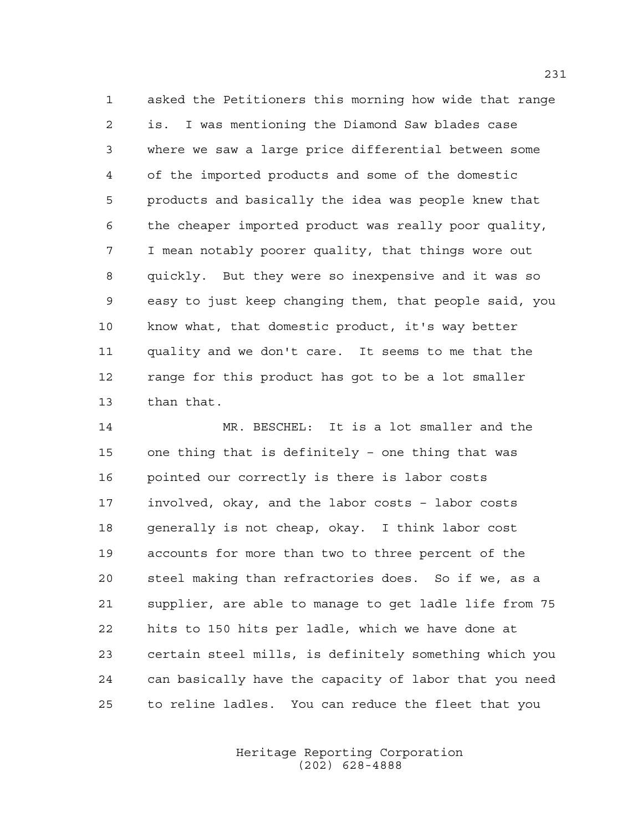asked the Petitioners this morning how wide that range is. I was mentioning the Diamond Saw blades case where we saw a large price differential between some of the imported products and some of the domestic products and basically the idea was people knew that the cheaper imported product was really poor quality, I mean notably poorer quality, that things wore out quickly. But they were so inexpensive and it was so easy to just keep changing them, that people said, you know what, that domestic product, it's way better quality and we don't care. It seems to me that the range for this product has got to be a lot smaller than that.

 MR. BESCHEL: It is a lot smaller and the one thing that is definitely – one thing that was pointed our correctly is there is labor costs involved, okay, and the labor costs – labor costs generally is not cheap, okay. I think labor cost accounts for more than two to three percent of the steel making than refractories does. So if we, as a supplier, are able to manage to get ladle life from 75 hits to 150 hits per ladle, which we have done at certain steel mills, is definitely something which you can basically have the capacity of labor that you need to reline ladles. You can reduce the fleet that you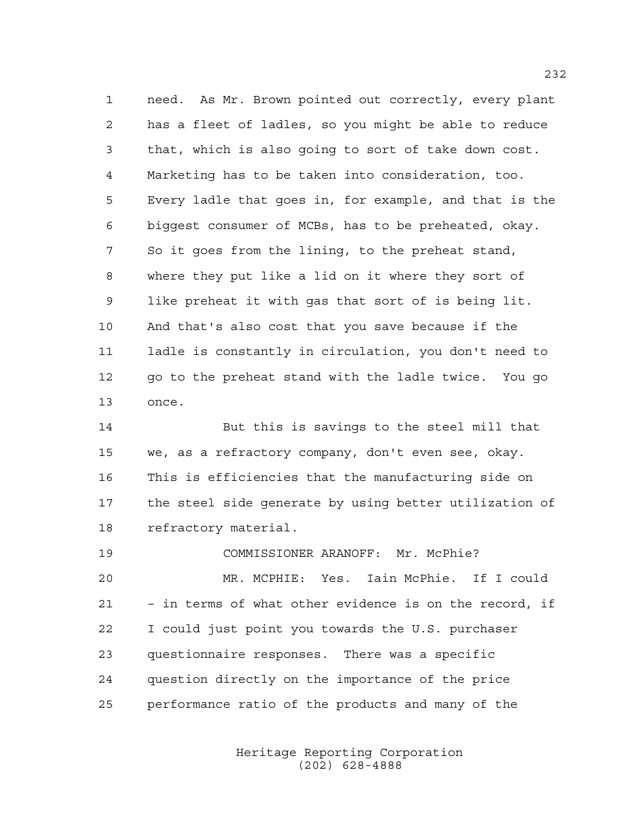need. As Mr. Brown pointed out correctly, every plant has a fleet of ladles, so you might be able to reduce that, which is also going to sort of take down cost. Marketing has to be taken into consideration, too. Every ladle that goes in, for example, and that is the biggest consumer of MCBs, has to be preheated, okay. So it goes from the lining, to the preheat stand, where they put like a lid on it where they sort of like preheat it with gas that sort of is being lit. And that's also cost that you save because if the ladle is constantly in circulation, you don't need to 12 go to the preheat stand with the ladle twice. You go once.

 But this is savings to the steel mill that we, as a refractory company, don't even see, okay. This is efficiencies that the manufacturing side on the steel side generate by using better utilization of refractory material.

 COMMISSIONER ARANOFF: Mr. McPhie? MR. MCPHIE: Yes. Iain McPhie. If I could – in terms of what other evidence is on the record, if I could just point you towards the U.S. purchaser questionnaire responses. There was a specific question directly on the importance of the price performance ratio of the products and many of the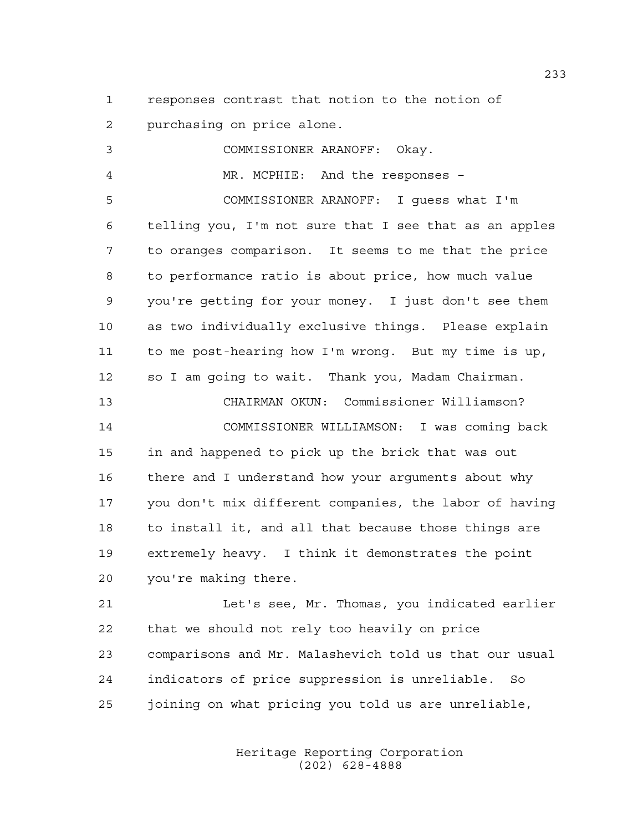responses contrast that notion to the notion of purchasing on price alone.

 COMMISSIONER ARANOFF: Okay. MR. MCPHIE: And the responses – COMMISSIONER ARANOFF: I guess what I'm telling you, I'm not sure that I see that as an apples to oranges comparison. It seems to me that the price to performance ratio is about price, how much value you're getting for your money. I just don't see them as two individually exclusive things. Please explain to me post-hearing how I'm wrong. But my time is up, so I am going to wait. Thank you, Madam Chairman. CHAIRMAN OKUN: Commissioner Williamson? COMMISSIONER WILLIAMSON: I was coming back in and happened to pick up the brick that was out there and I understand how your arguments about why you don't mix different companies, the labor of having to install it, and all that because those things are extremely heavy. I think it demonstrates the point you're making there. Let's see, Mr. Thomas, you indicated earlier that we should not rely too heavily on price comparisons and Mr. Malashevich told us that our usual

> Heritage Reporting Corporation (202) 628-4888

indicators of price suppression is unreliable. So

joining on what pricing you told us are unreliable,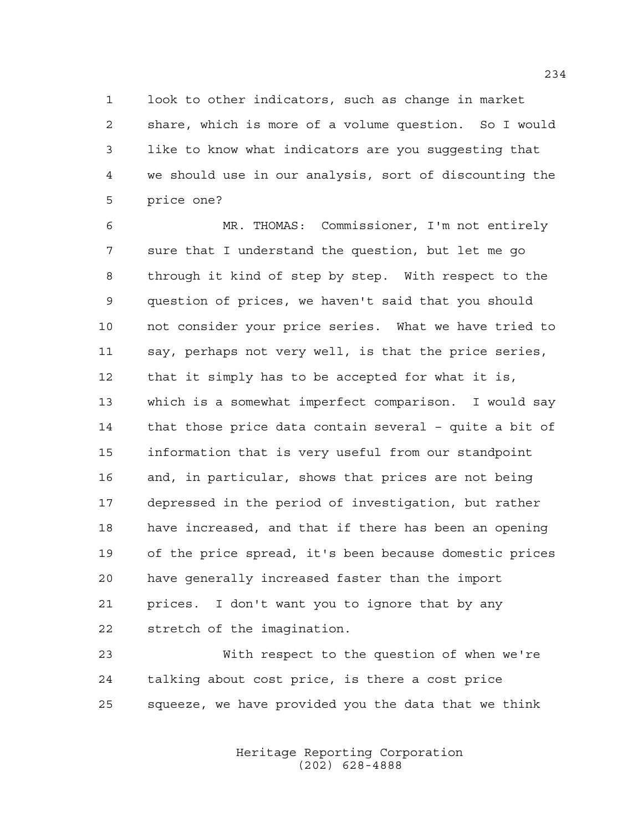look to other indicators, such as change in market share, which is more of a volume question. So I would like to know what indicators are you suggesting that we should use in our analysis, sort of discounting the price one?

 MR. THOMAS: Commissioner, I'm not entirely sure that I understand the question, but let me go through it kind of step by step. With respect to the question of prices, we haven't said that you should not consider your price series. What we have tried to say, perhaps not very well, is that the price series, that it simply has to be accepted for what it is, which is a somewhat imperfect comparison. I would say that those price data contain several – quite a bit of information that is very useful from our standpoint and, in particular, shows that prices are not being depressed in the period of investigation, but rather have increased, and that if there has been an opening of the price spread, it's been because domestic prices have generally increased faster than the import prices. I don't want you to ignore that by any stretch of the imagination.

 With respect to the question of when we're talking about cost price, is there a cost price squeeze, we have provided you the data that we think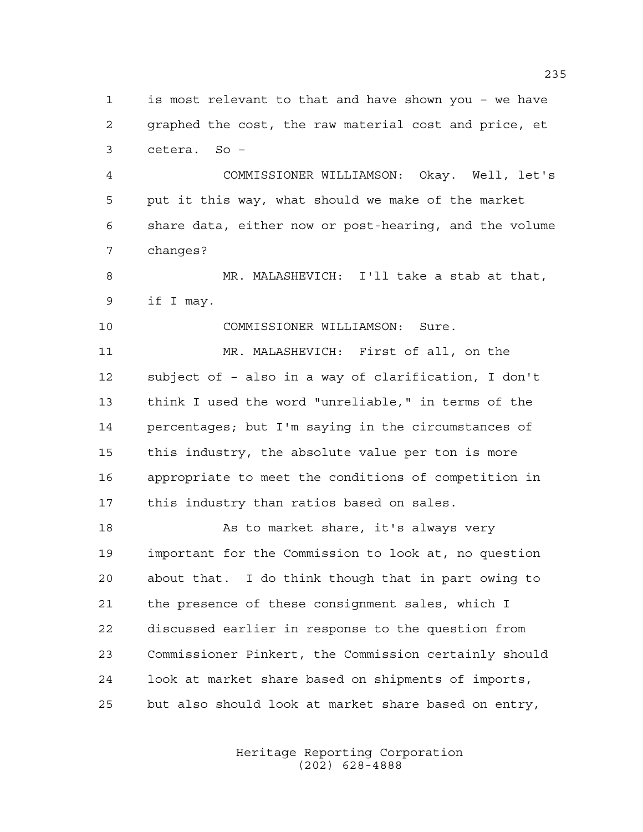is most relevant to that and have shown you – we have graphed the cost, the raw material cost and price, et cetera. So –

 COMMISSIONER WILLIAMSON: Okay. Well, let's put it this way, what should we make of the market share data, either now or post-hearing, and the volume changes?

 MR. MALASHEVICH: I'll take a stab at that, if I may.

COMMISSIONER WILLIAMSON: Sure.

 MR. MALASHEVICH: First of all, on the subject of – also in a way of clarification, I don't think I used the word "unreliable," in terms of the percentages; but I'm saying in the circumstances of this industry, the absolute value per ton is more appropriate to meet the conditions of competition in this industry than ratios based on sales.

18 As to market share, it's always very important for the Commission to look at, no question about that. I do think though that in part owing to the presence of these consignment sales, which I discussed earlier in response to the question from Commissioner Pinkert, the Commission certainly should look at market share based on shipments of imports, but also should look at market share based on entry,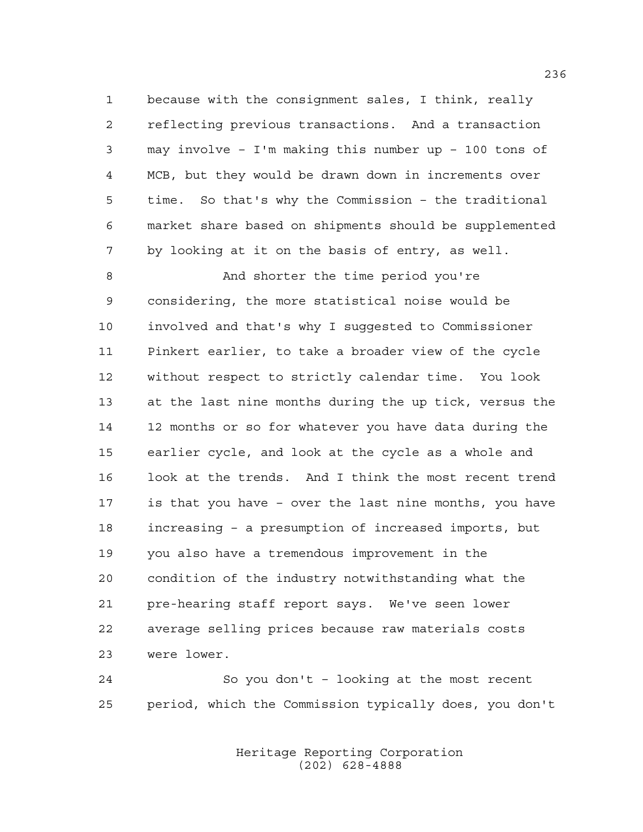because with the consignment sales, I think, really reflecting previous transactions. And a transaction may involve – I'm making this number up – 100 tons of MCB, but they would be drawn down in increments over time. So that's why the Commission – the traditional market share based on shipments should be supplemented by looking at it on the basis of entry, as well.

 And shorter the time period you're considering, the more statistical noise would be involved and that's why I suggested to Commissioner Pinkert earlier, to take a broader view of the cycle without respect to strictly calendar time. You look at the last nine months during the up tick, versus the 12 months or so for whatever you have data during the earlier cycle, and look at the cycle as a whole and look at the trends. And I think the most recent trend is that you have – over the last nine months, you have increasing – a presumption of increased imports, but you also have a tremendous improvement in the condition of the industry notwithstanding what the pre-hearing staff report says. We've seen lower average selling prices because raw materials costs were lower.

 So you don't – looking at the most recent period, which the Commission typically does, you don't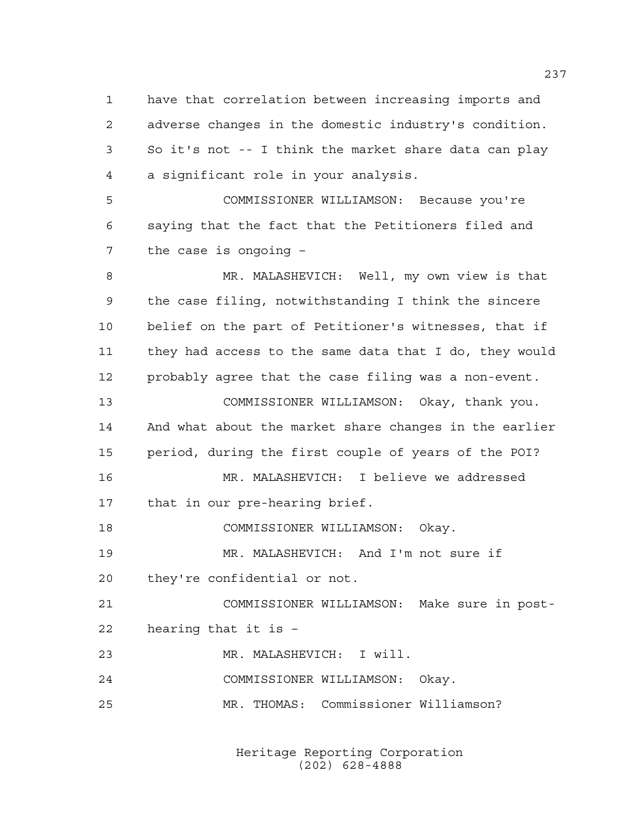have that correlation between increasing imports and adverse changes in the domestic industry's condition. So it's not -- I think the market share data can play a significant role in your analysis.

 COMMISSIONER WILLIAMSON: Because you're saying that the fact that the Petitioners filed and the case is ongoing –

 MR. MALASHEVICH: Well, my own view is that the case filing, notwithstanding I think the sincere belief on the part of Petitioner's witnesses, that if they had access to the same data that I do, they would probably agree that the case filing was a non-event. COMMISSIONER WILLIAMSON: Okay, thank you. And what about the market share changes in the earlier period, during the first couple of years of the POI? MR. MALASHEVICH: I believe we addressed that in our pre-hearing brief. COMMISSIONER WILLIAMSON: Okay. MR. MALASHEVICH: And I'm not sure if they're confidential or not. COMMISSIONER WILLIAMSON: Make sure in post- hearing that it is – MR. MALASHEVICH: I will. COMMISSIONER WILLIAMSON: Okay. MR. THOMAS: Commissioner Williamson?

> Heritage Reporting Corporation (202) 628-4888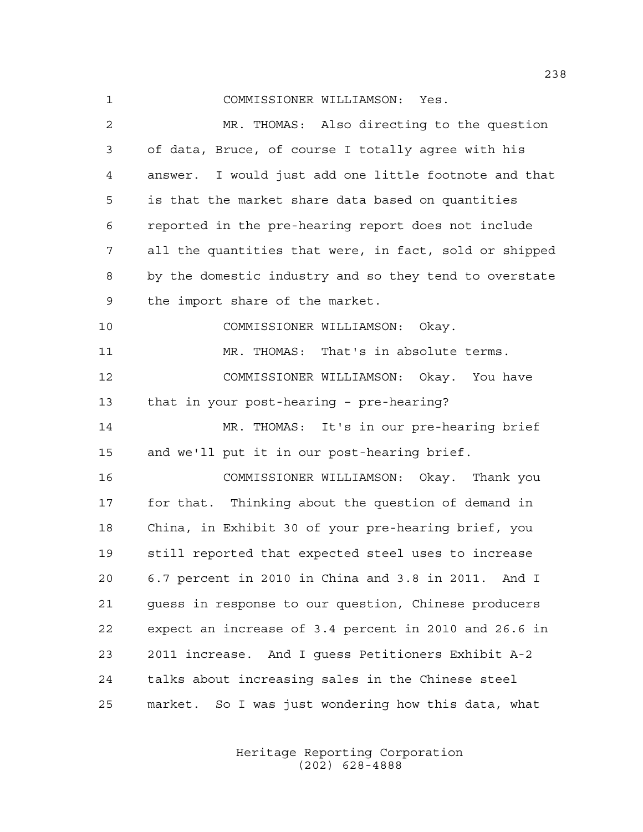| 1  | COMMISSIONER WILLIAMSON: Yes.                          |
|----|--------------------------------------------------------|
| 2  | MR. THOMAS: Also directing to the question             |
| 3  | of data, Bruce, of course I totally agree with his     |
| 4  | answer. I would just add one little footnote and that  |
| 5  | is that the market share data based on quantities      |
| 6  | reported in the pre-hearing report does not include    |
| 7  | all the quantities that were, in fact, sold or shipped |
| 8  | by the domestic industry and so they tend to overstate |
| 9  | the import share of the market.                        |
| 10 | COMMISSIONER WILLIAMSON: Okay.                         |
| 11 | MR. THOMAS: That's in absolute terms.                  |
| 12 | COMMISSIONER WILLIAMSON: Okay. You have                |
| 13 | that in your post-hearing - pre-hearing?               |
| 14 | MR. THOMAS: It's in our pre-hearing brief              |
| 15 | and we'll put it in our post-hearing brief.            |
| 16 | COMMISSIONER WILLIAMSON: Okay. Thank you               |
| 17 | for that. Thinking about the question of demand in     |
| 18 | China, in Exhibit 30 of your pre-hearing brief, you    |
| 19 | still reported that expected steel uses to increase    |
| 20 | 6.7 percent in 2010 in China and 3.8 in 2011. And I    |
| 21 | guess in response to our question, Chinese producers   |
| 22 | expect an increase of 3.4 percent in 2010 and 26.6 in  |
| 23 | 2011 increase. And I quess Petitioners Exhibit A-2     |
| 24 | talks about increasing sales in the Chinese steel      |
| 25 | So I was just wondering how this data, what<br>market. |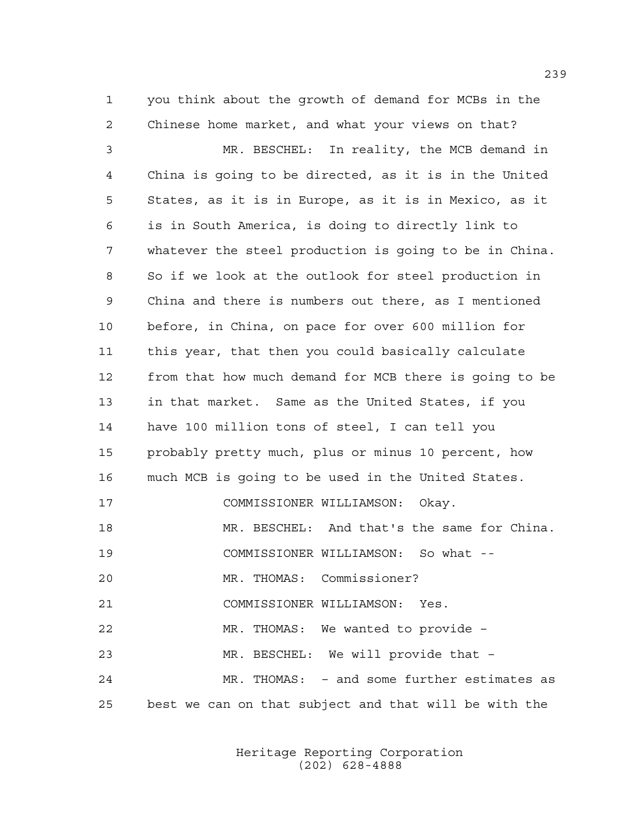you think about the growth of demand for MCBs in the Chinese home market, and what your views on that?

 MR. BESCHEL: In reality, the MCB demand in China is going to be directed, as it is in the United States, as it is in Europe, as it is in Mexico, as it is in South America, is doing to directly link to whatever the steel production is going to be in China. So if we look at the outlook for steel production in China and there is numbers out there, as I mentioned before, in China, on pace for over 600 million for this year, that then you could basically calculate from that how much demand for MCB there is going to be in that market. Same as the United States, if you have 100 million tons of steel, I can tell you probably pretty much, plus or minus 10 percent, how much MCB is going to be used in the United States. COMMISSIONER WILLIAMSON: Okay. MR. BESCHEL: And that's the same for China. COMMISSIONER WILLIAMSON: So what -- MR. THOMAS: Commissioner? COMMISSIONER WILLIAMSON: Yes. MR. THOMAS: We wanted to provide – MR. BESCHEL: We will provide that – MR. THOMAS: – and some further estimates as best we can on that subject and that will be with the

> Heritage Reporting Corporation (202) 628-4888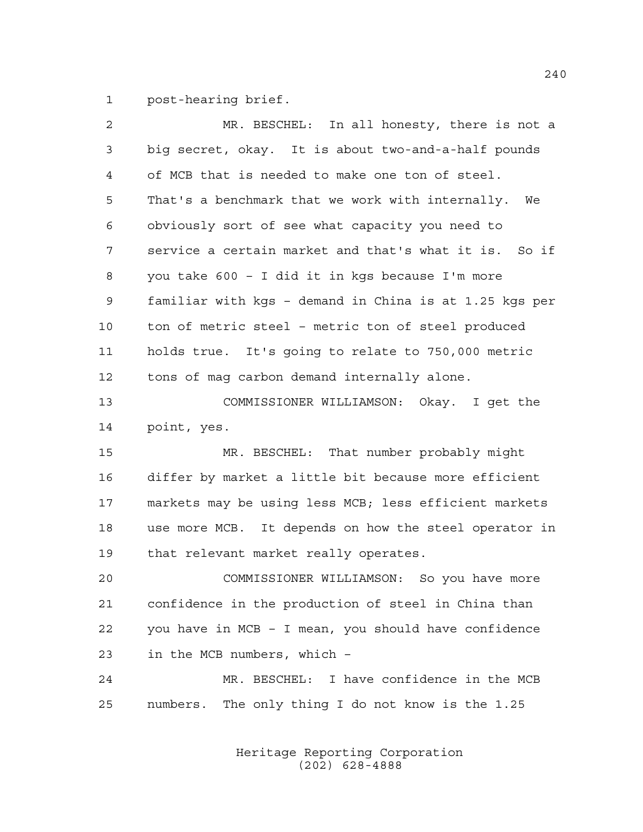post-hearing brief.

| 2  | MR. BESCHEL: In all honesty, there is not a            |
|----|--------------------------------------------------------|
| 3  | big secret, okay. It is about two-and-a-half pounds    |
| 4  | of MCB that is needed to make one ton of steel.        |
| 5  | That's a benchmark that we work with internally. We    |
| 6  | obviously sort of see what capacity you need to        |
| 7  | service a certain market and that's what it is. So if  |
| 8  | you take 600 - I did it in kgs because I'm more        |
| 9  | familiar with kgs - demand in China is at 1.25 kgs per |
| 10 | ton of metric steel - metric ton of steel produced     |
| 11 | holds true. It's going to relate to 750,000 metric     |
| 12 | tons of mag carbon demand internally alone.            |
| 13 | COMMISSIONER WILLIAMSON: Okay. I get the               |
| 14 | point, yes.                                            |
| 15 | MR. BESCHEL: That number probably might                |
| 16 | differ by market a little bit because more efficient   |
| 17 | markets may be using less MCB; less efficient markets  |
| 18 | use more MCB. It depends on how the steel operator in  |
| 19 | that relevant market really operates.                  |
| 20 | COMMISSIONER WILLIAMSON: So you have more              |
| 21 | confidence in the production of steel in China than    |
| 22 | you have in MCB - I mean, you should have confidence   |
| 23 | in the MCB numbers, which -                            |
| 24 | MR. BESCHEL: I have confidence in the MCB              |
| 25 | numbers. The only thing I do not know is the 1.25      |
|    |                                                        |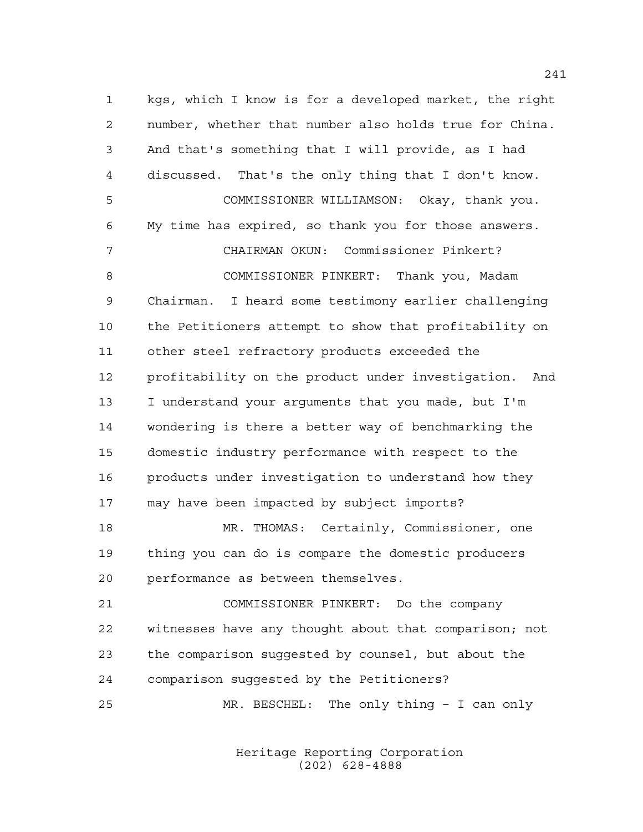kgs, which I know is for a developed market, the right number, whether that number also holds true for China. And that's something that I will provide, as I had discussed. That's the only thing that I don't know. COMMISSIONER WILLIAMSON: Okay, thank you. My time has expired, so thank you for those answers. CHAIRMAN OKUN: Commissioner Pinkert? COMMISSIONER PINKERT: Thank you, Madam Chairman. I heard some testimony earlier challenging the Petitioners attempt to show that profitability on other steel refractory products exceeded the profitability on the product under investigation. And I understand your arguments that you made, but I'm wondering is there a better way of benchmarking the domestic industry performance with respect to the products under investigation to understand how they may have been impacted by subject imports? MR. THOMAS: Certainly, Commissioner, one thing you can do is compare the domestic producers performance as between themselves. COMMISSIONER PINKERT: Do the company witnesses have any thought about that comparison; not the comparison suggested by counsel, but about the comparison suggested by the Petitioners?

MR. BESCHEL: The only thing – I can only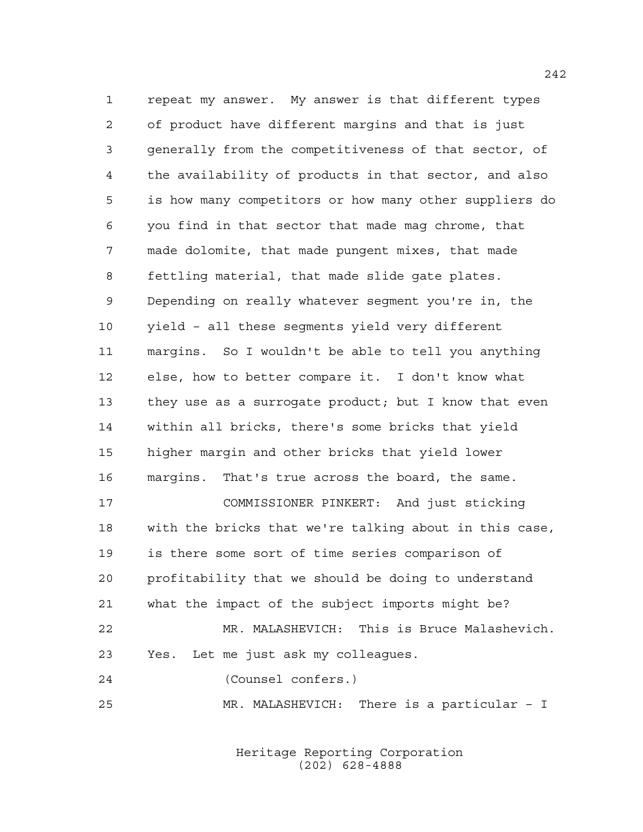repeat my answer. My answer is that different types of product have different margins and that is just generally from the competitiveness of that sector, of the availability of products in that sector, and also is how many competitors or how many other suppliers do you find in that sector that made mag chrome, that made dolomite, that made pungent mixes, that made fettling material, that made slide gate plates. Depending on really whatever segment you're in, the yield – all these segments yield very different margins. So I wouldn't be able to tell you anything else, how to better compare it. I don't know what they use as a surrogate product; but I know that even within all bricks, there's some bricks that yield higher margin and other bricks that yield lower margins. That's true across the board, the same. COMMISSIONER PINKERT: And just sticking with the bricks that we're talking about in this case, is there some sort of time series comparison of profitability that we should be doing to understand what the impact of the subject imports might be? MR. MALASHEVICH: This is Bruce Malashevich. Yes. Let me just ask my colleagues. (Counsel confers.) MR. MALASHEVICH: There is a particular – I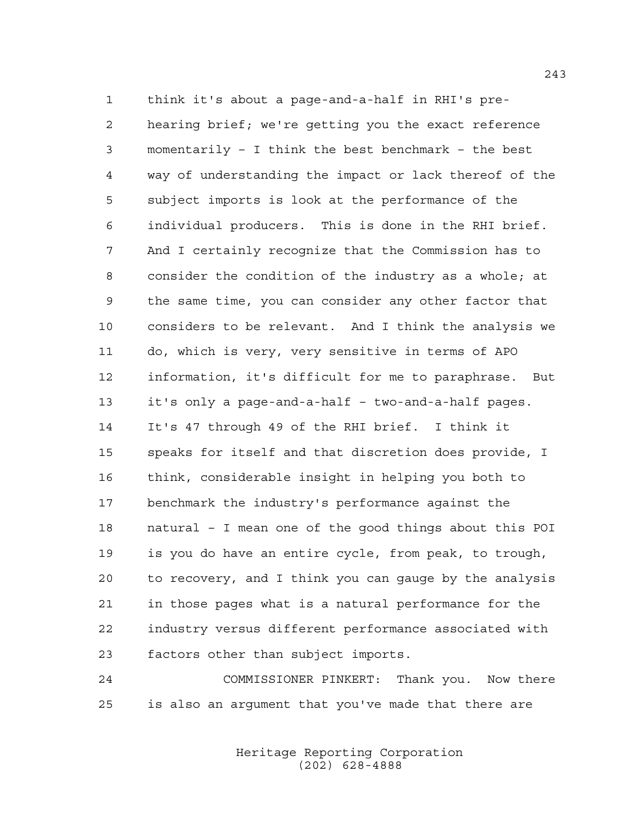think it's about a page-and-a-half in RHI's pre- hearing brief; we're getting you the exact reference momentarily – I think the best benchmark – the best way of understanding the impact or lack thereof of the subject imports is look at the performance of the individual producers. This is done in the RHI brief. And I certainly recognize that the Commission has to consider the condition of the industry as a whole; at the same time, you can consider any other factor that considers to be relevant. And I think the analysis we do, which is very, very sensitive in terms of APO information, it's difficult for me to paraphrase. But it's only a page-and-a-half – two-and-a-half pages. It's 47 through 49 of the RHI brief. I think it speaks for itself and that discretion does provide, I think, considerable insight in helping you both to benchmark the industry's performance against the natural – I mean one of the good things about this POI is you do have an entire cycle, from peak, to trough, to recovery, and I think you can gauge by the analysis in those pages what is a natural performance for the industry versus different performance associated with factors other than subject imports.

 COMMISSIONER PINKERT: Thank you. Now there is also an argument that you've made that there are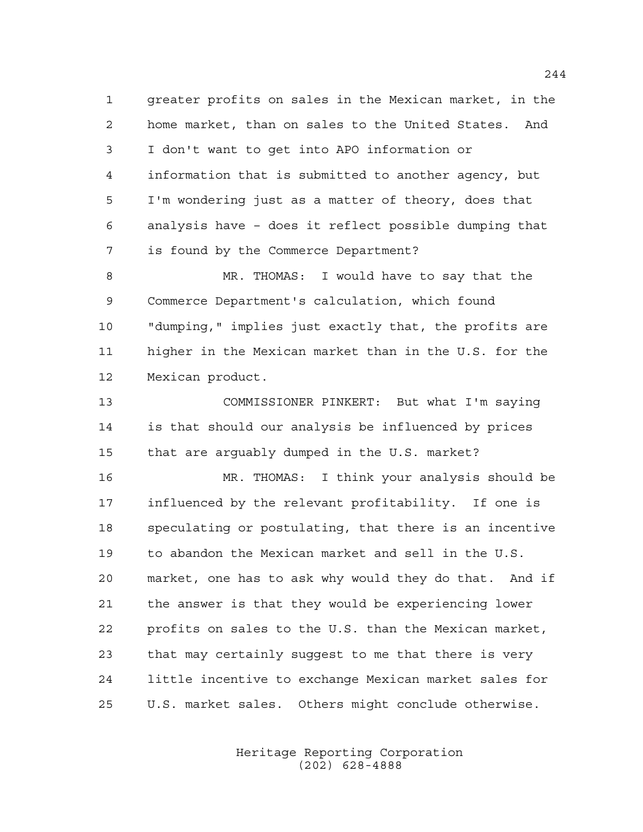greater profits on sales in the Mexican market, in the home market, than on sales to the United States. And I don't want to get into APO information or information that is submitted to another agency, but I'm wondering just as a matter of theory, does that analysis have – does it reflect possible dumping that is found by the Commerce Department?

 MR. THOMAS: I would have to say that the Commerce Department's calculation, which found "dumping," implies just exactly that, the profits are higher in the Mexican market than in the U.S. for the Mexican product.

 COMMISSIONER PINKERT: But what I'm saying is that should our analysis be influenced by prices that are arguably dumped in the U.S. market?

 MR. THOMAS: I think your analysis should be influenced by the relevant profitability. If one is speculating or postulating, that there is an incentive to abandon the Mexican market and sell in the U.S. market, one has to ask why would they do that. And if the answer is that they would be experiencing lower profits on sales to the U.S. than the Mexican market, that may certainly suggest to me that there is very little incentive to exchange Mexican market sales for U.S. market sales. Others might conclude otherwise.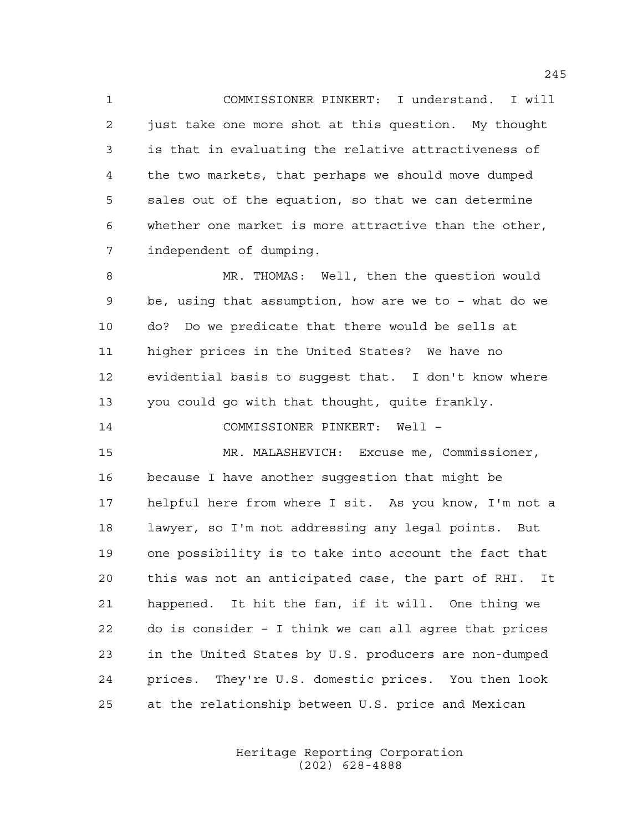COMMISSIONER PINKERT: I understand. I will just take one more shot at this question. My thought is that in evaluating the relative attractiveness of the two markets, that perhaps we should move dumped sales out of the equation, so that we can determine whether one market is more attractive than the other, independent of dumping.

 MR. THOMAS: Well, then the question would be, using that assumption, how are we to – what do we do? Do we predicate that there would be sells at higher prices in the United States? We have no evidential basis to suggest that. I don't know where you could go with that thought, quite frankly.

COMMISSIONER PINKERT: Well –

 MR. MALASHEVICH: Excuse me, Commissioner, because I have another suggestion that might be helpful here from where I sit. As you know, I'm not a lawyer, so I'm not addressing any legal points. But one possibility is to take into account the fact that this was not an anticipated case, the part of RHI. It happened. It hit the fan, if it will. One thing we do is consider – I think we can all agree that prices in the United States by U.S. producers are non-dumped prices. They're U.S. domestic prices. You then look at the relationship between U.S. price and Mexican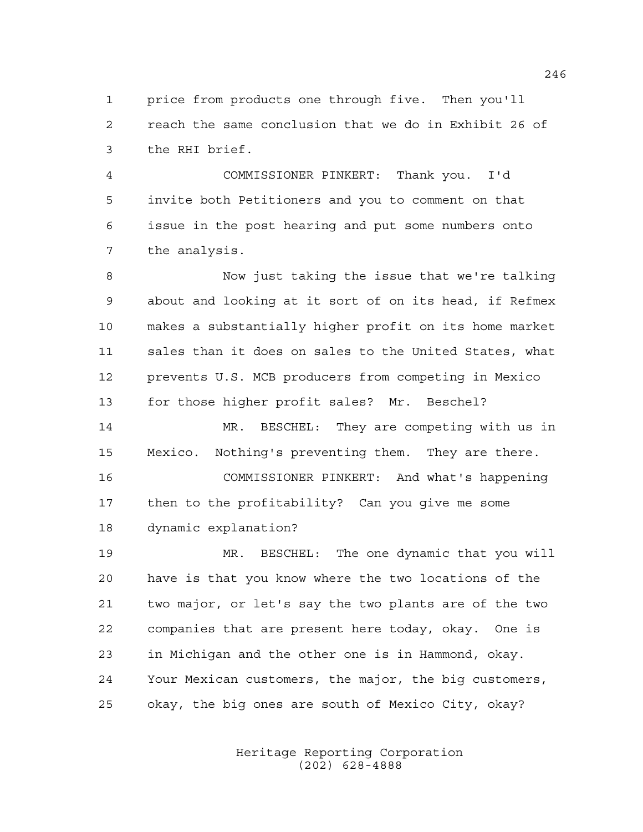price from products one through five. Then you'll reach the same conclusion that we do in Exhibit 26 of the RHI brief.

 COMMISSIONER PINKERT: Thank you. I'd invite both Petitioners and you to comment on that issue in the post hearing and put some numbers onto the analysis.

 Now just taking the issue that we're talking about and looking at it sort of on its head, if Refmex makes a substantially higher profit on its home market sales than it does on sales to the United States, what prevents U.S. MCB producers from competing in Mexico for those higher profit sales? Mr. Beschel?

14 MR. BESCHEL: They are competing with us in Mexico. Nothing's preventing them. They are there. COMMISSIONER PINKERT: And what's happening then to the profitability? Can you give me some dynamic explanation?

 MR. BESCHEL: The one dynamic that you will have is that you know where the two locations of the two major, or let's say the two plants are of the two companies that are present here today, okay. One is in Michigan and the other one is in Hammond, okay. Your Mexican customers, the major, the big customers, okay, the big ones are south of Mexico City, okay?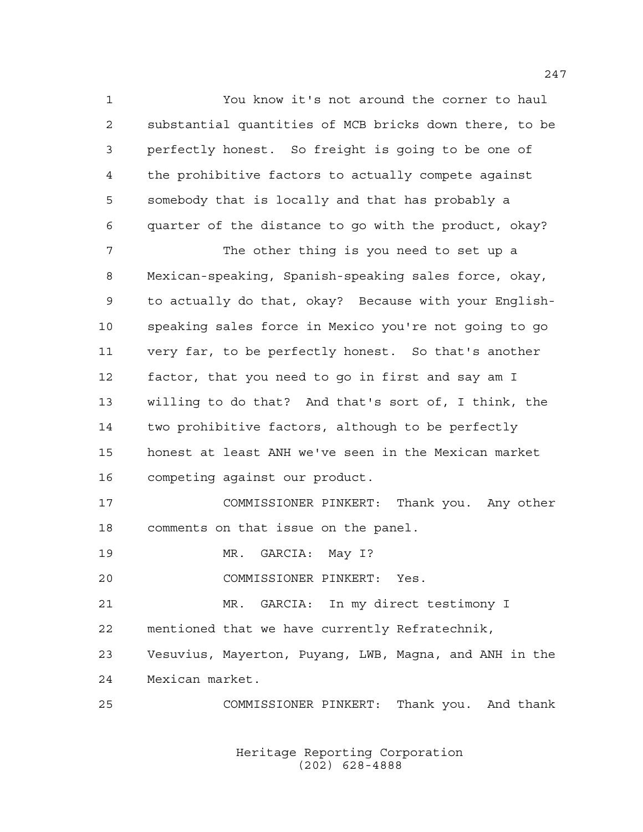You know it's not around the corner to haul substantial quantities of MCB bricks down there, to be perfectly honest. So freight is going to be one of the prohibitive factors to actually compete against somebody that is locally and that has probably a quarter of the distance to go with the product, okay?

 The other thing is you need to set up a Mexican-speaking, Spanish-speaking sales force, okay, to actually do that, okay? Because with your English- speaking sales force in Mexico you're not going to go very far, to be perfectly honest. So that's another factor, that you need to go in first and say am I willing to do that? And that's sort of, I think, the two prohibitive factors, although to be perfectly honest at least ANH we've seen in the Mexican market competing against our product.

 COMMISSIONER PINKERT: Thank you. Any other comments on that issue on the panel.

19 MR. GARCIA: May I?

COMMISSIONER PINKERT: Yes.

MR. GARCIA: In my direct testimony I

mentioned that we have currently Refratechnik,

 Vesuvius, Mayerton, Puyang, LWB, Magna, and ANH in the Mexican market.

COMMISSIONER PINKERT: Thank you. And thank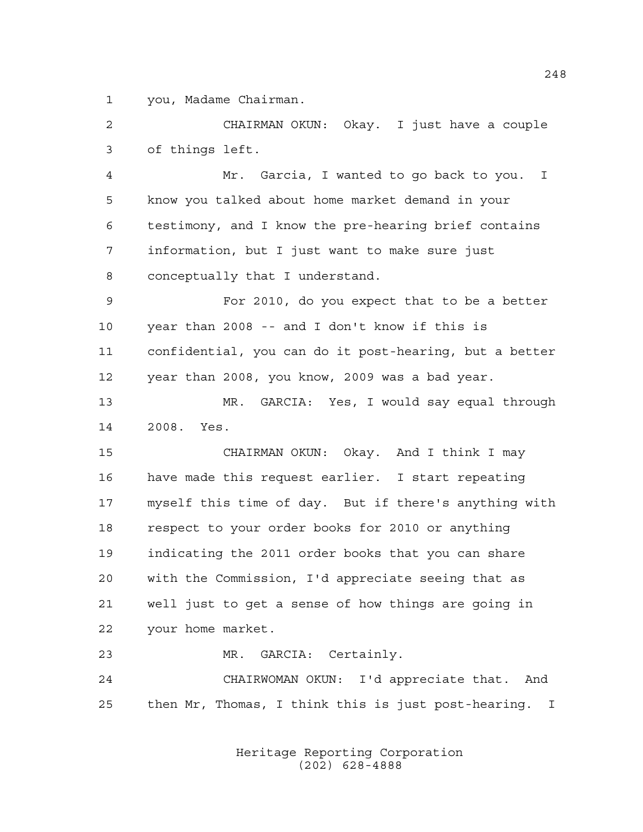you, Madame Chairman.

 CHAIRMAN OKUN: Okay. I just have a couple of things left.

 Mr. Garcia, I wanted to go back to you. I know you talked about home market demand in your testimony, and I know the pre-hearing brief contains information, but I just want to make sure just conceptually that I understand.

 For 2010, do you expect that to be a better year than 2008 -- and I don't know if this is confidential, you can do it post-hearing, but a better year than 2008, you know, 2009 was a bad year.

 MR. GARCIA: Yes, I would say equal through 2008. Yes.

 CHAIRMAN OKUN: Okay. And I think I may have made this request earlier. I start repeating myself this time of day. But if there's anything with respect to your order books for 2010 or anything indicating the 2011 order books that you can share with the Commission, I'd appreciate seeing that as well just to get a sense of how things are going in your home market.

MR. GARCIA: Certainly.

 CHAIRWOMAN OKUN: I'd appreciate that. And then Mr, Thomas, I think this is just post-hearing. I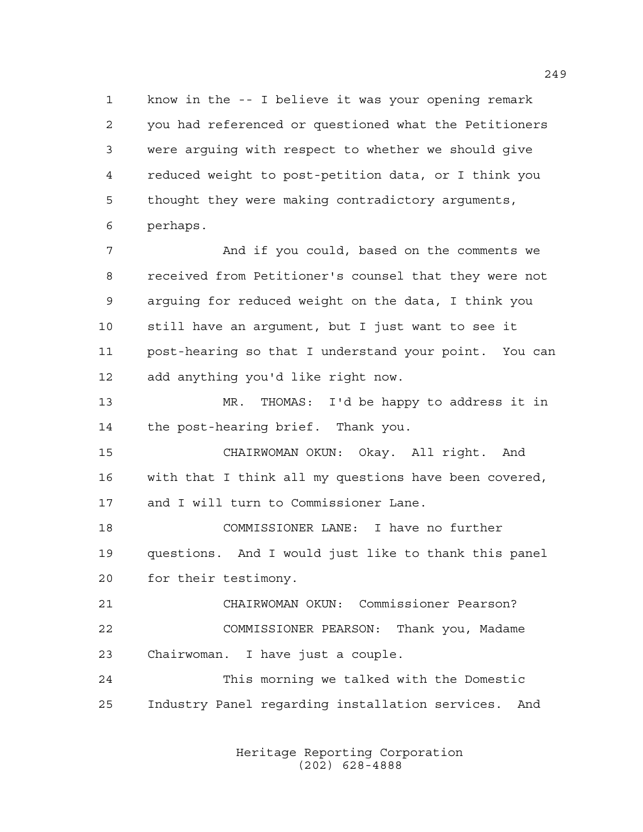know in the -- I believe it was your opening remark you had referenced or questioned what the Petitioners were arguing with respect to whether we should give reduced weight to post-petition data, or I think you thought they were making contradictory arguments, perhaps.

 And if you could, based on the comments we received from Petitioner's counsel that they were not arguing for reduced weight on the data, I think you still have an argument, but I just want to see it post-hearing so that I understand your point. You can add anything you'd like right now.

 MR. THOMAS: I'd be happy to address it in the post-hearing brief. Thank you.

 CHAIRWOMAN OKUN: Okay. All right. And with that I think all my questions have been covered, and I will turn to Commissioner Lane.

 COMMISSIONER LANE: I have no further questions. And I would just like to thank this panel for their testimony.

 CHAIRWOMAN OKUN: Commissioner Pearson? COMMISSIONER PEARSON: Thank you, Madame Chairwoman. I have just a couple.

 This morning we talked with the Domestic Industry Panel regarding installation services. And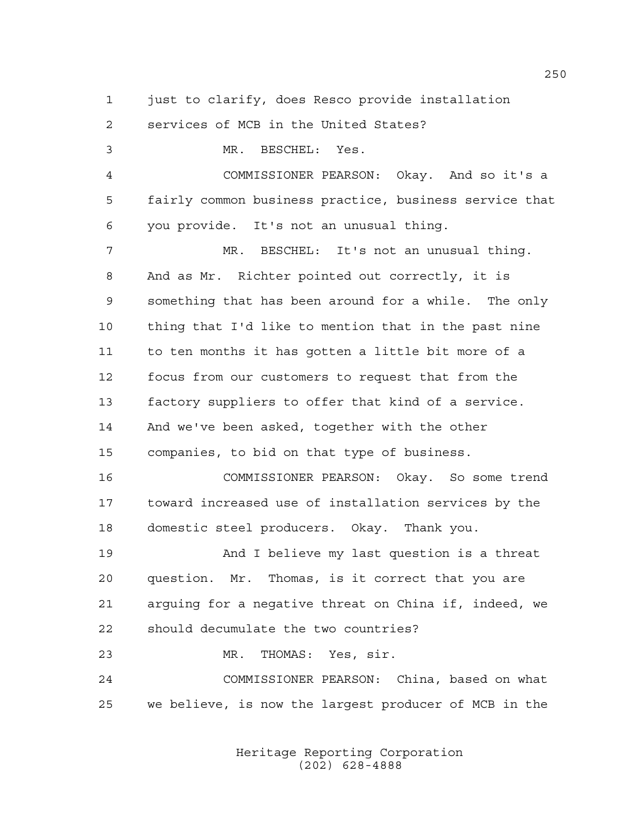just to clarify, does Resco provide installation

services of MCB in the United States?

 MR. BESCHEL: Yes. COMMISSIONER PEARSON: Okay. And so it's a fairly common business practice, business service that you provide. It's not an unusual thing. MR. BESCHEL: It's not an unusual thing. And as Mr. Richter pointed out correctly, it is something that has been around for a while. The only thing that I'd like to mention that in the past nine to ten months it has gotten a little bit more of a focus from our customers to request that from the factory suppliers to offer that kind of a service. And we've been asked, together with the other companies, to bid on that type of business. COMMISSIONER PEARSON: Okay. So some trend toward increased use of installation services by the domestic steel producers. Okay. Thank you. And I believe my last question is a threat question. Mr. Thomas, is it correct that you are arguing for a negative threat on China if, indeed, we should decumulate the two countries? MR. THOMAS: Yes, sir. COMMISSIONER PEARSON: China, based on what we believe, is now the largest producer of MCB in the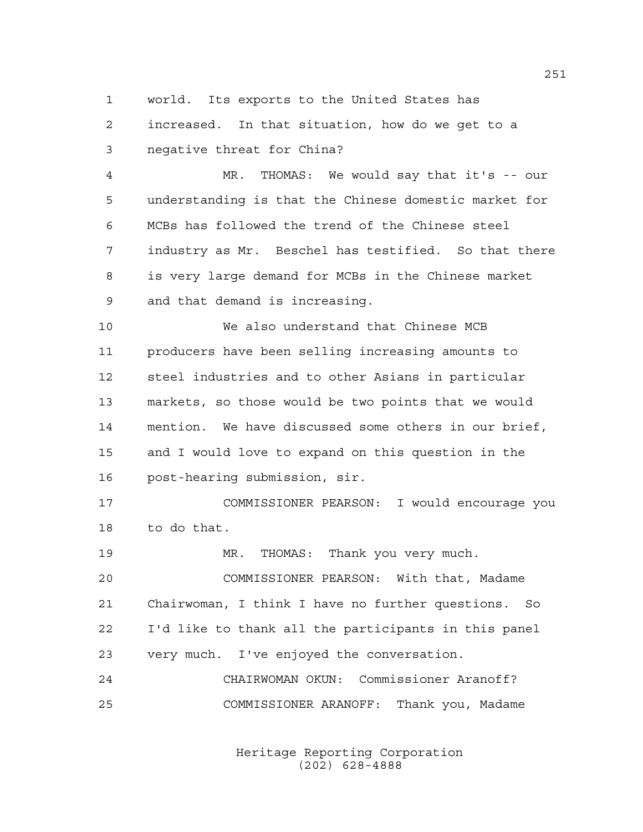world. Its exports to the United States has

 increased. In that situation, how do we get to a negative threat for China?

 MR. THOMAS: We would say that it's -- our understanding is that the Chinese domestic market for MCBs has followed the trend of the Chinese steel industry as Mr. Beschel has testified. So that there is very large demand for MCBs in the Chinese market and that demand is increasing.

 We also understand that Chinese MCB producers have been selling increasing amounts to steel industries and to other Asians in particular markets, so those would be two points that we would mention. We have discussed some others in our brief, and I would love to expand on this question in the post-hearing submission, sir.

 COMMISSIONER PEARSON: I would encourage you to do that.

 MR. THOMAS: Thank you very much. COMMISSIONER PEARSON: With that, Madame Chairwoman, I think I have no further questions. So I'd like to thank all the participants in this panel

 CHAIRWOMAN OKUN: Commissioner Aranoff? COMMISSIONER ARANOFF: Thank you, Madame

very much. I've enjoyed the conversation.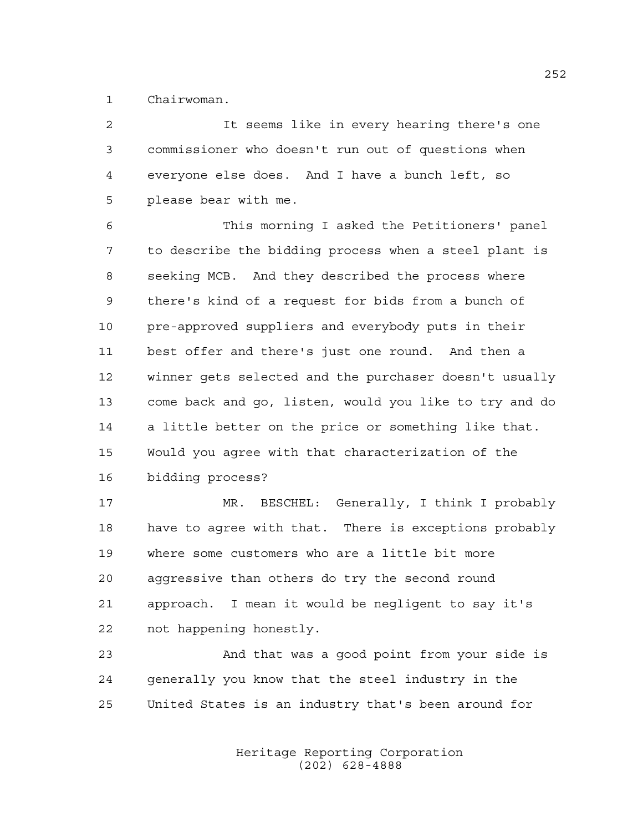Chairwoman.

 It seems like in every hearing there's one commissioner who doesn't run out of questions when everyone else does. And I have a bunch left, so please bear with me.

 This morning I asked the Petitioners' panel to describe the bidding process when a steel plant is seeking MCB. And they described the process where there's kind of a request for bids from a bunch of pre-approved suppliers and everybody puts in their best offer and there's just one round. And then a winner gets selected and the purchaser doesn't usually come back and go, listen, would you like to try and do a little better on the price or something like that. Would you agree with that characterization of the bidding process?

17 MR. BESCHEL: Generally, I think I probably have to agree with that. There is exceptions probably where some customers who are a little bit more aggressive than others do try the second round approach. I mean it would be negligent to say it's not happening honestly.

 And that was a good point from your side is generally you know that the steel industry in the United States is an industry that's been around for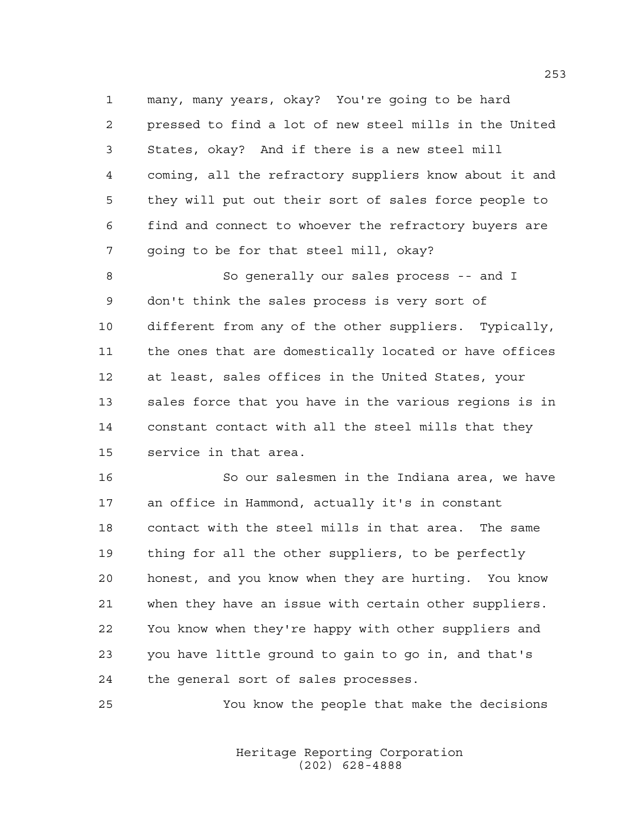many, many years, okay? You're going to be hard pressed to find a lot of new steel mills in the United States, okay? And if there is a new steel mill coming, all the refractory suppliers know about it and they will put out their sort of sales force people to find and connect to whoever the refractory buyers are going to be for that steel mill, okay?

 So generally our sales process -- and I don't think the sales process is very sort of different from any of the other suppliers. Typically, the ones that are domestically located or have offices at least, sales offices in the United States, your sales force that you have in the various regions is in constant contact with all the steel mills that they service in that area.

 So our salesmen in the Indiana area, we have an office in Hammond, actually it's in constant contact with the steel mills in that area. The same thing for all the other suppliers, to be perfectly honest, and you know when they are hurting. You know when they have an issue with certain other suppliers. You know when they're happy with other suppliers and you have little ground to gain to go in, and that's the general sort of sales processes.

You know the people that make the decisions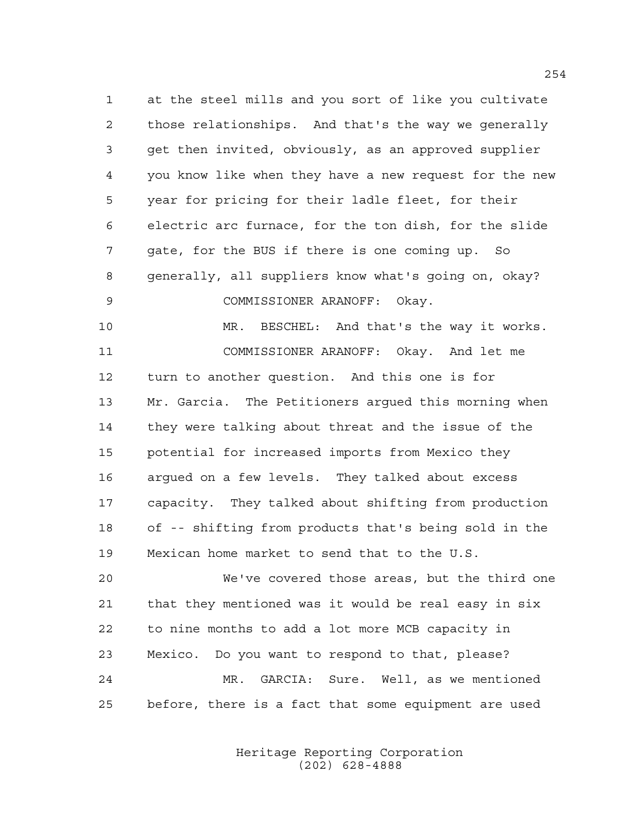at the steel mills and you sort of like you cultivate those relationships. And that's the way we generally get then invited, obviously, as an approved supplier you know like when they have a new request for the new year for pricing for their ladle fleet, for their electric arc furnace, for the ton dish, for the slide gate, for the BUS if there is one coming up. So generally, all suppliers know what's going on, okay? COMMISSIONER ARANOFF: Okay. MR. BESCHEL: And that's the way it works. COMMISSIONER ARANOFF: Okay. And let me turn to another question. And this one is for Mr. Garcia. The Petitioners argued this morning when they were talking about threat and the issue of the potential for increased imports from Mexico they argued on a few levels. They talked about excess capacity. They talked about shifting from production of -- shifting from products that's being sold in the Mexican home market to send that to the U.S. We've covered those areas, but the third one

 that they mentioned was it would be real easy in six to nine months to add a lot more MCB capacity in Mexico. Do you want to respond to that, please? MR. GARCIA: Sure. Well, as we mentioned before, there is a fact that some equipment are used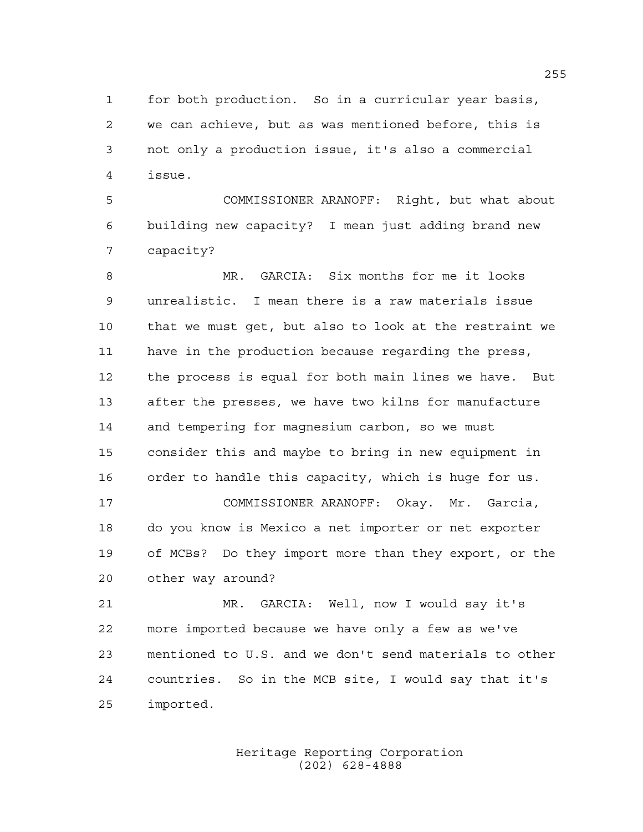for both production. So in a curricular year basis, we can achieve, but as was mentioned before, this is not only a production issue, it's also a commercial issue.

 COMMISSIONER ARANOFF: Right, but what about building new capacity? I mean just adding brand new capacity?

 MR. GARCIA: Six months for me it looks unrealistic. I mean there is a raw materials issue that we must get, but also to look at the restraint we have in the production because regarding the press, the process is equal for both main lines we have. But after the presses, we have two kilns for manufacture and tempering for magnesium carbon, so we must consider this and maybe to bring in new equipment in order to handle this capacity, which is huge for us. COMMISSIONER ARANOFF: Okay. Mr. Garcia,

 do you know is Mexico a net importer or net exporter of MCBs? Do they import more than they export, or the other way around?

 MR. GARCIA: Well, now I would say it's more imported because we have only a few as we've mentioned to U.S. and we don't send materials to other countries. So in the MCB site, I would say that it's imported.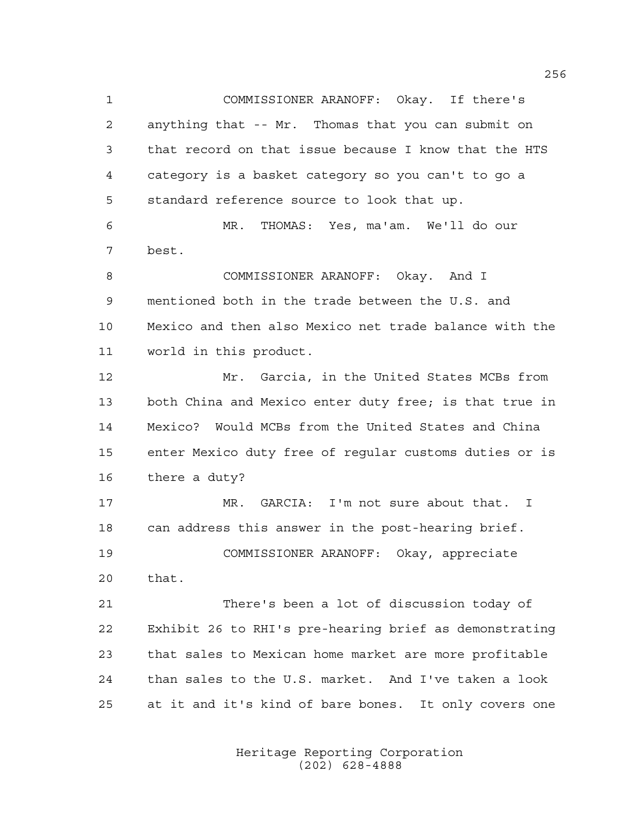COMMISSIONER ARANOFF: Okay. If there's anything that -- Mr. Thomas that you can submit on that record on that issue because I know that the HTS category is a basket category so you can't to go a standard reference source to look that up. MR. THOMAS: Yes, ma'am. We'll do our best. COMMISSIONER ARANOFF: Okay. And I mentioned both in the trade between the U.S. and Mexico and then also Mexico net trade balance with the world in this product. Mr. Garcia, in the United States MCBs from both China and Mexico enter duty free; is that true in Mexico? Would MCBs from the United States and China enter Mexico duty free of regular customs duties or is there a duty? MR. GARCIA: I'm not sure about that. I can address this answer in the post-hearing brief. COMMISSIONER ARANOFF: Okay, appreciate that. There's been a lot of discussion today of Exhibit 26 to RHI's pre-hearing brief as demonstrating that sales to Mexican home market are more profitable than sales to the U.S. market. And I've taken a look at it and it's kind of bare bones. It only covers one

> Heritage Reporting Corporation (202) 628-4888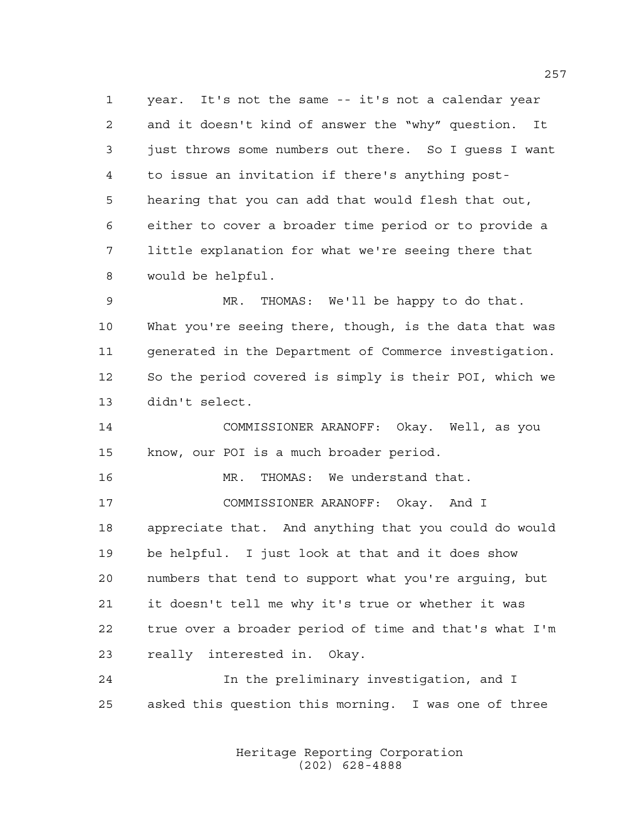year. It's not the same -- it's not a calendar year and it doesn't kind of answer the "why" question. It just throws some numbers out there. So I guess I want to issue an invitation if there's anything post- hearing that you can add that would flesh that out, either to cover a broader time period or to provide a little explanation for what we're seeing there that would be helpful.

 MR. THOMAS: We'll be happy to do that. What you're seeing there, though, is the data that was generated in the Department of Commerce investigation. So the period covered is simply is their POI, which we didn't select.

 COMMISSIONER ARANOFF: Okay. Well, as you know, our POI is a much broader period.

MR. THOMAS: We understand that.

 COMMISSIONER ARANOFF: Okay. And I appreciate that. And anything that you could do would be helpful. I just look at that and it does show numbers that tend to support what you're arguing, but it doesn't tell me why it's true or whether it was true over a broader period of time and that's what I'm really interested in. Okay.

 In the preliminary investigation, and I asked this question this morning. I was one of three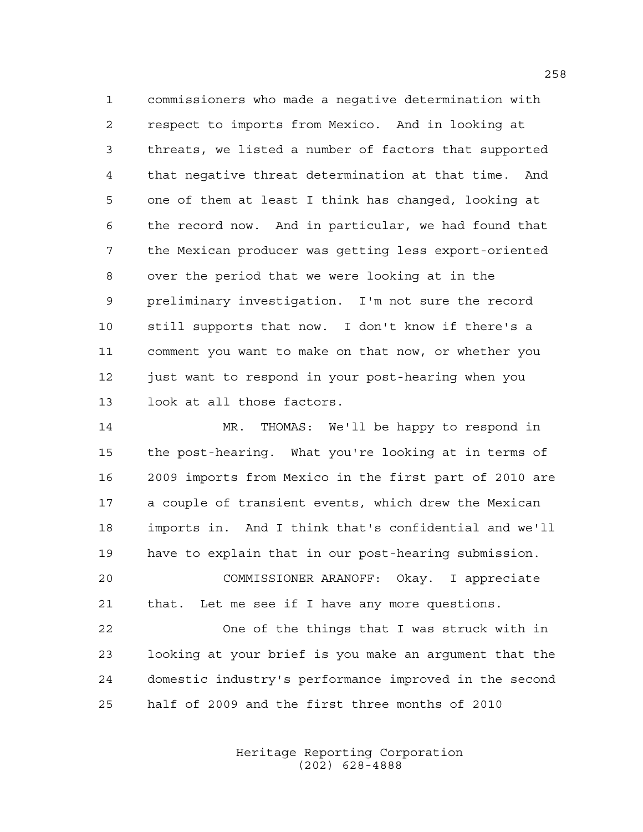commissioners who made a negative determination with respect to imports from Mexico. And in looking at threats, we listed a number of factors that supported that negative threat determination at that time. And one of them at least I think has changed, looking at the record now. And in particular, we had found that the Mexican producer was getting less export-oriented over the period that we were looking at in the preliminary investigation. I'm not sure the record still supports that now. I don't know if there's a comment you want to make on that now, or whether you just want to respond in your post-hearing when you look at all those factors.

 MR. THOMAS: We'll be happy to respond in the post-hearing. What you're looking at in terms of 2009 imports from Mexico in the first part of 2010 are a couple of transient events, which drew the Mexican imports in. And I think that's confidential and we'll have to explain that in our post-hearing submission. COMMISSIONER ARANOFF: Okay. I appreciate that. Let me see if I have any more questions.

 One of the things that I was struck with in looking at your brief is you make an argument that the domestic industry's performance improved in the second half of 2009 and the first three months of 2010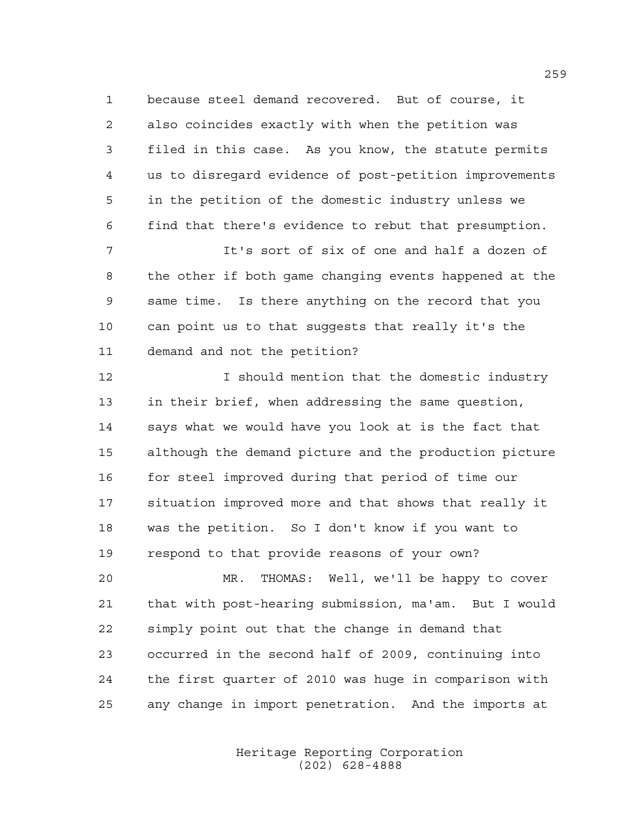because steel demand recovered. But of course, it also coincides exactly with when the petition was filed in this case. As you know, the statute permits us to disregard evidence of post-petition improvements in the petition of the domestic industry unless we find that there's evidence to rebut that presumption.

 It's sort of six of one and half a dozen of the other if both game changing events happened at the same time. Is there anything on the record that you can point us to that suggests that really it's the demand and not the petition?

**I** should mention that the domestic industry in their brief, when addressing the same question, says what we would have you look at is the fact that although the demand picture and the production picture 16 for steel improved during that period of time our situation improved more and that shows that really it was the petition. So I don't know if you want to respond to that provide reasons of your own?

 MR. THOMAS: Well, we'll be happy to cover that with post-hearing submission, ma'am. But I would simply point out that the change in demand that occurred in the second half of 2009, continuing into the first quarter of 2010 was huge in comparison with any change in import penetration. And the imports at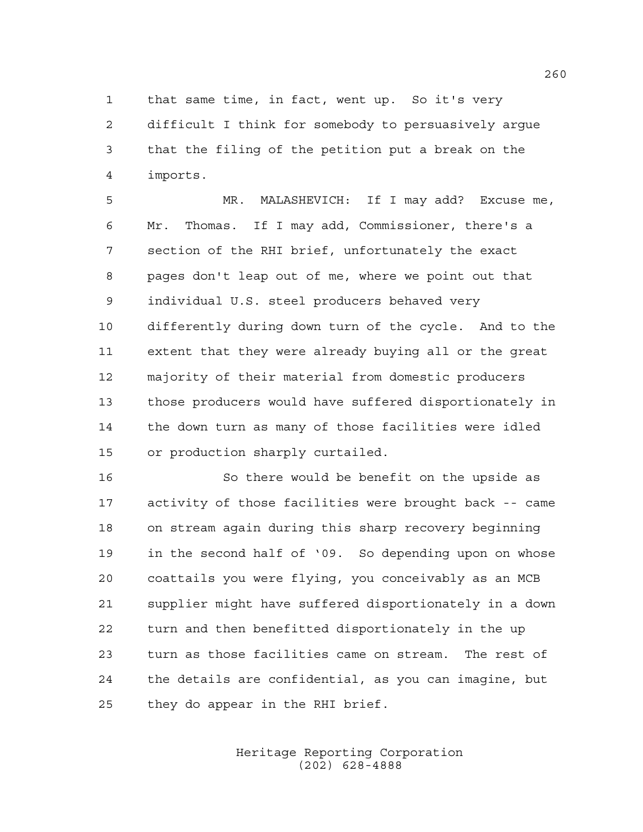that same time, in fact, went up. So it's very difficult I think for somebody to persuasively argue that the filing of the petition put a break on the imports.

 MR. MALASHEVICH: If I may add? Excuse me, Mr. Thomas. If I may add, Commissioner, there's a section of the RHI brief, unfortunately the exact pages don't leap out of me, where we point out that individual U.S. steel producers behaved very differently during down turn of the cycle. And to the extent that they were already buying all or the great majority of their material from domestic producers those producers would have suffered disportionately in the down turn as many of those facilities were idled or production sharply curtailed.

 So there would be benefit on the upside as activity of those facilities were brought back -- came on stream again during this sharp recovery beginning in the second half of '09. So depending upon on whose coattails you were flying, you conceivably as an MCB supplier might have suffered disportionately in a down turn and then benefitted disportionately in the up turn as those facilities came on stream. The rest of the details are confidential, as you can imagine, but they do appear in the RHI brief.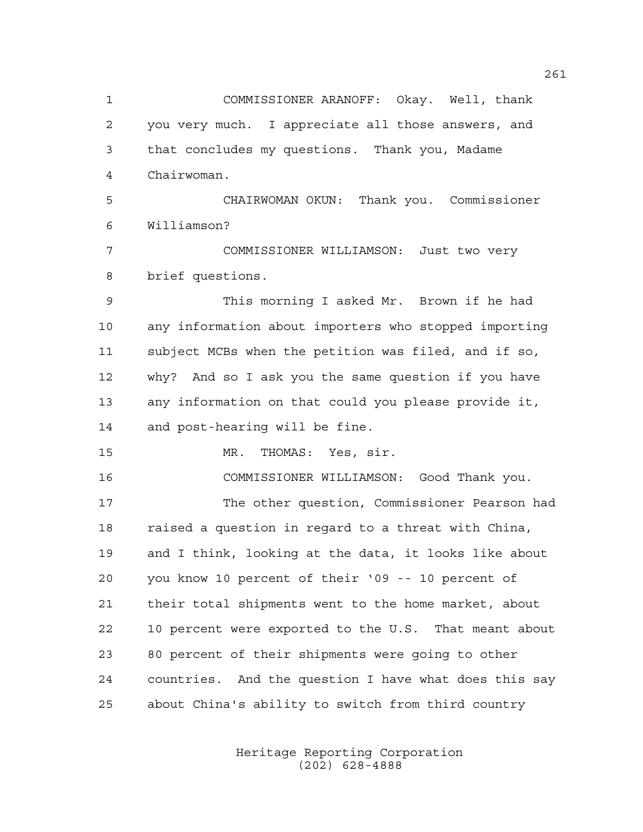COMMISSIONER ARANOFF: Okay. Well, thank you very much. I appreciate all those answers, and that concludes my questions. Thank you, Madame Chairwoman. CHAIRWOMAN OKUN: Thank you. Commissioner Williamson? COMMISSIONER WILLIAMSON: Just two very brief questions. This morning I asked Mr. Brown if he had any information about importers who stopped importing subject MCBs when the petition was filed, and if so, why? And so I ask you the same question if you have any information on that could you please provide it, and post-hearing will be fine. MR. THOMAS: Yes, sir. COMMISSIONER WILLIAMSON: Good Thank you. The other question, Commissioner Pearson had raised a question in regard to a threat with China, and I think, looking at the data, it looks like about you know 10 percent of their '09 -- 10 percent of their total shipments went to the home market, about 10 percent were exported to the U.S. That meant about 80 percent of their shipments were going to other countries. And the question I have what does this say about China's ability to switch from third country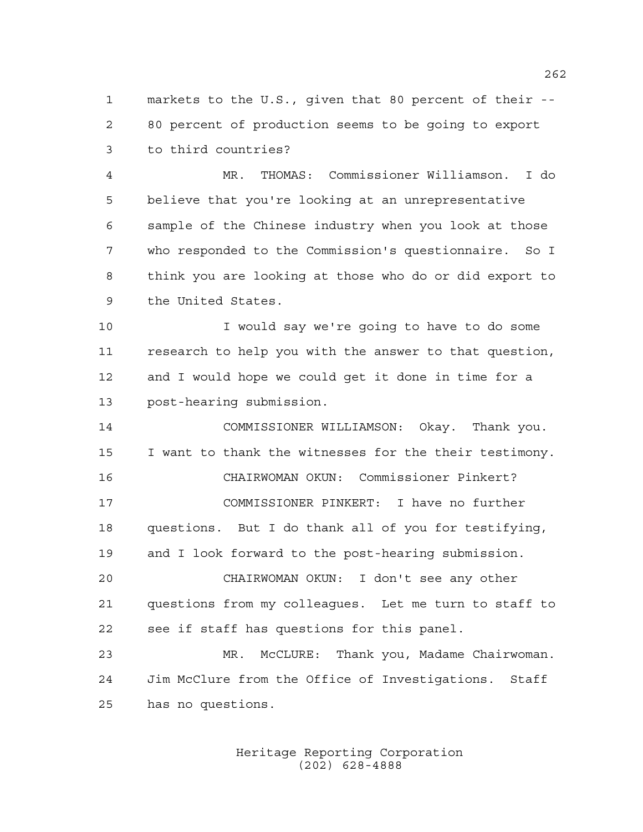markets to the U.S., given that 80 percent of their -- 80 percent of production seems to be going to export to third countries?

 MR. THOMAS: Commissioner Williamson. I do believe that you're looking at an unrepresentative sample of the Chinese industry when you look at those who responded to the Commission's questionnaire. So I think you are looking at those who do or did export to the United States.

 I would say we're going to have to do some research to help you with the answer to that question, and I would hope we could get it done in time for a post-hearing submission.

 COMMISSIONER WILLIAMSON: Okay. Thank you. I want to thank the witnesses for the their testimony. CHAIRWOMAN OKUN: Commissioner Pinkert? COMMISSIONER PINKERT: I have no further questions. But I do thank all of you for testifying, and I look forward to the post-hearing submission. CHAIRWOMAN OKUN: I don't see any other questions from my colleagues. Let me turn to staff to see if staff has questions for this panel. MR. McCLURE: Thank you, Madame Chairwoman. Jim McClure from the Office of Investigations. Staff

has no questions.

Heritage Reporting Corporation (202) 628-4888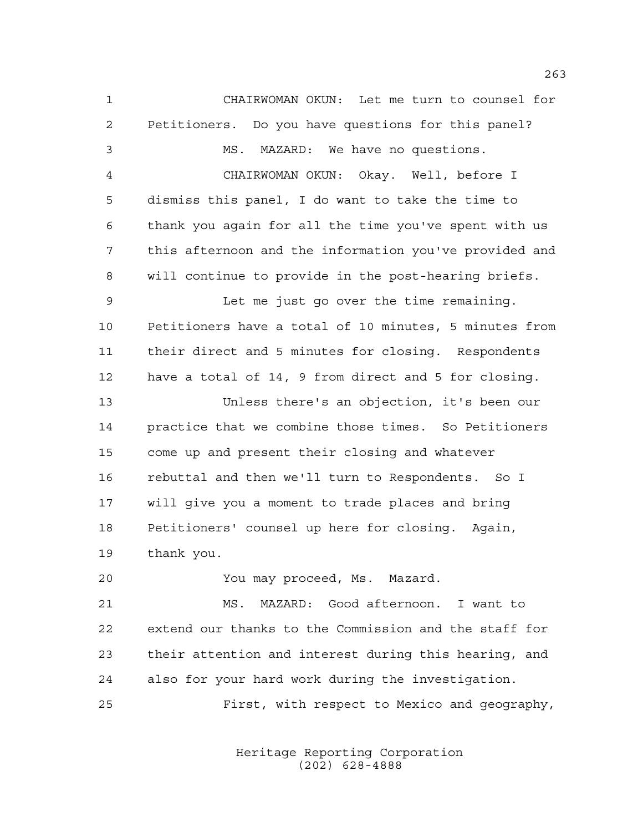CHAIRWOMAN OKUN: Let me turn to counsel for Petitioners. Do you have questions for this panel? MS. MAZARD: We have no questions. CHAIRWOMAN OKUN: Okay. Well, before I dismiss this panel, I do want to take the time to thank you again for all the time you've spent with us this afternoon and the information you've provided and will continue to provide in the post-hearing briefs. Let me just go over the time remaining. Petitioners have a total of 10 minutes, 5 minutes from their direct and 5 minutes for closing. Respondents have a total of 14, 9 from direct and 5 for closing. Unless there's an objection, it's been our practice that we combine those times. So Petitioners come up and present their closing and whatever rebuttal and then we'll turn to Respondents. So I will give you a moment to trade places and bring Petitioners' counsel up here for closing. Again, thank you. You may proceed, Ms. Mazard. MS. MAZARD: Good afternoon. I want to extend our thanks to the Commission and the staff for their attention and interest during this hearing, and also for your hard work during the investigation. First, with respect to Mexico and geography,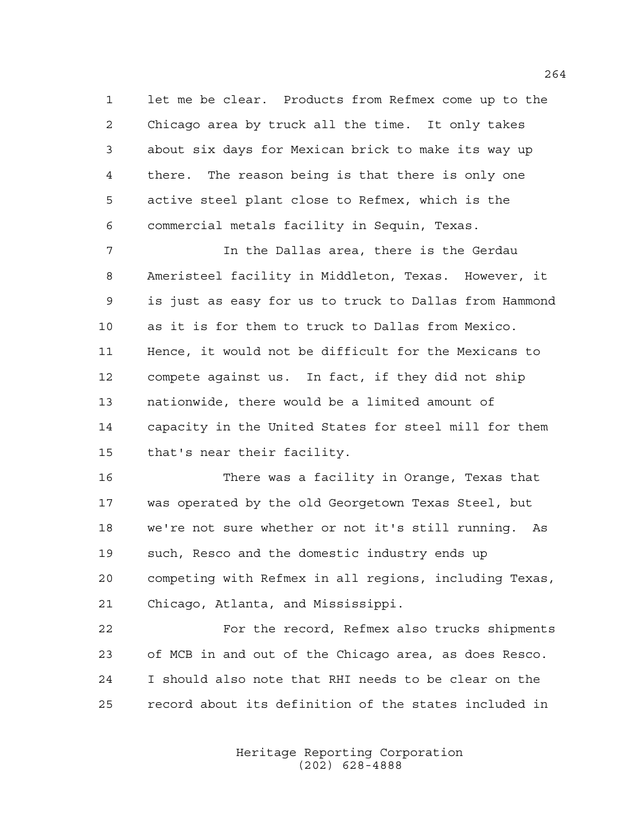let me be clear. Products from Refmex come up to the Chicago area by truck all the time. It only takes about six days for Mexican brick to make its way up there. The reason being is that there is only one active steel plant close to Refmex, which is the commercial metals facility in Sequin, Texas.

 In the Dallas area, there is the Gerdau Ameristeel facility in Middleton, Texas. However, it is just as easy for us to truck to Dallas from Hammond as it is for them to truck to Dallas from Mexico. Hence, it would not be difficult for the Mexicans to compete against us. In fact, if they did not ship nationwide, there would be a limited amount of capacity in the United States for steel mill for them that's near their facility.

 There was a facility in Orange, Texas that was operated by the old Georgetown Texas Steel, but we're not sure whether or not it's still running. As such, Resco and the domestic industry ends up competing with Refmex in all regions, including Texas, Chicago, Atlanta, and Mississippi.

 For the record, Refmex also trucks shipments of MCB in and out of the Chicago area, as does Resco. I should also note that RHI needs to be clear on the record about its definition of the states included in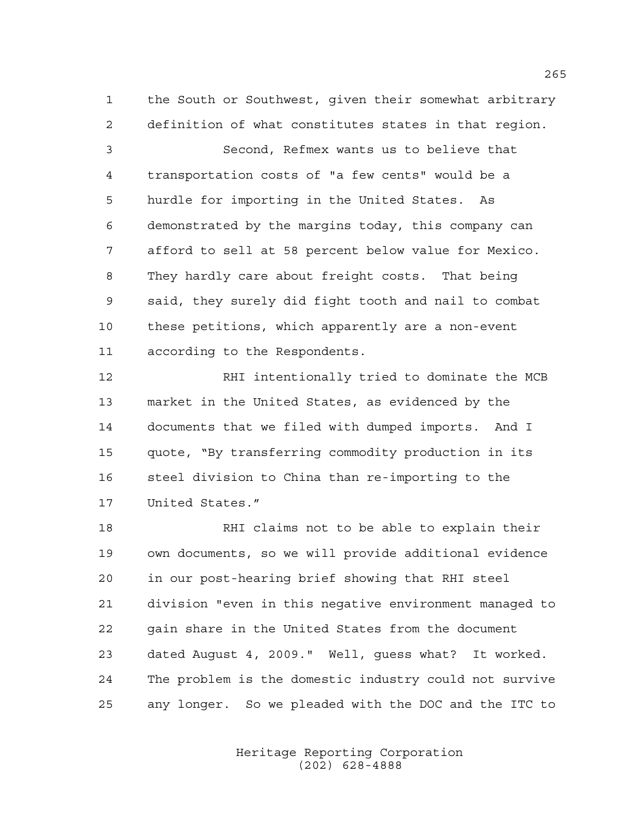the South or Southwest, given their somewhat arbitrary definition of what constitutes states in that region.

 Second, Refmex wants us to believe that transportation costs of "a few cents" would be a hurdle for importing in the United States. As demonstrated by the margins today, this company can afford to sell at 58 percent below value for Mexico. They hardly care about freight costs. That being said, they surely did fight tooth and nail to combat these petitions, which apparently are a non-event according to the Respondents.

 RHI intentionally tried to dominate the MCB market in the United States, as evidenced by the documents that we filed with dumped imports. And I quote, "By transferring commodity production in its steel division to China than re-importing to the United States."

 RHI claims not to be able to explain their own documents, so we will provide additional evidence in our post-hearing brief showing that RHI steel division "even in this negative environment managed to gain share in the United States from the document dated August 4, 2009." Well, guess what? It worked. The problem is the domestic industry could not survive any longer. So we pleaded with the DOC and the ITC to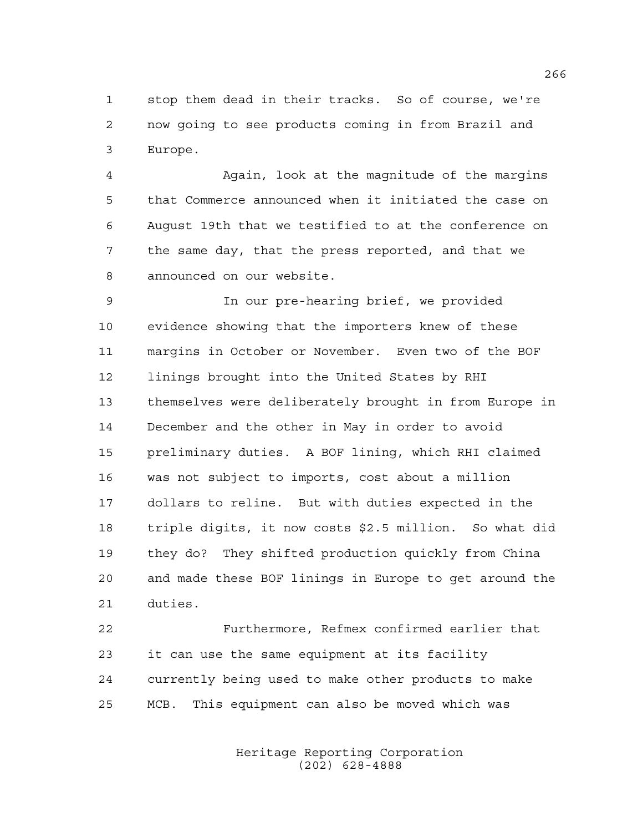stop them dead in their tracks. So of course, we're now going to see products coming in from Brazil and Europe.

 Again, look at the magnitude of the margins that Commerce announced when it initiated the case on August 19th that we testified to at the conference on the same day, that the press reported, and that we announced on our website.

 In our pre-hearing brief, we provided evidence showing that the importers knew of these margins in October or November. Even two of the BOF linings brought into the United States by RHI themselves were deliberately brought in from Europe in December and the other in May in order to avoid preliminary duties. A BOF lining, which RHI claimed was not subject to imports, cost about a million dollars to reline. But with duties expected in the triple digits, it now costs \$2.5 million. So what did they do? They shifted production quickly from China and made these BOF linings in Europe to get around the duties.

 Furthermore, Refmex confirmed earlier that it can use the same equipment at its facility currently being used to make other products to make MCB. This equipment can also be moved which was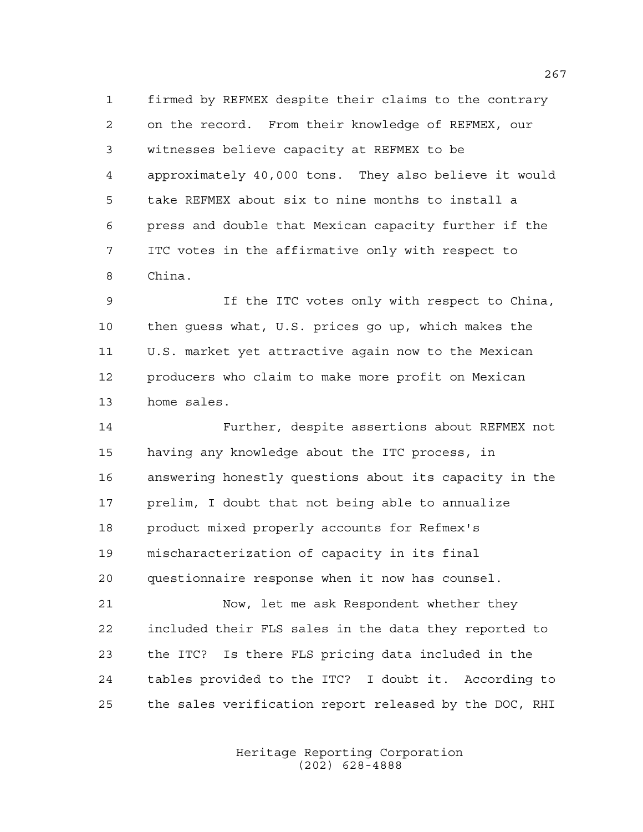firmed by REFMEX despite their claims to the contrary on the record. From their knowledge of REFMEX, our witnesses believe capacity at REFMEX to be approximately 40,000 tons. They also believe it would take REFMEX about six to nine months to install a press and double that Mexican capacity further if the ITC votes in the affirmative only with respect to China.

 If the ITC votes only with respect to China, then guess what, U.S. prices go up, which makes the U.S. market yet attractive again now to the Mexican producers who claim to make more profit on Mexican home sales.

 Further, despite assertions about REFMEX not having any knowledge about the ITC process, in answering honestly questions about its capacity in the prelim, I doubt that not being able to annualize product mixed properly accounts for Refmex's mischaracterization of capacity in its final questionnaire response when it now has counsel.

 Now, let me ask Respondent whether they included their FLS sales in the data they reported to the ITC? Is there FLS pricing data included in the tables provided to the ITC? I doubt it. According to the sales verification report released by the DOC, RHI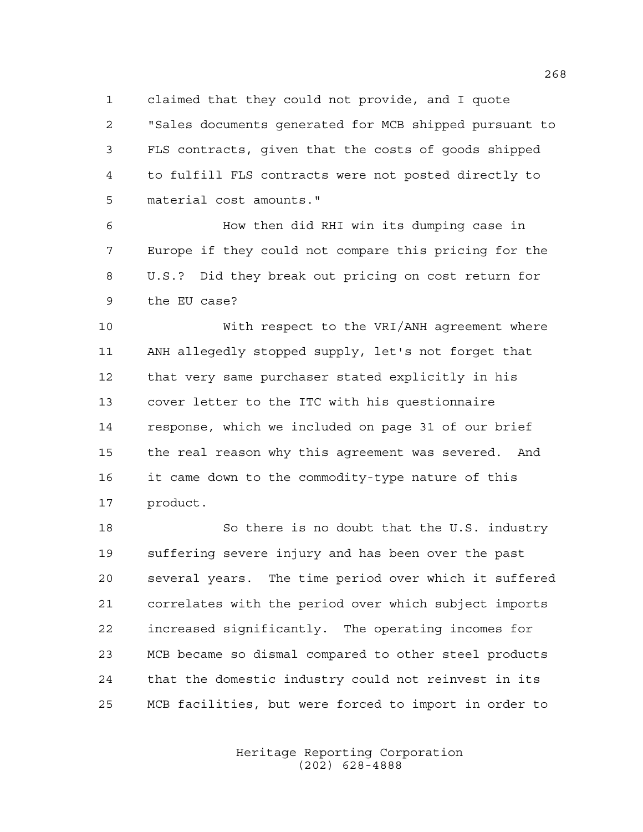claimed that they could not provide, and I quote "Sales documents generated for MCB shipped pursuant to FLS contracts, given that the costs of goods shipped to fulfill FLS contracts were not posted directly to material cost amounts."

 How then did RHI win its dumping case in Europe if they could not compare this pricing for the U.S.? Did they break out pricing on cost return for the EU case?

 With respect to the VRI/ANH agreement where ANH allegedly stopped supply, let's not forget that that very same purchaser stated explicitly in his cover letter to the ITC with his questionnaire response, which we included on page 31 of our brief the real reason why this agreement was severed. And it came down to the commodity-type nature of this product.

 So there is no doubt that the U.S. industry suffering severe injury and has been over the past several years. The time period over which it suffered correlates with the period over which subject imports increased significantly. The operating incomes for MCB became so dismal compared to other steel products that the domestic industry could not reinvest in its MCB facilities, but were forced to import in order to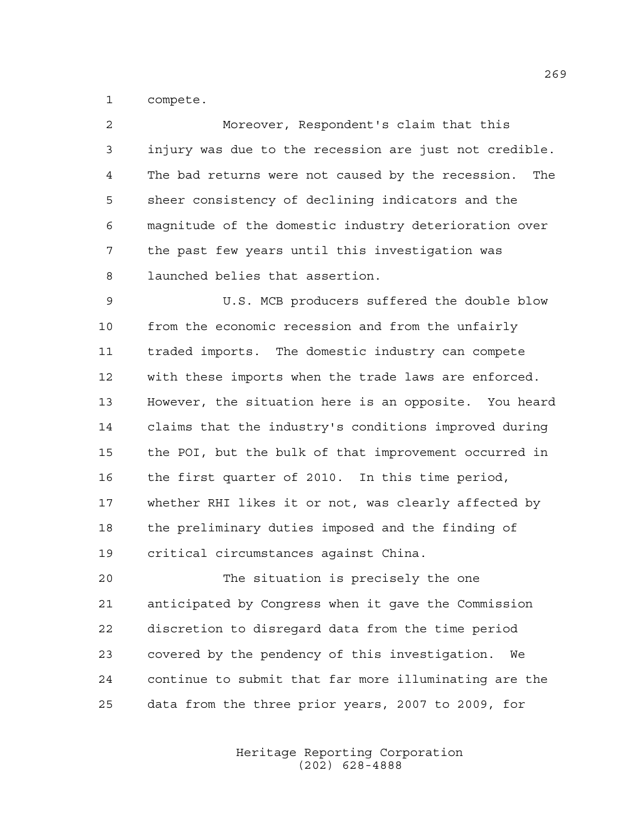compete.

| 2  | Moreover, Respondent's claim that this                   |
|----|----------------------------------------------------------|
| 3  | injury was due to the recession are just not credible.   |
| 4  | The bad returns were not caused by the recession.<br>The |
| 5  | sheer consistency of declining indicators and the        |
| 6  | magnitude of the domestic industry deterioration over    |
| 7  | the past few years until this investigation was          |
| 8  | launched belies that assertion.                          |
| 9  | U.S. MCB producers suffered the double blow              |
| 10 | from the economic recession and from the unfairly        |
| 11 | traded imports. The domestic industry can compete        |

 with these imports when the trade laws are enforced. However, the situation here is an opposite. You heard claims that the industry's conditions improved during the POI, but the bulk of that improvement occurred in the first quarter of 2010. In this time period, whether RHI likes it or not, was clearly affected by the preliminary duties imposed and the finding of critical circumstances against China.

 The situation is precisely the one anticipated by Congress when it gave the Commission discretion to disregard data from the time period covered by the pendency of this investigation. We continue to submit that far more illuminating are the data from the three prior years, 2007 to 2009, for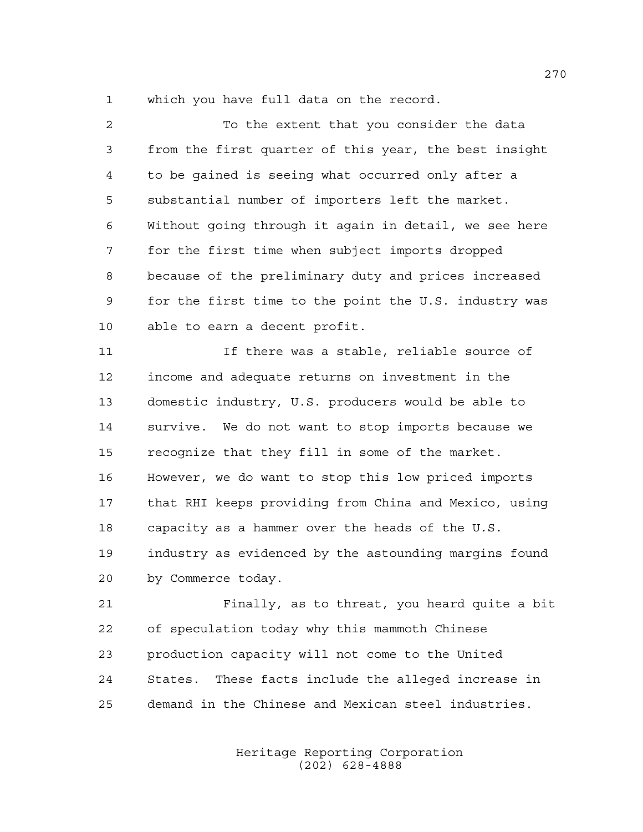which you have full data on the record.

 To the extent that you consider the data from the first quarter of this year, the best insight to be gained is seeing what occurred only after a substantial number of importers left the market. Without going through it again in detail, we see here for the first time when subject imports dropped because of the preliminary duty and prices increased for the first time to the point the U.S. industry was able to earn a decent profit. If there was a stable, reliable source of income and adequate returns on investment in the domestic industry, U.S. producers would be able to survive. We do not want to stop imports because we recognize that they fill in some of the market. However, we do want to stop this low priced imports that RHI keeps providing from China and Mexico, using capacity as a hammer over the heads of the U.S. industry as evidenced by the astounding margins found by Commerce today. Finally, as to threat, you heard quite a bit of speculation today why this mammoth Chinese production capacity will not come to the United

demand in the Chinese and Mexican steel industries.

States. These facts include the alleged increase in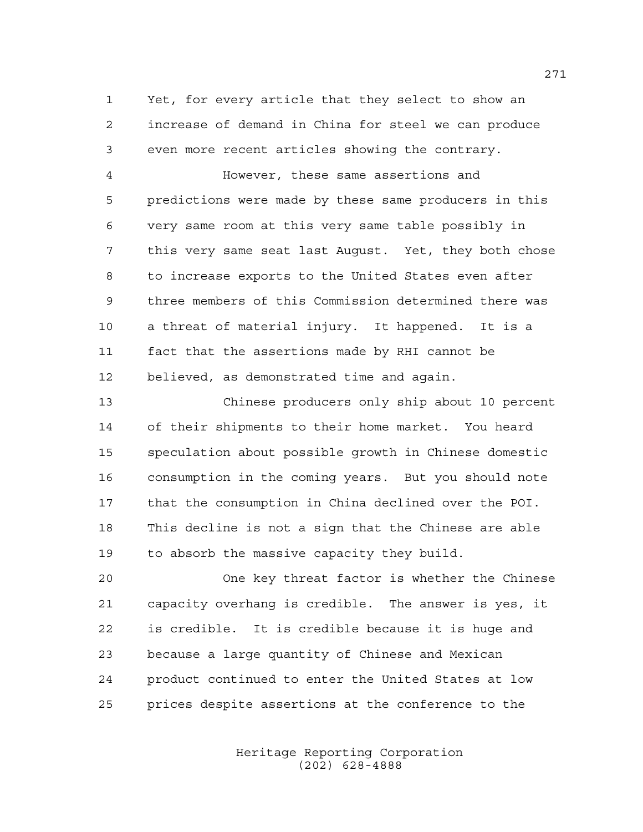Yet, for every article that they select to show an increase of demand in China for steel we can produce even more recent articles showing the contrary.

 However, these same assertions and predictions were made by these same producers in this very same room at this very same table possibly in this very same seat last August. Yet, they both chose to increase exports to the United States even after three members of this Commission determined there was a threat of material injury. It happened. It is a fact that the assertions made by RHI cannot be believed, as demonstrated time and again.

 Chinese producers only ship about 10 percent of their shipments to their home market. You heard speculation about possible growth in Chinese domestic consumption in the coming years. But you should note that the consumption in China declined over the POI. This decline is not a sign that the Chinese are able to absorb the massive capacity they build.

 One key threat factor is whether the Chinese capacity overhang is credible. The answer is yes, it is credible. It is credible because it is huge and because a large quantity of Chinese and Mexican product continued to enter the United States at low prices despite assertions at the conference to the

> Heritage Reporting Corporation (202) 628-4888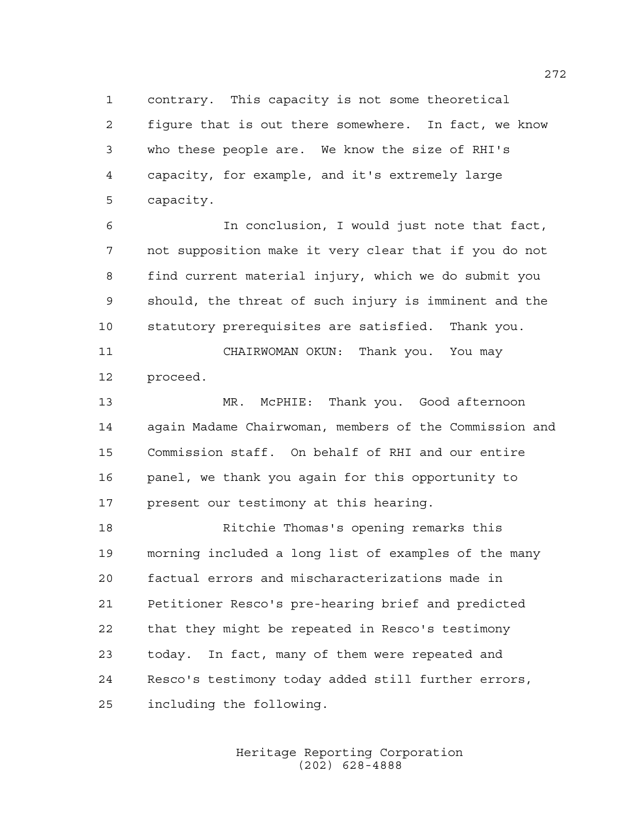contrary. This capacity is not some theoretical figure that is out there somewhere. In fact, we know who these people are. We know the size of RHI's capacity, for example, and it's extremely large capacity.

 In conclusion, I would just note that fact, not supposition make it very clear that if you do not find current material injury, which we do submit you should, the threat of such injury is imminent and the statutory prerequisites are satisfied. Thank you.

 CHAIRWOMAN OKUN: Thank you. You may proceed.

 MR. McPHIE: Thank you. Good afternoon again Madame Chairwoman, members of the Commission and Commission staff. On behalf of RHI and our entire panel, we thank you again for this opportunity to present our testimony at this hearing.

 Ritchie Thomas's opening remarks this morning included a long list of examples of the many factual errors and mischaracterizations made in Petitioner Resco's pre-hearing brief and predicted that they might be repeated in Resco's testimony today. In fact, many of them were repeated and Resco's testimony today added still further errors, including the following.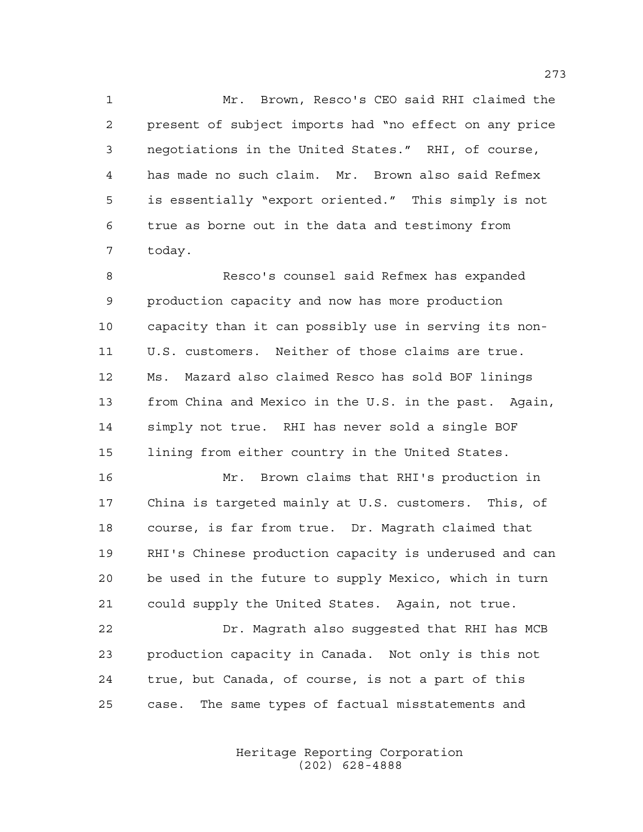Mr. Brown, Resco's CEO said RHI claimed the present of subject imports had "no effect on any price negotiations in the United States." RHI, of course, has made no such claim. Mr. Brown also said Refmex is essentially "export oriented." This simply is not true as borne out in the data and testimony from today.

 Resco's counsel said Refmex has expanded production capacity and now has more production capacity than it can possibly use in serving its non- U.S. customers. Neither of those claims are true. Ms. Mazard also claimed Resco has sold BOF linings from China and Mexico in the U.S. in the past. Again, simply not true. RHI has never sold a single BOF lining from either country in the United States.

 Mr. Brown claims that RHI's production in China is targeted mainly at U.S. customers. This, of course, is far from true. Dr. Magrath claimed that RHI's Chinese production capacity is underused and can be used in the future to supply Mexico, which in turn could supply the United States. Again, not true.

 Dr. Magrath also suggested that RHI has MCB production capacity in Canada. Not only is this not true, but Canada, of course, is not a part of this case. The same types of factual misstatements and

> Heritage Reporting Corporation (202) 628-4888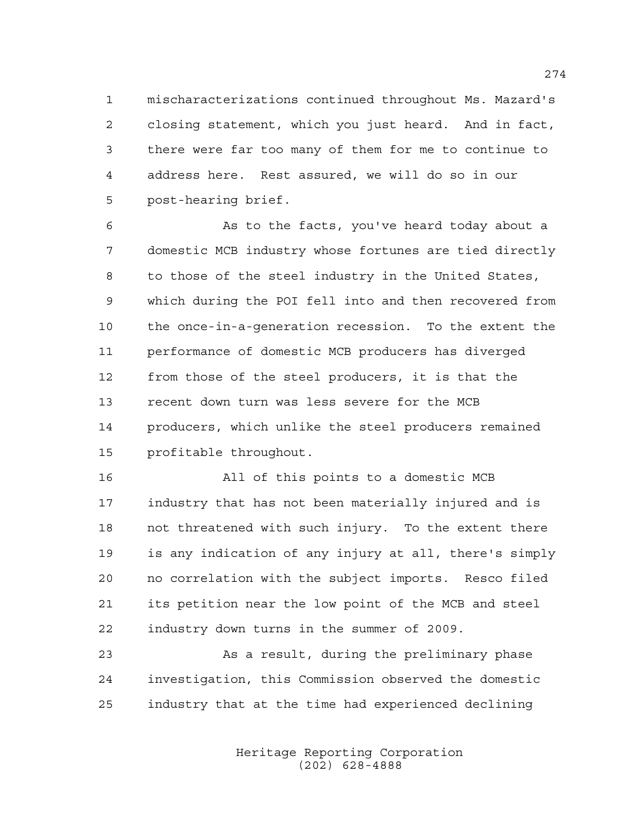mischaracterizations continued throughout Ms. Mazard's closing statement, which you just heard. And in fact, there were far too many of them for me to continue to address here. Rest assured, we will do so in our post-hearing brief.

 As to the facts, you've heard today about a domestic MCB industry whose fortunes are tied directly to those of the steel industry in the United States, which during the POI fell into and then recovered from the once-in-a-generation recession. To the extent the performance of domestic MCB producers has diverged from those of the steel producers, it is that the recent down turn was less severe for the MCB producers, which unlike the steel producers remained profitable throughout.

 All of this points to a domestic MCB industry that has not been materially injured and is not threatened with such injury. To the extent there is any indication of any injury at all, there's simply no correlation with the subject imports. Resco filed its petition near the low point of the MCB and steel industry down turns in the summer of 2009.

 As a result, during the preliminary phase investigation, this Commission observed the domestic industry that at the time had experienced declining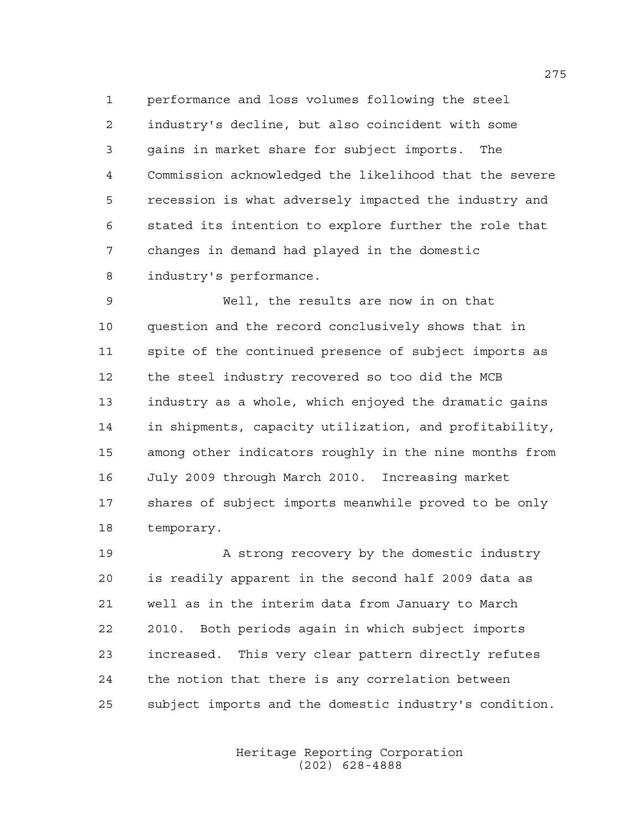performance and loss volumes following the steel industry's decline, but also coincident with some gains in market share for subject imports. The Commission acknowledged the likelihood that the severe recession is what adversely impacted the industry and stated its intention to explore further the role that changes in demand had played in the domestic industry's performance.

 Well, the results are now in on that question and the record conclusively shows that in spite of the continued presence of subject imports as the steel industry recovered so too did the MCB industry as a whole, which enjoyed the dramatic gains in shipments, capacity utilization, and profitability, among other indicators roughly in the nine months from July 2009 through March 2010. Increasing market shares of subject imports meanwhile proved to be only temporary.

19 A strong recovery by the domestic industry is readily apparent in the second half 2009 data as well as in the interim data from January to March 2010. Both periods again in which subject imports increased. This very clear pattern directly refutes the notion that there is any correlation between subject imports and the domestic industry's condition.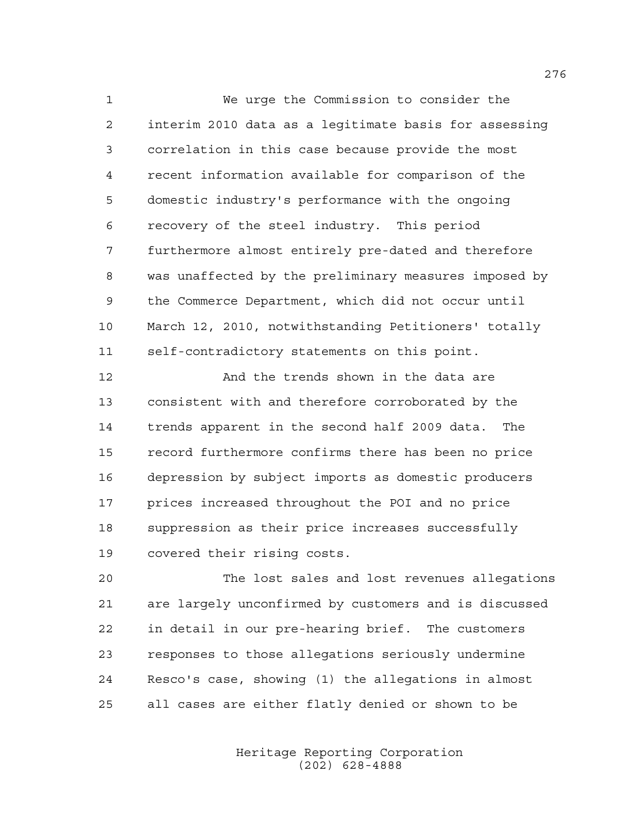We urge the Commission to consider the interim 2010 data as a legitimate basis for assessing correlation in this case because provide the most recent information available for comparison of the domestic industry's performance with the ongoing recovery of the steel industry. This period furthermore almost entirely pre-dated and therefore was unaffected by the preliminary measures imposed by the Commerce Department, which did not occur until March 12, 2010, notwithstanding Petitioners' totally self-contradictory statements on this point.

 And the trends shown in the data are consistent with and therefore corroborated by the trends apparent in the second half 2009 data. The record furthermore confirms there has been no price depression by subject imports as domestic producers prices increased throughout the POI and no price suppression as their price increases successfully covered their rising costs.

 The lost sales and lost revenues allegations are largely unconfirmed by customers and is discussed in detail in our pre-hearing brief. The customers responses to those allegations seriously undermine Resco's case, showing (1) the allegations in almost all cases are either flatly denied or shown to be

> Heritage Reporting Corporation (202) 628-4888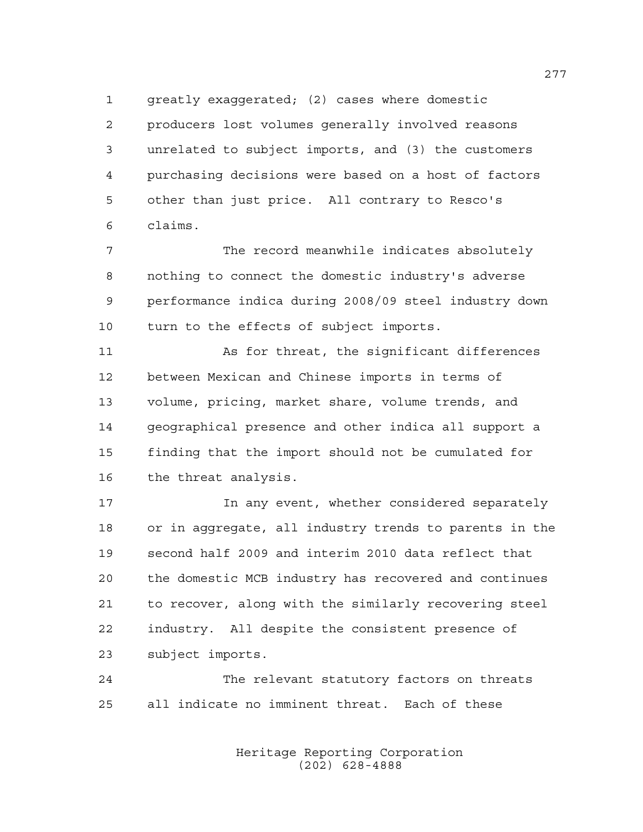greatly exaggerated; (2) cases where domestic producers lost volumes generally involved reasons unrelated to subject imports, and (3) the customers purchasing decisions were based on a host of factors other than just price. All contrary to Resco's claims.

 The record meanwhile indicates absolutely nothing to connect the domestic industry's adverse performance indica during 2008/09 steel industry down turn to the effects of subject imports.

 As for threat, the significant differences between Mexican and Chinese imports in terms of volume, pricing, market share, volume trends, and geographical presence and other indica all support a finding that the import should not be cumulated for the threat analysis.

**In any event, whether considered separately**  or in aggregate, all industry trends to parents in the second half 2009 and interim 2010 data reflect that the domestic MCB industry has recovered and continues to recover, along with the similarly recovering steel industry. All despite the consistent presence of subject imports.

 The relevant statutory factors on threats all indicate no imminent threat. Each of these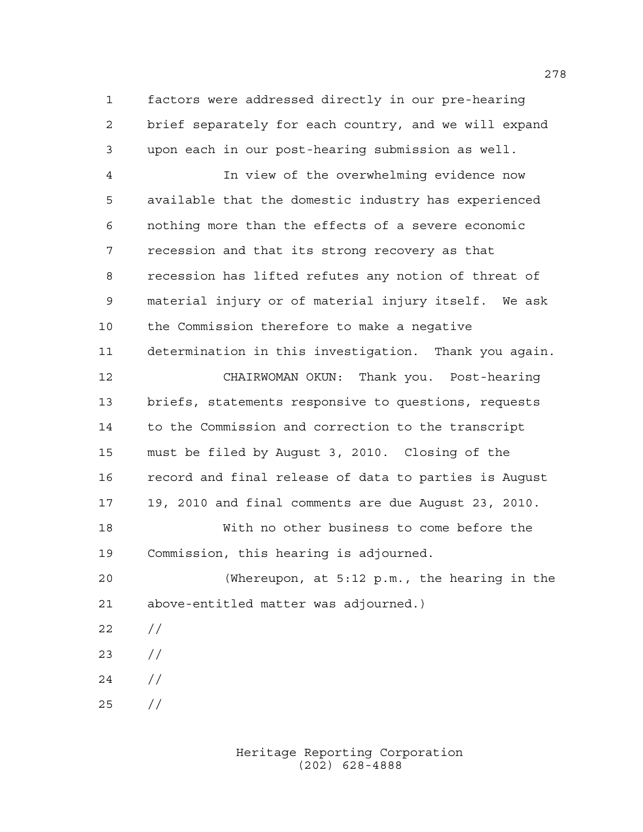factors were addressed directly in our pre-hearing brief separately for each country, and we will expand upon each in our post-hearing submission as well.

 In view of the overwhelming evidence now available that the domestic industry has experienced nothing more than the effects of a severe economic recession and that its strong recovery as that recession has lifted refutes any notion of threat of material injury or of material injury itself. We ask the Commission therefore to make a negative determination in this investigation. Thank you again. CHAIRWOMAN OKUN: Thank you. Post-hearing briefs, statements responsive to questions, requests to the Commission and correction to the transcript must be filed by August 3, 2010. Closing of the record and final release of data to parties is August 19, 2010 and final comments are due August 23, 2010. With no other business to come before the Commission, this hearing is adjourned. (Whereupon, at 5:12 p.m., the hearing in the above-entitled matter was adjourned.)  $22 / /$ 

- //
- //
- //

Heritage Reporting Corporation (202) 628-4888